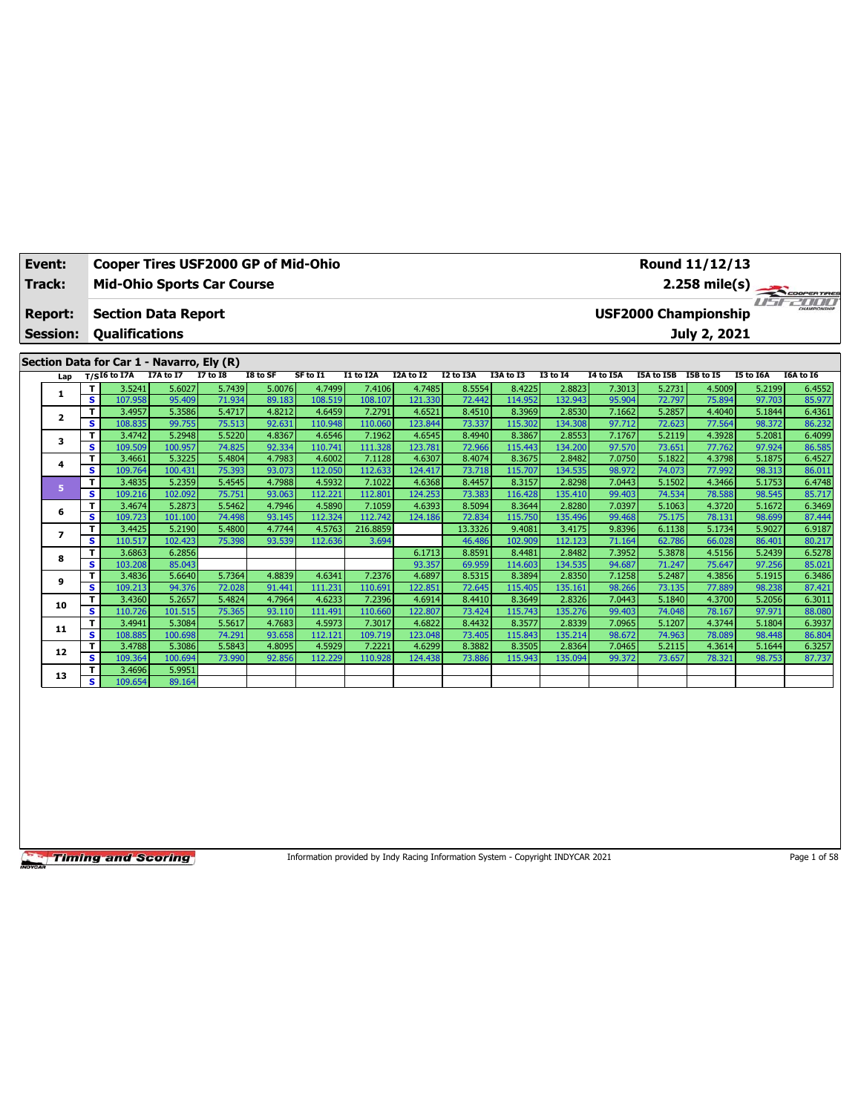| Event:          |                         |                                           |           | Cooper Tires USF2000 GP of Mid-Ohio |          |          |           |           |           |           |                 |           | Round 11/12/13              |                  |           |                         |
|-----------------|-------------------------|-------------------------------------------|-----------|-------------------------------------|----------|----------|-----------|-----------|-----------|-----------|-----------------|-----------|-----------------------------|------------------|-----------|-------------------------|
| Track:          |                         |                                           |           | <b>Mid-Ohio Sports Car Course</b>   |          |          |           |           |           |           |                 |           |                             |                  |           | $2.258 \text{ mile(s)}$ |
| <b>Report:</b>  |                         | <b>Section Data Report</b>                |           |                                     |          |          |           |           |           |           |                 |           | <b>USF2000 Championship</b> |                  | $H^*H^-$  | CHAMPIONSHIP            |
| <b>Session:</b> |                         | <b>Qualifications</b>                     |           |                                     |          |          |           |           |           |           |                 |           |                             | July 2, 2021     |           |                         |
|                 |                         | Section Data for Car 1 - Navarro, Ely (R) |           |                                     |          |          |           |           |           |           |                 |           |                             |                  |           |                         |
| Lap             |                         | $T/S$ <sup>16</sup> to 17A                | I7A to I7 | <b>I7 to I8</b>                     | I8 to SF | SF to I1 | I1 to I2A | I2A to I2 | I2 to I3A | I3A to I3 | <b>I3 to 14</b> | I4 to I5A | I5A to I5B                  | <b>I5B</b> to I5 | I5 to I6A | I6A to I6               |
|                 | T                       | 3.5241                                    | 5.6027    | 5.7439                              | 5.0076   | 4.7499   | 7.4106    | 4.7485    | 8.5554    | 8.4225    | 2.8823          | 7.3013    | 5.2731                      | 4.5009           | 5.2199    | 6.4552                  |
| 1               | $\overline{\mathbf{s}}$ | 107.958                                   | 95.409    | 71.934                              | 89.183   | 108.519  | 108.107   | 121.330   | 72.442    | 114.952   | 132.943         | 95.904    | 72.797                      | 75.894           | 97.703    | 85.977                  |
| $\mathbf{2}$    | т                       | 3.4957                                    | 5.3586    | 5.4717                              | 4.8212   | 4.6459   | 7.2791    | 4.6521    | 8.4510    | 8.3969    | 2.8530          | 7.1662    | 5.2857                      | 4.4040           | 5.1844    | 6.4361                  |
|                 | s.                      | 108.835                                   | 99.755    | 75.513                              | 92.631   | 110.948  | 110.060   | 123.844   | 73.337    | 115.302   | 134.308         | 97.712    | 72.623                      | 77.564           | 98.372    | 86.232                  |
| 3               | T.                      | 3.4742                                    | 5.2948    | 5.5220                              | 4.8367   | 4.6546   | 7.1962    | 4.6545    | 8.4940    | 8.3867    | 2.8553          | 7.1767    | 5.2119                      | 4.3928           | 5.2081    | 6.4099                  |
|                 | s.                      | 109.509                                   | 100.957   | 74.825                              | 92.334   | 110.741  | 111.328   | 123.781   | 72.966    | 115.443   | 134.200         | 97.570    | 73.651                      | 77.762           | 97.924    | 86.585                  |
| 4               | T.                      | 3.4661                                    | 5.3225    | 5.4804                              | 4.7983   | 4.6002   | 7.1128    | 4.6307    | 8.4074    | 8.3675    | 2.8482          | 7.0750    | 5.1822                      | 4.3798           | 5.1875    | 6.4527                  |
|                 | s                       | 109.764                                   | 100.431   | 75.393                              | 93.073   | 112.050  | 112.633   | 124.417   | 73.718    | 115.707   | 134.535         | 98.972    | 74.073                      | 77.992           | 98.313    | 86.011                  |
| 5.              | T.                      | 3.4835                                    | 5.2359    | 5.4545                              | 4.7988   | 4.5932   | 7.1022    | 4.6368    | 8.4457    | 8.3157    | 2.8298          | 7.0443    | 5.1502                      | 4.3466           | 5.1753    | 6.4748                  |
|                 | s.                      | 109.216                                   | 102.092   | 75.751                              | 93.063   | 112.221  | 112.801   | 124.253   | 73.383    | 116.428   | 135.410         | 99.403    | 74.534                      | 78.588           | 98.545    | 85.717                  |
| 6               | T.                      | 3.4674                                    | 5.2873    | 5.5462                              | 4.7946   | 4.5890   | 7.1059    | 4.6393    | 8.5094    | 8.3644    | 2.8280          | 7.0397    | 5.1063                      | 4.3720           | 5.1672    | 6.3469                  |
|                 | s.                      | 109.723                                   | 101.100   | 74.498                              | 93.145   | 112.324  | 112.742   | 124.186   | 72.834    | 115.750   | 135.496         | 99.468    | 75.175                      | 78.131           | 98.699    | 87.444                  |
| $\overline{ }$  | T.                      | 3.4425                                    | 5.2190    | 5.4800                              | 4.7744   | 4.5763   | 216.8859  |           | 13.3326   | 9.4081    | 3.4175          | 9.8396    | 6.1138                      | 5.1734           | 5.9027    | 6.9187                  |
|                 | s.                      | 110.517                                   | 102.423   | 75.398                              | 93.539   | 112.636  | 3.694     |           | 46.486    | 102.909   | 112.123         | 71.164    | 62.786                      | 66.028           | 86.401    | 80.217                  |
| 8               | T.                      | 3.6863                                    | 6.2856    |                                     |          |          |           | 6.1713    | 8.8591    | 8.4481    | 2.8482          | 7.3952    | 5.3878                      | 4.5156           | 5.2439    | 6.5278                  |
|                 | s.                      | 103.208                                   | 85.043    |                                     |          |          |           | 93.357    | 69.959    | 114.603   | 134.535         | 94.687    | 71.247                      | 75.647           | 97.256    | 85.021                  |
| 9               | T.                      | 3.4836                                    | 5.6640    | 5.7364                              | 4.8839   | 4.6341   | 7.2376    | 4.6897    | 8.5315    | 8.3894    | 2.8350          | 7.1258    | 5.2487                      | 4.3856           | 5.1915    | 6.3486                  |
|                 | s.                      | 109.213                                   | 94.376    | 72.028                              | 91.441   | 111.231  | 110.691   | 122.851   | 72.645    | 115.405   | 135.161         | 98.266    | 73.135                      | 77.889           | 98.238    | 87.421                  |
| 10              | T.                      | 3.4360                                    | 5.2657    | 5.4824                              | 4.7964   | 4.6233   | 7.2396    | 4.6914    | 8.4410    | 8.3649    | 2.8326          | 7.0443    | 5.1840                      | 4.3700           | 5.2056    | 6.3011                  |
|                 | s.                      | 110.726                                   | 101.515   | 75.365                              | 93.110   | 111.491  | 110.660   | 122.807   | 73.424    | 115.743   | 135.276         | 99.403    | 74.048                      | 78.167           | 97.971    | 88.080                  |
| 11              | T.                      | 3.4941                                    | 5.3084    | 5.5617                              | 4.7683   | 4.5973   | 7.3017    | 4.6822    | 8.4432    | 8.3577    | 2.8339          | 7.0965    | 5.1207                      | 4.3744           | 5.1804    | 6.3937                  |
|                 | s.                      | 108.885                                   | 100.698   | 74.291                              | 93.658   | 112.121  | 109.719   | 123.048   | 73.405    | 115.843   | 135.214         | 98.672    | 74.963                      | 78.089           | 98.448    | 86.804                  |
| 12              | т                       | 3.4788                                    | 5.3086    | 5.5843                              | 4.8095   | 4.5929   | 7.2221    | 4.6299    | 8.3882    | 8.3505    | 2.8364          | 7.0465    | 5.2115                      | 4.3614           | 5.1644    | 6.3257                  |
|                 | s.                      | 109.364                                   | 100.694   | 73,990                              | 92.856   | 112.229  | 110.928   | 124.438   | 73.886    | 115.943   | 135.094         | 99.372    | 73.657                      | 78.321           | 98.753    | 87.737                  |
| 13              | т                       | 3.4696                                    | 5.9951    |                                     |          |          |           |           |           |           |                 |           |                             |                  |           |                         |
|                 | s.                      | 109.654                                   | 89.164    |                                     |          |          |           |           |           |           |                 |           |                             |                  |           |                         |

Information provided by Indy Racing Information System - Copyright INDYCAR 2021 Page 1 of 58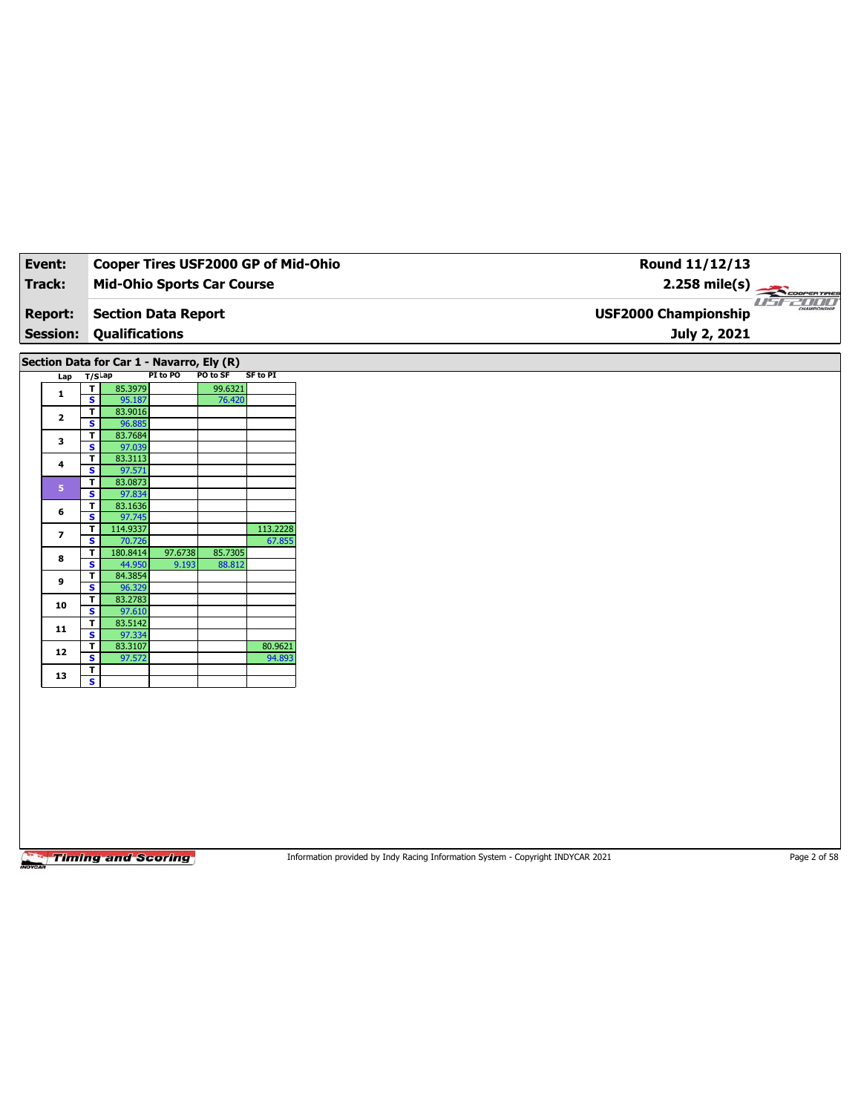Information provided by Indy Racing Information System - Copyright INDYCAR 2021 Page 2 of 58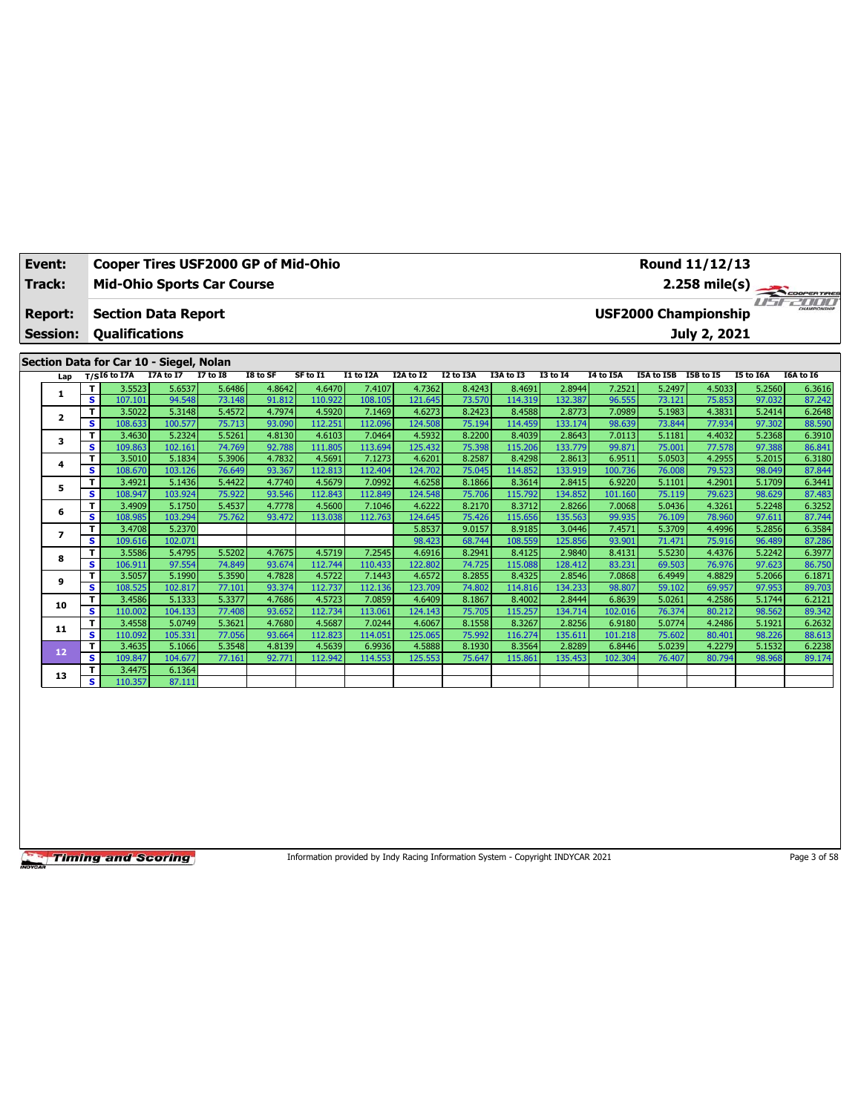| Event:          |          |                                         |                  | <b>Cooper Tires USF2000 GP of Mid-Ohio</b> |                  |                   |           |                  |                  |                   |                   |                  |                             | Round 11/12/13   |                  |                  |
|-----------------|----------|-----------------------------------------|------------------|--------------------------------------------|------------------|-------------------|-----------|------------------|------------------|-------------------|-------------------|------------------|-----------------------------|------------------|------------------|------------------|
| Track:          |          |                                         |                  | <b>Mid-Ohio Sports Car Course</b>          |                  |                   |           |                  |                  |                   |                   |                  |                             | $2.258$ mile(s)  |                  | COOPERTIRES      |
| <b>Report:</b>  |          | <b>Section Data Report</b>              |                  |                                            |                  |                   |           |                  |                  |                   |                   |                  | <b>USF2000 Championship</b> |                  | $\mathbb{Z}$     | CHAMPIONSHIP     |
| <b>Session:</b> |          | <b>Qualifications</b>                   |                  |                                            |                  |                   |           |                  |                  |                   |                   |                  |                             | July 2, 2021     |                  |                  |
|                 |          | Section Data for Car 10 - Siegel, Nolan |                  |                                            |                  |                   |           |                  |                  |                   |                   |                  |                             |                  |                  |                  |
| Lap             |          | $T/SI6$ to I7A                          | I7A to I7        | <b>I7 to I8</b>                            | I8 to SF         | SF to I1          | I1 to I2A | I2A to I2        | <b>I2 to I3A</b> | I3A to I3         | <b>I3 to 14</b>   | I4 to I5A        | I5A to I5B                  | <b>I5B</b> to I5 | I5 to I6A        | I6A to I6        |
|                 | T.       | 3.5523                                  | 5.6537           | 5.6486                                     | 4.8642           | 4.6470            | 7.4107    | 4.7362           | 8.4243           | 8.4691            | 2.8944            | 7.2521           | 5.2497                      | 4.5033           | 5.2560           | 6.3616           |
| 1               | s.       | 107.101                                 | 94.548           | 73.148                                     | 91.812           | 110.922           | 108.105   | 121.645          | 73.570           | 114.319           | 132.387           | 96.555           | 73.121                      | 75.853           | 97.032           | 87.242           |
|                 | T.       | 3.5022                                  | 5.3148           | 5.4572                                     | 4.7974           | 4.5920            | 7.1469    | 4.6273           | 8.2423           | 8.4588            | 2.8773            | 7.0989           | 5.1983                      | 4.3831           | 5.2414           | 6.2648           |
| $\mathbf{2}$    | s        | 108.633                                 | 100.577          | 75.713                                     | 93.090           | 112.251           | 112.096   | 124.508          | 75.194           | 114.459           | 133.174           | 98.639           | 73.844                      | 77.934           | 97.302           | 88.590           |
| 3               | т        | 3.4630                                  | 5.2324           | 5.5261                                     | 4.8130           | 4.6103            | 7.0464    | 4.5932           | 8.2200           | 8.4039            | 2.8643            | 7.0113           | 5.1181                      | 4.4032           | 5.2368           | 6.3910           |
|                 | s.       | 109.863                                 | 102.161          | 74.769                                     | 92.788           | 111.805           | 113.694   | 125.432          | 75.398           | 115,206           | 133.779           | 99.871           | 75.001                      | 77.578           | 97.388           | 86.841           |
| 4               | T        | 3.5010                                  | 5.1834           | 5.3906                                     | 4.7832           | 4.5691            | 7.1273    | 4.6201           | 8.2587           | 8.4298            | 2.8613            | 6.9511           | 5.0503                      | 4.2955           | 5.2015           | 6.3180           |
|                 | s.       | 108.670                                 | 103.126          | 76.649                                     | 93.367           | 112.813           | 112.404   | 124.702          | 75.045           | 114.852           | 133.919           | 100.736          | 76.008                      | 79.523           | 98.049           | 87.844           |
| 5               | т        | 3.4921                                  | 5.1436           | 5.4422                                     | 4.7740           | 4.5679            | 7.0992    | 4.6258           | 8.1866           | 8.3614            | 2.8415            | 6.9220           | 5.1101                      | 4.2901           | 5.1709           | 6.3441           |
|                 | s        | 108.947                                 | 103.924          | 75.922                                     | 93.546           | 112.843           | 112.849   | 124.548          | 75.706           | 115.792           | 134.852           | 101.160          | 75.119                      | 79.623           | 98.629           | 87.483           |
| 6               | T.       | 3.4909                                  | 5.1750           | 5.4537                                     | 4.7778           | 4.5600            | 7.1046    | 4.6222           | 8.2170           | 8.3712            | 2.8266            | 7.0068           | 5.0436                      | 4.3261           | 5.2248           | 6.3252           |
|                 | s        | 108.985                                 | 103.294          | 75.762                                     | 93.472           | 113.038           | 112.763   | 124.645          | 75.426           | 115,656           | 135.563           | 99.935           | 76.109                      | 78.960           | 97.611           | 87.744           |
| 7               | T.       | 3.4708                                  | 5.2370           |                                            |                  |                   |           | 5.8537           | 9.0157           | 8.9185            | 3.0446            | 7.4571           | 5.3709                      | 4.4996           | 5.2856           | 6.3584           |
|                 | s.       | 109.616                                 | 102.071          | 5.5202                                     |                  |                   | 7.2545    | 98.423<br>4.6916 | 68.744<br>8.2941 | 108.559           | 125.856           | 93.901           | 71.471<br>5.5230            | 75.916           | 96.489           | 87.286           |
| 8               | T.<br>s. | 3.5586<br>106.911                       | 5.4795<br>97.554 | 74.849                                     | 4.7675<br>93.674 | 4.5719<br>112.744 | 110.433   | 122.802          | 74.725           | 8.4125<br>115.088 | 2.9840<br>128.412 | 8.4131<br>83.231 | 69.503                      | 4.4376<br>76.976 | 5.2242<br>97.623 | 6.3977<br>86.750 |
|                 | T.       | 3.5057                                  | 5.1990           | 5.3590                                     | 4.7828           | 4.5722            | 7.1443    | 4.6572           | 8.2855           | 8.4325            | 2.8546            | 7.0868           | 6.4949                      | 4.8829           | 5.2066           | 6.1871           |
| 9               | s.       | 108.525                                 | 102.817          | 77.101                                     | 93.374           | 112.737           | 112.136   | 123.709          | 74.802           | 114.816           | 134.233           | 98.807           | 59.102                      | 69.957           | 97.953           | 89.703           |
|                 | T.       | 3.4586                                  | 5.1333           | 5.3377                                     | 4.7686           | 4.5723            | 7.0859    | 4.6409           | 8.1867           | 8.4002            | 2.8444            | 6.8639           | 5.0261                      | 4.2586           | 5.1744           | 6.2121           |
| 10              | s.       | 110.002                                 | 104.133          | 77.408                                     | 93.652           | 112.734           | 113.061   | 124.143          | 75.705           | 115.257           | 134.714           | 102.016          | 76.374                      | 80.212           | 98.562           | 89.342           |
|                 | т        | 3.4558                                  | 5.0749           | 5.3621                                     | 4.7680           | 4.5687            | 7.0244    | 4.6067           | 8.1558           | 8.3267            | 2.8256            | 6.9180           | 5.0774                      | 4.2486           | 5.1921           | 6.2632           |
| 11              | s.       | 110.092                                 | 105.331          | 77.056                                     | 93.664           | 112.823           | 114.051   | 125.065          | 75.992           | 116.274           | 135.611           | 101.218          | 75.602                      | 80.401           | 98.226           | 88.613           |
|                 | T.       | 3.4635                                  | 5.1066           | 5.3548                                     | 4.8139           | 4.5639            | 6.9936    | 4.5888           | 8.1930           | 8.3564            | 2.8289            | 6.8446           | 5.0239                      | 4.2279           | 5.1532           | 6.2238           |
| 12              | s.       | 109.847                                 | 104.677          | 77.161                                     | 92.771           | 112.942           | 114.553   | 125.553          | 75.647           | 115.861           | 135.453           | 102.304          | 76.407                      | 80.794           | 98.968           | 89.174           |
|                 | т        | 3.4475                                  | 6.1364           |                                            |                  |                   |           |                  |                  |                   |                   |                  |                             |                  |                  |                  |
| 13              | s        | 110.357                                 | 87.111           |                                            |                  |                   |           |                  |                  |                   |                   |                  |                             |                  |                  |                  |

Information provided by Indy Racing Information System - Copyright INDYCAR 2021 Page 3 of 58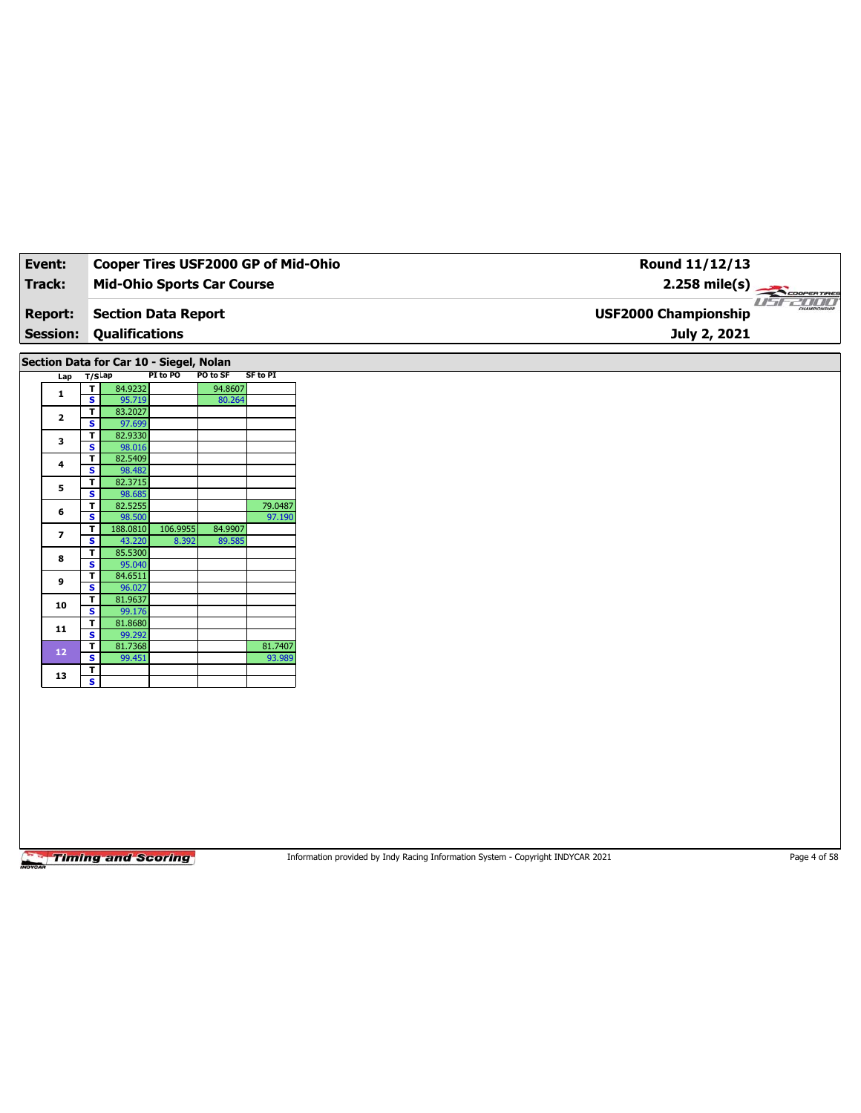| Event:                                  |                              |                    |                            | Cooper Tires USF2000 GP of Mid-Ohio |                 |
|-----------------------------------------|------------------------------|--------------------|----------------------------|-------------------------------------|-----------------|
| Track:                                  |                              |                    |                            | <b>Mid-Ohio Sports Car Course</b>   |                 |
|                                         |                              |                    |                            |                                     |                 |
| <b>Report:</b>                          |                              |                    | <b>Section Data Report</b> |                                     |                 |
| <b>Session:</b>                         | <b>Qualifications</b>        |                    |                            |                                     |                 |
|                                         |                              |                    |                            |                                     |                 |
| Section Data for Car 10 - Siegel, Nolan |                              |                    | PI to PO                   | PO to SF                            | <b>SF to PI</b> |
| Lap                                     | $T/S$ Lap<br>$\mathbf T$     | 84.9232            |                            | 94.8607                             |                 |
| 1                                       | $\overline{\mathbf{s}}$      | 95.719             |                            | 80.264                              |                 |
| $\mathbf{2}$                            | T                            | 83.2027            |                            |                                     |                 |
|                                         | $\mathbf{s}$                 | 97.699             |                            |                                     |                 |
| 3                                       | T                            | 82.9330            |                            |                                     |                 |
|                                         | $\mathbf{s}$<br>T.           | 98.016<br>82.5409  |                            |                                     |                 |
| 4                                       | s                            | 98.482             |                            |                                     |                 |
|                                         | T.                           | 82.3715            |                            |                                     |                 |
| 5                                       | $\overline{\mathbf{s}}$      | 98.685             |                            |                                     |                 |
| 6                                       | T                            | 82.5255            |                            |                                     | 79.0487         |
|                                         | S                            | 98.500             |                            |                                     | 97.190          |
| $\overline{ }$                          | T.<br>$\mathbf{s}$           | 188.0810<br>43.220 | 106.9955                   | 84.9907<br>89.585                   |                 |
|                                         | T.                           | 85.5300            | 8.392                      |                                     |                 |
| 8                                       | s                            | 95.040             |                            |                                     |                 |
|                                         | T                            | 84.6511            |                            |                                     |                 |
| 9                                       | s                            | 96.027             |                            |                                     |                 |
| 10                                      | T                            | 81.9637            |                            |                                     |                 |
|                                         | <b>S</b>                     | 99.176<br>81.8680  |                            |                                     |                 |
| 11                                      | T<br>$\overline{\mathbf{s}}$ | 99.292             |                            |                                     |                 |
|                                         | $\mathbf{T}$                 | 81.7368            |                            |                                     | 81.7407         |
| 12                                      | <b>S</b>                     | 99.451             |                            |                                     | 93.989          |
| 13                                      | T                            |                    |                            |                                     |                 |
|                                         | $\overline{\mathbf{s}}$      |                    |                            |                                     |                 |

Information provided by Indy Racing Information System - Copyright INDYCAR 2021 Page 4 of 58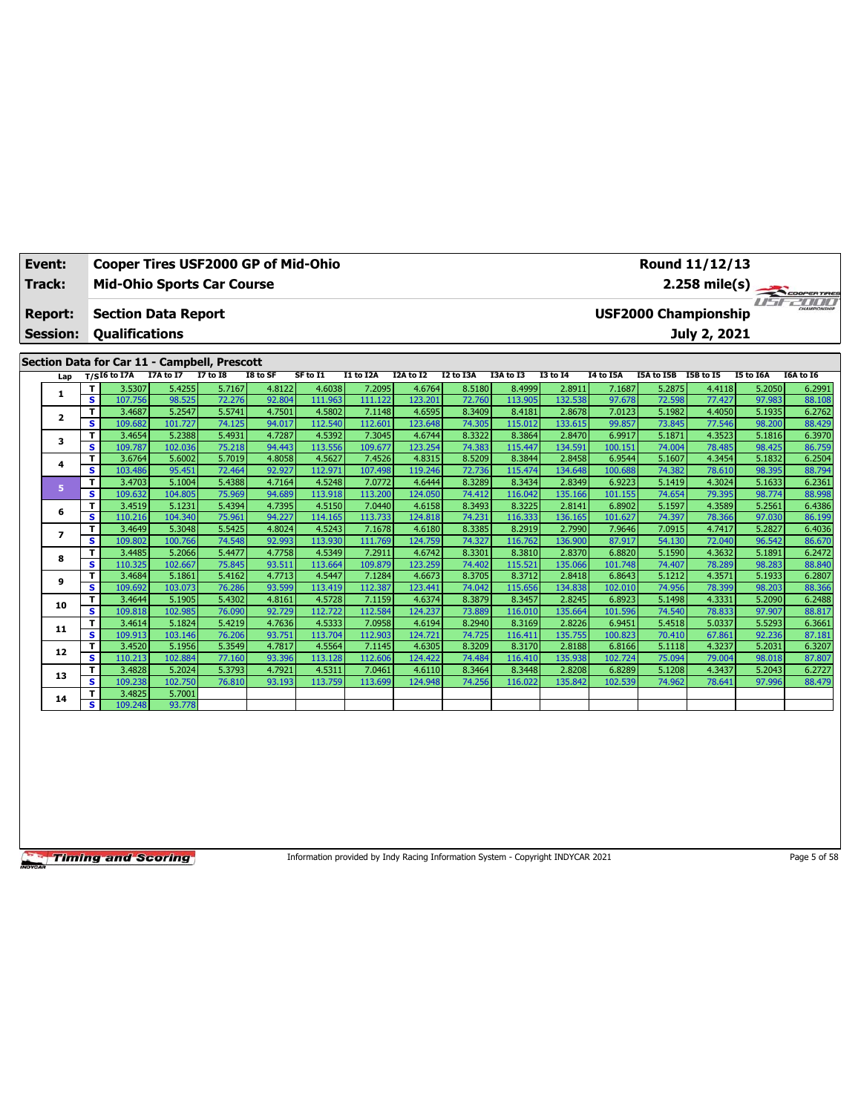| Event:                   |          | Cooper Tires USF2000 GP of Mid-Ohio |                   |                                              |                  |                   |                   |                   |                  |                   |                   |                   |                             | Round 11/12/13   |                  |                   |
|--------------------------|----------|-------------------------------------|-------------------|----------------------------------------------|------------------|-------------------|-------------------|-------------------|------------------|-------------------|-------------------|-------------------|-----------------------------|------------------|------------------|-------------------|
| Track:                   |          |                                     |                   | <b>Mid-Ohio Sports Car Course</b>            |                  |                   |                   |                   |                  |                   |                   |                   |                             | $2.258$ mile(s)  |                  | <b>Coorenting</b> |
| <b>Report:</b>           |          | <b>Section Data Report</b>          |                   |                                              |                  |                   |                   |                   |                  |                   |                   |                   | <b>USF2000 Championship</b> |                  |                  |                   |
| <b>Session:</b>          |          | <b>Qualifications</b>               |                   |                                              |                  |                   |                   |                   |                  |                   |                   |                   |                             | July 2, 2021     |                  |                   |
|                          |          |                                     |                   |                                              |                  |                   |                   |                   |                  |                   |                   |                   |                             |                  |                  |                   |
|                          |          |                                     |                   | Section Data for Car 11 - Campbell, Prescott |                  |                   |                   |                   |                  |                   |                   |                   |                             |                  |                  |                   |
| Lap                      |          | T/SI6 to I7A I7A to I7 I7 to I8     |                   |                                              | I8 to SF         | SF to I1          | I1 to I2A         | I2A to I2         | I2 to I3A        | I3A to I3         | <b>I3 to I4</b>   | I4 to I5A         | I5A to I5B I5B to I5        |                  | I5 to I6A        | I6A to I6         |
| 1                        | T.<br>s. | 3.5307                              | 5.4255<br>98.525  | 5.7167<br>72.276                             | 4.8122<br>92.804 | 4.6038            | 7.2095            | 4.6764<br>123.201 | 8.5180<br>72.760 | 8.4999<br>113.905 | 2.8911<br>132.538 | 7.1687<br>97.678  | 5.2875                      | 4.4118<br>77.427 | 5.2050           | 6.2991            |
|                          | T.       | 107.756<br>3.4687                   | 5.2547            | 5.5741                                       | 4.7501           | 111.963<br>4.5802 | 111.122<br>7.1148 | 4.6595            | 8.3409           | 8.4181            | 2.8678            | 7.0123            | 72.598<br>5.1982            | 4.4050           | 97.983<br>5.1935 | 88.108<br>6.2762  |
| 2                        | s.       | 109.682                             | 101.727           | 74.125                                       | 94.017           | 112.540           | 112.601           | 123.648           | 74.305           | 115.012           | 133.615           | 99.857            | 73.845                      | 77.546           | 98.200           | 88.429            |
|                          | T.       | 3.4654                              | 5.2388            | 5.4931                                       | 4.7287           | 4.5392            | 7.3045            | 4.6744            | 8.3322           | 8.3864            | 2.8470            | 6.9917            | 5.1871                      | 4.3523           | 5.1816           | 6.3970            |
| з                        | s.       | 109.787                             | 102.036           | 75.218                                       | 94.443           | 113.556           | 109.677           | 123.254           | 74.383           | 115.447           | 134.591           | 100.151           | 74.004                      | 78.485           | 98.425           | 86.759            |
|                          | T.       | 3.6764                              | 5.6002            | 5.7019                                       | 4.8058           | 4.5627            | 7.4526            | 4.8315            | 8.5209           | 8.3844            | 2.8458            | 6.9544            | 5.1607                      | 4.3454           | 5.1832           | 6.2504            |
| 4                        | s        | 103.486                             | 95.451            | 72.464                                       | 92.927           | 112.97            | 107.498           | 119.246           | 72.736           | 115.474           | 134.648           | 100.688           | 74.382                      | 78.610           | 98.395           | 88.794            |
| 5                        | T        | 3.4703                              | 5.1004            | 5.4388                                       | 4.7164           | 4.5248            | 7.0772            | 4.6444            | 8.3289           | 8.3434            | 2.8349            | 6.9223            | 5.1419                      | 4.3024           | 5.1633           | 6.2361            |
|                          | s.       | 109.632                             | 104.805           | 75.969                                       | 94.689           | 113.918           | 113,200           | 124.050           | 74.412           | 116.042           | 135.166           | 101.155           | 74.654                      | 79.395           | 98.774           | 88.998            |
| 6                        | T.       | 3.4519                              | 5.1231            | 5.4394                                       | 4.7395           | 4.5150            | 7.0440            | 4.6158            | 8.3493           | 8.3225            | 2.8141            | 6.8902            | 5.1597                      | 4.3589           | 5.2561           | 6.4386            |
|                          | s.       | 110.216                             | 104.340           | 75.961                                       | 94.227           | 114.165           | 113.733           | 124.818           | 74.231           | 116.333           | 136.165           | 101.627           | 74.397                      | 78.366           | 97.030           | 86.199            |
| $\overline{\phantom{a}}$ | T.       | 3.4649                              | 5.3048            | 5.5425                                       | 4.8024           | 4.5243            | 7.1678            | 4.6180            | 8.3385           | 8.2919            | 2.7990            | 7.9646            | 7.0915                      | 4.7417           | 5.2827           | 6.4036            |
|                          | s.       | 109.802                             | 100.766           | 74.548                                       | 92.993           | 113.930           | 111.769           | 124.759           | 74.327           | 116.762           | 136.900           | 87.917            | 54.130                      | 72.040           | 96.542           | 86.670            |
| 8                        | T.<br>s. | 3.4485<br>110.325                   | 5.2066<br>102.667 | 5.4477<br>75.845                             | 4.7758<br>93.511 | 4.5349            | 7.2911<br>109.879 | 4.6742<br>123.259 | 8.3301<br>74.402 | 8.3810            | 2.8370            | 6.8820            | 5.1590<br>74.407            | 4.3632           | 5.1891           | 6.2472            |
|                          | т        | 3.4684                              | 5.1861            | 5.4162                                       | 4.7713           | 113.664<br>4.5447 | 7.1284            | 4.6673            | 8.3705           | 115.521<br>8.3712 | 135.066<br>2.8418 | 101.748<br>6.8643 | 5.1212                      | 78.289<br>4.3571 | 98.283<br>5.1933 | 88.840<br>6.2807  |
| 9                        | s.       | 109.692                             | 103.073           | 76.286                                       | 93.599           | 113.419           | 112.387           | 123.441           | 74.042           | 115.656           | 134.838           | 102.010           | 74.956                      | 78.399           | 98.203           | 88.366            |
|                          | T.       | 3.4644                              | 5.1905            | 5.4302                                       | 4.8161           | 4.5728            | 7.1159            | 4.6374            | 8.3879           | 8.3457            | 2.8245            | 6.8923            | 5.1498                      | 4.3331           | 5.2090           | 6.2488            |
| 10                       | s.       | 109.818                             | 102.985           | 76.090                                       | 92.729           | 112.722           | 112.584           | 124.237           | 73.889           | 116.010           | 135.664           | 101.596           | 74.540                      | 78.833           | 97.907           | 88.817            |
|                          | T        | 3.4614                              | 5.1824            | 5.4219                                       | 4.7636           | 4.5333            | 7.0958            | 4.6194            | 8.2940           | 8.3169            | 2.8226            | 6.9451            | 5.4518                      | 5.0337           | 5.5293           | 6.3661            |
| 11                       | s        | 109.913                             | 103.146           | 76.206                                       | 93.751           | 113.704           | 112.903           | 124.721           | 74.725           | 116.411           | 135.755           | 100.823           | 70.410                      | 67.861           | 92.236           | 87.181            |
|                          | T.       | 3.4520                              | 5.1956            | 5.3549                                       | 4.7817           | 4.5564            | 7.1145            | 4.6305            | 8.3209           | 8.3170            | 2.8188            | 6.8166            | 5.1118                      | 4.3237           | 5.2031           | 6.3207            |
| 12                       | s.       | 110.213                             | 102.884           | 77.160                                       | 93.396           | 113.128           | 112.606           | 124.422           | 74.484           | 116.410           | 135.938           | 102.724           | 75.094                      | 79.004           | 98.018           | 87.807            |
| 13                       | T.       | 3.4828                              | 5.2024            | 5.3793                                       | 4.7921           | 4.5311            | 7.0461            | 4.6110            | 8.3464           | 8.3448            | 2.8208            | 6.8289            | 5.1208                      | 4.3437           | 5.2043           | 6.2727            |
|                          | s.       | 109.238                             | 102.750           | 76.810                                       | 93.193           | 113.759           | 113.699           | 124.948           | 74.256           | 116.022           | 135.842           | 102.539           | 74.962                      | 78.641           | 97.996           | 88.479            |
| 14                       | T.       | 3.4825                              | 5.7001            |                                              |                  |                   |                   |                   |                  |                   |                   |                   |                             |                  |                  |                   |
|                          |          | 109.248                             | 93.778            |                                              |                  |                   |                   |                   |                  |                   |                   |                   |                             |                  |                  |                   |

Information provided by Indy Racing Information System - Copyright INDYCAR 2021 Page 5 of 58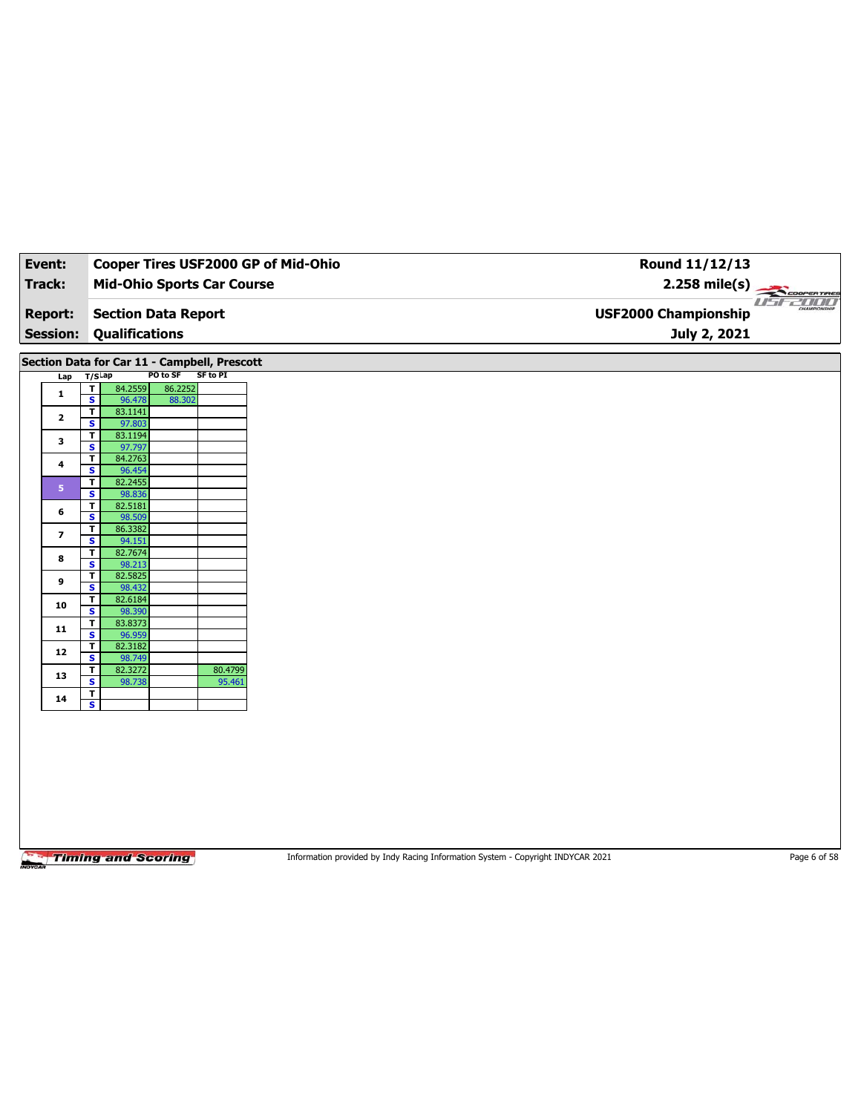| Event:                   |                                                              |          |                 | Cooper Tires USF2000 GP of Mid-Ohio | Round 11/12/13         |  |
|--------------------------|--------------------------------------------------------------|----------|-----------------|-------------------------------------|------------------------|--|
| Track:                   | <b>Mid-Ohio Sports Car Course</b>                            |          |                 |                                     | $2.258$ mile(s)        |  |
|                          |                                                              |          |                 |                                     | COOPERTIRES<br>usean a |  |
| <b>Report:</b>           | <b>Section Data Report</b>                                   |          |                 | <b>USF2000 Championship</b>         |                        |  |
| <b>Session:</b>          | <b>Qualifications</b>                                        |          |                 |                                     | July 2, 2021           |  |
|                          |                                                              |          |                 |                                     |                        |  |
|                          | Section Data for Car 11 - Campbell, Prescott                 | PO to SF | <b>SF to PI</b> |                                     |                        |  |
| Lap                      | $T/S$ Lap                                                    | 86.2252  |                 |                                     |                        |  |
| $\mathbf{1}$             | 84.2559<br>$\mathbf{T}$<br>$\overline{\mathbf{s}}$<br>96.478 | 88.302   |                 |                                     |                        |  |
|                          | T.<br>83.1141                                                |          |                 |                                     |                        |  |
| $\mathbf{2}$             | $\overline{\mathbf{s}}$<br>97.803                            |          |                 |                                     |                        |  |
|                          | T<br>83.1194                                                 |          |                 |                                     |                        |  |
| 3                        | 97.797<br>S                                                  |          |                 |                                     |                        |  |
|                          | 84.2763<br>$\overline{\mathsf{r}}$                           |          |                 |                                     |                        |  |
| $\overline{\mathbf{4}}$  | $\mathbf{s}$<br>96.454                                       |          |                 |                                     |                        |  |
|                          | 82.2455<br>T                                                 |          |                 |                                     |                        |  |
| ${\bf 5}$                | $\overline{\mathbf{s}}$<br>98.836                            |          |                 |                                     |                        |  |
| 6                        | 82.5181<br>T                                                 |          |                 |                                     |                        |  |
|                          | $\overline{\mathbf{s}}$<br>98.509                            |          |                 |                                     |                        |  |
| $\overline{\phantom{a}}$ | $\mathbf{T}$<br>86.3382                                      |          |                 |                                     |                        |  |
|                          | 94.151<br>S                                                  |          |                 |                                     |                        |  |
| 8                        | 82.7674<br>T                                                 |          |                 |                                     |                        |  |
|                          | $\mathbf{s}$<br>98.213                                       |          |                 |                                     |                        |  |
| 9                        | 82.5825<br>T                                                 |          |                 |                                     |                        |  |
|                          | $\overline{\mathbf{s}}$<br>98.432                            |          |                 |                                     |                        |  |
| 10                       | 82.6184<br>T<br>$\overline{\mathbf{s}}$<br>98.390            |          |                 |                                     |                        |  |
|                          | T<br>83.8373                                                 |          |                 |                                     |                        |  |
| 11                       | $\overline{\mathbf{s}}$<br>96.959                            |          |                 |                                     |                        |  |
|                          | T<br>82.3182                                                 |          |                 |                                     |                        |  |
| 12                       | $\mathbf{s}$<br>98.749                                       |          |                 |                                     |                        |  |
|                          | 82.3272<br>T.                                                |          | 80.4799         |                                     |                        |  |
| 13                       | $\overline{\mathbf{s}}$<br>98.738                            |          | 95.461          |                                     |                        |  |
| 14                       | $\mathbf T$                                                  |          |                 |                                     |                        |  |
|                          | $\overline{\mathbf{s}}$                                      |          |                 |                                     |                        |  |
|                          |                                                              |          |                 |                                     |                        |  |
|                          |                                                              |          |                 |                                     |                        |  |

Information provided by Indy Racing Information System - Copyright INDYCAR 2021 Page 6 of 58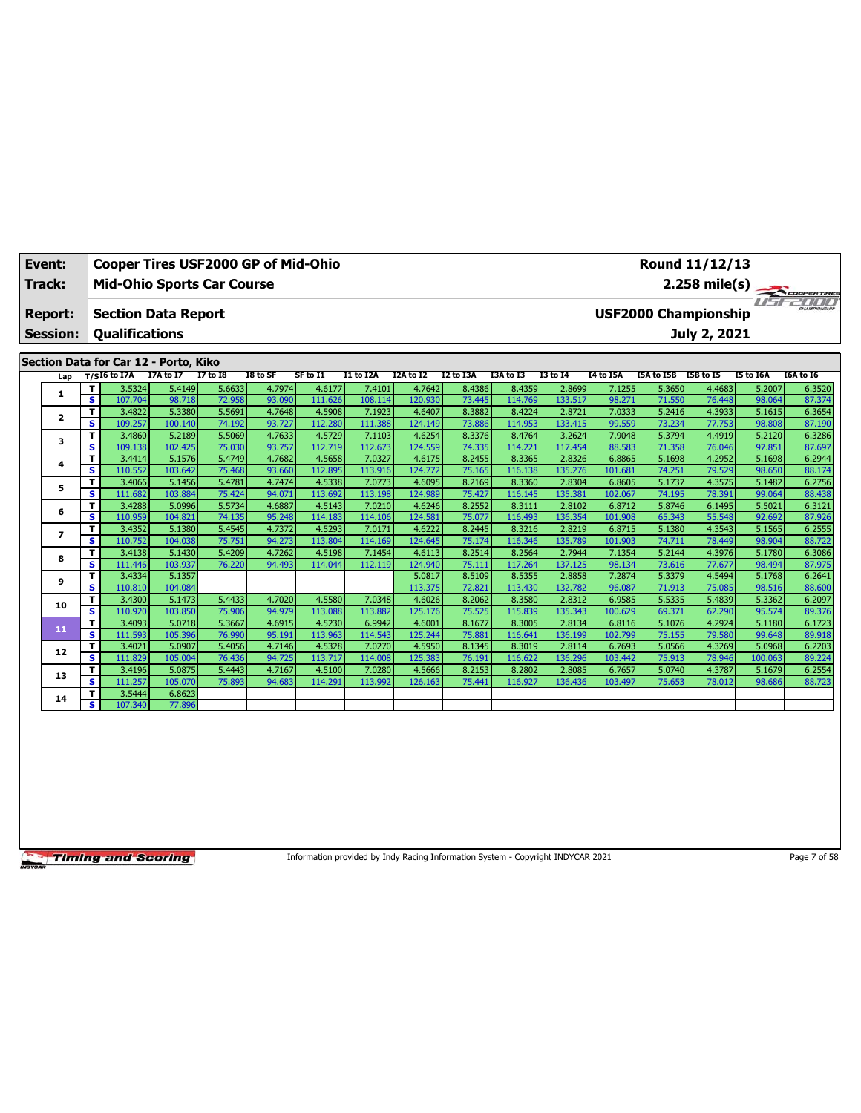| Event:                            |                               |                                                     |                   | Cooper Tires USF2000 GP of Mid-Ohio |                  |                   |                   |                   |                  |                   |                   |                   |                             | Round 11/12/13   |                  |                         |
|-----------------------------------|-------------------------------|-----------------------------------------------------|-------------------|-------------------------------------|------------------|-------------------|-------------------|-------------------|------------------|-------------------|-------------------|-------------------|-----------------------------|------------------|------------------|-------------------------|
| Track:                            |                               |                                                     |                   | <b>Mid-Ohio Sports Car Course</b>   |                  |                   |                   |                   |                  |                   |                   |                   |                             |                  |                  | $2.258 \text{ mile(s)}$ |
| <b>Report:</b><br><b>Session:</b> |                               | <b>Section Data Report</b><br><b>Qualifications</b> |                   |                                     |                  |                   |                   |                   |                  |                   |                   |                   | <b>USF2000 Championship</b> | July 2, 2021     |                  |                         |
|                                   |                               |                                                     |                   |                                     |                  |                   |                   |                   |                  |                   |                   |                   |                             |                  |                  |                         |
|                                   |                               | Section Data for Car 12 - Porto, Kiko               |                   |                                     |                  |                   |                   |                   |                  |                   |                   |                   |                             |                  |                  |                         |
| Lap                               |                               | $T/SI6$ to I7A                                      | I7A to I7         | <b>I7 to I8</b>                     | <b>I8 to SF</b>  | SF to I1          | <b>I1 to I2A</b>  | I2A to I2         | I2 to I3A        | <b>I3A to I3</b>  | 13 to 14          | I4 to I5A         | I5A to I5B                  | I5B to I5        | I5 to I6A        | I6A to I6               |
| 1                                 | T                             | 3.5324                                              | 5.4149            | 5.6633                              | 4.7974           | 4.6177            | 7.4101            | 4.7642            | 8.4386           | 8.4359            | 2.8699            | 7.1255            | 5.3650                      | 4.4683           | 5.2007           | 6.3520                  |
|                                   | $\overline{\mathbf{s}}$<br>T. | 107.704<br>3.4822                                   | 98.718<br>5.3380  | 72.958<br>5.5691                    | 93.090<br>4.7648 | 111.626<br>4.5908 | 108.114<br>7.1923 | 120.930<br>4.6407 | 73.445<br>8.3882 | 114.769<br>8.4224 | 133.517<br>2.8721 | 98.271<br>7.0333  | 71.550<br>5.2416            | 76.448<br>4.3933 | 98.064<br>5.1615 | 87.374<br>6.3654        |
| $\mathbf{2}$                      | s                             | 109.257                                             | 100.140           | 74.192                              | 93.727           | 112.280           | 111.388           | 124.149           | 73.886           | 114.953           | 133.415           | 99.559            | 73.234                      | 77.753           | 98.808           | 87.190                  |
|                                   | т                             | 3.4860                                              | 5.2189            | 5.5069                              | 4.7633           | 4.5729            | 7.1103            | 4.6254            | 8.3376           | 8.4764            | 3.2624            | 7.9048            | 5.3794                      | 4.4919           | 5.2120           | 6.3286                  |
| 3                                 | s                             | 109.138                                             | 102.425           | 75.030                              | 93.757           | 112.719           | 112.673           | 124.559           | 74.335           | 114.221           | 117.454           | 88.583            | 71.358                      | 76.046           | 97.851           | 87.697                  |
|                                   | T                             | 3.4414                                              | 5.1576            | 5.4749                              | 4.7682           | 4.5658            | 7.0327            | 4.6175            | 8.2455           | 8.3365            | 2.8326            | 6.8865            | 5.1698                      | 4.2952           | 5.1698           | 6.2944                  |
| 4                                 | $\overline{\mathbf{s}}$       | 110.552                                             | 103.642           | 75.468                              | 93.660           | 112.895           | 113.916           | 124.772           | 75.165           | 116.138           | 135.276           | 101.681           | 74.251                      | 79.529           | 98.650           | 88.174                  |
|                                   | т                             | 3.4066                                              | 5.1456            | 5.4781                              | 4.7474           | 4.5338            | 7.0773            | 4.6095            | 8.2169           | 8.3360            | 2.8304            | 6.8605            | 5.1737                      | 4.3575           | 5.1482           | 6.2756                  |
| 5                                 | s                             | 111.682                                             | 103.884           | 75.424                              | 94.071           | 113.692           | 113.198           | 124.989           | 75.427           | 116.145           | 135.381           | 102.067           | 74.195                      | 78.391           | 99.064           | 88.438                  |
| 6                                 | T                             | 3.4288                                              | 5.0996            | 5.5734                              | 4.6887           | 4.5143            | 7.0210            | 4.6246            | 8.2552           | 8.3111            | 2.8102            | 6.8712            | 5.8746                      | 6.1495           | 5.5021           | 6.3121                  |
|                                   | s                             | 110.959                                             | 104.821           | 74.135                              | 95.248           | 114.183           | 114.106           | 124.581           | 75.077           | 116.493           | 136.354           | 101.908           | 65.343                      | 55.548           | 92.692           | 87.926                  |
| $\overline{ }$                    | T                             | 3.4352                                              | 5.1380            | 5.4545                              | 4.7372           | 4.5293            | 7.0171            | 4.6222            | 8.2445           | 8.3216            | 2.8219            | 6.8715            | 5.1380                      | 4.3543           | 5.1565           | 6.2555                  |
|                                   | s                             | 110.752                                             | 104.038           | 75.751                              | 94.273           | 113.804           | 114.169           | 124.645           | 75.174           | 116.346           | 135.789           | 101.903           | 74.711                      | 78.449           | 98.904           | 88.722                  |
| 8                                 | T                             | 3.4138                                              | 5.1430            | 5.4209                              | 4.7262           | 4.5198            | 7.1454            | 4.6113            | 8.2514           | 8.2564            | 2.7944            | 7.1354            | 5.2144                      | 4.3976           | 5.1780           | 6.3086                  |
|                                   | s                             | 111.446                                             | 103.937           | 76.220                              | 94.493           | 114.044           | 112.119           | 124.940           | 75.111           | 117.264           | 137.125           | 98.134            | 73.616                      | 77.677           | 98.494           | 87.975                  |
| 9                                 | т                             | 3.4334                                              | 5.1357            |                                     |                  |                   |                   | 5.0817            | 8.5109           | 8.5355            | 2.8858            | 7.2874            | 5.3379                      | 4.5494           | 5.1768           | 6.2641                  |
|                                   | s.<br>T                       | 110.810                                             | 104.084           | 5.4433                              | 4.7020           |                   |                   | 113.375<br>4.6026 | 72.821           | 113,430           | 132.782           | 96.087            | 71.913                      | 75.085           | 98.516           | 88.600                  |
| 10                                | s.                            | 3.4300<br>110.920                                   | 5.1473<br>103.850 | 75,906                              | 94.979           | 4.5580<br>113.088 | 7.0348<br>113.882 | 125.176           | 8.2062<br>75.525 | 8.3580<br>115,839 | 2.8312<br>135.343 | 6.9585<br>100.629 | 5.5335<br>69.371            | 5.4839<br>62.290 | 5.3362<br>95.574 | 6.2097<br>89.376        |
|                                   | T                             | 3.4093                                              | 5.0718            | 5.3667                              | 4.6915           | 4.5230            | 6.9942            | 4.6001            | 8.1677           | 8.3005            | 2.8134            | 6.8116            | 5.1076                      | 4.2924           | 5.1180           | 6.1723                  |
| 11                                | s                             | 111.593                                             | 105.396           | 76.990                              | 95.191           | 113.963           | 114.543           | 125.244           | 75.881           | 116.641           | 136.199           | 102.799           | 75.155                      | 79.580           | 99.648           | 89.918                  |
|                                   | т                             | 3.4021                                              | 5.0907            | 5.4056                              | 4.7146           | 4.5328            | 7.0270            | 4.5950            | 8.1345           | 8.3019            | 2.8114            | 6.7693            | 5.0566                      | 4.3269           | 5.0968           | 6.2203                  |
| 12                                | s                             | 111.829                                             | 105.004           | 76.436                              | 94.725           | 113.717           | 114.008           | 125.383           | 76.191           | 116.622           | 136.296           | 103.442           | 75.913                      | 78.946           | 100.063          | 89.224                  |
|                                   | T                             | 3.4196                                              | 5.0875            | 5.4443                              | 4.7167           | 4.5100            | 7.0280            | 4.5666            | 8.2153           | 8.2802            | 2.8085            | 6.7657            | 5.0740                      | 4.3787           | 5.1679           | 6.2554                  |
| 13                                | s                             | 111.257                                             | 105.070           | 75.893                              | 94.683           | 114.291           | 113.992           | 126.163           | 75.441           | 116.927           | 136.436           | 103.497           | 75.653                      | 78.012           | 98.686           | 88.723                  |
| 14                                | т                             | 3.5444                                              | 6.8623            |                                     |                  |                   |                   |                   |                  |                   |                   |                   |                             |                  |                  |                         |
|                                   | s                             | 107.340                                             | 77.896            |                                     |                  |                   |                   |                   |                  |                   |                   |                   |                             |                  |                  |                         |

Information provided by Indy Racing Information System - Copyright INDYCAR 2021 Page 7 of 58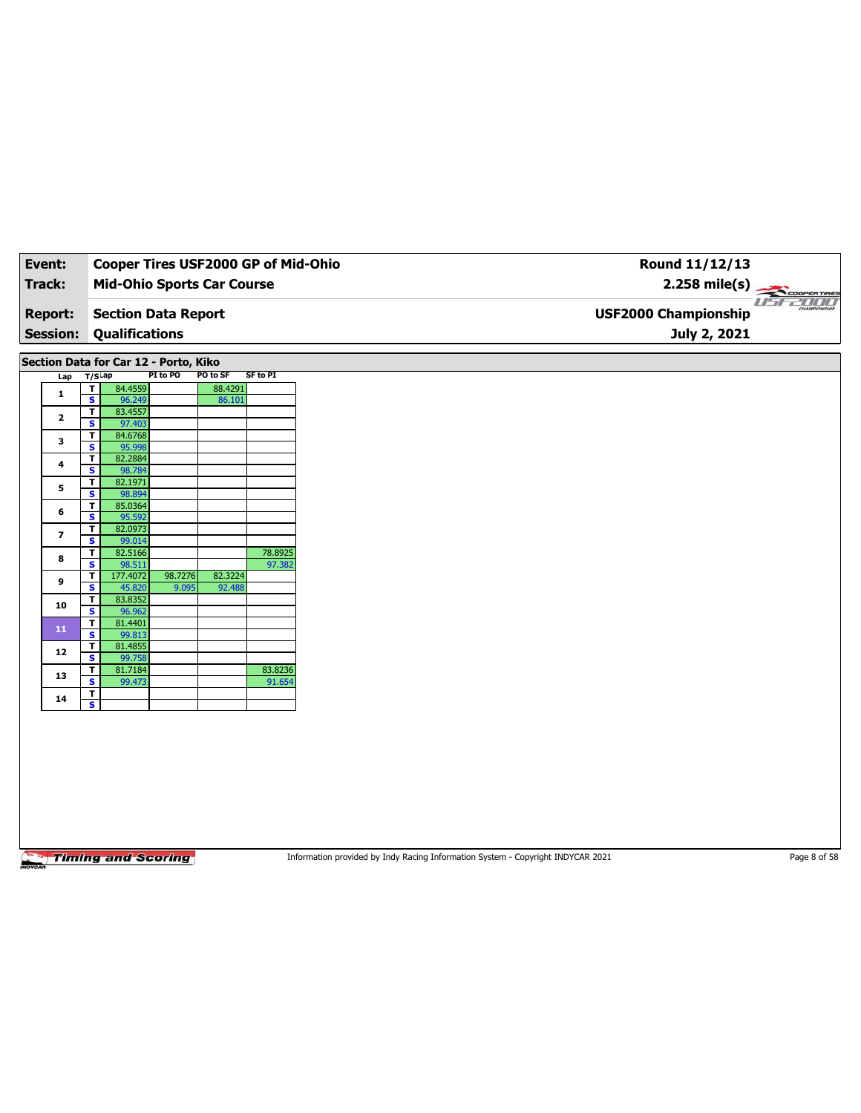| Event:                   |                                                    |                                       |          |          | Cooper Tires USF2000 GP of Mid-Ohio |
|--------------------------|----------------------------------------------------|---------------------------------------|----------|----------|-------------------------------------|
| <b>Track:</b>            |                                                    | <b>Mid-Ohio Sports Car Course</b>     |          |          |                                     |
| <b>Report:</b>           |                                                    | <b>Section Data Report</b>            |          |          |                                     |
|                          |                                                    |                                       |          |          |                                     |
| <b>Session:</b>          |                                                    | <b>Qualifications</b>                 |          |          |                                     |
|                          |                                                    | Section Data for Car 12 - Porto, Kiko |          |          |                                     |
| Lap                      | $T/S$ Lap                                          |                                       | PI to PO | PO to SF | <b>SF to PI</b>                     |
| $\mathbf{1}$             | $\overline{1}$                                     | 84.4559                               |          | 88.4291  |                                     |
|                          | $\overline{\mathbf{s}}$<br>$\overline{\mathbf{r}}$ | 96.249<br>83.4557                     |          | 86.101   |                                     |
| $\mathbf{2}$             | $\overline{\mathbf{s}}$                            | 97.403                                |          |          |                                     |
|                          | T                                                  | 84.6768                               |          |          |                                     |
| 3                        | $\overline{\mathbf{s}}$                            | 95.998                                |          |          |                                     |
| 4                        | $\overline{\mathbf{r}}$                            | 82.2884                               |          |          |                                     |
|                          | S                                                  | 98.784                                |          |          |                                     |
| 5                        | T<br>$\overline{\mathbf{s}}$                       | 82.1971<br>98.894                     |          |          |                                     |
|                          | $\mathbf{T}$                                       | 85.0364                               |          |          |                                     |
| 6                        | $\mathbf{s}$                                       | 95.592                                |          |          |                                     |
| $\overline{\phantom{a}}$ | T                                                  | 82.0973                               |          |          |                                     |
|                          | $\overline{\mathbf{s}}$                            | 99.014                                |          |          |                                     |
| 8                        | T.<br>$\overline{\mathbf{s}}$                      | 82.5166<br>98.511                     |          |          | 78.8925                             |
|                          | $\mathbf{T}$                                       | 177.4072                              | 98.7276  | 82.3224  | 97.382                              |
| 9                        | $\overline{\mathbf{s}}$                            | 45.820                                | 9.095    | 92.488   |                                     |
| 10                       | T                                                  | 83.8352                               |          |          |                                     |
|                          | S                                                  | 96.962                                |          |          |                                     |
| 11                       | $\overline{\mathbf{r}}$                            | 81.4401                               |          |          |                                     |
|                          | $\overline{\mathbf{s}}$<br>$\overline{\mathbf{r}}$ | 99.813<br>81.4855                     |          |          |                                     |
| $12$                     | S                                                  | 99.758                                |          |          |                                     |
|                          | $\mathbf{T}$                                       | 81.7184                               |          |          | 83.8236                             |
| 13                       | $\overline{\mathbf{s}}$                            | 99.473                                |          |          | 91.654                              |
| 14                       | T                                                  |                                       |          |          |                                     |
|                          | $\overline{\mathbf{s}}$                            |                                       |          |          |                                     |

Information provided by Indy Racing Information System - Copyright INDYCAR 2021 Page 8 of 58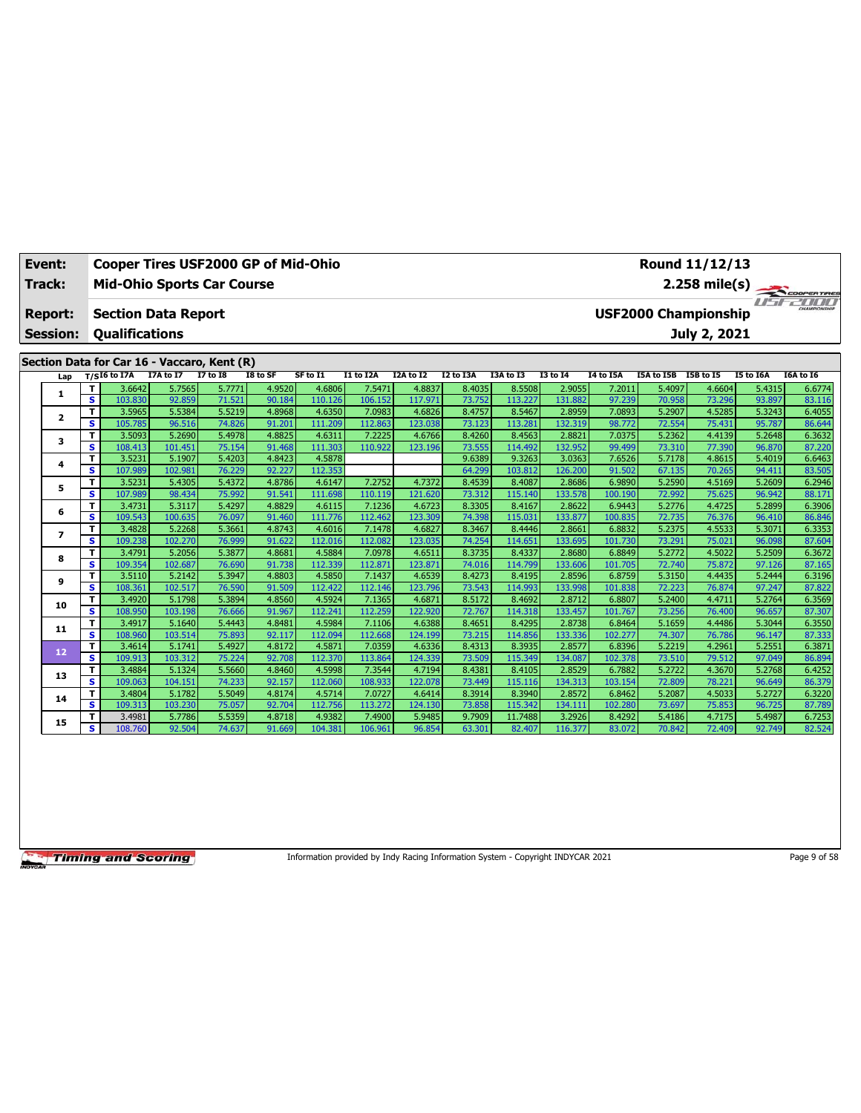| Event:                            |          | <b>Cooper Tires USF2000 GP of Mid-Ohio</b>          |                   |                  |                  |                   |                   |                   |                  |                   |                   |                   |                             | Round 11/12/13   |                  |                  |
|-----------------------------------|----------|-----------------------------------------------------|-------------------|------------------|------------------|-------------------|-------------------|-------------------|------------------|-------------------|-------------------|-------------------|-----------------------------|------------------|------------------|------------------|
| <b>Track:</b>                     |          | <b>Mid-Ohio Sports Car Course</b>                   |                   |                  |                  |                   |                   |                   |                  |                   |                   |                   |                             | $2.258$ mile(s)  |                  | The Coorenting   |
| <b>Report:</b><br><b>Session:</b> |          | <b>Section Data Report</b><br><b>Qualifications</b> |                   |                  |                  |                   |                   |                   |                  |                   |                   |                   | <b>USF2000 Championship</b> | July 2, 2021     |                  | CHAMPSONSHIP     |
|                                   |          |                                                     |                   |                  |                  |                   |                   |                   |                  |                   |                   |                   |                             |                  |                  |                  |
|                                   |          | Section Data for Car 16 - Vaccaro, Kent (R)         |                   |                  |                  |                   |                   |                   |                  |                   |                   |                   |                             |                  |                  |                  |
| Lap                               |          | $T/SI6$ to I7A                                      | I7A to I7         | $I7$ to $I8$     | I8 to SF         | SF to I1          | I1 to I2A         | I2A to I2         | I2 to I3A        | I3A to I3         | <b>I3 to 14</b>   | <b>I4 to I5A</b>  | <b>ISA to ISB</b>           | <b>I5B</b> to 15 | I5 to I6A        | I6A to I6        |
|                                   | T        | 3.6642                                              | 5.7565            | 5.7771           | 4.9520           | 4.6806            | 7.5471            | 4.8837            | 8.4035           | 8.5508            | 2.9055            | 7.2011            | 5.4097                      | 4.6604           | 5.4315           | 6.6774           |
| 1                                 | s.       | 103.830                                             | 92.859            | 71.521           | 90.184           | 110.126           | 106.152           | 117.971           | 73.752           | 113,227           | 131.882           | 97.239            | 70.958                      | 73.296           | 93.897           | 83.116           |
| 2                                 | T.       | 3.5965                                              | 5.5384            | 5.5219           | 4.8968           | 4.6350            | 7.0983            | 4.6826            | 8.4757           | 8.5467            | 2.8959            | 7.0893            | 5.2907                      | 4.5285           | 5.3243           | 6.4055           |
|                                   | s        | 105.785                                             | 96.516            | 74.826           | 91.201           | 111.209           | 112.863           | 123.038           | 73.123           | 113.281           | 132.319           | 98.772            | 72.554                      | 75.431           | 95.787           | 86.644           |
| 3                                 | T.       | 3.5093                                              | 5.2690            | 5.4978           | 4.8825           | 4.6311            | 7.2225            | 4.6766            | 8.4260           | 8.4563            | 2.8821            | 7.0375            | 5.2362                      | 4.4139           | 5.2648           | 6.3632           |
|                                   | s.       | 108.413                                             | 101.451           | 75.154           | 91.468           | 111.303           | 110.922           | 123.196           | 73.555           | 114.492           | 132.952           | 99.499            | 73.310                      | 77.390           | 96.870           | 87.220           |
| 4                                 | T.       | 3.5231                                              | 5.1907            | 5.4203           | 4.8423<br>92.227 | 4.5878            |                   |                   | 9.6389           | 9.3263            | 3.0363            | 7.6526            | 5.7178                      | 4.8615           | 5.4019           | 6.6463<br>83.505 |
|                                   | s.<br>T. | 107.989<br>3.5231                                   | 102.981<br>5.4305 | 76.229<br>5.4372 | 4.8786           | 112.353<br>4.6147 | 7.2752            | 4.7372            | 64.299<br>8.4539 | 103.812<br>8.4087 | 126.200<br>2.8686 | 91.502<br>6.9890  | 67.135<br>5.2590            | 70.265<br>4.5169 | 94.411<br>5.2609 | 6.2946           |
| 5                                 | s        | 107.989                                             | 98.434            | 75.992           | 91.541           | 111.698           | 110.119           | 121.620           | 73.312           | 115.140           | 133.578           | 100.190           | 72.992                      | 75.625           | 96.942           | 88.171           |
|                                   | T.       | 3.4731                                              | 5.3117            | 5.4297           | 4.8829           | 4.6115            | 7.1236            | 4.6723            | 8.3305           | 8.4167            | 2.8622            | 6.9443            | 5.2776                      | 4.4725           | 5.2899           | 6.3906           |
| 6                                 | s        | 109.543                                             | 100.635           | 76.097           | 91.460           | 111.776           | 112.462           | 123.309           | 74.398           | 115.03:           | 133.877           | 100.835           | 72.735                      | 76.376           | 96.410           | 86.846           |
|                                   | T.       | 3.4828                                              | 5.2268            | 5.3661           | 4.8743           | 4.6016            | 7.1478            | 4.6827            | 8.3467           | 8.4446            | 2.8661            | 6.8832            | 5.2375                      | 4.5533           | 5.3071           | 6.3353           |
| $\overline{ }$                    | s        | 109.238                                             | 102.270           | 76.999           | 91.622           | 112.016           | 112.082           | 123.035           | 74.254           | 114.65            | 133.695           | 101.730           | 73.291                      | 75.021           | 96.098           | 87.604           |
| 8                                 | T.       | 3.4791                                              | 5.2056            | 5.3877           | 4.8681           | 4.5884            | 7.0978            | 4.6511            | 8.3735           | 8.4337            | 2.8680            | 6.8849            | 5.2772                      | 4.5022           | 5.2509           | 6.3672           |
|                                   | s.       | 109.354                                             | 102.687           | 76.690           | 91.738           | 112.339           | 112.871           | 123.871           | 74.016           | 114.799           | 133.606           | 101.705           | 72.740                      | 75.872           | 97.126           | 87.165           |
| 9                                 | T        | 3.5110                                              | 5.2142            | 5.3947           | 4.8803           | 4.5850            | 7.1437            | 4.6539            | 8.4273           | 8.4195            | 2.8596            | 6.8759            | 5.3150                      | 4.4435           | 5.2444           | 6.3196           |
|                                   | s        | 108.361                                             | 102.517           | 76.590           | 91.509           | 112,422           | 112.146           | 123.796           | 73.543           | 114.993           | 133.998           | 101.838           | 72.223                      | 76.874           | 97.247           | 87.822           |
| 10                                | T.       | 3.4920                                              | 5.1798            | 5.3894           | 4.8560           | 4.5924            | 7.1365            | 4.6871            | 8.5172           | 8.4692            | 2.8712            | 6.8807            | 5.2400                      | 4.4711           | 5.2764           | 6.3569           |
|                                   | s.       | 108.950                                             | 103.198           | 76.666           | 91.967           | 112.241           | 112.259           | 122,920           | 72.767           | 114.318           | 133.457           | 101.767           | 73.256                      | 76.400           | 96.657           | 87.307           |
| 11                                | T.       | 3.4917                                              | 5.1640            | 5.4443           | 4.8481           | 4.5984            | 7.1106            | 4.6388            | 8.4651           | 8.4295            | 2.8738            | 6.8464            | 5.1659                      | 4.4486           | 5.3044           | 6.3550           |
|                                   | s.       | 108.960<br>3.4614                                   | 103.514<br>5.1741 | 75.893<br>5.4927 | 92.117<br>4.8172 | 112.094<br>4.5871 | 112.668<br>7.0359 | 124.199<br>4.6336 | 73.215<br>8.4313 | 114.856<br>8.3935 | 133.336<br>2.8577 | 102.277<br>6.8396 | 74.307<br>5.2219            | 76.786<br>4.2961 | 96.147<br>5.2551 | 87.333<br>6.3871 |
| 12                                | T.<br>s  | 109.913                                             | 103.312           | 75.224           | 92.708           | 112.370           | 113.864           | 124.339           | 73.509           | 115.349           | 134.087           | 102.378           | 73.510                      | 79.512           | 97.049           | 86.894           |
|                                   | T.       | 3.4884                                              | 5.1324            | 5.5660           | 4.8460           | 4.5998            | 7.3544            | 4.7194            | 8.4381           | 8.4105            | 2.8529            | 6.7882            | 5.2722                      | 4.3670           | 5.2768           | 6.4252           |
| 13                                | s        | 109.063                                             | 104.151           | 74.233           | 92.157           | 112.060           | 108.933           | 122.078           | 73.449           | 115.116           | 134.313           | 103.154           | 72.809                      | 78.221           | 96.649           | 86.379           |
|                                   | T.       | 3.4804                                              | 5.1782            | 5.5049           | 4.8174           | 4.5714            | 7.0727            | 4.6414            | 8.3914           | 8.3940            | 2.8572            | 6.8462            | 5.2087                      | 4.5033           | 5.2727           | 6.3220           |
| 14                                | s.       | 109.313                                             | 103.230           | 75.057           | 92.704           | 112.756           | 113.272           | 124.130           | 73.858           | 115.342           | 134.111           | 102.280           | 73.697                      | 75.853           | 96.725           | 87.789           |
|                                   | T.       | 3.4981                                              | 5.7786            | 5.5359           | 4.8718           | 4.9382            | 7.4900            | 5.9485            | 9.7909           | 11.7488           | 3.2926            | 8.4292            | 5.4186                      | 4.7175           | 5.4987           | 6.7253           |
| 15                                | s        | 108.760                                             | 92.504            | 74.637           | 91.669           | 104.381           | 106.961           | 96.854            | 63.301           | 82,407            | 116.377           | 83.072            | 70.842                      | 72.409           | 92.749           | 82.524           |

Information provided by Indy Racing Information System - Copyright INDYCAR 2021 Page 9 of 58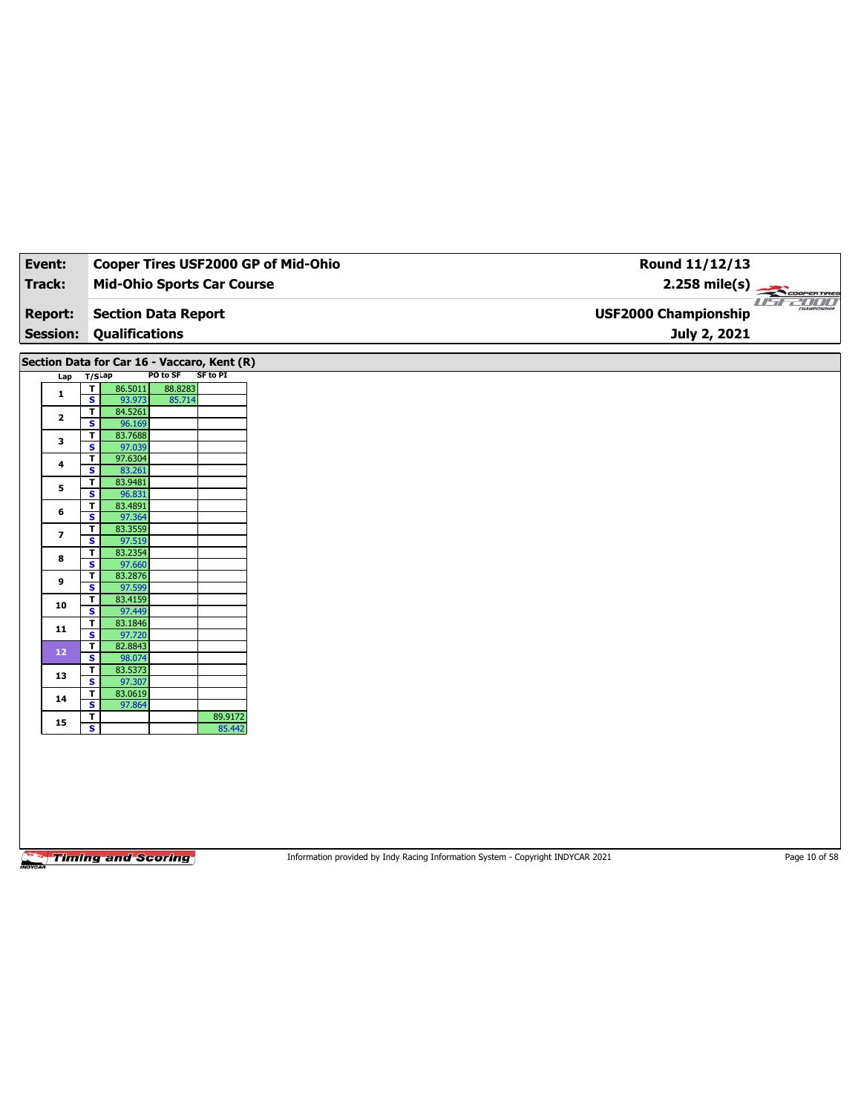| Event:                   |                                                    |                       |                                             | Cooper Tires USF2000 GP of Mid-Ohio | Round 11/12/13              |
|--------------------------|----------------------------------------------------|-----------------------|---------------------------------------------|-------------------------------------|-----------------------------|
| <b>Track:</b>            |                                                    |                       | <b>Mid-Ohio Sports Car Course</b>           |                                     | $2.258$ mile(s)             |
| <b>Report:</b>           |                                                    |                       | <b>Section Data Report</b>                  |                                     | <b>USF2000 Championship</b> |
| <b>Session:</b>          |                                                    | <b>Qualifications</b> |                                             |                                     | July 2, 2021                |
|                          |                                                    |                       | Section Data for Car 16 - Vaccaro, Kent (R) |                                     |                             |
| Lap                      | T/SLap                                             |                       | PO to SF<br>SF to PI                        |                                     |                             |
| $\mathbf{1}$             | $\overline{\mathbf{r}}$                            | 86.5011               | 88.8283                                     |                                     |                             |
|                          | $\overline{\mathbf{s}}$<br>T.                      | 93.973<br>84.5261     | 85.714                                      |                                     |                             |
| $\mathbf{2}$             | S                                                  | 96.169                |                                             |                                     |                             |
|                          | T                                                  | 83.7688               |                                             |                                     |                             |
| 3                        | $\overline{\mathbf{s}}$                            | 97.039                |                                             |                                     |                             |
| 4                        | T                                                  | 97.6304               |                                             |                                     |                             |
|                          | $\mathbf{s}$                                       | 83.261                |                                             |                                     |                             |
| 5                        | $\mathbf T$                                        | 83.9481               |                                             |                                     |                             |
|                          | $\overline{\mathbf{s}}$                            | 96.831                |                                             |                                     |                             |
| 6                        | T<br>S                                             | 83.4891<br>97.364     |                                             |                                     |                             |
|                          | $\overline{\mathbf{r}}$                            | 83.3559               |                                             |                                     |                             |
| $\overline{\phantom{a}}$ | $\overline{\mathbf{s}}$                            | 97.519                |                                             |                                     |                             |
|                          | $\overline{\mathsf{r}}$                            | 83.2354               |                                             |                                     |                             |
| 8                        | S                                                  | 97.660                |                                             |                                     |                             |
| 9                        | $\mathbf{T}$                                       | 83.2876               |                                             |                                     |                             |
|                          | $\overline{\mathbf{s}}$                            | 97.599                |                                             |                                     |                             |
| 10                       | T                                                  | 83.4159               |                                             |                                     |                             |
|                          | S                                                  | 97.449                |                                             |                                     |                             |
| 11                       | $\overline{\mathbf{r}}$<br>$\overline{\mathbf{s}}$ | 83.1846               |                                             |                                     |                             |
|                          | $\overline{\mathsf{r}}$                            | 97.720<br>82.8843     |                                             |                                     |                             |
| $12\,$                   | $\mathbf{s}$                                       | 98.074                |                                             |                                     |                             |
|                          | $\overline{\mathbf{r}}$                            | 83.5373               |                                             |                                     |                             |
| 13                       | $\overline{\mathbf{s}}$                            | 97.307                |                                             |                                     |                             |
| 14                       | $\overline{\mathbf{r}}$                            | 83.0619               |                                             |                                     |                             |
|                          | S                                                  | 97.864                |                                             |                                     |                             |
| 15                       | $\mathbf{T}$                                       |                       | 89.9172                                     |                                     |                             |
|                          | $\overline{\mathbf{s}}$                            |                       | 85.442                                      |                                     |                             |

Information provided by Indy Racing Information System - Copyright INDYCAR 2021 Page 10 of 58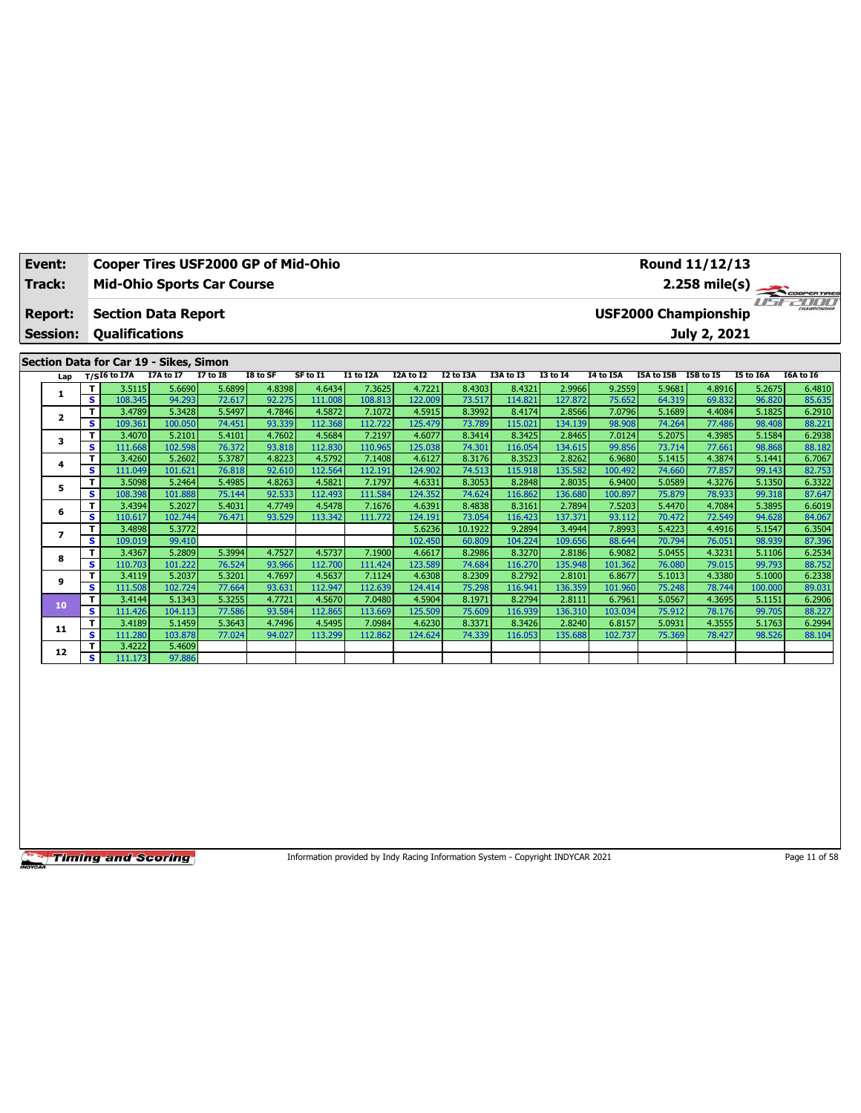|                                   | Event: |                                                     |                   |                  | Cooper Tires USF2000 GP of Mid-Ohio |                   |                   |                   |                  |                   |                   |                   | Round 11/12/13              |                  |                  |                  |
|-----------------------------------|--------|-----------------------------------------------------|-------------------|------------------|-------------------------------------|-------------------|-------------------|-------------------|------------------|-------------------|-------------------|-------------------|-----------------------------|------------------|------------------|------------------|
| Track:                            |        | <b>Mid-Ohio Sports Car Course</b>                   |                   |                  |                                     |                   |                   |                   |                  |                   |                   |                   |                             | $2.258$ mile(s)  |                  | COOPERTIRES      |
| <b>Report:</b><br><b>Session:</b> |        | <b>Section Data Report</b><br><b>Qualifications</b> |                   |                  |                                     |                   |                   |                   |                  |                   |                   |                   | <b>USF2000 Championship</b> | July 2, 2021     | $II - I$         | CHAMPIONSHIP     |
|                                   |        | Section Data for Car 19 - Sikes, Simon              |                   |                  |                                     |                   |                   |                   |                  |                   |                   |                   |                             |                  |                  |                  |
|                                   | Lap    | $T/SI6$ to I7A                                      | <b>I7A to I7</b>  | <b>I7 to I8</b>  | I8 to SF                            | SF to I1          | I1 to I2A         | <b>I2A</b> to 12  | I2 to I3A        | I3A to I3         | <b>I3 to 14</b>   | I4 to I5A         | I5A to I5B                  | I5B to I5        | I5 to I6A        | I6A to I6        |
|                                   |        | 3.5115<br>т                                         | 5.6690            | 5.6899           | 4.8398                              | 4.6434            | 7.3625            | 4.7221            | 8.4303           | 8.4321            | 2.9966            | 9.2559            | 5.9681                      | 4.8916           | 5.2675           | 6.4810           |
| 1                                 |        | s<br>108.345                                        | 94.293            | 72.617           | 92.275                              | 111.008           | 108.813           | 122.009           | 73.517           | 114.821           | 127.872           | 75.652            | 64.319                      | 69.832           | 96.820           | 85.635           |
| 2                                 |        | T<br>3.4789                                         | 5.3428            | 5.5497           | 4.7846                              | 4.5872            | 7.1072            | 4.5915            | 8.3992           | 8.4174            | 2.8566            | 7.0796            | 5.1689                      | 4.4084           | 5.1825           | 6.2910           |
|                                   |        | s<br>109.361                                        | 100.050           | 74.451           | 93.339                              | 112.368           | 112.722           | 125.479           | 73.789           | 115.021           | 134.139           | 98.908            | 74.264                      | 77,486           | 98.408           | 88.221           |
| 3                                 |        | T<br>3.4070                                         | 5.2101            | 5.4101           | 4.7602                              | 4.5684            | 7.2197            | 4.6077            | 8.3414           | 8.3425            | 2.8465            | 7.0124            | 5.2075                      | 4.3985           | 5.1584           | 6.2938           |
|                                   |        | s<br>111.668                                        | 102.598           | 76.372           | 93.818                              | 112.830           | 110.965           | 125.038           | 74.301           | 116.054           | 134.615           | 99.856            | 73.714                      | 77.661           | 98.868           | 88.182           |
| 4                                 |        | T.<br>3.4260                                        | 5.2602            | 5.3787           | 4.8223                              | 4.5792            | 7.1408            | 4.6127            | 8.3176           | 8.3523            | 2.8262            | 6.9680            | 5.1415                      | 4.3874           | 5.1441           | 6.7067           |
|                                   |        | s<br>111.049                                        | 101.621           | 76.818           | 92.610                              | 112.564           | 112.191           | 124.902           | 74.513           | 115.918           | 135.582           | 100.492           | 74.660                      | 77.857           | 99.143           | 82.753           |
| 5                                 |        | T<br>3.5098                                         | 5.2464            | 5.4985           | 4.8263                              | 4.5821            | 7.1797            | 4.6331            | 8.3053           | 8.2848            | 2.8035            | 6.9400            | 5.0589                      | 4.3276           | 5.1350           | 6.3322           |
|                                   |        | $\mathbf{s}$<br>108.398                             | 101.888           | 75.144           | 92.533                              | 112.493           | 111.584           | 124.352           | 74.624           | 116.862           | 136.680           | 100.897           | 75.879                      | 78.933           | 99.318           | 87.647           |
| 6                                 |        | T<br>3.4394                                         | 5.2027            | 5.4031           | 4.7749                              | 4.5478            | 7.1676            | 4.6391            | 8.4838           | 8.3161            | 2.7894            | 7.5203            | 5.4470                      | 4.7084           | 5.3895           | 6.6019           |
|                                   |        | s<br>110.617                                        | 102.744           | 76.471           | 93.529                              | 113.342           | 111.772           | 124.191           | 73.054           | 116.423           | 137.371           | 93.112            | 70.472                      | 72.549           | 94.628           | 84.067           |
| 7                                 |        | T<br>3.4898                                         | 5.3772            |                  |                                     |                   |                   | 5.6236            | 10.1922          | 9.2894            | 3.4944            | 7.8993            | 5.4223                      | 4.4916           | 5.1547           | 6.3504           |
|                                   |        | s<br>109.019                                        | 99.410            |                  |                                     |                   |                   | 102.450           | 60.809           | 104.224           | 109.656           | 88.644            | 70.794                      | 76.051           | 98.939           | 87.396           |
| 8                                 |        | T<br>3.4367                                         | 5.2809            | 5.3994           | 4.7527                              | 4.5737            | 7.1900            | 4.6617            | 8.2986           | 8.3270            | 2.8186            | 6.9082            | 5.0455                      | 4.3231           | 5.1106           | 6.2534           |
|                                   |        | s<br>110.703                                        | 101.222           | 76.524           | 93.966                              | 112.700           | 111.424           | 123.589           | 74.684           | 116.270           | 135.948           | 101.362           | 76.080                      | 79.015           | 99.793           | 88.752           |
| 9                                 |        | T<br>3.4119                                         | 5.2037            | 5.3201           | 4.7697                              | 4.5637            | 7.1124            | 4.6308            | 8.2309           | 8.2792            | 2.8101            | 6.8677            | 5.1013                      | 4.3380           | 5.1000           | 6.2338           |
|                                   |        | s<br>111.508                                        | 102.724           | 77.664           | 93.631                              | 112.947           | 112.639           | 124.414           | 75.298           | 116.941           | 136.359           | 101.960           | 75.248                      | 78.744           | 100.000          | 89.031           |
| 10                                |        | T.<br>3.4144                                        | 5.1343            | 5.3255           | 4.7721                              | 4.5670            | 7.0480            | 4.5904            | 8.1971           | 8.2794            | 2.8111            | 6.7961            | 5.0567                      | 4.3695<br>78.176 | 5.1151           | 6.2906           |
|                                   |        | s<br>111.426                                        | 104.113           | 77.586           | 93.584                              | 112.865           | 113.669           | 125.509           | 75.609           | 116.939           | 136.310           | 103.034           | 75.912                      |                  | 99.705           | 88.227           |
| 11                                |        | T<br>3.4189<br>s.<br>111.280                        | 5.1459<br>103.878 | 5.3643<br>77.024 | 4.7496<br>94.027                    | 4.5495<br>113.299 | 7.0984<br>112.862 | 4.6230<br>124.624 | 8.3371<br>74.339 | 8.3426<br>116.053 | 2.8240<br>135.688 | 6.8157<br>102.737 | 5.0931<br>75.369            | 4.3555<br>78.427 | 5.1763<br>98.526 | 6.2994<br>88.104 |
|                                   |        | т<br>3.4222                                         | 5.4609            |                  |                                     |                   |                   |                   |                  |                   |                   |                   |                             |                  |                  |                  |
| 12                                |        | s<br>111.173                                        | 97.886            |                  |                                     |                   |                   |                   |                  |                   |                   |                   |                             |                  |                  |                  |

Information provided by Indy Racing Information System - Copyright INDYCAR 2021 Page 11 of 58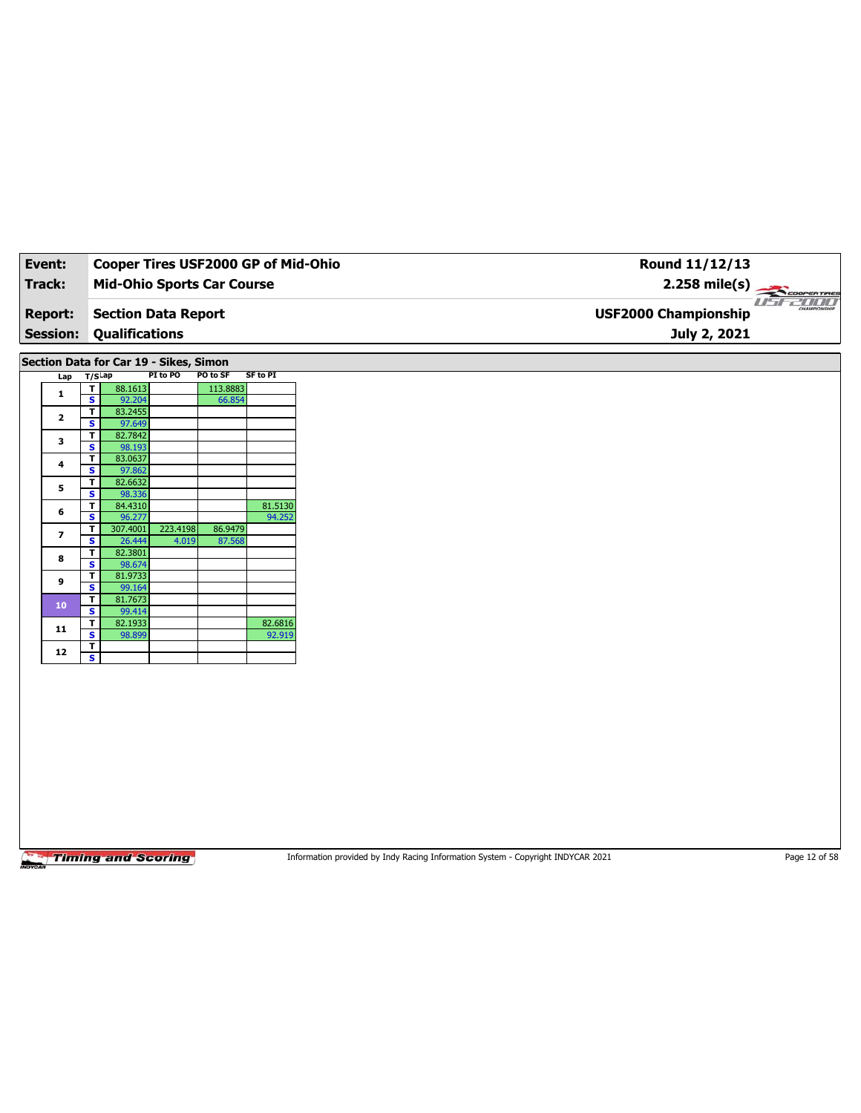| Track:                  |                                    |                            | Cooper Tires USF2000 GP of Mid-Ohio    |                 |
|-------------------------|------------------------------------|----------------------------|----------------------------------------|-----------------|
|                         |                                    |                            | <b>Mid-Ohio Sports Car Course</b>      |                 |
| <b>Report:</b>          |                                    | <b>Section Data Report</b> |                                        |                 |
| <b>Session:</b>         |                                    | <b>Qualifications</b>      |                                        |                 |
|                         |                                    |                            |                                        |                 |
|                         |                                    |                            | Section Data for Car 19 - Sikes, Simon |                 |
| Lap                     | T/SLap                             | PI to PO                   | PO to SF                               | <b>SF to PI</b> |
| $\mathbf{1}$            | $\overline{I}$<br>88.1613          |                            | 113.8883                               |                 |
|                         | $\overline{\mathbf{s}}$            | 92.204                     | 66.854                                 |                 |
| $\mathbf{2}$            | $\overline{\mathsf{r}}$<br>83.2455 |                            |                                        |                 |
|                         | $\mathbf{s}$                       | 97.649                     |                                        |                 |
| $\mathbf{3}$            | 82.7842<br>$\mathbf{T}$            |                            |                                        |                 |
|                         | $\overline{\mathbf{s}}$            | 98.193                     |                                        |                 |
| 4                       | 83.0637<br>T<br>$\mathbf{s}$       | 97.862                     |                                        |                 |
|                         | 82.6632<br>T                       |                            |                                        |                 |
| 5                       | $\overline{\mathbf{s}}$            | 98.336                     |                                        |                 |
|                         | $\overline{\mathsf{r}}$<br>84.4310 |                            |                                        | 81.5130         |
| $\bf{6}$                | s                                  | 96.277                     |                                        | 94.252          |
|                         | T<br>307.4001                      | 223.4198                   | 86.9479                                |                 |
| $\overline{\mathbf{z}}$ | $\overline{\mathbf{s}}$            | 26.444                     | 87.568<br>4.019                        |                 |
| 8                       | 82.3801<br>$\mathbf{T}$            |                            |                                        |                 |
|                         | S                                  | 98.674                     |                                        |                 |
| $\boldsymbol{9}$        | 81.9733<br>T                       |                            |                                        |                 |
|                         | $\overline{\mathbf{s}}$            | 99.164                     |                                        |                 |
| 10                      | 81.7673<br>T.                      |                            |                                        |                 |
|                         | $\mathbf{s}$                       | 99.414                     |                                        |                 |
| 11                      | T<br>82.1933                       |                            |                                        | 82.6816         |
|                         | s<br>$\overline{\mathbf{r}}$       | 98.899                     |                                        | 92.919          |
| $12$                    | $\overline{\mathbf{s}}$            |                            |                                        |                 |

Information provided by Indy Racing Information System - Copyright INDYCAR 2021 Page 12 of 58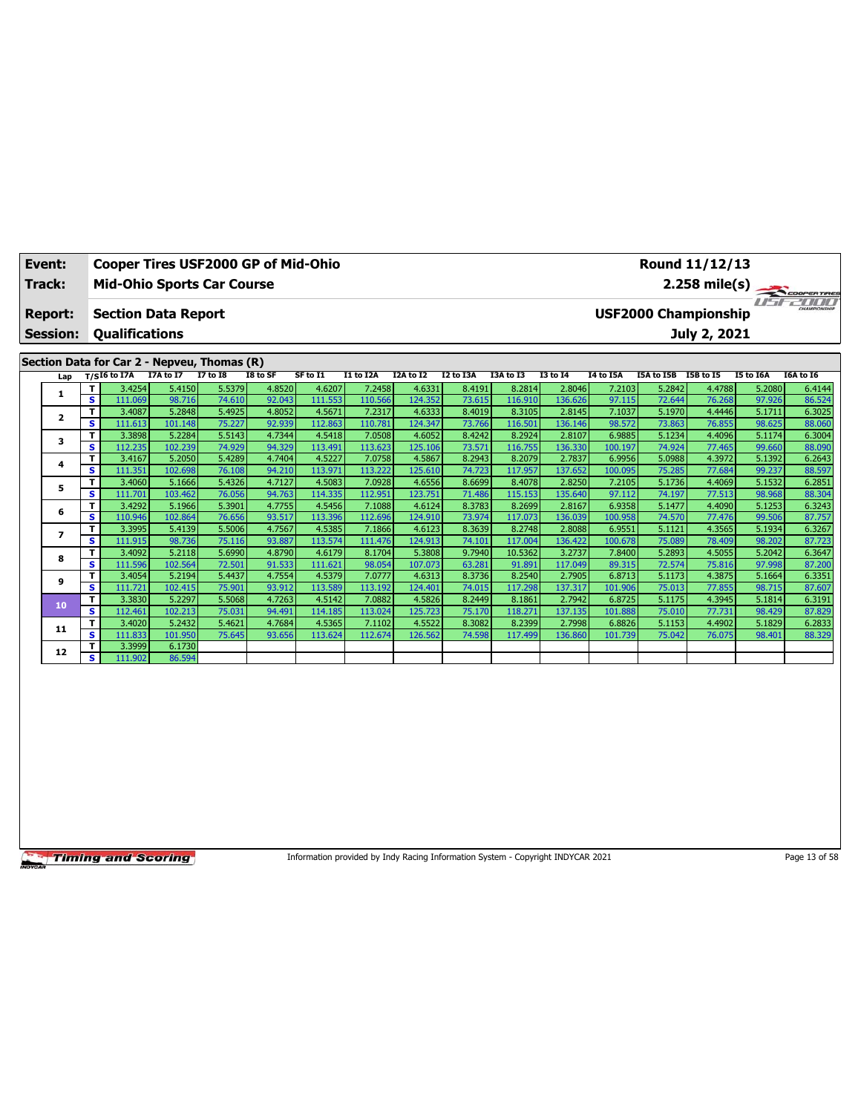| Event:<br>Track:                         |                                                                                                                                                                                                                                                                                                                                                                                                                                                                                                                                                                                                                                                                                                                                                                                                                                                                                                                                                                                                                                                                                                                                                                                                                                                                                                                                                                                                                                                                                                                                                                                                                                                                                                                                                                                                                                     | <b>Mid-Ohio Sports Car Course</b> |         |  | <b>Cooper Tires USF2000 GP of Mid-Ohio</b> |         |         |         |        |         |         |         | Round 11/12/13 |  |                  |                                   |
|------------------------------------------|-------------------------------------------------------------------------------------------------------------------------------------------------------------------------------------------------------------------------------------------------------------------------------------------------------------------------------------------------------------------------------------------------------------------------------------------------------------------------------------------------------------------------------------------------------------------------------------------------------------------------------------------------------------------------------------------------------------------------------------------------------------------------------------------------------------------------------------------------------------------------------------------------------------------------------------------------------------------------------------------------------------------------------------------------------------------------------------------------------------------------------------------------------------------------------------------------------------------------------------------------------------------------------------------------------------------------------------------------------------------------------------------------------------------------------------------------------------------------------------------------------------------------------------------------------------------------------------------------------------------------------------------------------------------------------------------------------------------------------------------------------------------------------------------------------------------------------------|-----------------------------------|---------|--|--------------------------------------------|---------|---------|---------|--------|---------|---------|---------|----------------|--|------------------|-----------------------------------|
| <b>Report:</b><br><b>Session:</b><br>Lap |                                                                                                                                                                                                                                                                                                                                                                                                                                                                                                                                                                                                                                                                                                                                                                                                                                                                                                                                                                                                                                                                                                                                                                                                                                                                                                                                                                                                                                                                                                                                                                                                                                                                                                                                                                                                                                     |                                   |         |  | I8 to SF                                   |         |         |         |        |         |         |         |                |  | I5 to I6A        | 2.258 mile(s)<br><b>I6A to I6</b> |
| 1                                        | July 2, 2021<br><b>Qualifications</b><br>I7A to I7<br>$T/S$ <sup>I6</sup> to I7A<br>$\overline{17}$ to 18<br>SF to I1<br>I1 to I2A<br>I2A to I2<br>I2 to I3A<br>I3A to I3<br><b>I3 to 14</b><br>I4 to I5A<br>I5A to I5B<br><b>I5B</b> to I5<br>5.4150<br>T.<br>3.4254<br>5.5379<br>4.8520<br>4.6207<br>7.2458<br>4.6331<br>8.2814<br>2.8046<br>7.2103<br>5.2842<br>4.4788<br>8.4191<br>s.<br>92.043<br>124.352<br>73.615<br>97.115<br>76.268<br>111.069<br>98.716<br>74.610<br>111.553<br>110.566<br>116.910<br>136.626<br>72.644<br>7.1037<br>5.2848<br>5.4925<br>4.6333<br>T.<br>4.8052<br>4.5671<br>7.2317<br>8.4019<br>5.1970<br>3.4087<br>8.3105<br>2.8145<br>4.4446<br>75.227<br>73.766<br>73.863<br>s.<br>101.148<br>92.939<br>112.863<br>110.781<br>124.347<br>116.501<br>98.572<br>76.855<br>111.613<br>136.146<br>5.5143<br>T<br>3.3898<br>5.2284<br>4.7344<br>4.5418<br>4.6052<br>8.4242<br>8.2924<br>2.8107<br>6.9885<br>5.1234<br>4.4096<br>7.0508<br>74.929<br>94.329<br>125.106<br>102.239<br>113.623<br>73.571<br>136.330<br>100.197<br>74.924<br>77.465<br>s<br>112.235<br>113.491<br>116.755<br>T.<br>4.5867<br>8.2943<br>6.9956<br>3.4167<br>5.2050<br>5.4289<br>4.7404<br>4.5227<br>7.0758<br>8.2079<br>2.7837<br>5.0988<br>4.3972<br>s<br>102.698<br>76.108<br>94.210<br>113.97:<br>113.222<br>125.610<br>74.723<br>137.652<br>100.095<br>75.285<br>111.351<br>117.957<br>77.684<br>5.4326<br>4.6556<br>8.6699<br>5.1736<br>T.<br>3.4060<br>5.1666<br>4.7127<br>4.5083<br>7.0928<br>8.4078<br>2.8250<br>7.2105<br>4.4069<br>76.056<br>94.763<br>123.751<br>71.486<br>74.197<br>s.<br>114.335<br>112.951<br>135.640<br>97.112<br>77.513<br>111.701<br>103.462<br>115.153<br>3.4292<br>5.1966<br>5.3901<br>4.6124<br>8.3783<br>8.2699<br>2.8167<br>6.9358<br>т<br>4.7755<br>4.5456<br>7.1088<br>5.1477<br>4.4090 |                                   |         |  |                                            |         |         |         | 5.2080 | 6.4144  |         |         |                |  |                  |                                   |
|                                          |                                                                                                                                                                                                                                                                                                                                                                                                                                                                                                                                                                                                                                                                                                                                                                                                                                                                                                                                                                                                                                                                                                                                                                                                                                                                                                                                                                                                                                                                                                                                                                                                                                                                                                                                                                                                                                     |                                   |         |  |                                            |         | 97.926  | 86.524  |        |         |         |         |                |  |                  |                                   |
| $\mathbf{2}$                             |                                                                                                                                                                                                                                                                                                                                                                                                                                                                                                                                                                                                                                                                                                                                                                                                                                                                                                                                                                                                                                                                                                                                                                                                                                                                                                                                                                                                                                                                                                                                                                                                                                                                                                                                                                                                                                     |                                   |         |  |                                            |         |         |         |        |         |         |         |                |  | 5.1711           | 6.3025                            |
|                                          |                                                                                                                                                                                                                                                                                                                                                                                                                                                                                                                                                                                                                                                                                                                                                                                                                                                                                                                                                                                                                                                                                                                                                                                                                                                                                                                                                                                                                                                                                                                                                                                                                                                                                                                                                                                                                                     |                                   |         |  |                                            |         |         |         |        |         |         |         |                |  | 98.625<br>5.1174 | 88.060<br>6.3004                  |
| 3                                        |                                                                                                                                                                                                                                                                                                                                                                                                                                                                                                                                                                                                                                                                                                                                                                                                                                                                                                                                                                                                                                                                                                                                                                                                                                                                                                                                                                                                                                                                                                                                                                                                                                                                                                                                                                                                                                     |                                   |         |  |                                            |         |         |         |        |         |         |         |                |  | 99.660           | 88.090                            |
|                                          |                                                                                                                                                                                                                                                                                                                                                                                                                                                                                                                                                                                                                                                                                                                                                                                                                                                                                                                                                                                                                                                                                                                                                                                                                                                                                                                                                                                                                                                                                                                                                                                                                                                                                                                                                                                                                                     |                                   |         |  |                                            |         |         |         |        |         |         |         |                |  | 5.1392           | 6.2643                            |
| 4                                        |                                                                                                                                                                                                                                                                                                                                                                                                                                                                                                                                                                                                                                                                                                                                                                                                                                                                                                                                                                                                                                                                                                                                                                                                                                                                                                                                                                                                                                                                                                                                                                                                                                                                                                                                                                                                                                     |                                   |         |  |                                            |         |         |         |        |         |         |         |                |  | 99.237           | 88.597                            |
|                                          |                                                                                                                                                                                                                                                                                                                                                                                                                                                                                                                                                                                                                                                                                                                                                                                                                                                                                                                                                                                                                                                                                                                                                                                                                                                                                                                                                                                                                                                                                                                                                                                                                                                                                                                                                                                                                                     |                                   |         |  |                                            |         |         |         |        |         |         |         |                |  | 5.1532           | 6.2851                            |
| 5                                        |                                                                                                                                                                                                                                                                                                                                                                                                                                                                                                                                                                                                                                                                                                                                                                                                                                                                                                                                                                                                                                                                                                                                                                                                                                                                                                                                                                                                                                                                                                                                                                                                                                                                                                                                                                                                                                     |                                   |         |  |                                            |         |         |         |        |         |         |         |                |  | 98.968           | 88.304                            |
| 6                                        |                                                                                                                                                                                                                                                                                                                                                                                                                                                                                                                                                                                                                                                                                                                                                                                                                                                                                                                                                                                                                                                                                                                                                                                                                                                                                                                                                                                                                                                                                                                                                                                                                                                                                                                                                                                                                                     |                                   |         |  |                                            |         |         |         |        |         |         |         |                |  | 5.1253           | 6.3243                            |
|                                          |                                                                                                                                                                                                                                                                                                                                                                                                                                                                                                                                                                                                                                                                                                                                                                                                                                                                                                                                                                                                                                                                                                                                                                                                                                                                                                                                                                                                                                                                                                                                                                                                                                                                                                                                                                                                                                     |                                   | 102.864 |  | 93.517                                     | 113.396 | 112.696 |         | 73.974 | 117.073 | 136.039 | 100.958 | 74.570         |  | 99.506           | 87.757                            |
| $\overline{ }$                           |                                                                                                                                                                                                                                                                                                                                                                                                                                                                                                                                                                                                                                                                                                                                                                                                                                                                                                                                                                                                                                                                                                                                                                                                                                                                                                                                                                                                                                                                                                                                                                                                                                                                                                                                                                                                                                     |                                   |         |  | 4.7567                                     | 4.5385  |         | 4.6123  |        |         | 2.8088  | 6.9551  | 5.1121         |  | 5.1934           | 6.3267                            |
|                                          |                                                                                                                                                                                                                                                                                                                                                                                                                                                                                                                                                                                                                                                                                                                                                                                                                                                                                                                                                                                                                                                                                                                                                                                                                                                                                                                                                                                                                                                                                                                                                                                                                                                                                                                                                                                                                                     |                                   |         |  | 93.887                                     | 113.574 | 111.476 | 124.913 | 74.101 | 117.004 | 136.422 | 100.678 | 75.089         |  | 98.202           | 87.723                            |
| 8                                        |                                                                                                                                                                                                                                                                                                                                                                                                                                                                                                                                                                                                                                                                                                                                                                                                                                                                                                                                                                                                                                                                                                                                                                                                                                                                                                                                                                                                                                                                                                                                                                                                                                                                                                                                                                                                                                     |                                   |         |  |                                            |         |         |         |        |         |         |         |                |  | 5.2042           | 6.3647                            |
|                                          |                                                                                                                                                                                                                                                                                                                                                                                                                                                                                                                                                                                                                                                                                                                                                                                                                                                                                                                                                                                                                                                                                                                                                                                                                                                                                                                                                                                                                                                                                                                                                                                                                                                                                                                                                                                                                                     |                                   |         |  |                                            |         |         |         |        |         |         |         |                |  | 97.998           | 87.200                            |
| 9                                        |                                                                                                                                                                                                                                                                                                                                                                                                                                                                                                                                                                                                                                                                                                                                                                                                                                                                                                                                                                                                                                                                                                                                                                                                                                                                                                                                                                                                                                                                                                                                                                                                                                                                                                                                                                                                                                     |                                   |         |  |                                            |         |         |         |        |         |         |         |                |  | 5.1664           | 6.3351                            |
|                                          |                                                                                                                                                                                                                                                                                                                                                                                                                                                                                                                                                                                                                                                                                                                                                                                                                                                                                                                                                                                                                                                                                                                                                                                                                                                                                                                                                                                                                                                                                                                                                                                                                                                                                                                                                                                                                                     |                                   |         |  |                                            |         |         |         |        |         |         |         |                |  | 98.715           | 87.607                            |
| 10                                       |                                                                                                                                                                                                                                                                                                                                                                                                                                                                                                                                                                                                                                                                                                                                                                                                                                                                                                                                                                                                                                                                                                                                                                                                                                                                                                                                                                                                                                                                                                                                                                                                                                                                                                                                                                                                                                     |                                   |         |  |                                            |         |         |         |        |         |         |         |                |  | 5.1814           | 6.3191                            |
|                                          |                                                                                                                                                                                                                                                                                                                                                                                                                                                                                                                                                                                                                                                                                                                                                                                                                                                                                                                                                                                                                                                                                                                                                                                                                                                                                                                                                                                                                                                                                                                                                                                                                                                                                                                                                                                                                                     |                                   |         |  |                                            |         |         |         |        |         |         |         |                |  | 98.429           | 87.829                            |
| 11                                       |                                                                                                                                                                                                                                                                                                                                                                                                                                                                                                                                                                                                                                                                                                                                                                                                                                                                                                                                                                                                                                                                                                                                                                                                                                                                                                                                                                                                                                                                                                                                                                                                                                                                                                                                                                                                                                     |                                   |         |  |                                            |         |         |         |        |         |         |         |                |  | 5.1829<br>98.401 | 6.2833<br>88.329                  |
|                                          |                                                                                                                                                                                                                                                                                                                                                                                                                                                                                                                                                                                                                                                                                                                                                                                                                                                                                                                                                                                                                                                                                                                                                                                                                                                                                                                                                                                                                                                                                                                                                                                                                                                                                                                                                                                                                                     |                                   |         |  |                                            |         |         |         |        |         |         |         |                |  |                  |                                   |
| 12                                       | <b>Section Data Report</b><br><b>USF2000 Championship</b><br>Section Data for Car 2 - Nepveu, Thomas (R)<br>s<br>76.656<br>124.910<br>77.476<br>110.946<br>5.4139<br>5.5006<br>7.1866<br>8.3639<br>8.2748<br>4.3565<br>T.<br>3.3995<br>s.<br>111.915<br>98.736<br>75.116<br>78,409<br>5.6990<br>5.3808<br>9.7940<br>T.<br>3.4092<br>5.2118<br>4.8790<br>4.6179<br>8.1704<br>10.5362<br>3.2737<br>7.8400<br>5.2893<br>4.5055<br>72.501<br>72.574<br>s.<br>102.564<br>91.533<br>98.054<br>107.073<br>63.281<br>117.049<br>89.315<br>75.816<br>111.596<br>111.621<br>91.891<br>6.8713<br>5.1173<br>T.<br>5.2194<br>5.4437<br>4.7554<br>4.5379<br>4.6313<br>8.3736<br>2.7905<br>3.4054<br>7.0777<br>8.2540<br>4.3875<br>s.<br>75.901<br>93.912<br>113.589<br>113.192<br>124.401<br>74.015<br>117.298<br>137.317<br>75.013<br>77.855<br>111.721<br>102.415<br>101.906<br>3.3830<br>5.2297<br>5.5068<br>4.7263<br>4.5826<br>8.2449<br>2.7942<br>6.8725<br>5.1175<br>T.<br>4.5142<br>7.0882<br>8.1861<br>4.3945<br>s.<br>75.031<br>112.461<br>102.213<br>94.491<br>113.024<br>125.723<br>75.170<br>137.135<br>101.888<br>75.010<br>77.731<br>114.185<br>118.27<br>T.<br>3.4020<br>5.2432<br>5.4621<br>4.7684<br>4.5365<br>7.1102<br>4.5522<br>8.3082<br>8.2399<br>2.7998<br>6.8826<br>5.1153<br>4.4902<br>75.645<br>s.<br>111.833<br>101.950<br>93.656<br>112.674<br>126.562<br>74.598<br>136.860<br>75.042<br>76.075<br>113.624<br>117.499<br>101.739<br>6.1730<br>T.<br>3.3999<br>s.<br>86.594<br>111.902                                                                                                                                                                                                                                                                                                                                |                                   |         |  |                                            |         |         |         |        |         |         |         |                |  |                  |                                   |

Information provided by Indy Racing Information System - Copyright INDYCAR 2021 Page 13 of 58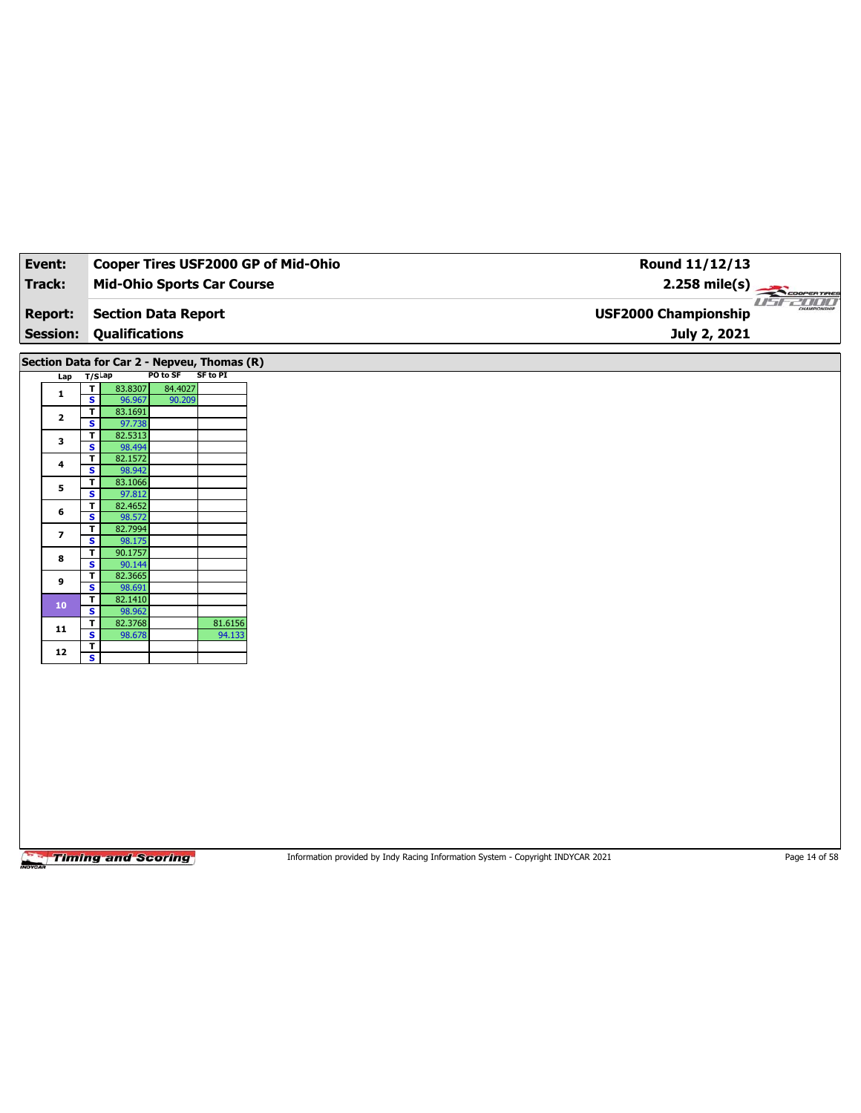|                          |                                                    |                   |                                                         |          | Cooper Tires USF2000 GP of Mid-Ohio | Round 11/12/13              |
|--------------------------|----------------------------------------------------|-------------------|---------------------------------------------------------|----------|-------------------------------------|-----------------------------|
| Track:                   |                                                    |                   | <b>Mid-Ohio Sports Car Course</b>                       |          |                                     | $2.258$ mile(s)             |
| <b>Report:</b>           |                                                    |                   | <b>Section Data Report</b>                              |          |                                     | <b>USF2000 Championship</b> |
| <b>Session:</b>          | <b>Qualifications</b>                              |                   |                                                         |          |                                     | July 2, 2021                |
|                          |                                                    |                   |                                                         |          |                                     |                             |
| Lap                      | $T/S$ Lap                                          |                   | Section Data for Car 2 - Nepveu, Thomas (R)<br>PO to SF | SF to PI |                                     |                             |
|                          | $\mathbf{T}$                                       | 83.8307           | 84.4027                                                 |          |                                     |                             |
| $\mathbf 1$              | $\overline{\mathbf{s}}$                            | 96.967            | 90.209                                                  |          |                                     |                             |
| $\mathbf{2}$             | T.                                                 | 83.1691           |                                                         |          |                                     |                             |
|                          | $\overline{\mathbf{s}}$                            | 97.738            |                                                         |          |                                     |                             |
| 3                        | Τ                                                  | 82.5313           |                                                         |          |                                     |                             |
|                          | $\overline{\mathbf{s}}$<br>$\overline{\mathbf{r}}$ | 98.494<br>82.1572 |                                                         |          |                                     |                             |
| 4                        | S                                                  | 98.942            |                                                         |          |                                     |                             |
|                          | T                                                  | 83.1066           |                                                         |          |                                     |                             |
| 5                        | $\overline{\mathbf{s}}$                            | 97.812            |                                                         |          |                                     |                             |
| 6                        | Τ                                                  | 82.4652           |                                                         |          |                                     |                             |
|                          | S                                                  | 98.572            |                                                         |          |                                     |                             |
| $\overline{\phantom{a}}$ | T                                                  | 82.7994           |                                                         |          |                                     |                             |
|                          | $\overline{\mathbf{s}}$                            | 98.175<br>90.1757 |                                                         |          |                                     |                             |
| 8                        | T.<br>S                                            | 90.144            |                                                         |          |                                     |                             |
|                          | T                                                  | 82.3665           |                                                         |          |                                     |                             |
| 9                        | $\overline{\mathbf{s}}$                            | 98.691            |                                                         |          |                                     |                             |
| ${\bf 10}$               | T.                                                 | 82.1410           |                                                         |          |                                     |                             |
|                          | S                                                  | 98.962            |                                                         |          |                                     |                             |
| 11                       | T.                                                 | 82.3768           |                                                         | 81.6156  |                                     |                             |
|                          | $\overline{\mathbf{s}}$                            | 98.678            |                                                         | 94.133   |                                     |                             |
| ${\bf 12}$               | $\mathbf{T}$<br>$\overline{\mathbf{s}}$            |                   |                                                         |          |                                     |                             |
|                          |                                                    |                   |                                                         |          |                                     |                             |

Information provided by Indy Racing Information System - Copyright INDYCAR 2021 Page 14 of 58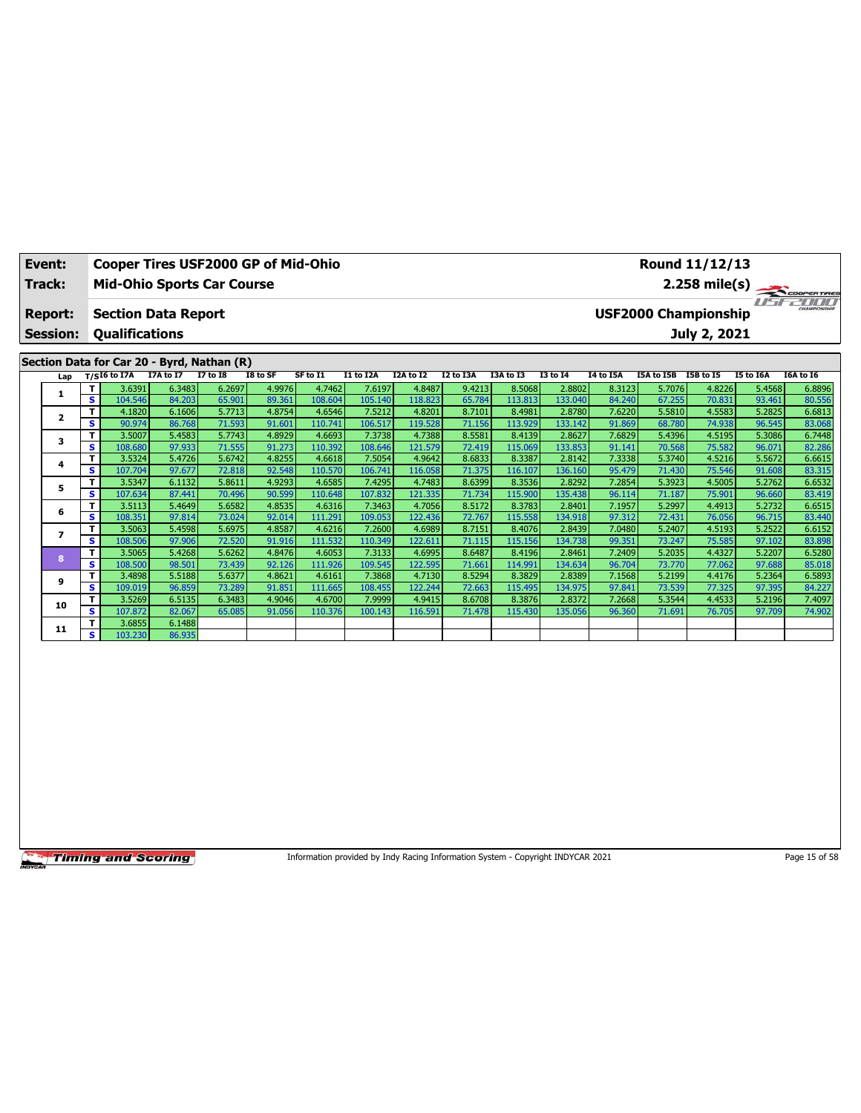| Event:          |                                                                                                                                                                                                |         | Round 11/12/13<br><b>USF2000 Championship</b><br>July 2, 2021<br><b>I7A to I7</b><br>I2 to I3A<br><b>I7 to I8</b><br>I8 to SF<br>SF to I1<br>I1 to I2A<br>I2A to I2<br><b>I3A to I3</b><br>13 to 14<br>I4 to I5A<br>I5A to I5B I5B to I5<br>3.6391<br>4.9976<br>8.5068<br>2.8802<br>6.3483<br>6.2697<br>4.7462<br>7.6197<br>4.8487<br>9.4213<br>8.3123<br>5.7076<br>4.8226<br>89.361<br>67.255<br>84.203<br>65.901<br>108.604<br>105.140<br>118.823<br>65.784<br>113.813<br>133.040<br>84.240<br>70.831<br>6.1606<br>5.7713<br>4.8754<br>4.6546<br>7.5212<br>4.8201<br>8.7101<br>8.4981<br>2.8780<br>7.6220<br>5.5810<br>4.1820<br>4.5583<br>71.593<br>90.974<br>86.768<br>91.601<br>110.741<br>106.517<br>119.528<br>71.156<br>113.929<br>133.142<br>91.869<br>68.780<br>74.938<br>5.7743<br>4.8929<br>4.7388<br>8.5581<br>5.4396<br>3.5007<br>5.4583<br>4.6693<br>7.3738<br>8.4139<br>2.8627<br>7.6829<br>4.5195<br>97.933<br>71.555<br>91.273<br>121.579<br>72.419<br>70.568<br>75.582<br>110.392<br>108.646<br>115.069<br>133.853<br>91.141<br>3.5324<br>5.4726<br>5.6742<br>4.8255<br>4.6618<br>7.5054<br>4.9642<br>8.6833<br>2.8142<br>7.3338<br>5.3740<br>8.3387<br>4.5216<br>72.818<br>92.548<br>106.741<br>71.375<br>136.160<br>71.430<br>97.677<br>110.570<br>116.058<br>116.107<br>95.479<br>75.546<br>5.8611<br>4.7483<br>8.6399<br>2.8292<br>5.3923<br>3.5347<br>6.1132<br>4.9293<br>4.6585<br>7.4295<br>8.3536<br>7.2854<br>4.5005<br>90.599<br>107.832<br>87.441<br>70.496<br>110.648<br>121.335<br>71.734<br>115.900<br>135.438<br>96.114<br>71.187<br>75.901<br>5.6582<br>4.7056<br>7.1957<br>5.2997<br>3.5113<br>5.4649<br>4.8535<br>4.6316<br>7.3463<br>8.5172<br>2.8401<br>8.3783<br>4.4913<br>73.024<br>92.014<br>72.767<br>111.291<br>109.053<br>122.436<br>115.558<br>134.918<br>97.312<br>72.431<br>76.056<br>97.814<br>5.6975<br>4.6989<br>8.7151<br>3.5063<br>5.4598<br>4.8587<br>4.6216<br>7.2600<br>8.4076<br>2.8439<br>7.0480<br>5.2407<br>4.5193<br>108.506<br>97.906<br>72.520<br>91.916<br>111.532<br>110.349<br>122.611<br>134.738<br>99.351<br>73.247<br>75.585<br>71.115<br>115.156<br>5.6262<br>4.6995<br>3.5065<br>5.4268<br>4.8476<br>4.6053<br>7.3133<br>8.6487<br>8.4196<br>2.8461<br>7.2409<br>5.2035<br>4.4327<br>92.126<br>73.439<br>96.704<br>73.770<br>77.062<br>108.500<br>98.501<br>111.926<br>109.545<br>122.595<br>71.661<br>114.991<br>134.634<br>5.6377<br>4.7130<br>3.4898<br>5.5188<br>4.8621<br>4.6161<br>7.3868<br>8.5294<br>8.3829<br>2.8389<br>7.1568<br>5.2199<br>4.4176<br>73.289<br>73.539<br>91.851<br>122.244<br>72.663<br>109.019<br>96.859<br>111.665<br>108.455<br>115.495<br>134.975<br>97.841<br>77.325 |        |        |         |         |         |        |         |             |              |        |        |                  |                  |
|-----------------|------------------------------------------------------------------------------------------------------------------------------------------------------------------------------------------------|---------|----------------------------------------------------------------------------------------------------------------------------------------------------------------------------------------------------------------------------------------------------------------------------------------------------------------------------------------------------------------------------------------------------------------------------------------------------------------------------------------------------------------------------------------------------------------------------------------------------------------------------------------------------------------------------------------------------------------------------------------------------------------------------------------------------------------------------------------------------------------------------------------------------------------------------------------------------------------------------------------------------------------------------------------------------------------------------------------------------------------------------------------------------------------------------------------------------------------------------------------------------------------------------------------------------------------------------------------------------------------------------------------------------------------------------------------------------------------------------------------------------------------------------------------------------------------------------------------------------------------------------------------------------------------------------------------------------------------------------------------------------------------------------------------------------------------------------------------------------------------------------------------------------------------------------------------------------------------------------------------------------------------------------------------------------------------------------------------------------------------------------------------------------------------------------------------------------------------------------------------------------------------------------------------------------------------------------------------------------------------------------------------------------------------------------------------------------------------------------------------------------------------------------------------------------------------------------------------------------------------------------------------------------------------------------|--------|--------|---------|---------|---------|--------|---------|-------------|--------------|--------|--------|------------------|------------------|
| Track:          |                                                                                                                                                                                                |         |                                                                                                                                                                                                                                                                                                                                                                                                                                                                                                                                                                                                                                                                                                                                                                                                                                                                                                                                                                                                                                                                                                                                                                                                                                                                                                                                                                                                                                                                                                                                                                                                                                                                                                                                                                                                                                                                                                                                                                                                                                                                                                                                                                                                                                                                                                                                                                                                                                                                                                                                                                                                                                                                            |        |        |         |         |         |        |         |             |              |        |        |                  |                  |
| <b>Report:</b>  | <b>Section Data Report</b><br>Qualifications<br>$T/SI6$ to I7A<br>т<br>s<br>104.546<br>т                                                                                                       |         |                                                                                                                                                                                                                                                                                                                                                                                                                                                                                                                                                                                                                                                                                                                                                                                                                                                                                                                                                                                                                                                                                                                                                                                                                                                                                                                                                                                                                                                                                                                                                                                                                                                                                                                                                                                                                                                                                                                                                                                                                                                                                                                                                                                                                                                                                                                                                                                                                                                                                                                                                                                                                                                                            |        |        |         |         |         |        |         | $H = H - c$ | CHAMPSONSHIP |        |        |                  |                  |
| <b>Session:</b> | Cooper Tires USF2000 GP of Mid-Ohio<br><b>Mid-Ohio Sports Car Course</b><br>$2.258 \text{ mile(s)}$<br>s.<br>T<br>s.<br>108.680<br>T<br>s<br>107.704<br>т<br>s<br>107.634<br>T<br>s<br>108.351 |         |                                                                                                                                                                                                                                                                                                                                                                                                                                                                                                                                                                                                                                                                                                                                                                                                                                                                                                                                                                                                                                                                                                                                                                                                                                                                                                                                                                                                                                                                                                                                                                                                                                                                                                                                                                                                                                                                                                                                                                                                                                                                                                                                                                                                                                                                                                                                                                                                                                                                                                                                                                                                                                                                            |        |        |         |         |         |        |         |             |              |        |        |                  |                  |
|                 | Section Data for Car 20 - Byrd, Nathan (R)                                                                                                                                                     |         |                                                                                                                                                                                                                                                                                                                                                                                                                                                                                                                                                                                                                                                                                                                                                                                                                                                                                                                                                                                                                                                                                                                                                                                                                                                                                                                                                                                                                                                                                                                                                                                                                                                                                                                                                                                                                                                                                                                                                                                                                                                                                                                                                                                                                                                                                                                                                                                                                                                                                                                                                                                                                                                                            |        |        |         |         |         |        |         |             |              |        |        |                  |                  |
| Lap             |                                                                                                                                                                                                |         |                                                                                                                                                                                                                                                                                                                                                                                                                                                                                                                                                                                                                                                                                                                                                                                                                                                                                                                                                                                                                                                                                                                                                                                                                                                                                                                                                                                                                                                                                                                                                                                                                                                                                                                                                                                                                                                                                                                                                                                                                                                                                                                                                                                                                                                                                                                                                                                                                                                                                                                                                                                                                                                                            |        |        |         |         |         |        |         | I5 to I6A   | I6A to I6    |        |        |                  |                  |
| 1               |                                                                                                                                                                                                |         |                                                                                                                                                                                                                                                                                                                                                                                                                                                                                                                                                                                                                                                                                                                                                                                                                                                                                                                                                                                                                                                                                                                                                                                                                                                                                                                                                                                                                                                                                                                                                                                                                                                                                                                                                                                                                                                                                                                                                                                                                                                                                                                                                                                                                                                                                                                                                                                                                                                                                                                                                                                                                                                                            |        |        |         |         |         |        |         |             |              |        |        | 5.4568           | 6.8896           |
|                 |                                                                                                                                                                                                |         |                                                                                                                                                                                                                                                                                                                                                                                                                                                                                                                                                                                                                                                                                                                                                                                                                                                                                                                                                                                                                                                                                                                                                                                                                                                                                                                                                                                                                                                                                                                                                                                                                                                                                                                                                                                                                                                                                                                                                                                                                                                                                                                                                                                                                                                                                                                                                                                                                                                                                                                                                                                                                                                                            |        |        |         |         |         |        |         |             |              |        |        | 93.461           | 80.556           |
| $\mathbf{z}$    |                                                                                                                                                                                                |         |                                                                                                                                                                                                                                                                                                                                                                                                                                                                                                                                                                                                                                                                                                                                                                                                                                                                                                                                                                                                                                                                                                                                                                                                                                                                                                                                                                                                                                                                                                                                                                                                                                                                                                                                                                                                                                                                                                                                                                                                                                                                                                                                                                                                                                                                                                                                                                                                                                                                                                                                                                                                                                                                            |        |        |         |         |         |        |         |             |              |        |        | 5.2825<br>96.545 | 6.6813<br>83.068 |
|                 |                                                                                                                                                                                                |         |                                                                                                                                                                                                                                                                                                                                                                                                                                                                                                                                                                                                                                                                                                                                                                                                                                                                                                                                                                                                                                                                                                                                                                                                                                                                                                                                                                                                                                                                                                                                                                                                                                                                                                                                                                                                                                                                                                                                                                                                                                                                                                                                                                                                                                                                                                                                                                                                                                                                                                                                                                                                                                                                            |        |        |         |         |         |        |         |             |              |        |        | 5.3086           | 6.7448           |
| 3               |                                                                                                                                                                                                |         |                                                                                                                                                                                                                                                                                                                                                                                                                                                                                                                                                                                                                                                                                                                                                                                                                                                                                                                                                                                                                                                                                                                                                                                                                                                                                                                                                                                                                                                                                                                                                                                                                                                                                                                                                                                                                                                                                                                                                                                                                                                                                                                                                                                                                                                                                                                                                                                                                                                                                                                                                                                                                                                                            |        |        |         |         |         |        |         |             |              |        |        | 96.071           | 82.286           |
|                 |                                                                                                                                                                                                |         |                                                                                                                                                                                                                                                                                                                                                                                                                                                                                                                                                                                                                                                                                                                                                                                                                                                                                                                                                                                                                                                                                                                                                                                                                                                                                                                                                                                                                                                                                                                                                                                                                                                                                                                                                                                                                                                                                                                                                                                                                                                                                                                                                                                                                                                                                                                                                                                                                                                                                                                                                                                                                                                                            |        |        |         |         |         |        |         |             |              |        |        | 5.5672           | 6.6615           |
| 4               |                                                                                                                                                                                                |         |                                                                                                                                                                                                                                                                                                                                                                                                                                                                                                                                                                                                                                                                                                                                                                                                                                                                                                                                                                                                                                                                                                                                                                                                                                                                                                                                                                                                                                                                                                                                                                                                                                                                                                                                                                                                                                                                                                                                                                                                                                                                                                                                                                                                                                                                                                                                                                                                                                                                                                                                                                                                                                                                            |        |        |         |         |         |        |         |             |              |        |        | 91.608           | 83.315           |
|                 |                                                                                                                                                                                                |         |                                                                                                                                                                                                                                                                                                                                                                                                                                                                                                                                                                                                                                                                                                                                                                                                                                                                                                                                                                                                                                                                                                                                                                                                                                                                                                                                                                                                                                                                                                                                                                                                                                                                                                                                                                                                                                                                                                                                                                                                                                                                                                                                                                                                                                                                                                                                                                                                                                                                                                                                                                                                                                                                            |        |        |         |         |         |        |         |             |              |        |        | 5.2762           | 6.6532           |
| 5               |                                                                                                                                                                                                |         |                                                                                                                                                                                                                                                                                                                                                                                                                                                                                                                                                                                                                                                                                                                                                                                                                                                                                                                                                                                                                                                                                                                                                                                                                                                                                                                                                                                                                                                                                                                                                                                                                                                                                                                                                                                                                                                                                                                                                                                                                                                                                                                                                                                                                                                                                                                                                                                                                                                                                                                                                                                                                                                                            |        |        |         |         |         |        |         |             |              |        |        | 96.660           | 83.419           |
|                 |                                                                                                                                                                                                |         |                                                                                                                                                                                                                                                                                                                                                                                                                                                                                                                                                                                                                                                                                                                                                                                                                                                                                                                                                                                                                                                                                                                                                                                                                                                                                                                                                                                                                                                                                                                                                                                                                                                                                                                                                                                                                                                                                                                                                                                                                                                                                                                                                                                                                                                                                                                                                                                                                                                                                                                                                                                                                                                                            |        |        |         |         |         |        |         |             |              |        |        | 5.2732           | 6.6515           |
| 6               |                                                                                                                                                                                                |         |                                                                                                                                                                                                                                                                                                                                                                                                                                                                                                                                                                                                                                                                                                                                                                                                                                                                                                                                                                                                                                                                                                                                                                                                                                                                                                                                                                                                                                                                                                                                                                                                                                                                                                                                                                                                                                                                                                                                                                                                                                                                                                                                                                                                                                                                                                                                                                                                                                                                                                                                                                                                                                                                            |        |        |         |         |         |        |         |             |              |        |        | 96.715           | 83.440           |
| 7               | т                                                                                                                                                                                              |         |                                                                                                                                                                                                                                                                                                                                                                                                                                                                                                                                                                                                                                                                                                                                                                                                                                                                                                                                                                                                                                                                                                                                                                                                                                                                                                                                                                                                                                                                                                                                                                                                                                                                                                                                                                                                                                                                                                                                                                                                                                                                                                                                                                                                                                                                                                                                                                                                                                                                                                                                                                                                                                                                            |        |        |         |         |         |        |         |             |              |        |        | 5.2522           | 6.6152           |
|                 | s.                                                                                                                                                                                             |         |                                                                                                                                                                                                                                                                                                                                                                                                                                                                                                                                                                                                                                                                                                                                                                                                                                                                                                                                                                                                                                                                                                                                                                                                                                                                                                                                                                                                                                                                                                                                                                                                                                                                                                                                                                                                                                                                                                                                                                                                                                                                                                                                                                                                                                                                                                                                                                                                                                                                                                                                                                                                                                                                            |        |        |         |         |         |        |         |             |              |        |        | 97.102           | 83.898           |
| 8               | T                                                                                                                                                                                              |         |                                                                                                                                                                                                                                                                                                                                                                                                                                                                                                                                                                                                                                                                                                                                                                                                                                                                                                                                                                                                                                                                                                                                                                                                                                                                                                                                                                                                                                                                                                                                                                                                                                                                                                                                                                                                                                                                                                                                                                                                                                                                                                                                                                                                                                                                                                                                                                                                                                                                                                                                                                                                                                                                            |        |        |         |         |         |        |         |             |              |        |        | 5.2207           | 6.5280           |
|                 | s.                                                                                                                                                                                             |         |                                                                                                                                                                                                                                                                                                                                                                                                                                                                                                                                                                                                                                                                                                                                                                                                                                                                                                                                                                                                                                                                                                                                                                                                                                                                                                                                                                                                                                                                                                                                                                                                                                                                                                                                                                                                                                                                                                                                                                                                                                                                                                                                                                                                                                                                                                                                                                                                                                                                                                                                                                                                                                                                            |        |        |         |         |         |        |         |             |              |        |        | 97.688           | 85.018           |
| 9               | T.                                                                                                                                                                                             |         |                                                                                                                                                                                                                                                                                                                                                                                                                                                                                                                                                                                                                                                                                                                                                                                                                                                                                                                                                                                                                                                                                                                                                                                                                                                                                                                                                                                                                                                                                                                                                                                                                                                                                                                                                                                                                                                                                                                                                                                                                                                                                                                                                                                                                                                                                                                                                                                                                                                                                                                                                                                                                                                                            |        |        |         |         |         |        |         |             |              |        |        | 5.2364           | 6.5893           |
|                 | s.                                                                                                                                                                                             |         |                                                                                                                                                                                                                                                                                                                                                                                                                                                                                                                                                                                                                                                                                                                                                                                                                                                                                                                                                                                                                                                                                                                                                                                                                                                                                                                                                                                                                                                                                                                                                                                                                                                                                                                                                                                                                                                                                                                                                                                                                                                                                                                                                                                                                                                                                                                                                                                                                                                                                                                                                                                                                                                                            |        |        |         |         |         |        |         |             |              |        |        | 97.395           | 84.227           |
| 10              | T                                                                                                                                                                                              | 3.5269  | 6.5135                                                                                                                                                                                                                                                                                                                                                                                                                                                                                                                                                                                                                                                                                                                                                                                                                                                                                                                                                                                                                                                                                                                                                                                                                                                                                                                                                                                                                                                                                                                                                                                                                                                                                                                                                                                                                                                                                                                                                                                                                                                                                                                                                                                                                                                                                                                                                                                                                                                                                                                                                                                                                                                                     | 6.3483 | 4.9046 | 4.6700  | 7.9999  | 4.9415  | 8.6708 | 8.3876  | 2.8372      | 7.2668       | 5.3544 | 4.4533 | 5.2196           | 7.4097           |
|                 | s.                                                                                                                                                                                             | 107.872 | 82.067                                                                                                                                                                                                                                                                                                                                                                                                                                                                                                                                                                                                                                                                                                                                                                                                                                                                                                                                                                                                                                                                                                                                                                                                                                                                                                                                                                                                                                                                                                                                                                                                                                                                                                                                                                                                                                                                                                                                                                                                                                                                                                                                                                                                                                                                                                                                                                                                                                                                                                                                                                                                                                                                     | 65.085 | 91.056 | 110.376 | 100.143 | 116.591 | 71.478 | 115.430 | 135.056     | 96.360       | 71.691 | 76.705 | 97.709           | 74.902           |
| 11              | т                                                                                                                                                                                              | 3.6855  | 6.1488                                                                                                                                                                                                                                                                                                                                                                                                                                                                                                                                                                                                                                                                                                                                                                                                                                                                                                                                                                                                                                                                                                                                                                                                                                                                                                                                                                                                                                                                                                                                                                                                                                                                                                                                                                                                                                                                                                                                                                                                                                                                                                                                                                                                                                                                                                                                                                                                                                                                                                                                                                                                                                                                     |        |        |         |         |         |        |         |             |              |        |        |                  |                  |
|                 | s                                                                                                                                                                                              | 103.230 | 86.935                                                                                                                                                                                                                                                                                                                                                                                                                                                                                                                                                                                                                                                                                                                                                                                                                                                                                                                                                                                                                                                                                                                                                                                                                                                                                                                                                                                                                                                                                                                                                                                                                                                                                                                                                                                                                                                                                                                                                                                                                                                                                                                                                                                                                                                                                                                                                                                                                                                                                                                                                                                                                                                                     |        |        |         |         |         |        |         |             |              |        |        |                  |                  |

Information provided by Indy Racing Information System - Copyright INDYCAR 2021 Page 15 of 58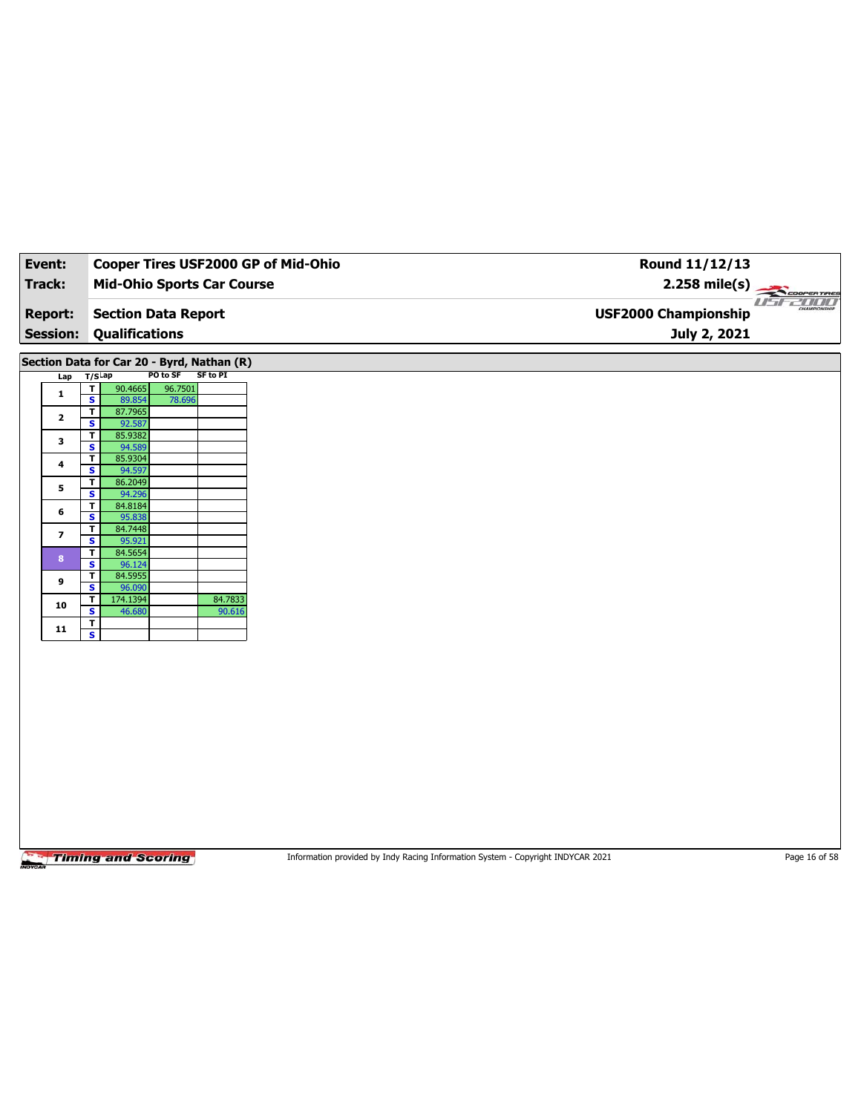| Event:                  |                                                    |                       |                                            |                   | Cooper Tires USF2000 GP of Mid-Ohio | Round 11/12/13              |                       |
|-------------------------|----------------------------------------------------|-----------------------|--------------------------------------------|-------------------|-------------------------------------|-----------------------------|-----------------------|
| <b>Track:</b>           |                                                    |                       | <b>Mid-Ohio Sports Car Course</b>          |                   |                                     | $2.258$ mile(s)             | COOPERTIRES           |
| <b>Report:</b>          |                                                    |                       | <b>Section Data Report</b>                 |                   |                                     | <b>USF2000 Championship</b> | IPTF<br><b>COUNTY</b> |
| <b>Session:</b>         |                                                    | <b>Qualifications</b> |                                            |                   |                                     | July 2, 2021                |                       |
|                         |                                                    |                       | Section Data for Car 20 - Byrd, Nathan (R) |                   |                                     |                             |                       |
| Lap                     | $T/S$ Lap                                          |                       | PO to SF                                   | <b>SF to PI</b>   |                                     |                             |                       |
| $\mathbf 1$             | T<br>$\overline{\mathbf{s}}$                       | 90.4665<br>89.854     | 96.7501<br>78.696                          |                   |                                     |                             |                       |
| $\mathbf{2}$            | $\overline{\mathsf{r}}$                            | 87.7965               |                                            |                   |                                     |                             |                       |
|                         | S<br>T                                             | 92.587<br>85.9382     |                                            |                   |                                     |                             |                       |
| $\overline{\mathbf{3}}$ | $\overline{\mathbf{s}}$                            | 94.589                |                                            |                   |                                     |                             |                       |
| $\ddot{\mathbf{4}}$     | $\mathbf{T}$<br>S                                  | 85.9304<br>94.597     |                                            |                   |                                     |                             |                       |
| 5                       | $\mathbf{T}$                                       | 86.2049               |                                            |                   |                                     |                             |                       |
|                         | $\overline{\mathbf{s}}$<br>$\overline{\mathsf{r}}$ | 94.296<br>84.8184     |                                            |                   |                                     |                             |                       |
| $\bf 6$                 | S                                                  | 95.838                |                                            |                   |                                     |                             |                       |
| $\overline{\mathbf{z}}$ | $\mathbf T$<br>$\overline{\mathbf{s}}$             | 84.7448<br>95.921     |                                            |                   |                                     |                             |                       |
| $\bf8$                  | $\mathbf{T}$                                       | 84.5654               |                                            |                   |                                     |                             |                       |
|                         | $\mathbf{s}$<br>T                                  | 96.124<br>84.5955     |                                            |                   |                                     |                             |                       |
| 9                       | $\overline{\mathbf{s}}$                            | 96.090                |                                            |                   |                                     |                             |                       |
| 10                      | T<br>S                                             | 174.1394<br>46.680    |                                            | 84.7833<br>90.616 |                                     |                             |                       |
| 11                      | $\mathbf T$                                        |                       |                                            |                   |                                     |                             |                       |
|                         | $\overline{\mathbf{s}}$                            |                       |                                            |                   |                                     |                             |                       |
|                         |                                                    |                       |                                            |                   |                                     |                             |                       |
|                         |                                                    |                       |                                            |                   |                                     |                             |                       |
|                         |                                                    |                       |                                            |                   |                                     |                             |                       |
|                         |                                                    |                       |                                            |                   |                                     |                             |                       |
|                         |                                                    |                       |                                            |                   |                                     |                             |                       |
|                         |                                                    |                       |                                            |                   |                                     |                             |                       |
|                         |                                                    |                       |                                            |                   |                                     |                             |                       |
|                         |                                                    |                       |                                            |                   |                                     |                             |                       |
|                         |                                                    |                       |                                            |                   |                                     |                             |                       |
|                         |                                                    |                       |                                            |                   |                                     |                             |                       |

Information provided by Indy Racing Information System - Copyright INDYCAR 2021 Page 16 of 58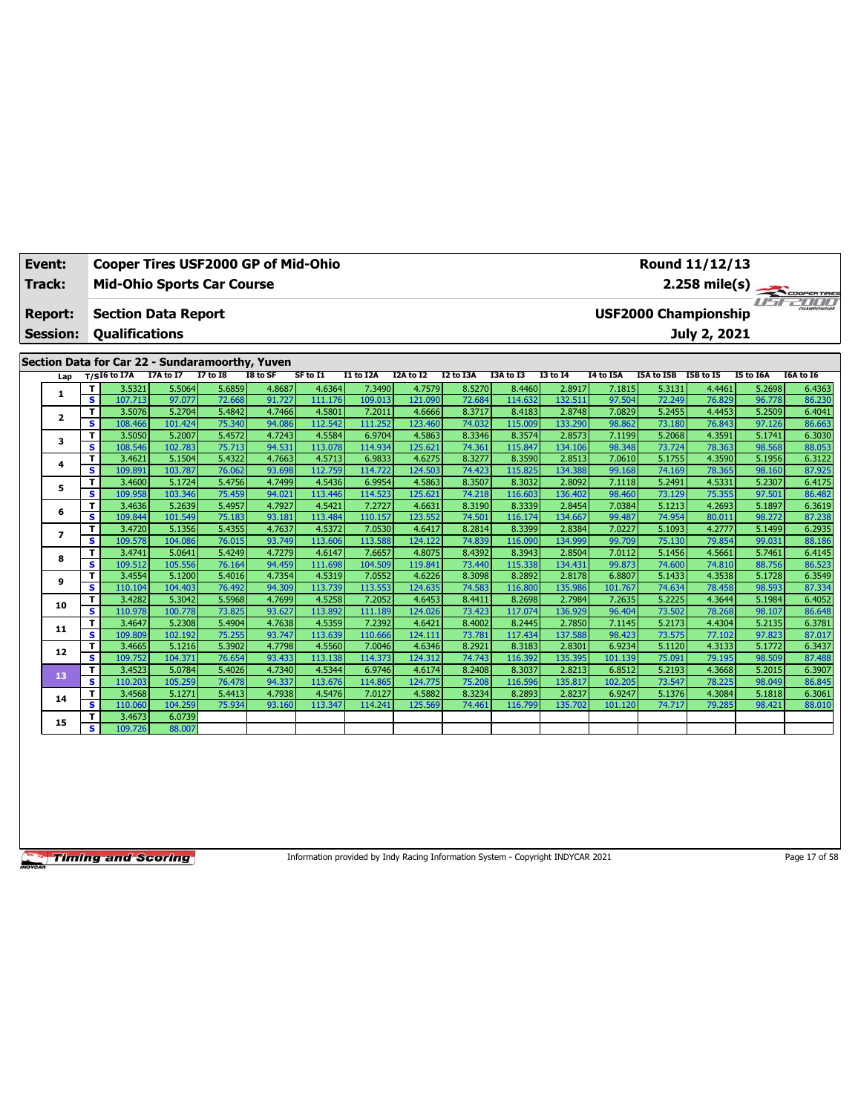| Event:          |                         | Cooper Tires USF2000 GP of Mid-Ohio             |                   |                  |                  |                   |                   |                   |                  |                   |                   |                   | Round 11/12/13              |                  |                  |                  |
|-----------------|-------------------------|-------------------------------------------------|-------------------|------------------|------------------|-------------------|-------------------|-------------------|------------------|-------------------|-------------------|-------------------|-----------------------------|------------------|------------------|------------------|
| Track:          |                         | <b>Mid-Ohio Sports Car Course</b>               |                   |                  |                  |                   |                   |                   |                  |                   |                   |                   |                             | 2.258 mile(s)    |                  | COOPERTIRES      |
| <b>Report:</b>  |                         | <b>Section Data Report</b>                      |                   |                  |                  |                   |                   |                   |                  |                   |                   |                   | <b>USF2000 Championship</b> |                  |                  | USE JUIL         |
| <b>Session:</b> |                         | <b>Qualifications</b>                           |                   |                  |                  |                   |                   |                   |                  |                   |                   |                   |                             | July 2, 2021     |                  |                  |
|                 |                         | Section Data for Car 22 - Sundaramoorthy, Yuven |                   |                  |                  |                   |                   |                   |                  |                   |                   |                   |                             |                  |                  |                  |
|                 |                         | $T/SI6$ to I7A                                  | I7A to I7         | <b>I7 to I8</b>  | I8 to SF         | SF to I1          | <b>I1 to I2A</b>  | I2A to I2         | I2 to I3A        | I3A to I3         | <b>I3 to 14</b>   | I4 to I5A         | I5A to I5B                  | <b>I5B</b> to I5 | <b>I5 to I6A</b> | I6A to I6        |
| Lap             | T                       | 3.5321                                          | 5.5064            | 5.6859           | 4.8687           | 4.6364            | 7.3490            | 4.7579            | 8.5270           | 8.4460            | 2.8917            | 7.1815            | 5.3131                      | 4.4461           | 5.2698           | 6.4363           |
| 1               | $\overline{\mathbf{s}}$ | 107.713                                         | 97.077            | 72.668           | 91.727           | 111.176           | 109.013           | 121.090           | 72.684           | 114.632           | 132.511           | 97.504            | 72.249                      | 76.829           | 96.778           | 86.230           |
|                 | T.                      | 3.5076                                          | 5.2704            | 5.4842           | 4.7466           | 4.5801            | 7.2011            | 4.6666            | 8.3717           | 8.4183            | 2.8748            | 7.0829            | 5.2455                      | 4.4453           | 5.2509           | 6.4041           |
| 2               | s.                      | 108.466                                         | 101.424           | 75.340           | 94.086           | 112.542           | 111.252           | 123.460           | 74.032           | 115.009           | 133.290           | 98.862            | 73.180                      | 76.843           | 97.126           | 86.663           |
|                 | T                       | 3.5050                                          | 5.2007            | 5.4572           | 4.7243           | 4.5584            | 6.9704            | 4.5863            | 8.3346           | 8.3574            | 2.8573            | 7.1199            | 5.2068                      | 4.3591           | 5.1741           | 6.3030           |
| з               | s                       | 108.546                                         | 102.783           | 75.713           | 94.531           | 113.078           | 114.934           | 125.621           | 74.361           | 115.847           | 134.106           | 98.348            | 73.724                      | 78.363           | 98.568           | 88.053           |
| 4               | T.                      | 3.4621                                          | 5.1504            | 5.4322           | 4.7663           | 4.5713            | 6.9833            | 4.6275            | 8.3277           | 8.3590            | 2.8513            | 7.0610            | 5.1755                      | 4.3590           | 5.1956           | 6.3122           |
|                 | s.                      | 109.891                                         | 103.787           | 76.062           | 93.698           | 112.759           | 114.722           | 124.503           | 74.423           | 115.825           | 134.388           | 99.168            | 74.169                      | 78.365           | 98.160           | 87.925           |
| 5               | T.                      | 3.4600                                          | 5.1724            | 5.4756           | 4.7499           | 4.5436            | 6.9954            | 4.5863            | 8.3507           | 8.3032            | 2.8092            | 7.1118            | 5.2491                      | 4.5331           | 5.2307           | 6.4175           |
|                 | s                       | 109.958                                         | 103.346           | 75.459           | 94.021           | 113.446           | 114.523           | 125.621           | 74.218           | 116.603           | 136.402           | 98.460            | 73.129                      | 75.355           | 97.501           | 86.482           |
| 6               | T                       | 3.4636                                          | 5.2639            | 5.4957           | 4.7927           | 4.5421            | 7.2727            | 4.6631            | 8.3190           | 8.3339            | 2.8454            | 7.0384            | 5.1213                      | 4.2693           | 5.1897           | 6.3619           |
|                 | s                       | 109.844                                         | 101.549           | 75.183           | 93.181           | 113.484           | 110.157           | 123.552           | 74.501           | 116.174           | 134.667           | 99.487            | 74.954                      | 80.011           | 98.272           | 87.238           |
| $\overline{ }$  | T.                      | 3.4720                                          | 5.1356            | 5.4355           | 4.7637           | 4.5372            | 7.0530            | 4.6417            | 8.2814           | 8.3399            | 2.8384            | 7.0227            | 5.1093                      | 4.2777           | 5.1499           | 6.2935           |
|                 | s                       | 109.578                                         | 104.086           | 76.015           | 93.749           | 113.606           | 113.588           | 124.122           | 74.839           | 116.090           | 134.999           | 99.709            | 75.130                      | 79.854           | 99.031           | 88.186           |
| 8               | T.                      | 3.4741                                          | 5.0641            | 5.4249           | 4.7279           | 4.6147            | 7.6657            | 4.8075            | 8.4392           | 8.3943            | 2.8504            | 7.0112            | 5.1456                      | 4.5661           | 5.7461           | 6.4145           |
|                 | s.                      | 109.512                                         | 105.556           | 76.164           | 94.459           | 111.698           | 104.509           | 119.841           | 73.440           | 115.338           | 134.431           | 99.873            | 74.600                      | 74.810           | 88.756           | 86.523           |
| 9               | T.<br>s                 | 3.4554<br>110.104                               | 5.1200<br>104.403 | 5.4016<br>76.492 | 4.7354           | 4.5319<br>113.739 | 7.0552<br>113.553 | 4.6226<br>124.635 | 8.3098<br>74.583 | 8.2892<br>116.800 | 2.8178<br>135.986 | 6.8807<br>101.767 | 5.1433<br>74.634            | 4.3538<br>78.458 | 5.1728<br>98.593 | 6.3549<br>87.334 |
|                 | T.                      | 3.4282                                          | 5.3042            | 5.5968           | 94.309<br>4.7699 | 4.5258            | 7.2052            | 4.6453            | 8.4411           | 8.2698            | 2.7984            | 7.2635            | 5.2225                      | 4.3644           | 5.1984           | 6.4052           |
| 10              | s                       | 110.978                                         | 100.778           | 73.825           | 93.627           | 113.892           | 111.189           | 124.026           | 73.423           | 117.074           | 136.929           | 96.404            | 73.502                      | 78.268           | 98.107           | 86.648           |
|                 | T.                      | 3.4647                                          | 5.2308            | 5.4904           | 4.7638           | 4.5359            | 7.2392            | 4.6421            | 8.4002           | 8.2445            | 2.7850            | 7.1145            | 5.2173                      | 4.4304           | 5.2135           | 6.3781           |
| 11              | s                       | 109.809                                         | 102.192           | 75.255           | 93.747           | 113.639           | 110.666           | 124.111           | 73.781           | 117.434           | 137.588           | 98.423            | 73.575                      | 77.102           | 97.823           | 87.017           |
|                 | T.                      | 3.4665                                          | 5.1216            | 5.3902           | 4.7798           | 4.5560            | 7.0046            | 4.6346            | 8.2921           | 8.3183            | 2.8301            | 6.9234            | 5.1120                      | 4.3133           | 5.1772           | 6.3437           |
| 12              | s.                      | 109.752                                         | 104.371           | 76.654           | 93.433           | 113.138           | 114.373           | 124.312           | 74.743           | 116.392           | 135.395           | 101.139           | 75.091                      | 79.195           | 98.509           | 87.488           |
|                 | T.                      | 3.4523                                          | 5.0784            | 5.4026           | 4.7340           | 4.5344            | 6.9746            | 4.6174            | 8.2408           | 8.3037            | 2.8213            | 6.8512            | 5.2193                      | 4.3668           | 5.2015           | 6.3907           |
| 13              | S                       | 110.203                                         | 105.259           | 76.478           | 94.337           | 113.676           | 114.865           | 124,775           | 75.208           | 116.596           | 135.817           | 102.205           | 73.547                      | 78.225           | 98.049           | 86.845           |
|                 | T.                      | 3.4568                                          | 5.1271            | 5.4413           | 4.7938           | 4.5476            | 7.0127            | 4.5882            | 8.3234           | 8.2893            | 2.8237            | 6.9247            | 5.1376                      | 4.3084           | 5.1818           | 6.3061           |
| 14              | s.                      | 110.060                                         | 104.259           | 75.934           | 93.160           | 113.347           | 114.241           | 125.569           | 74.461           | 116.799           | 135.702           | 101.120           | 74.717                      | 79.285           | 98.421           | 88.010           |
|                 | T.                      | 3.4673                                          | 6.0739            |                  |                  |                   |                   |                   |                  |                   |                   |                   |                             |                  |                  |                  |
| 15              | s.                      | 109.726                                         | 88.007            |                  |                  |                   |                   |                   |                  |                   |                   |                   |                             |                  |                  |                  |

Information provided by Indy Racing Information System - Copyright INDYCAR 2021 Page 17 of 58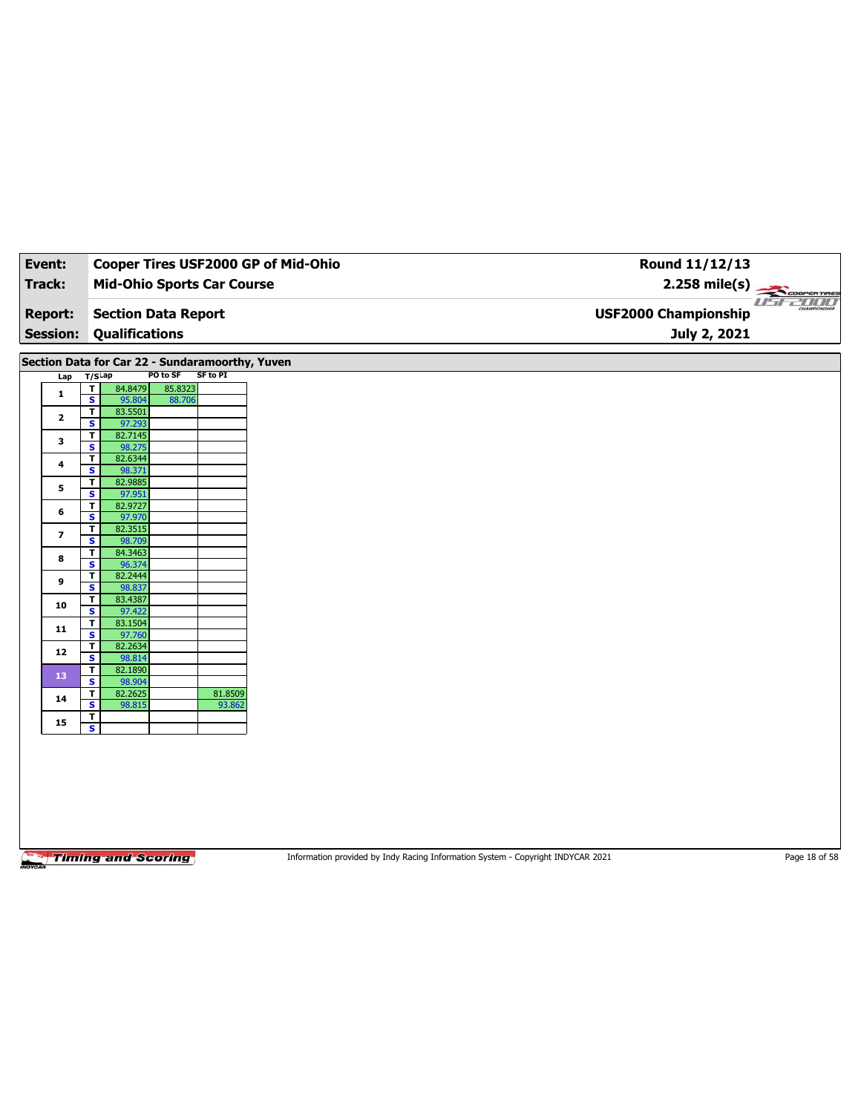| Event:                                          |                                                    |                       |                                   |                 | Cooper Tires USF2000 GP of Mid-Ohio<br>Round 11/12/13 |             |
|-------------------------------------------------|----------------------------------------------------|-----------------------|-----------------------------------|-----------------|-------------------------------------------------------|-------------|
| <b>Track:</b>                                   |                                                    |                       | <b>Mid-Ohio Sports Car Course</b> |                 | $2.258$ mile(s)                                       | COOPERTIRES |
| <b>Report:</b><br><b>Session:</b>               |                                                    | <b>Qualifications</b> | <b>Section Data Report</b>        |                 | <b>USF2000 Championship</b><br>July 2, 2021           | $L = -$     |
|                                                 |                                                    |                       |                                   |                 |                                                       |             |
| Section Data for Car 22 - Sundaramoorthy, Yuven |                                                    |                       |                                   |                 |                                                       |             |
| Lap                                             | T/SLap                                             |                       | PO to SF                          | <b>SF to PI</b> |                                                       |             |
|                                                 | $\overline{\mathbf{r}}$                            | 84.8479               | 85.8323                           |                 |                                                       |             |
| $\mathbf{1}$                                    | $\overline{\mathbf{s}}$                            | 95.804                | 88.706                            |                 |                                                       |             |
| $\mathbf{2}$                                    | $\mathbf T$                                        | 83.5501               |                                   |                 |                                                       |             |
|                                                 | S                                                  | 97.293                |                                   |                 |                                                       |             |
| 3                                               | $\mathbf{T}$                                       | 82.7145               |                                   |                 |                                                       |             |
|                                                 | $\overline{\mathbf{s}}$                            | 98.275                |                                   |                 |                                                       |             |
| 4                                               | $\overline{\mathsf{r}}$<br>$\mathbf{s}$            | 82.6344<br>98.371     |                                   |                 |                                                       |             |
|                                                 | T                                                  | 82.9885               |                                   |                 |                                                       |             |
| 5                                               | $\overline{\mathbf{s}}$                            | 97.951                |                                   |                 |                                                       |             |
|                                                 | $\overline{\mathsf{r}}$                            | 82.9727               |                                   |                 |                                                       |             |
| 6                                               | S                                                  | 97.970                |                                   |                 |                                                       |             |
|                                                 | $\mathbf T$                                        | 82.3515               |                                   |                 |                                                       |             |
| $\overline{\phantom{a}}$                        | $\overline{\mathbf{s}}$                            | 98.709                |                                   |                 |                                                       |             |
| 8                                               | $\overline{\mathsf{r}}$                            | 84.3463               |                                   |                 |                                                       |             |
|                                                 | $\mathbf{s}$                                       | 96.374                |                                   |                 |                                                       |             |
| 9                                               | $\overline{\mathbf{r}}$                            | 82.2444               |                                   |                 |                                                       |             |
|                                                 | $\overline{\mathbf{s}}$                            | 98.837                |                                   |                 |                                                       |             |
| 10                                              | $\overline{\mathbf{r}}$<br>$\overline{\mathbf{s}}$ | 83.4387               |                                   |                 |                                                       |             |
|                                                 | $\overline{\mathbf{r}}$                            | 97.422<br>83.1504     |                                   |                 |                                                       |             |
| 11                                              | $\overline{\mathbf{s}}$                            | 97.760                |                                   |                 |                                                       |             |
|                                                 | $\overline{\mathbf{r}}$                            | 82.2634               |                                   |                 |                                                       |             |
| ${\bf 12}$                                      | $\overline{\mathbf{s}}$                            | 98.814                |                                   |                 |                                                       |             |
| 13                                              | $\overline{\mathbf{r}}$                            | 82.1890               |                                   |                 |                                                       |             |
|                                                 | $\overline{\mathbf{s}}$                            | 98.904                |                                   |                 |                                                       |             |
| 14                                              | T                                                  | 82.2625               |                                   | 81.8509         |                                                       |             |
|                                                 | S                                                  | 98.815                |                                   | 93.862          |                                                       |             |
| 15                                              | $\mathbf T$<br>$\overline{\mathbf{s}}$             |                       |                                   |                 |                                                       |             |
|                                                 |                                                    |                       |                                   |                 |                                                       |             |
|                                                 |                                                    |                       |                                   |                 |                                                       |             |
|                                                 |                                                    |                       |                                   |                 |                                                       |             |
|                                                 |                                                    |                       |                                   |                 |                                                       |             |
|                                                 |                                                    |                       |                                   |                 |                                                       |             |
|                                                 |                                                    |                       |                                   |                 |                                                       |             |

Information provided by Indy Racing Information System - Copyright INDYCAR 2021 Page 18 of 58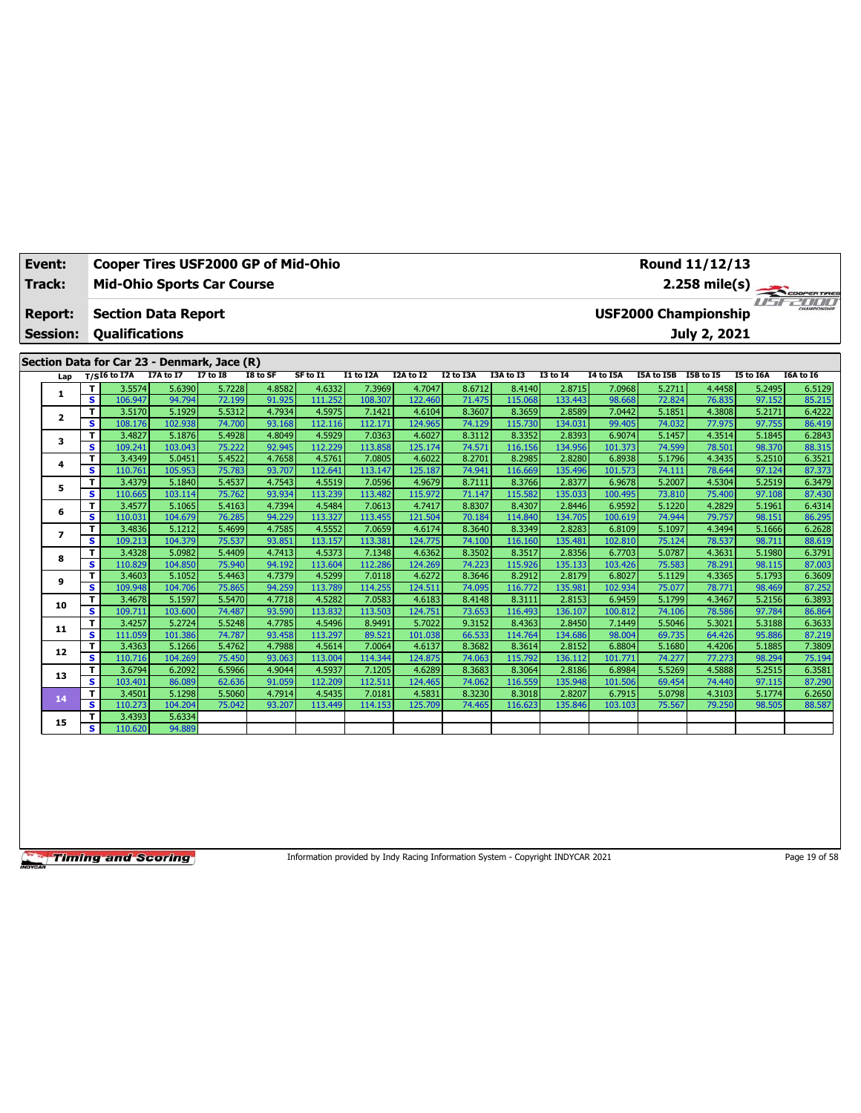| Event:                            |              | Cooper Tires USF2000 GP of Mid-Ohio                 |                   |                  |                  |                   |                   |                   |                  |                   |                   |                   |                  | Round 11/12/13                              |                  |                                     |
|-----------------------------------|--------------|-----------------------------------------------------|-------------------|------------------|------------------|-------------------|-------------------|-------------------|------------------|-------------------|-------------------|-------------------|------------------|---------------------------------------------|------------------|-------------------------------------|
| Track:                            |              | <b>Mid-Ohio Sports Car Course</b>                   |                   |                  |                  |                   |                   |                   |                  |                   |                   |                   |                  | $2.258$ mile(s)                             |                  | COOPERTIRES                         |
| <b>Report:</b><br><b>Session:</b> |              | <b>Section Data Report</b><br><b>Qualifications</b> |                   |                  |                  |                   |                   |                   |                  |                   |                   |                   |                  | <b>USF2000 Championship</b><br>July 2, 2021 |                  | u <del>srznow</del><br>CHAMPIONSHIP |
|                                   |              |                                                     |                   |                  |                  |                   |                   |                   |                  |                   |                   |                   |                  |                                             |                  |                                     |
|                                   |              | Section Data for Car 23 - Denmark, Jace (R)         |                   |                  |                  |                   |                   |                   |                  |                   |                   |                   |                  |                                             |                  |                                     |
| Lap                               |              | $T/SI6$ to I7A                                      | I7A to I7         | <b>I7 to I8</b>  | I8 to SF         | SF to I1          | I1 to I2A         | I2A to I2         | <b>I2 to I3A</b> | I3A to I3         | 13 to 14          | I4 to I5A         | I5A to I5B       | I5B to I5                                   | <b>I5 to I6A</b> | I6A to I6                           |
| 1                                 | T.           | 3.5574                                              | 5.6390            | 5.7228           | 4.8582           | 4.6332            | 7.3969            | 4.7047            | 8.6712           | 8.4140            | 2.8715            | 7.0968            | 5.2711           | 4.4458                                      | 5.2495           | 6.5129                              |
|                                   |              | s.<br>106.947                                       | 94.794            | 72.199           | 91.925           | 111.252           | 108.307           | 122.460           | 71.475           | 115.068           | 133.443           | 98.668            | 72.824           | 76.835                                      | 97.152           | 85.215                              |
| 2                                 | T.           | 3.5170                                              | 5.1929            | 5.5312           | 4.7934           | 4.5975            | 7.1421            | 4.6104            | 8.3607           | 8.3659            | 2.8589            | 7.0442            | 5.1851           | 4.3808                                      | 5.2171           | 6.4222                              |
|                                   | s            | 108.176                                             | 102.938           | 74.700           | 93.168           | 112.116           | 112.171           | 124.965           | 74.129           | 115,730           | 134.031           | 99.405            | 74.032           | 77.975                                      | 97.755           | 86.419                              |
| 3                                 | T            | 3.4827                                              | 5.1876            | 5.4928           | 4.8049           | 4.5929            | 7.0363            | 4.6027            | 8.3112           | 8.3352            | 2.8393            | 6.9074            | 5.1457           | 4.3514                                      | 5.1845           | 6.2843                              |
|                                   | S            | 109.241<br>3.4349                                   | 103.043           | 75.222<br>5.4522 | 92.945<br>4.7658 | 112.229           | 113.858<br>7.0805 | 125.174<br>4.6022 | 74.571<br>8.2701 | 116.156<br>8.2985 | 134.956<br>2.8280 | 101.373<br>6.8938 | 74.599<br>5.1796 | 78.501<br>4.3435                            | 98.370           | 88.315                              |
| 4                                 | T.           | s.<br>110.761                                       | 5.0451<br>105.953 | 75.783           | 93.707           | 4.5761<br>112.641 | 113.147           | 125.187           | 74.941           | 116.669           | 135.496           | 101.573           | 74.111           | 78.644                                      | 5.2510<br>97.124 | 6.3521<br>87.373                    |
|                                   | T.           | 3.4379                                              | 5.1840            | 5.4537           | 4.7543           | 4.5519            | 7.0596            | 4.9679            | 8.7111           | 8.3766            | 2.8377            | 6.9678            | 5.2007           | 4.5304                                      | 5.2519           | 6.3479                              |
| 5                                 | s.           | 110.665                                             | 103.114           | 75.762           | 93.934           | 113.239           | 113.482           | 115.972           | 71.147           | 115.582           | 135.033           | 100.495           | 73.810           | 75.400                                      | 97.108           | 87.430                              |
|                                   | T.           | 3.4577                                              | 5.1065            | 5.4163           | 4.7394           | 4.5484            | 7.0613            | 4.7417            | 8.8307           | 8.4307            | 2.8446            | 6.9592            | 5.1220           | 4.2829                                      | 5.1961           | 6.4314                              |
| 6                                 |              | s.<br>110.031                                       | 104.679           | 76.285           | 94.229           | 113.327           | 113.455           | 121.504           | 70.184           | 114,840           | 134.705           | 100.619           | 74.944           | 79.757                                      | 98.151           | 86.295                              |
|                                   | T.           | 3.4836                                              | 5.1212            | 5.4699           | 4.7585           | 4.5552            | 7.0659            | 4.6174            | 8.3640           | 8.3349            | 2.8283            | 6.8109            | 5.1097           | 4.3494                                      | 5.1666           | 6.2628                              |
| $\overline{ }$                    | s            | 109.213                                             | 104.379           | 75.537           | 93.851           | 113.157           | 113.381           | 124.775           | 74.100           | 116.160           | 135.481           | 102.810           | 75.124           | 78.537                                      | 98.711           | 88.619                              |
| 8                                 | T.           | 3.4328                                              | 5.0982            | 5.4409           | 4.7413           | 4.5373            | 7.1348            | 4.6362            | 8.3502           | 8.3517            | 2.8356            | 6.7703            | 5.0787           | 4.3631                                      | 5.1980           | 6.3791                              |
|                                   | s            | 110.829                                             | 104.850           | 75.940           | 94.192           | 113.604           | 112.286           | 124.269           | 74.223           | 115.926           | 135.133           | 103.426           | 75.583           | 78.291                                      | 98.115           | 87.003                              |
| 9                                 | T            | 3.4603                                              | 5.1052            | 5.4463           | 4.7379           | 4.5299            | 7.0118            | 4.6272            | 8.3646           | 8.2912            | 2.8179            | 6.8027            | 5.1129           | 4.3365                                      | 5.1793           | 6.3609                              |
|                                   | s            | 109.948                                             | 104.706           | 75.865           | 94.259           | 113.789           | 114.255           | 124.511           | 74.095           | 116.772           | 135.981           | 102.934           | 75.077           | 78.771                                      | 98.469           | 87.252                              |
| 10                                | T.           | 3.4678                                              | 5.1597            | 5.5470           | 4.7718           | 4.5282            | 7.0583            | 4.6183            | 8.4148           | 8.3111            | 2.8153            | 6.9459            | 5.1799           | 4.3467                                      | 5.2156           | 6.3893                              |
|                                   | s            | 109.711                                             | 103.600           | 74.487           | 93.590           | 113.832           | 113.503           | 124.751           | 73.653           | 116.493           | 136.107           | 100.812           | 74.106           | 78.586                                      | 97.784           | 86.864                              |
| 11                                | T.           | 3.4257                                              | 5.2724            | 5.5248           | 4.7785           | 4.5496            | 8.9491            | 5.7022            | 9.3152           | 8.4363            | 2.8450            | 7.1449            | 5.5046           | 5.3021                                      | 5.3188           | 6.3633                              |
|                                   |              | s.<br>111.059                                       | 101.386           | 74.787           | 93.458           | 113.297           | 89.521            | 101.038           | 66.533           | 114.764           | 134.686           | 98.004            | 69.735           | 64.426                                      | 95.886           | 87.219                              |
| 12                                | T.           | 3.4363                                              | 5.1266            | 5.4762<br>75.450 | 4.7988<br>93.063 | 4.5614            | 7.0064            | 4.6137<br>124.875 | 8.3682           | 8.3614            | 2.8152            | 6.8804            | 5.1680           | 4.4206                                      | 5.1885           | 7.3809<br>75.194                    |
|                                   | s.           | 110.716                                             | 104.269           |                  |                  | 113.004           | 114.344           |                   | 74.063           | 115.792           | 136.112           | 101.771           | 74.277           | 77.273                                      | 98.294           |                                     |
| 13                                | T.<br>s.     | 3.6794<br>103.401                                   | 6.2092<br>86.089  | 6.5966<br>62.636 | 4.9044<br>91.059 | 4.5937<br>112.209 | 7.1205<br>112.511 | 4.6289<br>124.465 | 8.3683<br>74.062 | 8.3064<br>116.559 | 2.8186<br>135.948 | 6.8984<br>101.506 | 5.5269<br>69.454 | 4.5888<br>74.440                            | 5.2515<br>97.115 | 6.3581<br>87.290                    |
|                                   | $\mathbf{T}$ | 3.4501                                              | 5.1298            | 5.5060           | 4.7914           | 4.5435            | 7.0181            | 4.5831            | 8.3230           | 8.3018            | 2.8207            | 6.7915            | 5.0798           | 4.3103                                      | 5.1774           | 6.2650                              |
| 14                                | s.           | 110.273                                             | 104.204           | 75.042           | 93.207           | 113.449           | 114.153           | 125.709           | 74.465           | 116.623           | 135.846           | 103.103           | 75.567           | 79.250                                      | 98.505           | 88.587                              |
|                                   |              | 3.4393<br>T.                                        | 5.6334            |                  |                  |                   |                   |                   |                  |                   |                   |                   |                  |                                             |                  |                                     |
| 15                                |              | 110.620<br>s.                                       | 94.889            |                  |                  |                   |                   |                   |                  |                   |                   |                   |                  |                                             |                  |                                     |

Information provided by Indy Racing Information System - Copyright INDYCAR 2021 Page 19 of 58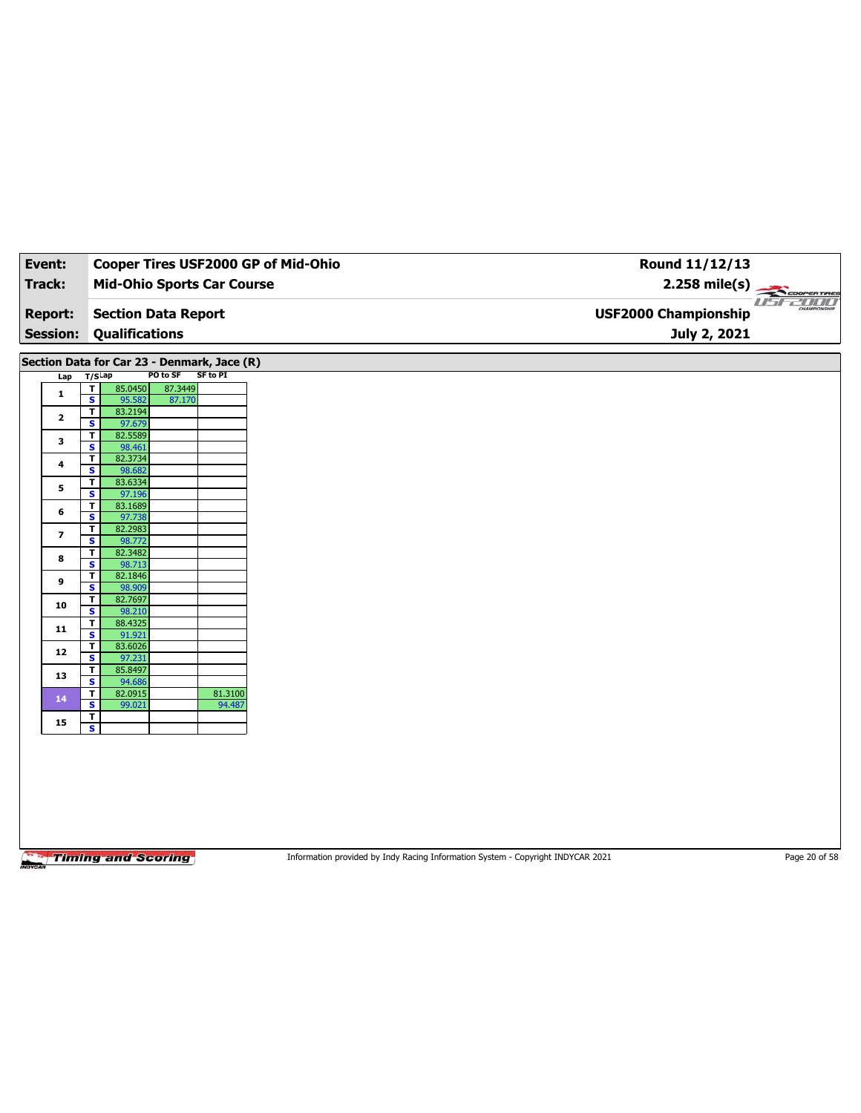| Event:                                      |                              |                         | Cooper Tires USF2000 GP of Mid-Ohio |                 | Round 11/12/13                                                 |
|---------------------------------------------|------------------------------|-------------------------|-------------------------------------|-----------------|----------------------------------------------------------------|
| <b>Track:</b>                               |                              |                         | <b>Mid-Ohio Sports Car Course</b>   |                 | $2.258$ mile(s)<br>COOPERTIRES                                 |
| <b>Report:</b><br><b>Session:</b>           |                              | <b>Qualifications</b>   | <b>Section Data Report</b>          |                 | <i>USE 2000</i><br><b>USF2000 Championship</b><br>July 2, 2021 |
|                                             |                              |                         |                                     |                 |                                                                |
| Section Data for Car 23 - Denmark, Jace (R) |                              |                         |                                     |                 |                                                                |
| Lap                                         | T/SLap                       |                         | PO to SF                            | <b>SF to PI</b> |                                                                |
| $\mathbf 1$                                 | $\blacksquare$               | 85.0450                 | 87.3449                             |                 |                                                                |
|                                             | $\overline{\mathbf{s}}$      | 95.582                  | 87.170                              |                 |                                                                |
| $\mathbf{2}$                                | $\overline{\mathsf{r}}$      | 83.2194                 |                                     |                 |                                                                |
|                                             | S                            | 97.679                  |                                     |                 |                                                                |
| 3                                           | T                            | 82.5589                 |                                     |                 |                                                                |
|                                             | $\overline{\mathbf{s}}$      | 98.461                  |                                     |                 |                                                                |
| $\ddot{\phantom{a}}$                        | T                            | 82.3734                 |                                     |                 |                                                                |
|                                             | S                            | 98.682                  |                                     |                 |                                                                |
| 5                                           | T<br>$\overline{\mathbf{s}}$ | 83.6334<br>97.196       |                                     |                 |                                                                |
|                                             | T                            | 83.1689                 |                                     |                 |                                                                |
| $\bf{6}$                                    | S                            | 97.738                  |                                     |                 |                                                                |
|                                             | T.                           | 82.2983                 |                                     |                 |                                                                |
| $\overline{\phantom{a}}$                    | $\overline{\mathbf{s}}$      | 98.772                  |                                     |                 |                                                                |
|                                             | T                            | 82.3482                 |                                     |                 |                                                                |
| 8                                           | S                            | 98.713                  |                                     |                 |                                                                |
|                                             | T                            | 82.1846                 |                                     |                 |                                                                |
| 9                                           | $\overline{\mathbf{s}}$      | 98.909                  |                                     |                 |                                                                |
| 10                                          | $\mathbf T$                  | 82.7697                 |                                     |                 |                                                                |
|                                             | $\mathbf{s}$                 | 98.210                  |                                     |                 |                                                                |
| ${\bf 11}$                                  | $\mathbf T$                  | 88.4325                 |                                     |                 |                                                                |
|                                             | $\overline{\mathbf{s}}$      | 91.921                  |                                     |                 |                                                                |
| ${\bf 12}$                                  | $\overline{\mathbf{r}}$      | 83.6026                 |                                     |                 |                                                                |
|                                             | $\mathbf{s}$                 | 97.231                  |                                     |                 |                                                                |
| 13                                          | T<br>$\overline{\mathbf{s}}$ | 85.8497<br>94.686       |                                     |                 |                                                                |
|                                             | T                            | 82.0915                 |                                     | 81.3100         |                                                                |
| 14                                          | S                            | 99.021                  |                                     | 94.487          |                                                                |
|                                             | $\mathbf{T}$                 |                         |                                     |                 |                                                                |
| 15                                          |                              | $\overline{\mathbf{s}}$ |                                     |                 |                                                                |

Information provided by Indy Racing Information System - Copyright INDYCAR 2021 Page 20 of 58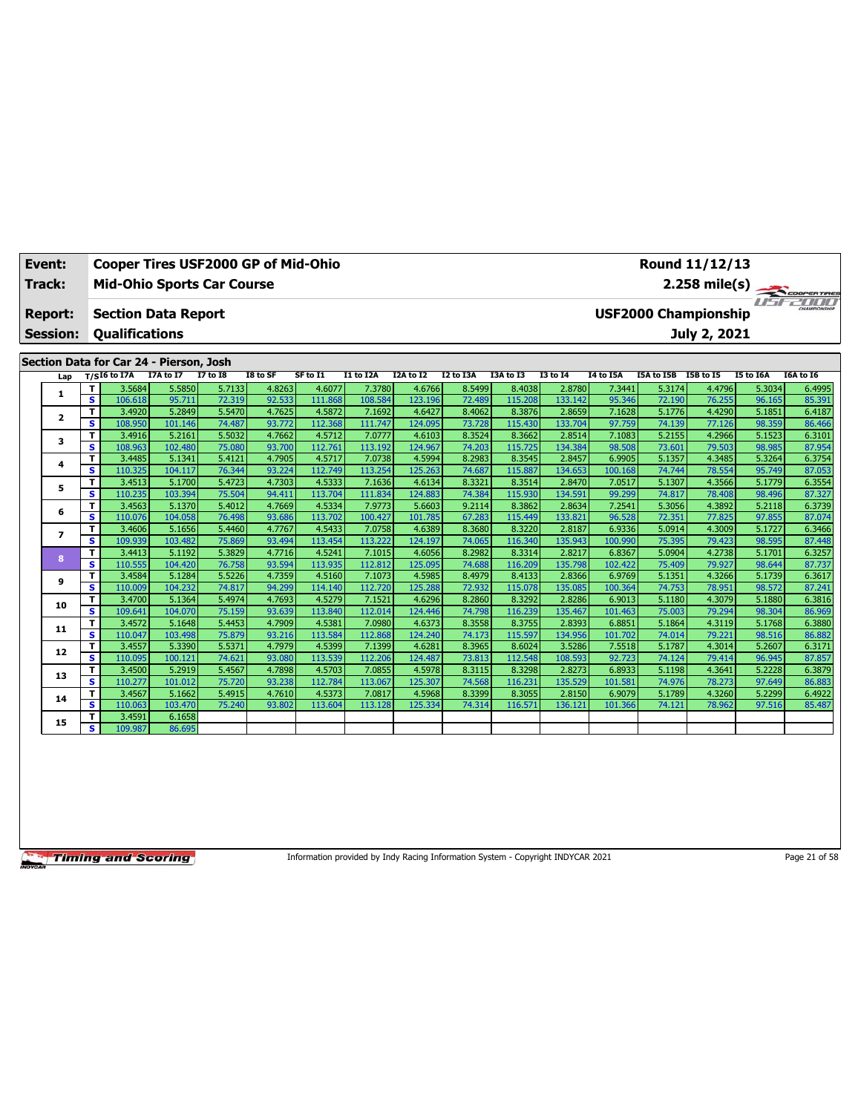| Event:          |                         | Cooper Tires USF2000 GP of Mid-Ohio     |           |                 |          |          |           |           |           |           |                 |           |            | Round 11/12/13              |                  |             |
|-----------------|-------------------------|-----------------------------------------|-----------|-----------------|----------|----------|-----------|-----------|-----------|-----------|-----------------|-----------|------------|-----------------------------|------------------|-------------|
| <b>Track:</b>   |                         | <b>Mid-Ohio Sports Car Course</b>       |           |                 |          |          |           |           |           |           |                 |           |            | $2.258$ mile(s)             |                  |             |
|                 |                         |                                         |           |                 |          |          |           |           |           |           |                 |           |            |                             | $H^*H^-$         | COOPERTIRES |
| <b>Report:</b>  |                         | <b>Section Data Report</b>              |           |                 |          |          |           |           |           |           |                 |           |            | <b>USF2000 Championship</b> |                  |             |
| <b>Session:</b> |                         | <b>Qualifications</b>                   |           |                 |          |          |           |           |           |           |                 |           |            | July 2, 2021                |                  |             |
|                 |                         |                                         |           |                 |          |          |           |           |           |           |                 |           |            |                             |                  |             |
|                 |                         | Section Data for Car 24 - Pierson, Josh |           |                 |          |          |           |           |           |           |                 |           |            |                             |                  |             |
| Lap             |                         | $T/SI6$ to I7A                          | I7A to I7 | <b>I7 to I8</b> | I8 to SF | SF to I1 | I1 to I2A | I2A to I2 | I2 to I3A | I3A to I3 | <b>I3 to 14</b> | I4 to I5A | I5A to I5B | <b>I5B</b> to 15            | <b>I5 to I6A</b> | I6A to I6   |
|                 | T                       | 3.5684                                  | 5.5850    | 5.7133          | 4.8263   | 4.6077   | 7.3780    | 4.6766    | 8.5499    | 8.4038    | 2.8780          | 7.3441    | 5.3174     | 4.4796                      | 5.3034           | 6.4995      |
| 1               | $\overline{\mathbf{s}}$ | 106.618                                 | 95.711    | 72.319          | 92.533   | 111.868  | 108.584   | 123.196   | 72.489    | 115.208   | 133.142         | 95.346    | 72.190     | 76.255                      | 96.165           | 85.391      |
| $\overline{2}$  | T                       | 3.4920                                  | 5.2849    | 5.5470          | 4.7625   | 4.5872   | 7.1692    | 4.6427    | 8.4062    | 8.3876    | 2.8659          | 7.1628    | 5.1776     | 4.4290                      | 5.1851           | 6.4187      |
|                 | s                       | 108.950                                 | 101.146   | 74.487          | 93.772   | 112.368  | 111.747   | 124.095   | 73.728    | 115.430   | 133.704         | 97.759    | 74.139     | 77.126                      | 98.359           | 86.466      |
| 3               | T                       | 3.4916                                  | 5.2161    | 5.5032          | 4.7662   | 4.5712   | 7.0777    | 4.6103    | 8.3524    | 8.3662    | 2.8514          | 7.1083    | 5.2155     | 4.2966                      | 5.1523           | 6.3101      |
|                 | s.                      | 108.963                                 | 102.480   | 75.080          | 93.700   | 112,761  | 113.192   | 124.967   | 74.203    | 115,725   | 134.384         | 98.508    | 73.601     | 79.503                      | 98.985           | 87.954      |
| 4               | T                       | 3.4485                                  | 5.1341    | 5.4121          | 4.7905   | 4.5717   | 7.0738    | 4.5994    | 8.2983    | 8.3545    | 2.8457          | 6.9905    | 5.1357     | 4.3485                      | 5.3264           | 6.3754      |
|                 | s                       | 110.325                                 | 104.117   | 76.344          | 93.224   | 112.749  | 113.254   | 125.263   | 74.687    | 115.887   | 134.653         | 100.168   | 74.744     | 78.554                      | 95.749           | 87.053      |
| 5               | T                       | 3.4513                                  | 5.1700    | 5.4723          | 4.7303   | 4.5333   | 7.1636    | 4.6134    | 8.3321    | 8.3514    | 2.8470          | 7.0517    | 5.1307     | 4.3566                      | 5.1779           | 6.3554      |
|                 | s.                      | 110.235                                 | 103.394   | 75.504          | 94.411   | 113.704  | 111.834   | 124.883   | 74.384    | 115.930   | 134.591         | 99.299    | 74.817     | 78.408                      | 98.496           | 87.327      |
| 6               | T                       | 3.4563                                  | 5.1370    | 5.4012          | 4.7669   | 4.5334   | 7.9773    | 5.6603    | 9.2114    | 8.3862    | 2.8634          | 7.2541    | 5.3056     | 4.3892                      | 5.2118           | 6.3739      |
|                 | $\overline{\mathbf{s}}$ | 110.076                                 | 104.058   | 76.498          | 93.686   | 113,702  | 100.427   | 101.785   | 67.283    | 115.449   | 133.821         | 96.528    | 72.351     | 77.825                      | 97.855           | 87.074      |
| $\overline{ }$  | T                       | 3.4606                                  | 5.1656    | 5.4460          | 4.7767   | 4.5433   | 7.0758    | 4.6389    | 8.3680    | 8.3220    | 2.8187          | 6.9336    | 5.0914     | 4.3009                      | 5.1727           | 6.3466      |
|                 | s                       | 109.939                                 | 103.482   | 75.869          | 93.494   | 113.454  | 113.222   | 124.197   | 74.065    | 116.340   | 135.943         | 100.990   | 75.395     | 79.423                      | 98.595           | 87.448      |
| 8               | T                       | 3.4413                                  | 5.1192    | 5.3829          | 4.7716   | 4.5241   | 7.1015    | 4.6056    | 8.2982    | 8.3314    | 2.8217          | 6.8367    | 5.0904     | 4.2738                      | 5.1701           | 6.3257      |
|                 | s                       | 110.555                                 | 104.420   | 76.758          | 93.594   | 113.935  | 112.812   | 125.095   | 74.688    | 116.209   | 135.798         | 102.422   | 75.409     | 79.927                      | 98.644           | 87.737      |
| 9               | T                       | 3.4584                                  | 5.1284    | 5.5226          | 4.7359   | 4.5160   | 7.1073    | 4.5985    | 8.4979    | 8.4133    | 2.8366          | 6.9769    | 5.1351     | 4.3266                      | 5.1739           | 6.3617      |
|                 | s.                      | 110.009                                 | 104.232   | 74.817          | 94.299   | 114.140  | 112.720   | 125.288   | 72.932    | 115.078   | 135.085         | 100.364   | 74.753     | 78.951                      | 98.572           | 87.241      |
| 10              | T.                      | 3.4700                                  | 5.1364    | 5.4974          | 4.7693   | 4.5279   | 7.1521    | 4.6296    | 8.2860    | 8.3292    | 2.8286          | 6.9013    | 5.1180     | 4.3079                      | 5.1880           | 6.3816      |
|                 | s                       | 109.641                                 | 104.070   | 75.159          | 93.639   | 113.840  | 112.014   | 124.446   | 74.798    | 116.239   | 135.467         | 101.463   | 75.003     | 79.294                      | 98.304           | 86.969      |
| 11              | T                       | 3.4572                                  | 5.1648    | 5.4453          | 4.7909   | 4.5381   | 7.0980    | 4.6373    | 8.3558    | 8.3755    | 2.8393          | 6.8851    | 5.1864     | 4.3119                      | 5.1768           | 6.3880      |
|                 | s                       | 110.047                                 | 103.498   | 75.879          | 93.216   | 113.584  | 112.868   | 124.240   | 74.173    | 115.597   | 134.956         | 101.702   | 74.014     | 79.221                      | 98.516           | 86.882      |
| 12              | T                       | 3.4557                                  | 5.3390    | 5.5371          | 4.7979   | 4.5399   | 7.1399    | 4.6281    | 8.3965    | 8.6024    | 3.5286          | 7.5518    | 5.1787     | 4.3014                      | 5.2607           | 6.3171      |
|                 | S                       | 110.095                                 | 100.121   | 74.621          | 93.080   | 113.539  | 112.206   | 124.487   | 73.813    | 112.548   | 108.593         | 92.723    | 74.124     | 79.414                      | 96.945           | 87.857      |
| 13              | T                       | 3.4500                                  | 5.2919    | 5.4567          | 4.7898   | 4.5703   | 7.0855    | 4.5978    | 8.3115    | 8.3298    | 2.8273          | 6.8933    | 5.1198     | 4.3641                      | 5.2228           | 6.3879      |
|                 | s                       | 110.277                                 | 101.012   | 75.720          | 93.238   | 112.784  | 113.067   | 125,307   | 74.568    | 116.231   | 135.529         | 101.581   | 74.976     | 78.273                      | 97.649           | 86.883      |
| 14              | T                       | 3.4567                                  | 5.1662    | 5.4915          | 4.7610   | 4.5373   | 7.0817    | 4.5968    | 8.3399    | 8.3055    | 2.8150          | 6.9079    | 5.1789     | 4.3260                      | 5.2299           | 6.4922      |
|                 | s                       | 110.063                                 | 103.470   | 75.240          | 93.802   | 113.604  | 113.128   | 125.334   | 74.314    | 116.571   | 136.121         | 101.366   | 74.121     | 78.962                      | 97.516           | 85.487      |
| 15              | т                       | 3.4591                                  | 6.1658    |                 |          |          |           |           |           |           |                 |           |            |                             |                  |             |
|                 | s.                      | 109.987                                 | 86.695    |                 |          |          |           |           |           |           |                 |           |            |                             |                  |             |

Information provided by Indy Racing Information System - Copyright INDYCAR 2021 Page 21 of 58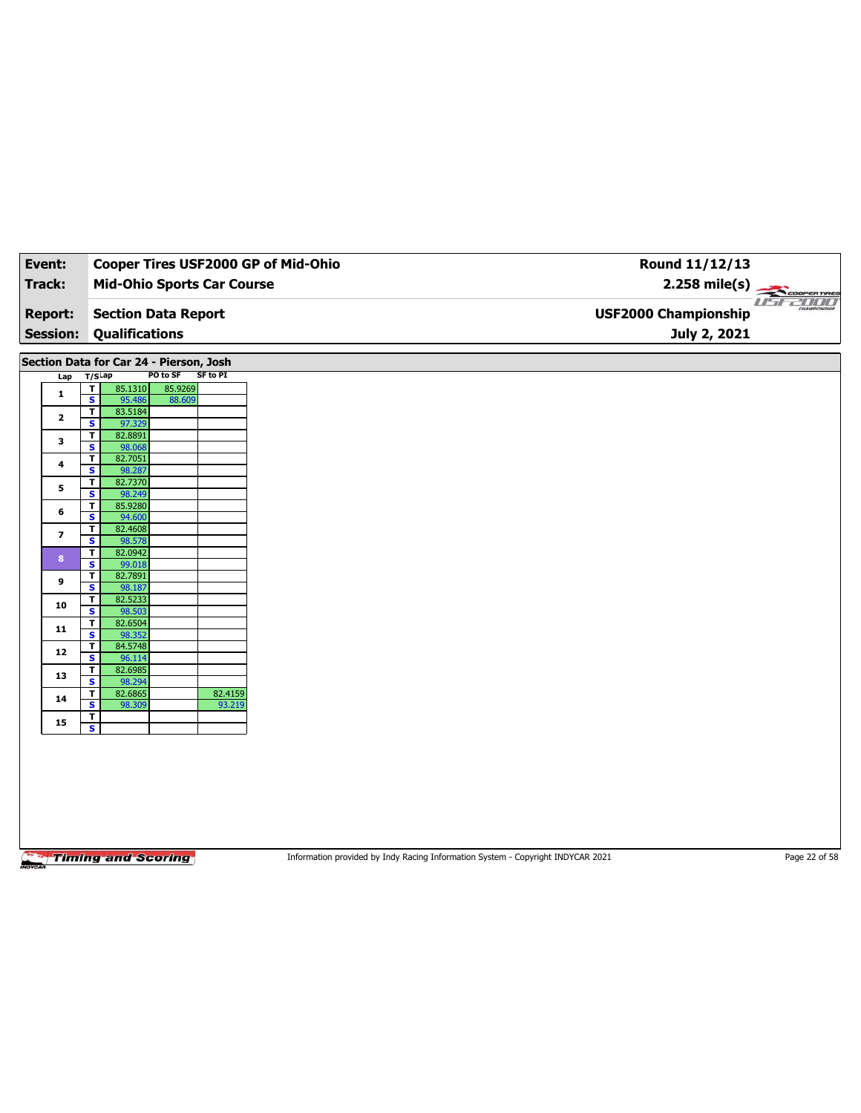|                         |                                         |                       |                                         | Cooper Tires USF2000 GP of Mid-Ohio | Round 11/12/13              |
|-------------------------|-----------------------------------------|-----------------------|-----------------------------------------|-------------------------------------|-----------------------------|
| Track:                  |                                         |                       | <b>Mid-Ohio Sports Car Course</b>       |                                     | $2.258 \text{ mile(s)}$     |
|                         |                                         |                       |                                         |                                     |                             |
| <b>Report:</b>          |                                         |                       | <b>Section Data Report</b>              |                                     | <b>USF2000 Championship</b> |
| <b>Session:</b>         |                                         | <b>Qualifications</b> |                                         |                                     | July 2, 2021                |
|                         |                                         |                       |                                         |                                     |                             |
|                         |                                         |                       | Section Data for Car 24 - Pierson, Josh |                                     |                             |
| Lap                     | $T/S$ Lap                               |                       | PO to SF<br><b>SF to PI</b>             |                                     |                             |
| 1                       | T                                       | 85.1310               | 85.9269                                 |                                     |                             |
|                         | $\overline{\mathbf{s}}$                 | 95.486                | 88.609                                  |                                     |                             |
| $\mathbf{2}$            | $\mathbf{T}$                            | 83.5184               |                                         |                                     |                             |
|                         | s                                       | 97.329                |                                         |                                     |                             |
| 3                       | T<br>$\overline{\mathbf{s}}$            | 82.8891<br>98.068     |                                         |                                     |                             |
|                         | T                                       | 82.7051               |                                         |                                     |                             |
| 4                       | $\overline{\mathbf{s}}$                 | 98.287                |                                         |                                     |                             |
| 5                       | T                                       | 82.7370               |                                         |                                     |                             |
|                         | s                                       | 98.249                |                                         |                                     |                             |
| 6                       | $\mathbf{T}$                            | 85.9280               |                                         |                                     |                             |
|                         | S                                       | 94.600                |                                         |                                     |                             |
| $\overline{\mathbf{z}}$ | T.<br>$\overline{\mathbf{s}}$           | 82.4608<br>98.578     |                                         |                                     |                             |
|                         | T                                       | 82.0942               |                                         |                                     |                             |
| 8 <sub>1</sub>          | $\mathbf{s}$                            | 99.018                |                                         |                                     |                             |
|                         | T                                       | 82.7891               |                                         |                                     |                             |
| 9                       | $\mathbf{s}$                            | 98.187                |                                         |                                     |                             |
| 10                      | T.                                      | 82.5233               |                                         |                                     |                             |
|                         | s                                       | 98.503                |                                         |                                     |                             |
| 11                      | T<br>$\overline{\mathbf{s}}$            | 82.6504<br>98.352     |                                         |                                     |                             |
|                         | T.                                      | 84.5748               |                                         |                                     |                             |
| 12                      | $\overline{\mathbf{s}}$                 | 96.114                |                                         |                                     |                             |
| 13                      | T                                       | 82.6985               |                                         |                                     |                             |
|                         | s                                       | 98.294                |                                         |                                     |                             |
| 14                      | T                                       | 82.6865               | 82.4159                                 |                                     |                             |
|                         | s                                       | 98.309                |                                         | 93.219                              |                             |
| 15                      | $\mathbf{T}$<br>$\overline{\mathbf{s}}$ |                       |                                         |                                     |                             |
|                         |                                         |                       |                                         |                                     |                             |

Information provided by Indy Racing Information System - Copyright INDYCAR 2021 Page 22 of 58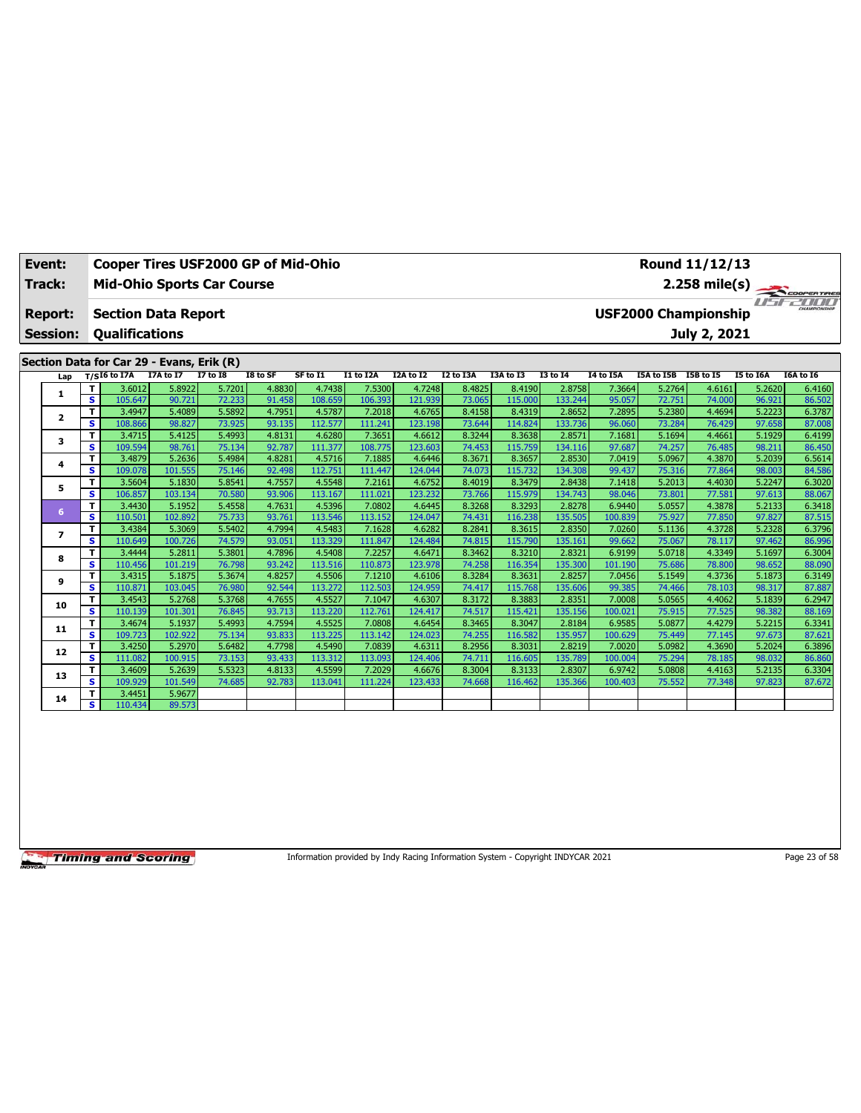| Event:                            |                          |                                                     |                   |                  | Cooper Tires USF2000 GP of Mid-Ohio |                   |                   |                   |                  |                   |                   |                   |                             | Round 11/12/13   |                  |                  |
|-----------------------------------|--------------------------|-----------------------------------------------------|-------------------|------------------|-------------------------------------|-------------------|-------------------|-------------------|------------------|-------------------|-------------------|-------------------|-----------------------------|------------------|------------------|------------------|
| Track:                            |                          | <b>Mid-Ohio Sports Car Course</b>                   |                   |                  |                                     |                   |                   |                   |                  |                   |                   |                   |                             | $2.258$ mile(s)  |                  | COOPER TIRES     |
| <b>Report:</b><br><b>Session:</b> |                          | <b>Section Data Report</b><br><b>Qualifications</b> |                   |                  |                                     |                   |                   |                   |                  |                   |                   |                   | <b>USF2000 Championship</b> | July 2, 2021     |                  | useau a          |
|                                   |                          |                                                     |                   |                  |                                     |                   |                   |                   |                  |                   |                   |                   |                             |                  |                  |                  |
|                                   |                          | Section Data for Car 29 - Evans, Erik (R)           |                   |                  |                                     |                   |                   |                   |                  |                   |                   |                   |                             |                  |                  |                  |
| Lap                               |                          | $T/SI6$ to I7A                                      | <b>I7A to I7</b>  | $I7$ to $I8$     | I8 to SF                            | SF to I1          | <b>I1 to I2A</b>  | I2A to I2         | I2 to I3A        | I3A to I3         | <b>I3 to 14</b>   | <b>I4 to I5A</b>  | I5A to I5B                  | <b>I5B</b> to I5 | <b>I5 to I6A</b> | I6A to I6        |
|                                   | T                        | 3.6012                                              | 5.8922            | 5.7201           | 4.8830                              | 4.7438            | 7.5300            | 4.7248            | 8.4825           | 8.4190            | 2.8758            | 7.3664            | 5.2764                      | 4.6161           | 5.2620           | 6.4160           |
| 1                                 | S                        | 105.647                                             | 90.721            | 72.233           | 91.458                              | 108.659           | 106.393           | 121.939           | 73.065           | 115.000           | 133.244           | 95.057            | 72.751                      | 74.000           | 96.921           | 86.502           |
|                                   | $\mathbf{T}$             | 3.4947                                              | 5.4089            | 5.5892           | 4.7951                              | 4.5787            | 7.2018            | 4.6765            | 8.4158           | 8.4319            | 2.8652            | 7.2895            | 5.2380                      | 4.4694           | 5.2223           | 6.3787           |
| $\mathbf{2}$                      | $\mathbf{s}$             | 108.866                                             | 98.827            | 73.925           | 93.135                              | 112.577           | 111.241           | 123.198           | 73.644           | 114.824           | 133.736           | 96.060            | 73.284                      | 76.429           | 97.658           | 87.008           |
|                                   | $\mathbf{T}$             | 3.4715                                              | 5.4125            | 5.4993           | 4.8131                              | 4.6280            | 7.3651            | 4.6612            | 8.3244           | 8.3638            | 2.8571            | 7.1681            | 5.1694                      | 4.4661           | 5.1929           | 6.4199           |
| 3                                 | $\mathbf{s}$             | 109.594                                             | 98.761            | 75.134           | 92.787                              | 111.377           | 108.775           | 123.603           | 74.453           | 115,759           | 134.116           | 97.687            | 74.257                      | 76.485           | 98.211           | 86.450           |
| 4                                 | T                        | 3.4879                                              | 5.2636            | 5.4984           | 4.8281                              | 4.5716            | 7.1885            | 4.6446            | 8.3671           | 8.3657            | 2.8530            | 7.0419            | 5.0967                      | 4.3870           | 5.2039           | 6.5614           |
|                                   | <b>S</b>                 | 109.078                                             | 101.555           | 75.146           | 92.498                              | 112.751           | 111.447           | 124.044           | 74.073           | 115.732           | 134.308           | 99.437            | 75.316                      | 77.864           | 98.003           | 84.586           |
| 5                                 | T                        | 3.5604                                              | 5.1830            | 5.8541           | 4.7557                              | 4.5548            | 7.2161            | 4.6752            | 8.4019           | 8.3479            | 2.8438            | 7.1418            | 5.2013                      | 4.4030           | 5.2247           | 6.3020           |
|                                   | <b>S</b>                 | 106.857                                             | 103.134           | 70.580           | 93.906                              | 113.167           | 111.021           | 123.232           | 73.766           | 115.979           | 134.743           | 98.046            | 73.801                      | 77.581           | 97.613           | 88.067           |
| 6                                 | $\mathbf{T}$             | 3.4430                                              | 5.1952            | 5.4558           | 4.7631                              | 4.5396            | 7.0802            | 4.6445            | 8.3268           | 8.3293            | 2.8278            | 6.9440            | 5.0557                      | 4.3878           | 5.2133           | 6.3418           |
|                                   | <b>S</b>                 | 110.501                                             | 102.892           | 75.733           | 93.761                              | 113.546           | 113.152           | 124.047           | 74.431           | 116.238           | 135.505           | 100.839           | 75.927                      | 77.850           | 97.827           | 87.515           |
| $\overline{ }$                    | $\mathbf{T}$             | 3.4384                                              | 5.3069            | 5.5402           | 4.7994                              | 4.5483            | 7.1628            | 4.6282            | 8.2841           | 8.3615            | 2.8350            | 7.0260            | 5.1136                      | 4.3728           | 5.2328           | 6.3796           |
|                                   | <b>S</b>                 | 110.649                                             | 100.726           | 74.579           | 93.051                              | 113.329           | 111.847           | 124.484           | 74.815           | 115,790           | 135.161           | 99.662            | 75.067                      | 78.117           | 97.462           | 86.996           |
| 8                                 | T                        | 3.4444                                              | 5.2811            | 5.3801           | 4.7896                              | 4.5408            | 7.2257            | 4.6471            | 8.3462           | 8.3210            | 2.8321            | 6.9199            | 5.0718                      | 4.3349           | 5.1697           | 6.3004           |
|                                   | <b>S</b>                 | 110.456                                             | 101.219           | 76.798           | 93.242                              | 113.516           | 110.873           | 123.978           | 74.258           | 116.354           | 135.300           | 101.190           | 75.686                      | 78.800           | 98.652           | 88.090           |
| 9                                 | T                        | 3.4315                                              | 5.1875            | 5.3674           | 4.8257                              | 4.5506            | 7.1210            | 4.6106            | 8.3284           | 8.3631            | 2.8257            | 7.0456            | 5.1549                      | 4.3736           | 5.1873           | 6.3149           |
|                                   | $\overline{\mathbf{s}}$  | 110.871                                             | 103.045           | 76.980           | 92.544                              | 113.272           | 112.503           | 124.959           | 74.417           | 115.768           | 135.606           | 99.385            | 74.466                      | 78.103           | 98.317           | 87.887           |
| 10                                | T                        | 3.4543                                              | 5.2768            | 5.3768           | 4.7655                              | 4.5527            | 7.1047            | 4.6307            | 8.3172           | 8.3883            | 2.8351            | 7.0008            | 5.0565                      | 4.4062           | 5.1839           | 6.2947           |
|                                   | <b>S</b><br>$\mathbf{T}$ | 110.139                                             | 101.301           | 76.845           | 93.713<br>4.7594                    | 113.220           | 112.761           | 124.417           | 74.517           | 115.421           | 135.156           | 100.021           | 75.915                      | 77.525           | 98.382           | 88.169           |
| 11                                | $\mathbf{s}$             | 3.4674<br>109.723                                   | 5.1937            | 5.4993<br>75.134 | 93.833                              | 4.5525<br>113.225 | 7.0808            | 4.6454<br>124.023 | 8.3465<br>74.255 | 8.3047<br>116.582 | 2.8184            | 6.9585<br>100.629 | 5.0877                      | 4.4279           | 5.2215           | 6.3341<br>87.621 |
|                                   | $\mathbf{T}$             | 3.4250                                              | 102.922<br>5.2970 | 5.6482           | 4.7798                              | 4.5490            | 113.142<br>7.0839 | 4.6311            | 8.2956           | 8.3031            | 135.957<br>2.8219 | 7.0020            | 75.449<br>5.0982            | 77.145<br>4.3690 | 97.673<br>5.2024 | 6.3896           |
| 12                                | <b>S</b>                 | 111.082                                             | 100.915           | 73.153           | 93.433                              | 113.312           | 113.093           | 124.406           | 74.711           | 116.605           | 135.789           | 100.004           | 75.294                      | 78.185           | 98.032           | 86.860           |
|                                   | T                        | 3.4609                                              | 5.2639            | 5.5323           | 4.8133                              | 4.5599            | 7.2029            | 4.6676            | 8.3004           | 8.3133            | 2.8307            | 6.9742            | 5.0808                      | 4.4163           | 5.2135           | 6.3304           |
| 13                                | $\mathbf{s}$             | 109.929                                             | 101.549           | 74.685           | 92.783                              | 113.041           | 111.224           | 123.433           | 74.668           | 116.462           | 135.366           | 100.403           | 75.552                      | 77.348           | 97.823           | 87.672           |
|                                   | т                        | 3.4451                                              | 5.9677            |                  |                                     |                   |                   |                   |                  |                   |                   |                   |                             |                  |                  |                  |
| 14                                | s.                       | 110.434                                             | 89.573            |                  |                                     |                   |                   |                   |                  |                   |                   |                   |                             |                  |                  |                  |
|                                   |                          |                                                     |                   |                  |                                     |                   |                   |                   |                  |                   |                   |                   |                             |                  |                  |                  |

Information provided by Indy Racing Information System - Copyright INDYCAR 2021 Page 23 of 58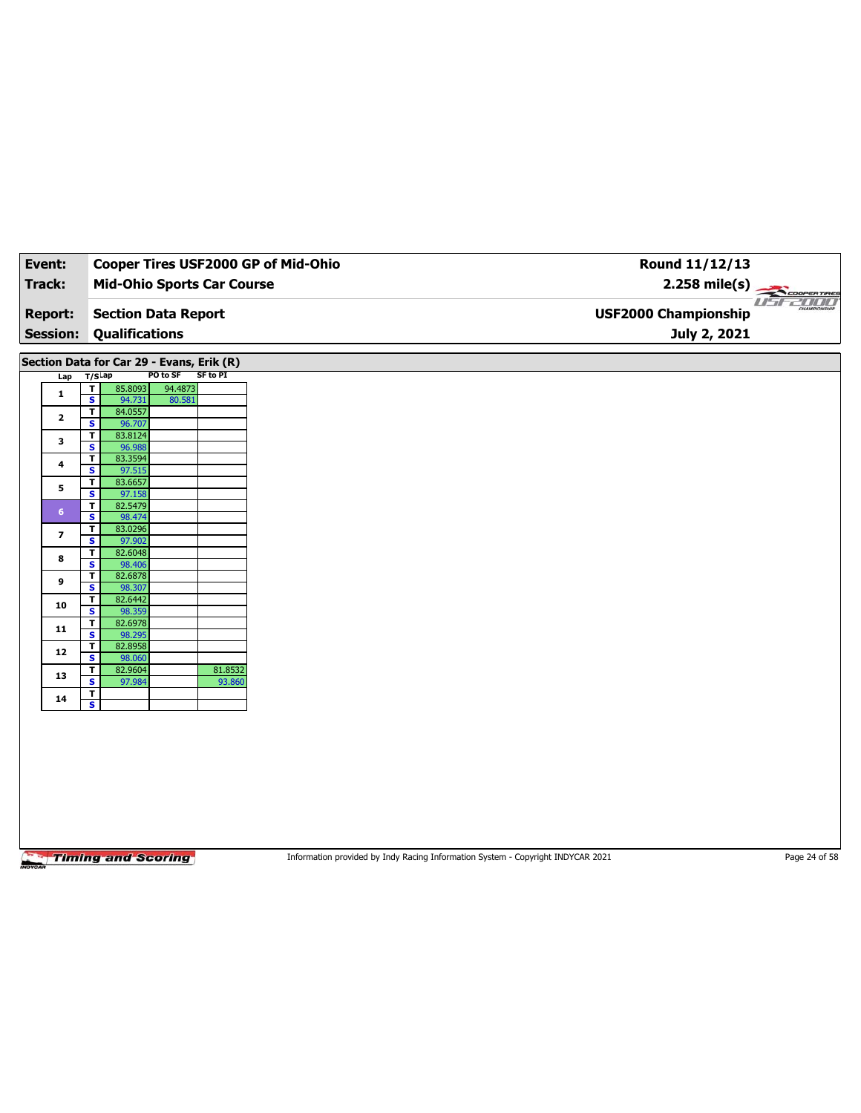| Event:                   |                                                    |                   |                                           |                 | Cooper Tires USF2000 GP of Mid-Ohio | Round 11/12/13  |
|--------------------------|----------------------------------------------------|-------------------|-------------------------------------------|-----------------|-------------------------------------|-----------------|
| <b>Track:</b>            |                                                    |                   | <b>Mid-Ohio Sports Car Course</b>         |                 |                                     | $2.258$ mile(s) |
| <b>Report:</b>           |                                                    |                   | <b>Section Data Report</b>                |                 | <b>USF2000 Championship</b>         |                 |
|                          |                                                    |                   |                                           |                 |                                     |                 |
| <b>Session:</b>          |                                                    |                   | <b>Qualifications</b>                     |                 |                                     | July 2, 2021    |
|                          |                                                    |                   | Section Data for Car 29 - Evans, Erik (R) |                 |                                     |                 |
| Lap                      | T/SLap                                             |                   | PO to SF                                  | <b>SF to PI</b> |                                     |                 |
| $\mathbf{1}$             | $\overline{I}$                                     | 85.8093           | 94.4873                                   |                 |                                     |                 |
|                          | $\overline{\mathbf{s}}$                            | 94.731<br>84.0557 | 80.581                                    |                 |                                     |                 |
| $\mathbf{2}$             | $\overline{\mathbf{r}}$<br>$\overline{\mathbf{s}}$ | 96.707            |                                           |                 |                                     |                 |
|                          | $\overline{\mathbf{r}}$                            | 83.8124           |                                           |                 |                                     |                 |
| 3                        | $\overline{\mathbf{s}}$                            | 96.988            |                                           |                 |                                     |                 |
|                          | $\overline{\mathbf{r}}$                            | 83.3594           |                                           |                 |                                     |                 |
| 4                        | $\mathbf{s}$                                       | 97.515            |                                           |                 |                                     |                 |
| 5                        | $\mathbf{T}$                                       | 83.6657           |                                           |                 |                                     |                 |
|                          | $\overline{\mathbf{s}}$                            | 97.158            |                                           |                 |                                     |                 |
| 6 <sup>1</sup>           | $\overline{\mathbf{r}}$                            | 82.5479           |                                           |                 |                                     |                 |
|                          | $\mathbf{s}$                                       | 98.474            |                                           |                 |                                     |                 |
| $\overline{\phantom{a}}$ | $\mathbf{T}$                                       | 83.0296           |                                           |                 |                                     |                 |
|                          | $\overline{\mathbf{s}}$                            | 97.902            |                                           |                 |                                     |                 |
| 8                        | T<br>$\mathbf{s}$                                  | 82.6048<br>98.406 |                                           |                 |                                     |                 |
|                          | $\mathbf{T}$                                       | 82.6878           |                                           |                 |                                     |                 |
| 9                        | $\overline{\mathbf{s}}$                            | 98.307            |                                           |                 |                                     |                 |
|                          | T                                                  | 82.6442           |                                           |                 |                                     |                 |
| 10                       | S                                                  | 98.359            |                                           |                 |                                     |                 |
|                          | $\mathbf{T}$                                       | 82.6978           |                                           |                 |                                     |                 |
| 11                       | $\overline{\mathbf{s}}$                            | 98.295            |                                           |                 |                                     |                 |
| ${\bf 12}$               | T.                                                 | 82.8958           |                                           |                 |                                     |                 |
|                          | $\mathbf{s}$                                       | 98.060            |                                           |                 |                                     |                 |
| 13                       | T                                                  | 82.9604           |                                           | 81.8532         |                                     |                 |
|                          | $\overline{\mathbf{s}}$                            | 97.984            |                                           | 93.860          |                                     |                 |
| ${\bf 14}$               | $\mathbf{I}$<br>$\overline{\mathbf{s}}$            |                   |                                           |                 |                                     |                 |
|                          |                                                    |                   |                                           |                 |                                     |                 |

Information provided by Indy Racing Information System - Copyright INDYCAR 2021 Page 24 of 58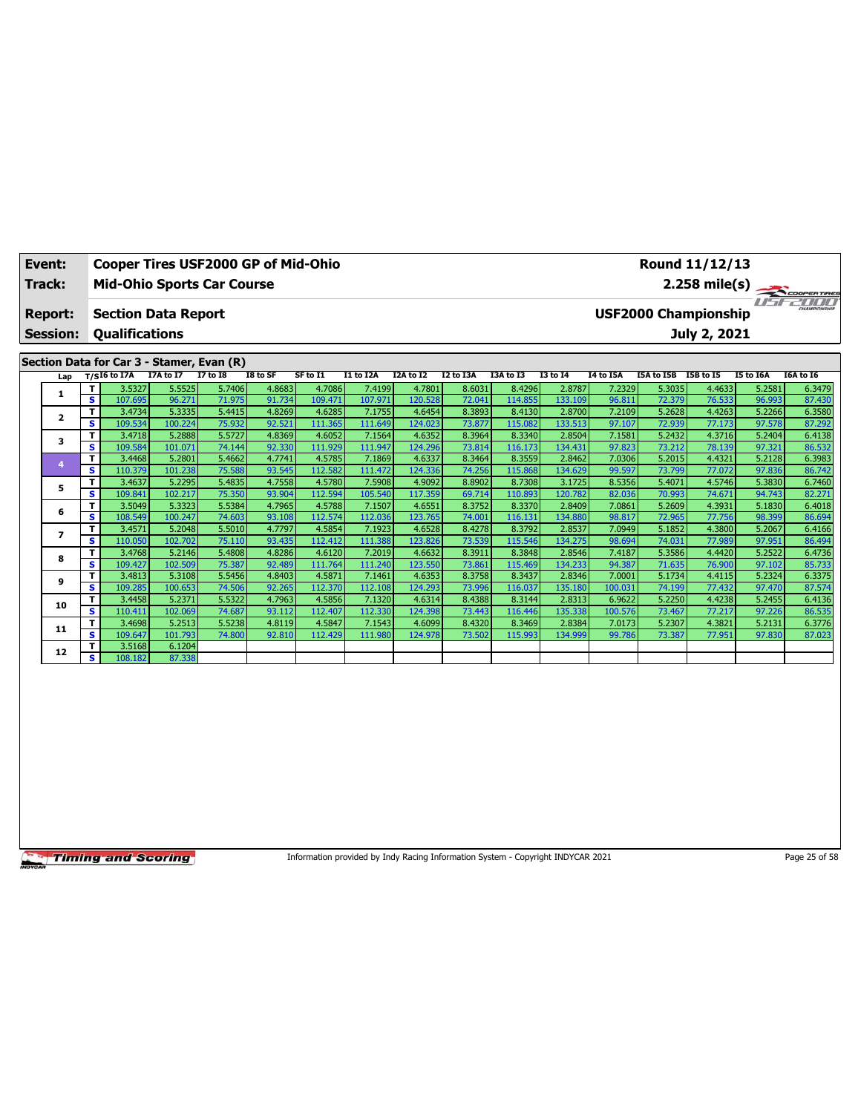| Event:                            |                          | Cooper Tires USF2000 GP of Mid-Ohio                 |                   |                  |                  |                   |                   |                   |                  |                   |                   |                   | Round 11/12/13              |                  |                  |                         |
|-----------------------------------|--------------------------|-----------------------------------------------------|-------------------|------------------|------------------|-------------------|-------------------|-------------------|------------------|-------------------|-------------------|-------------------|-----------------------------|------------------|------------------|-------------------------|
| Track:                            |                          | <b>Mid-Ohio Sports Car Course</b>                   |                   |                  |                  |                   |                   |                   |                  |                   |                   |                   |                             |                  |                  | $2.258 \text{ mile(s)}$ |
| <b>Report:</b><br><b>Session:</b> |                          | <b>Section Data Report</b><br><b>Qualifications</b> |                   |                  |                  |                   |                   |                   |                  |                   |                   |                   | <b>USF2000 Championship</b> | July 2, 2021     |                  | CHAMPSONSHIP            |
|                                   |                          | Section Data for Car 3 - Stamer, Evan (R)           |                   |                  |                  |                   |                   |                   |                  |                   |                   |                   |                             |                  |                  |                         |
| Lap                               |                          | $T/SI6$ to I7A                                      | I7A to I7         | I7t0I8           | I8 to SF         | SF to I1          | <b>I1 to I2A</b>  | $I2A$ to $I2$     | I2 to I3A        | I3A to I3         | <b>I3 to 14</b>   | I4 to I5A         | I5A to I5B I5B to I5        |                  | I5 to I6A        | <b>I6A to 16</b>        |
|                                   | T                        | 3.5327                                              | 5.5525            | 5.7406           | 4.8683           | 4.7086            | 7.4199            | 4.7801            | 8.6031           | 8.4296            | 2.8787            | 7.2329            | 5.3035                      | 4.4633           | 5.2581           | 6.3479                  |
| 1                                 | s.                       | 107.695                                             | 96.271            | 71.975           | 91.734           | 109.471           | 107.971           | 120.528           | 72.041           | 114.855           | 133.109           | 96.811            | 72.379                      | 76.533           | 96.993           | 87.430                  |
|                                   | $\mathbf{T}$             | 3.4734                                              | 5.3335            | 5.4415           | 4.8269           | 4.6285            | 7.1755            | 4.6454            | 8.3893           | 8.4130            | 2.8700            | 7.2109            | 5.2628                      | 4.4263           | 5.2266           | 6.3580                  |
| 2                                 | <b>S</b>                 | 109.534                                             | 100.224           | 75.932           | 92.521           | 111.365           | 111.649           | 124.023           | 73.877           | 115.082           | 133.513           | 97.107            | 72.939                      | 77.173           | 97.578           | 87.292                  |
|                                   | $\mathbf{T}$             | 3.4718                                              | 5.2888            | 5.5727           | 4.8369           | 4.6052            | 7.1564            | 4.6352            | 8.3964           | 8.3340            | 2.8504            | 7.1581            | 5.2432                      | 4.3716           | 5.2404           | 6.4138                  |
| 3                                 | $\mathbf{s}$             | 109.584                                             | 101.071           | 74.144           | 92.330           | 111.929           | 111.947           | 124.296           | 73.814           | 116.173           | 134.431           | 97.823            | 73.212                      | 78.139           | 97.321           | 86.532                  |
| 4                                 | $\mathbf{T}$             | 3.4468                                              | 5.2801            | 5.4662           | 4.7741           | 4.5785            | 7.1869            | 4.6337            | 8.3464           | 8.3559            | 2.8462            | 7.0306            | 5.2015                      | 4.4321           | 5.2128           | 6.3983                  |
|                                   | <b>S</b>                 | 110.379                                             | 101.238           | 75.588           | 93.545           | 112.582           | 111.472           | 124.336           | 74.256           | 115.868           | 134.629           | 99.597            | 73.799                      | 77.072           | 97.836           | 86.742                  |
| 5                                 | $\mathbf{T}$             | 3.4637                                              | 5.2295            | 5.4835           | 4.7558           | 4.5780            | 7.5908            | 4.9092            | 8.8902           | 8.7308            | 3.1725            | 8.5356            | 5.4071                      | 4.5746           | 5.3830           | 6.7460                  |
|                                   | <b>S</b>                 | 109.841                                             | 102.217           | 75.350           | 93.904           | 112.594           | 105.540           | 117.359           | 69.714           | 110.893           | 120.782           | 82.036            | 70.993                      | 74.671           | 94.743           | 82.271                  |
| 6                                 | т                        | 3.5049                                              | 5.3323            | 5.5384           | 4.7965           | 4.5788            | 7.1507            | 4.6551            | 8.3752           | 8.3370            | 2.8409            | 7.0861            | 5.2609                      | 4.3931           | 5.1830           | 6.4018                  |
|                                   | <b>S</b>                 | 108.549                                             | 100.247           | 74.603           | 93.108           | 112.574           | 112.036           | 123.765           | 74.001           | 116.131           | 134.880           | 98.817            | 72.965                      | 77.756           | 98.399           | 86.694                  |
| $\overline{ }$                    | т                        | 3.4571                                              | 5.2048            | 5.5010           | 4.7797           | 4.5854            | 7.1923            | 4.6528            | 8.4278           | 8.3792            | 2.8537            | 7.0949            | 5.1852                      | 4.3800           | 5.2067           | 6.4166                  |
|                                   | <b>S</b>                 | 110.050                                             | 102.702           | 75.110           | 93.435           | 112.412           | 111.388           | 123.826           | 73.539           | 115.546           | 134.275           | 98.694            | 74.031                      | 77.989           | 97.951           | 86.494                  |
| 8                                 | $\mathbf{T}$             | 3.4768                                              | 5.2146            | 5.4808           | 4.8286           | 4.6120            | 7.2019            | 4.6632            | 8.3911           | 8.3848            | 2.8546            | 7.4187            | 5.3586                      | 4.4420           | 5.2522           | 6.4736                  |
|                                   | s                        | 109.427                                             | 102.509           | 75.387           | 92.489           | 111.764           | 111.240           | 123.550           | 73.861           | 115.469           | 134.233           | 94.387            | 71.635                      | 76,900           | 97.102           | 85.733                  |
| 9                                 | T                        | 3.4813                                              | 5.3108            | 5.5456           | 4.8403           | 4.5871            | 7.1461            | 4.6353            | 8.3758           | 8.3437            | 2.8346            | 7.0001            | 5.1734                      | 4.4115           | 5.2324           | 6.3375                  |
|                                   | <b>S</b><br>$\mathbf{T}$ | 109.285<br>3.4458                                   | 100.653           | 74.506<br>5.5322 | 92.265<br>4.7963 | 112.370<br>4.5856 | 112.108<br>7.1320 | 124.293<br>4.6314 | 73.996<br>8.4388 | 116.037<br>8.3144 | 135.180<br>2.8313 | 100.031           | 74.199<br>5.2250            | 77.432<br>4.4238 | 97.470<br>5.2455 | 87.574                  |
| 10                                | <b>S</b>                 | 110.411                                             | 5.2371<br>102.069 | 74.687           | 93.112           | 112.407           | 112.330           | 124.398           | 73.443           | 116.446           | 135.338           | 6.9622<br>100.576 | 73.467                      | 77.217           | 97.226           | 6.4136<br>86.535        |
|                                   | T                        | 3.4698                                              | 5.2513            | 5.5238           | 4.8119           | 4.5847            | 7.1543            | 4.6099            | 8.4320           | 8.3469            | 2.8384            | 7.0173            | 5.2307                      | 4.3821           | 5.2131           | 6.3776                  |
| 11                                | <b>S</b>                 | 109.647                                             | 101.793           | 74.800           | 92.810           | 112.429           | 111.980           | 124.978           | 73.502           | 115.993           | 134.999           | 99.786            | 73.387                      | 77.951           | 97.830           | 87.023                  |
|                                   | т                        | 3.5168                                              | 6.1204            |                  |                  |                   |                   |                   |                  |                   |                   |                   |                             |                  |                  |                         |
| 12                                | s                        | 108.182                                             | 87.338            |                  |                  |                   |                   |                   |                  |                   |                   |                   |                             |                  |                  |                         |

Information provided by Indy Racing Information System - Copyright INDYCAR 2021 Page 25 of 58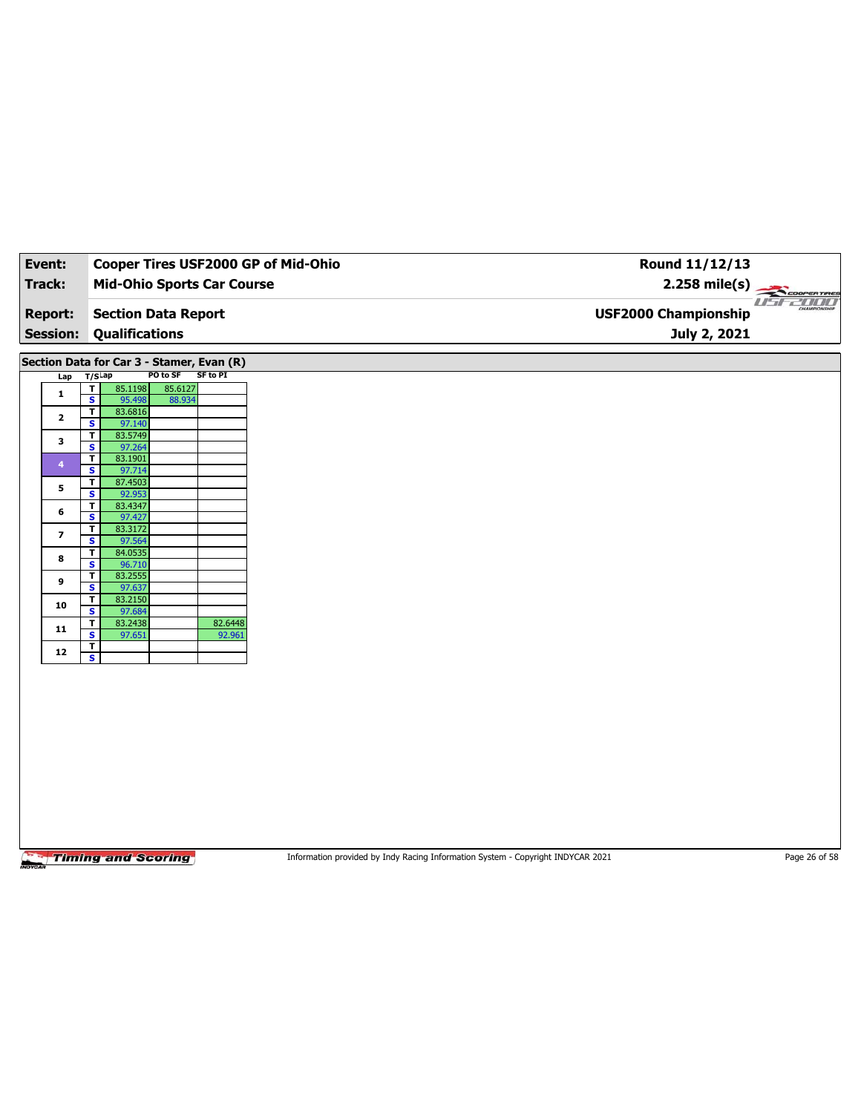|                         |                                        |                                           |                                   | Cooper Tires USF2000 GP of Mid-Ohio | Round 11/12/13              |
|-------------------------|----------------------------------------|-------------------------------------------|-----------------------------------|-------------------------------------|-----------------------------|
| Track:                  |                                        |                                           | <b>Mid-Ohio Sports Car Course</b> |                                     | $2.258$ mile(s)             |
| <b>Report:</b>          |                                        | <b>Section Data Report</b>                |                                   |                                     | <b>USF2000 Championship</b> |
|                         |                                        |                                           |                                   |                                     |                             |
| <b>Session:</b>         |                                        | <b>Qualifications</b>                     |                                   |                                     | July 2, 2021                |
|                         |                                        | Section Data for Car 3 - Stamer, Evan (R) |                                   |                                     |                             |
| Lap                     | T/SLap                                 | PO to SF                                  | <b>SF to PI</b>                   |                                     |                             |
| $\mathbf 1$             | $\overline{\mathbf{r}}$                | 85.1198<br>85.6127                        |                                   |                                     |                             |
|                         | $\overline{\mathbf{s}}$                | 95.498<br>88.934<br>83.6816               |                                   |                                     |                             |
| $\mathbf{2}$            | $\mathbf T$<br>$\overline{\mathbf{s}}$ | 97.140                                    |                                   |                                     |                             |
|                         | $\mathbf T$                            | 83.5749                                   |                                   |                                     |                             |
| 3                       | $\overline{\mathbf{s}}$                | 97.264                                    |                                   |                                     |                             |
|                         | $\overline{\mathbf{r}}$                | 83.1901                                   |                                   |                                     |                             |
| $\overline{\mathbf{4}}$ | $\mathbf{s}$                           | 97.714                                    |                                   |                                     |                             |
| 5                       | T.                                     | 87.4503                                   |                                   |                                     |                             |
|                         | $\overline{\mathbf{s}}$                | 92.953                                    |                                   |                                     |                             |
| $\bf 6$                 | T                                      | 83.4347                                   |                                   |                                     |                             |
|                         | S                                      | 97.427                                    |                                   |                                     |                             |
| $\overline{\mathbf{z}}$ | T                                      | 83.3172                                   |                                   |                                     |                             |
|                         | s                                      | 97.564                                    |                                   |                                     |                             |
| 8                       | T                                      | 84.0535                                   |                                   |                                     |                             |
|                         | S                                      | 96.710<br>83.2555                         |                                   |                                     |                             |
| 9                       | T<br>$\overline{\mathbf{s}}$           | 97.637                                    |                                   |                                     |                             |
|                         | T                                      | 83.2150                                   |                                   |                                     |                             |
| 10                      | S                                      | 97.684                                    |                                   |                                     |                             |
|                         | T                                      | 83.2438                                   | 82.6448                           |                                     |                             |
| ${\bf 11}$              | $\overline{\mathbf{s}}$                | 97.651                                    | 92.961                            |                                     |                             |
| 12                      | Η                                      |                                           |                                   |                                     |                             |
|                         | $\overline{\mathbf{s}}$                |                                           |                                   |                                     |                             |

Information provided by Indy Racing Information System - Copyright INDYCAR 2021 Page 26 of 58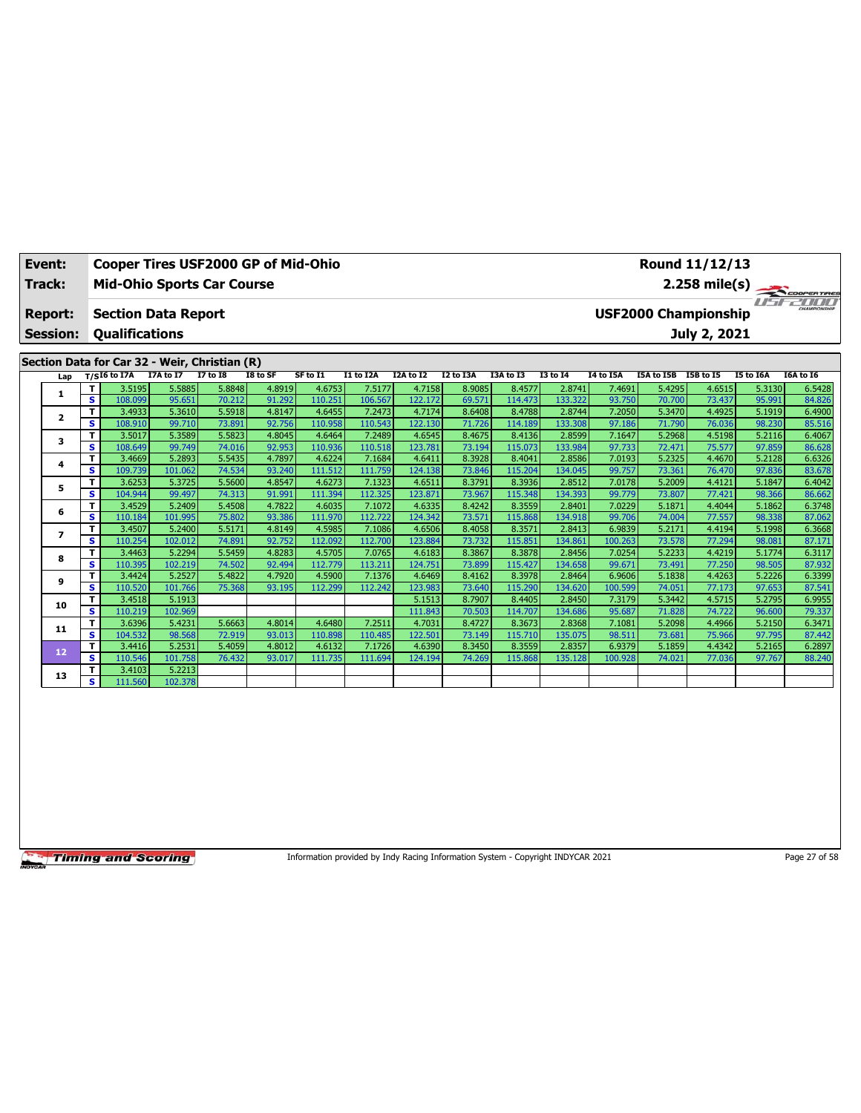| Event:          |                         | Cooper Tires USF2000 GP of Mid-Ohio           |                  |                  |                  |                   |                   |                   |                  |                   |                   |                  |                             | Round 11/12/13   |                  |                         |
|-----------------|-------------------------|-----------------------------------------------|------------------|------------------|------------------|-------------------|-------------------|-------------------|------------------|-------------------|-------------------|------------------|-----------------------------|------------------|------------------|-------------------------|
| Track:          |                         | <b>Mid-Ohio Sports Car Course</b>             |                  |                  |                  |                   |                   |                   |                  |                   |                   |                  |                             |                  |                  | $2.258 \text{ mile(s)}$ |
| <b>Report:</b>  |                         | <b>Section Data Report</b>                    |                  |                  |                  |                   |                   |                   |                  |                   |                   |                  | <b>USF2000 Championship</b> |                  | $H^*H^-$         | CHAMPIONSHIP            |
| <b>Session:</b> |                         | <b>Qualifications</b>                         |                  |                  |                  |                   |                   |                   |                  |                   |                   |                  |                             | July 2, 2021     |                  |                         |
|                 |                         | Section Data for Car 32 - Weir, Christian (R) |                  |                  |                  |                   |                   |                   |                  |                   |                   |                  |                             |                  |                  |                         |
| Lap             |                         | $T/SI6$ to I7A                                | I7A to I7        | $I7$ to $I8$     | I8 to SF         | SF to I1          | I1 to I2A         | I2A to I2         | I2 to I3A        | I3A to I3         | <b>I3 to 14</b>   | I4 to I5A        | I5A to I5B                  | <b>I5B</b> to I5 | I5 to I6A        | I6A to I6               |
|                 | T                       | 3.5195                                        | 5.5885           | 5.8848           | 4.8919           | 4.6753            | 7.5177            | 4.7158            | 8.9085           | 8.4577            | 2.8741            | 7.4691           | 5.4295                      | 4.6515           | 5.3130           | 6.5428                  |
| 1               | $\overline{\mathbf{s}}$ | 108.099                                       | 95.651           | 70.212           | 91.292           | 110.251           | 106.567           | 122.172           | 69.571           | 114.473           | 133.322           | 93.750           | 70.700                      | 73.437           | 95.991           | 84.826                  |
| $\mathbf{2}$    | т                       | 3.4933                                        | 5.3610           | 5.5918           | 4.8147           | 4.6455            | 7.2473            | 4.7174            | 8.6408           | 8.4788            | 2.8744            | 7.2050           | 5.3470                      | 4.4925           | 5.1919           | 6.4900                  |
|                 | s                       | 108.910                                       | 99.710           | 73.891           | 92.756           | 110.958           | 110.543           | 122.130           | 71.726           | 114.189           | 133.308           | 97.186           | 71.790                      | 76.036           | 98.230           | 85.516                  |
| 3               | T                       | 3.5017                                        | 5.3589           | 5.5823           | 4.8045           | 4.6464            | 7.2489            | 4.6545            | 8.4675           | 8.4136            | 2.8599            | 7.1647           | 5.2968                      | 4.5198           | 5.2116           | 6.4067                  |
|                 | s                       | 108.649                                       | 99.749           | 74.016           | 92.953           | 110.936           | 110.518           | 123.781           | 73.194           | 115.073           | 133.984           | 97.733           | 72.471                      | 75.577           | 97.859           | 86.628                  |
| 4               | T                       | 3.4669                                        | 5.2893           | 5.5435           | 4.7897           | 4.6224            | 7.1684            | 4.6411            | 8.3928           | 8.4041            | 2.8586            | 7.0193           | 5.2325                      | 4.4670           | 5.2128           | 6.6326                  |
|                 | s                       | 109.739                                       | 101.062          | 74.534           | 93.240           | 111.512           | 111.759           | 124.138           | 73.846           | 115.204           | 134.045           | 99.757           | 73.361                      | 76.470           | 97.836           | 83.678                  |
| 5               | т                       | 3.6253                                        | 5.3725           | 5.5600           | 4.8547           | 4.6273            | 7.1323            | 4.6511            | 8.3791           | 8.3936            | 2.8512            | 7.0178           | 5.2009                      | 4.4121           | 5.1847           | 6.4042                  |
|                 | s                       | 104.944                                       | 99.497           | 74.313           | 91.991           | 111.394           | 112.325           | 123.871           | 73.967           | 115.348           | 134.393           | 99.779           | 73.807                      | 77.421           | 98.366           | 86.662                  |
| 6               | T                       | 3.4529                                        | 5.2409           | 5.4508           | 4.7822           | 4.6035            | 7.1072            | 4.6335            | 8.4242           | 8.3559            | 2.8401            | 7.0229           | 5.1871                      | 4.4044           | 5.1862           | 6.3748                  |
|                 | s                       | 110.184                                       | 101.995          | 75,802           | 93.386           | 111.970           | 112.722           | 124.342           | 73.571           | 115,868           | 134.918           | 99.706           | 74.004                      | 77.557           | 98.338           | 87.062                  |
| 7               | т                       | 3.4507                                        | 5.2400           | 5.5171           | 4.8149           | 4.5985            | 7.1086            | 4.6506            | 8.4058           | 8.3571            | 2.8413            | 6.9839           | 5.2171                      | 4.4194           | 5.1998           | 6.3668                  |
|                 | s                       | 110.254                                       | 102.012          | 74.891           | 92.752           | 112.092           | 112.700           | 123.884           | 73.732           | 115.851           | 134.861           | 100.263          | 73.578                      | 77.294           | 98.081           | 87.171                  |
| 8               | T                       | 3.4463                                        | 5.2294           | 5.5459           | 4.8283           | 4.5705            | 7.0765            | 4.6183            | 8.3867           | 8.3878            | 2.8456            | 7.0254           | 5.2233                      | 4.4219           | 5.1774           | 6.3117                  |
|                 | s                       | 110.395                                       | 102.219          | 74.502           | 92.494           | 112.779           | 113.211           | 124.751           | 73.899           | 115.427           | 134.658           | 99.671           | 73.491                      | 77.250           | 98.505           | 87.932                  |
| 9               | т                       | 3.4424                                        | 5.2527           | 5.4822           | 4.7920           | 4.5900            | 7.1376            | 4.6469            | 8.4162           | 8.3978            | 2.8464            | 6.9606           | 5.1838                      | 4.4263           | 5.2226           | 6.3399                  |
|                 | s                       | 110.520                                       | 101.766          | 75.368           | 93.195           | 112.299           | 112.242           | 123.983           | 73.640           | 115.290           | 134.620           | 100.599          | 74.051                      | 77.173           | 97.653           | 87.541                  |
| 10              | T<br>s                  | 3.4518<br>110.219                             | 5.1913           |                  |                  |                   |                   | 5.1513            | 8.7907           | 8.4405            | 2.8450            | 7.3179           | 5.3442                      | 4.5715           | 5.2795           | 6.9955<br>79.337        |
|                 | т                       |                                               | 102.969          |                  |                  |                   |                   | 111.843           | 70.503           | 114.707           | 134.686           | 95.687           | 71.828                      | 74.722           | 96.600           |                         |
| 11              | $\overline{\mathbf{s}}$ | 3.6396                                        | 5.4231           | 5.6663<br>72.919 | 4.8014<br>93.013 | 4.6480<br>110.898 | 7.2511<br>110.485 | 4.7031<br>122.501 | 8.4727<br>73.149 | 8.3673<br>115,710 | 2.8368            | 7.1081           | 5.2098<br>73.681            | 4.4966<br>75.966 | 5.2150<br>97.795 | 6.3471                  |
|                 | т                       | 104.532<br>3.4416                             | 98.568<br>5.2531 | 5.4059           | 4.8012           | 4.6132            | 7.1726            | 4.6390            | 8.3450           | 8.3559            | 135.075<br>2.8357 | 98.511<br>6.9379 | 5.1859                      | 4.4342           | 5.2165           | 87.442<br>6.2897        |
| 12              | s                       | 110.546                                       | 101.758          | 76.432           | 93.017           | 111.735           | 111.694           | 124.194           | 74.269           | 115,868           | 135.128           | 100.928          | 74.021                      | 77.036           | 97.767           | 88.240                  |
|                 | т                       | 3.4103                                        | 5.2213           |                  |                  |                   |                   |                   |                  |                   |                   |                  |                             |                  |                  |                         |
| 13              | s                       | 111.560                                       | 102.378          |                  |                  |                   |                   |                   |                  |                   |                   |                  |                             |                  |                  |                         |
|                 |                         |                                               |                  |                  |                  |                   |                   |                   |                  |                   |                   |                  |                             |                  |                  |                         |

Information provided by Indy Racing Information System - Copyright INDYCAR 2021 Page 27 of 58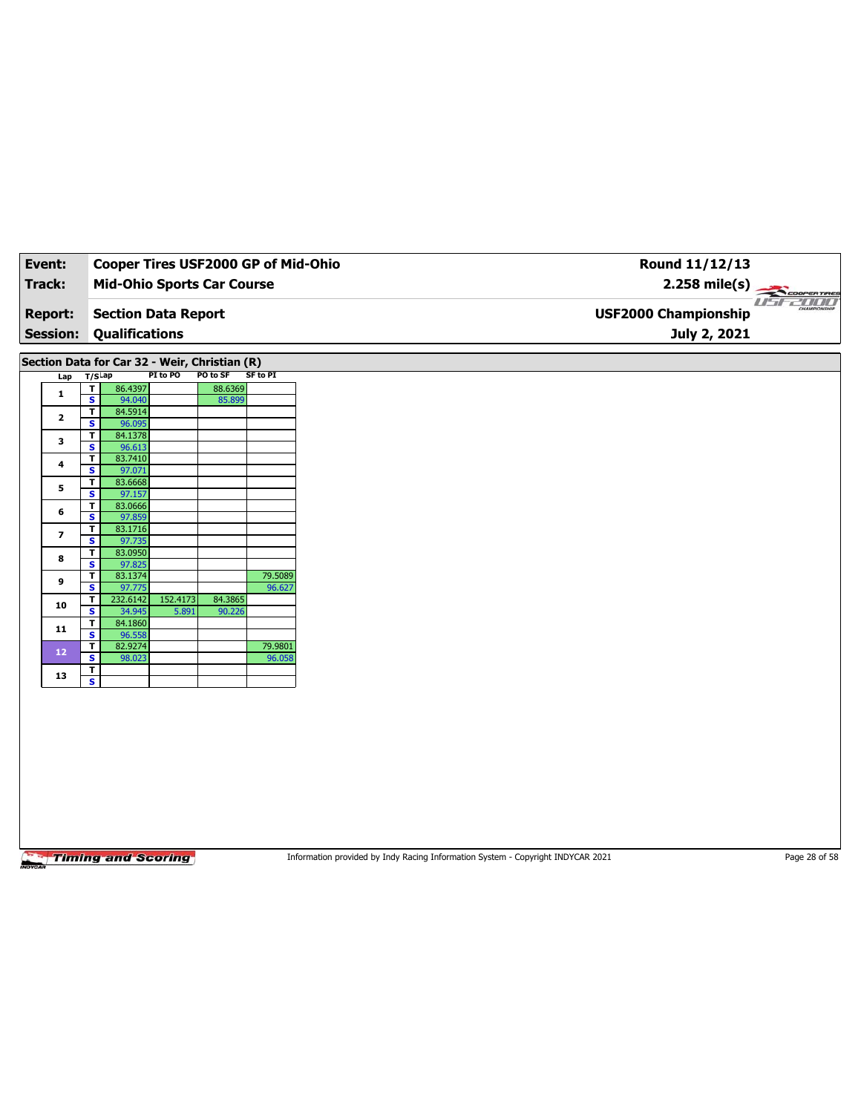|                          |                                         |                       |                            | Cooper Tires USF2000 GP of Mid-Ohio           |                 |
|--------------------------|-----------------------------------------|-----------------------|----------------------------|-----------------------------------------------|-----------------|
| Track:                   |                                         |                       |                            | <b>Mid-Ohio Sports Car Course</b>             |                 |
| <b>Report:</b>           |                                         |                       | <b>Section Data Report</b> |                                               |                 |
| <b>Session:</b>          |                                         | <b>Qualifications</b> |                            |                                               |                 |
|                          |                                         |                       |                            |                                               |                 |
|                          |                                         |                       |                            | Section Data for Car 32 - Weir, Christian (R) |                 |
| Lap                      | T/SLap                                  |                       | PI to PO                   | PO to SF                                      | <b>SF to PI</b> |
| $\mathbf{1}$             | $\overline{\mathbf{r}}$                 | 86.4397               |                            | 88.6369                                       |                 |
|                          | $\overline{\mathbf{s}}$                 | 94.040                |                            | 85.899                                        |                 |
| $\mathbf{2}$             | $\overline{\mathsf{r}}$                 | 84.5914               |                            |                                               |                 |
|                          | S                                       | 96.095                |                            |                                               |                 |
| $\mathbf{3}$             | $\mathbf T$                             | 84.1378               |                            |                                               |                 |
|                          | $\overline{\mathbf{s}}$                 | 96.613<br>83.7410     |                            |                                               |                 |
| 4                        | $\overline{\mathsf{r}}$<br>$\mathbf{s}$ | 97.071                |                            |                                               |                 |
|                          | $\overline{\mathbf{r}}$                 | 83.6668               |                            |                                               |                 |
| 5                        | $\overline{\mathbf{s}}$                 | 97.157                |                            |                                               |                 |
|                          | T                                       | 83.0666               |                            |                                               |                 |
| 6                        | S                                       | 97.859                |                            |                                               |                 |
|                          | $\overline{\mathbf{r}}$                 | 83.1716               |                            |                                               |                 |
| $\overline{\phantom{a}}$ | $\overline{\mathbf{s}}$                 | 97.735                |                            |                                               |                 |
|                          | T                                       | 83.0950               |                            |                                               |                 |
| 8                        | $\mathbf{s}$                            | 97.825                |                            |                                               |                 |
| 9                        | $\mathbf T$                             | 83.1374               |                            |                                               | 79.5089         |
|                          | $\overline{\mathbf{s}}$                 | 97.775                |                            |                                               | 96.627          |
| 10                       | $\mathbf{T}$                            | 232.6142              | 152.4173                   | 84.3865                                       |                 |
|                          | S                                       | 34.945                | 5.891                      | 90.226                                        |                 |
| ${\bf 11}$               | $\mathbf T$                             | 84.1860               |                            |                                               |                 |
|                          | $\overline{\mathbf{s}}$                 | 96.558                |                            |                                               |                 |
| 12                       | $\overline{\mathsf{r}}$<br>$\mathbf{s}$ | 82.9274<br>98.023     |                            |                                               | 79.9801         |
|                          | T                                       |                       |                            |                                               | 96.058          |
|                          |                                         |                       |                            |                                               |                 |

Information provided by Indy Racing Information System - Copyright INDYCAR 2021 Page 28 of 58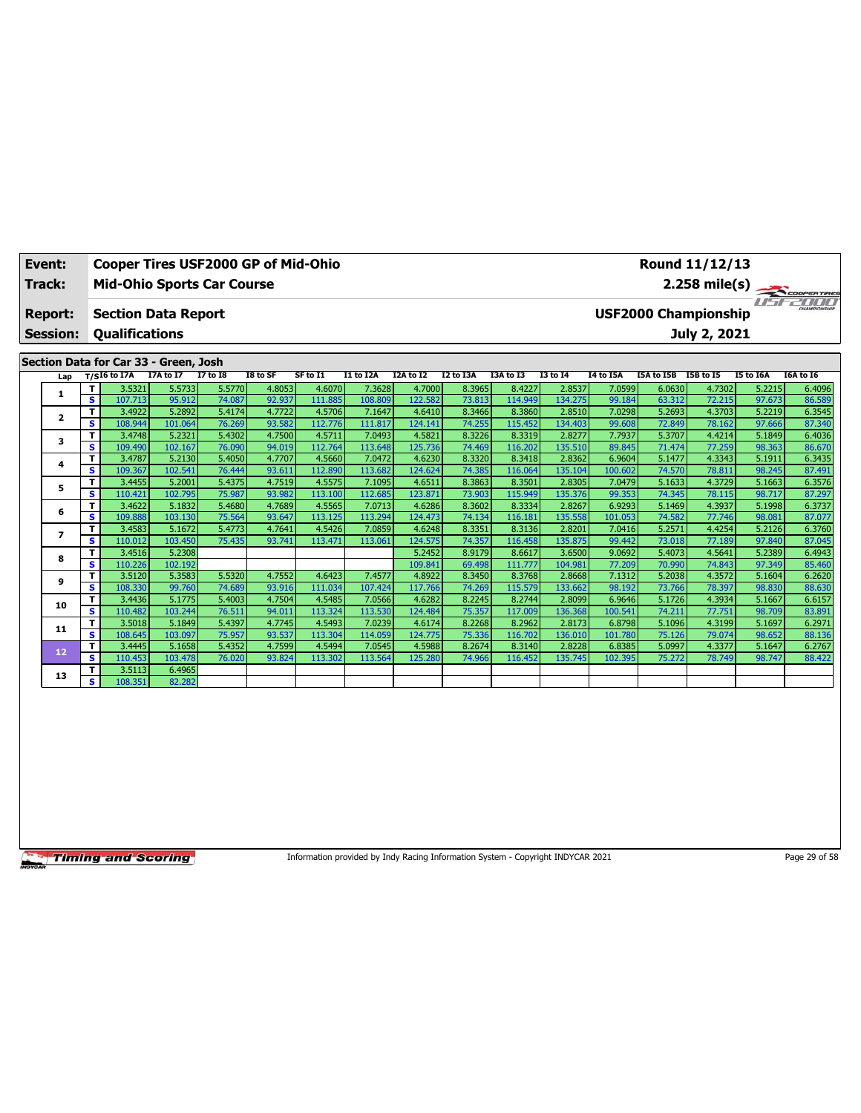| Event:                            |                         | <b>Cooper Tires USF2000 GP of Mid-Ohio</b>          |                   |                  |                  |                   |                   |                                     |                  |                   |                   |                  |                             | Round 11/12/13   |                  |                         |
|-----------------------------------|-------------------------|-----------------------------------------------------|-------------------|------------------|------------------|-------------------|-------------------|-------------------------------------|------------------|-------------------|-------------------|------------------|-----------------------------|------------------|------------------|-------------------------|
| Track:                            |                         | <b>Mid-Ohio Sports Car Course</b>                   |                   |                  |                  |                   |                   |                                     |                  |                   |                   |                  |                             |                  |                  | $2.258 \text{ mile(s)}$ |
| <b>Report:</b><br><b>Session:</b> |                         | <b>Section Data Report</b><br><b>Qualifications</b> |                   |                  |                  |                   |                   |                                     |                  |                   |                   |                  | <b>USF2000 Championship</b> | July 2, 2021     |                  | CHAMPIONSHIP            |
|                                   |                         |                                                     |                   |                  |                  |                   |                   |                                     |                  |                   |                   |                  |                             |                  |                  |                         |
|                                   |                         | Section Data for Car 33 - Green, Josh               |                   |                  |                  |                   |                   |                                     |                  |                   |                   |                  |                             |                  |                  |                         |
| Lap                               |                         | $T/S$ <sup>I6</sup> to I7A                          | I7A to I7         | $I7$ to $I8$     | I8 to SF         | SF to I1          | I1 to I2A         | $\overline{12A}$ to $\overline{12}$ | I2 to I3A        | I3A to I3         | <b>I3 to 14</b>   | I4 to I5A        | I5A to I5B                  | <b>I5B</b> to I5 | I5 to I6A        | <b>I6A to 16</b>        |
| 1                                 | T.                      | 3.5321                                              | 5.5733            | 5.5770           | 4.8053           | 4.6070            | 7.3628            | 4.7000                              | 8.3965           | 8.4227            | 2.8537            | 7.0599           | 6.0630                      | 4.7302           | 5.2215           | 6.4096                  |
|                                   | s.                      | 107.713                                             | 95.912            | 74.087           | 92.937           | 111.885           | 108.809           | 122.582                             | 73.813           | 114.949           | 134.275           | 99.184           | 63.312                      | 72.215           | 97.673           | 86.589                  |
| $\mathbf{2}$                      | T.                      | 3.4922                                              | 5.2892            | 5.4174           | 4.7722           | 4.5706            | 7.1647            | 4.6410                              | 8.3466           | 8.3860            | 2.8510            | 7.0298           | 5.2693                      | 4.3703           | 5.2219           | 6.3545                  |
|                                   | s                       | 108.944                                             | 101.064           | 76.269           | 93.582           | 112.776           | 111.817           | 124.141                             | 74.255           | 115.452           | 134.403           | 99.608           | 72.849                      | 78.162           | 97.666           | 87.340                  |
| 3                                 | T                       | 3.4748                                              | 5.2321            | 5.4302           | 4.7500           | 4.5711            | 7.0493            | 4.5821                              | 8.3226           | 8.3319            | 2.8277            | 7.7937           | 5.3707                      | 4.4214           | 5.1849           | 6.4036                  |
|                                   | s.                      | 109.490                                             | 102.167           | 76.090           | 94.019           | 112.764           | 113.648           | 125.736                             | 74.469           | 116.202           | 135.510           | 89.845           | 71.474                      | 77.259           | 98.363           | 86.670                  |
| 4                                 | T.                      | 3.4787                                              | 5.2130            | 5.4050           | 4.7707           | 4.5660            | 7.0472            | 4.6230                              | 8.3320           | 8.3418            | 2.8362            | 6.9604           | 5.1477                      | 4.3343           | 5.1911           | 6.3435                  |
|                                   | s                       | 109.367                                             | 102.541           | 76.444           | 93.611           | 112.890           | 113.682           | 124.624                             | 74.385           | 116.064           | 135.104           | 100.602          | 74.570                      | 78.811           | 98.245           | 87.491                  |
| 5                                 | T.                      | 3.4455                                              | 5.2001            | 5.4375           | 4.7519           | 4.5575            | 7.1095            | 4.6511                              | 8.3863           | 8.3501            | 2.8305            | 7.0479           | 5.1633                      | 4.3729           | 5.1663           | 6.3576                  |
|                                   | s<br>T.                 | 110.421<br>3.4622                                   | 102.795<br>5.1832 | 75.987           | 93.982<br>4.7689 | 113.100           | 112.685<br>7.0713 | 123.871<br>4.6286                   | 73.903<br>8.3602 | 115.949<br>8.3334 | 135.376           | 99.353<br>6.9293 | 74.345<br>5.1469            | 78.115<br>4.3937 | 98.717<br>5.1998 | 87.297                  |
| 6                                 | s.                      | 109.888                                             | 103.130           | 5.4680<br>75.564 | 93.647           | 4.5565<br>113.125 | 113.294           | 124.473                             | 74.134           | 116.181           | 2.8267<br>135.558 | 101.053          | 74.582                      | 77.746           | 98.081           | 6.3737<br>87.077        |
|                                   | T.                      | 3.4583                                              | 5.1672            | 5.4773           | 4.7641           | 4.5426            | 7.0859            | 4.6248                              | 8.3351           | 8.3136            | 2.8201            | 7.0416           | 5.2571                      | 4.4254           | 5.2126           | 6.3760                  |
| $\overline{\phantom{a}}$          | s                       | 110.012                                             | 103.450           | 75.435           | 93.741           | 113.471           | 113.061           | 124.575                             | 74.357           | 116.458           | 135.875           | 99.442           | 73.018                      | 77.189           | 97.840           | 87.045                  |
|                                   | T.                      | 3.4516                                              | 5.2308            |                  |                  |                   |                   | 5.2452                              | 8.9179           | 8.6617            | 3.6500            | 9.0692           | 5.4073                      | 4.5641           | 5.2389           | 6.4943                  |
| 8                                 | s.                      | 110.226                                             | 102.192           |                  |                  |                   |                   | 109.841                             | 69.498           | 111.777           | 104.981           | 77.209           | 70.990                      | 74.843           | 97.349           | 85.460                  |
|                                   | T.                      | 3.5120                                              | 5.3583            | 5.5320           | 4.7552           | 4.6423            | 7.4577            | 4.8922                              | 8.3450           | 8.3768            | 2.8668            | 7.1312           | 5.2038                      | 4.3572           | 5.1604           | 6.2620                  |
| 9                                 | s.                      | 108.330                                             | 99.760            | 74.689           | 93.916           | 111.034           | 107.424           | 117.766                             | 74.269           | 115.579           | 133.662           | 98.192           | 73.766                      | 78.397           | 98.830           | 88.630                  |
|                                   | T.                      | 3.4436                                              | 5.1775            | 5.4003           | 4.7504           | 4.5485            | 7.0566            | 4.6282                              | 8.2245           | 8.2744            | 2.8099            | 6.9646           | 5.1726                      | 4.3934           | 5.1667           | 6.6157                  |
| 10                                | s.                      | 110.482                                             | 103.244           | 76.511           | 94.011           | 113.324           | 113.530           | 124.484                             | 75.357           | 117.009           | 136.368           | 100.541          | 74.211                      | 77.751           | 98.709           | 83.891                  |
|                                   | T.                      | 3.5018                                              | 5.1849            | 5.4397           | 4.7745           | 4.5493            | 7.0239            | 4.6174                              | 8.2268           | 8.2962            | 2.8173            | 6.8798           | 5.1096                      | 4.3199           | 5.1697           | 6.2971                  |
| 11                                | $\overline{\mathbf{s}}$ | 108.645                                             | 103.097           | 75.957           | 93.537           | 113.304           | 114.059           | 124.775                             | 75.336           | 116.702           | 136.010           | 101.780          | 75.126                      | 79.074           | 98.652           | 88.136                  |
| 12                                | T.                      | 3.4445                                              | 5.1658            | 5.4352           | 4.7599           | 4.5494            | 7.0545            | 4.5988                              | 8.2674           | 8.3140            | 2.8228            | 6.8385           | 5.0997                      | 4.3377           | 5.1647           | 6.2767                  |
|                                   | s.                      | 110.453                                             | 103.478           | 76.020           | 93.824           | 113.302           | 113.564           | 125,280                             | 74.966           | 116,452           | 135.745           | 102.395          | 75.272                      | 78.749           | 98.747           | 88.422                  |
| 13                                | т                       | 3.5113                                              | 6.4965            |                  |                  |                   |                   |                                     |                  |                   |                   |                  |                             |                  |                  |                         |
|                                   | s.                      | 108.351                                             | 82.282            |                  |                  |                   |                   |                                     |                  |                   |                   |                  |                             |                  |                  |                         |

Information provided by Indy Racing Information System - Copyright INDYCAR 2021 Page 29 of 58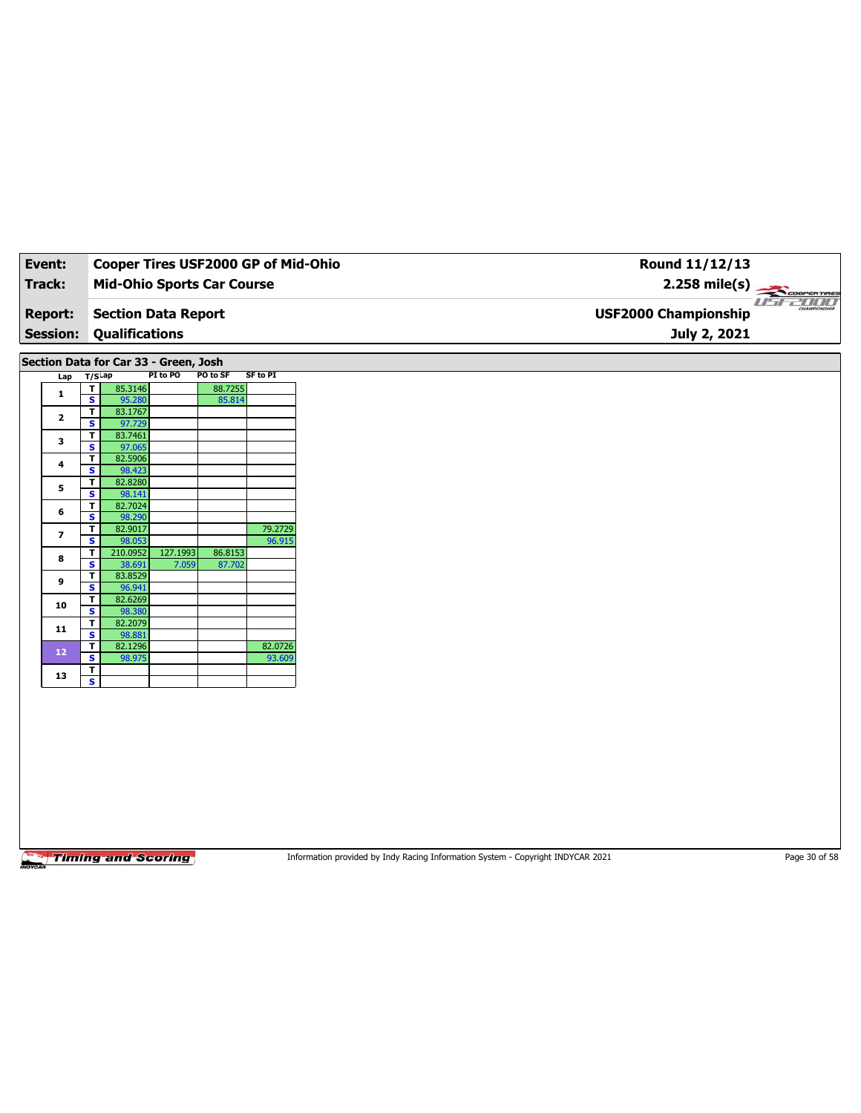| Event:                  |                              |                   |                                       |                                   | Cooper Tires USF2000 GP of Mid-Ohio |
|-------------------------|------------------------------|-------------------|---------------------------------------|-----------------------------------|-------------------------------------|
| Track:                  |                              |                   |                                       | <b>Mid-Ohio Sports Car Course</b> |                                     |
| <b>Report:</b>          |                              |                   | <b>Section Data Report</b>            |                                   |                                     |
|                         |                              |                   |                                       |                                   |                                     |
| <b>Session:</b>         |                              | Qualifications    |                                       |                                   |                                     |
|                         |                              |                   | Section Data for Car 33 - Green, Josh |                                   |                                     |
| Lap                     | $T/S$ Lap                    |                   | PI to PO                              | PO to SF                          | <b>SF to PI</b>                     |
| $\mathbf{1}$            | $\overline{\mathbf{r}}$      | 85.3146           |                                       | 88.7255                           |                                     |
|                         | $\overline{\mathbf{s}}$      | 95.280            |                                       | 85.814                            |                                     |
| $\mathbf{2}$            | T                            | 83.1767           |                                       |                                   |                                     |
|                         | s                            | 97.729<br>83.7461 |                                       |                                   |                                     |
| 3                       | T<br>$\overline{\mathbf{s}}$ | 97.065            |                                       |                                   |                                     |
|                         | T                            | 82.5906           |                                       |                                   |                                     |
| $\ddot{\mathbf{4}}$     | s                            | 98.423            |                                       |                                   |                                     |
| 5                       | т                            | 82.8280           |                                       |                                   |                                     |
|                         | $\overline{\mathbf{s}}$      | 98.141            |                                       |                                   |                                     |
| 6                       | $\overline{\mathbf{r}}$<br>S | 82.7024           |                                       |                                   |                                     |
|                         | T                            | 98.290<br>82.9017 |                                       |                                   | 79.2729                             |
| $\overline{\mathbf{z}}$ | $\overline{\mathbf{s}}$      | 98.053            |                                       |                                   | 96.915                              |
|                         | T                            | 210.0952          | 127.1993                              | 86.8153                           |                                     |
| 8                       | S                            | 38.691            | 7.059                                 | 87.702                            |                                     |
| 9                       | T                            | 83.8529           |                                       |                                   |                                     |
|                         | s                            | 96.941            |                                       |                                   |                                     |
| 10                      | T                            | 82.6269           |                                       |                                   |                                     |
|                         | s<br>$\mathbf{T}$            | 98.380<br>82.2079 |                                       |                                   |                                     |
| 11                      | $\overline{\mathbf{s}}$      | 98.881            |                                       |                                   |                                     |
|                         | T                            | 82.1296           |                                       |                                   | 82.0726                             |
| 12 <sub>1</sub>         | S                            | 98.975            |                                       |                                   | 93.609                              |
| 13                      | Τ                            |                   |                                       |                                   |                                     |
|                         | $\overline{\mathbf{s}}$      |                   |                                       |                                   |                                     |

Information provided by Indy Racing Information System - Copyright INDYCAR 2021 Page 30 of 58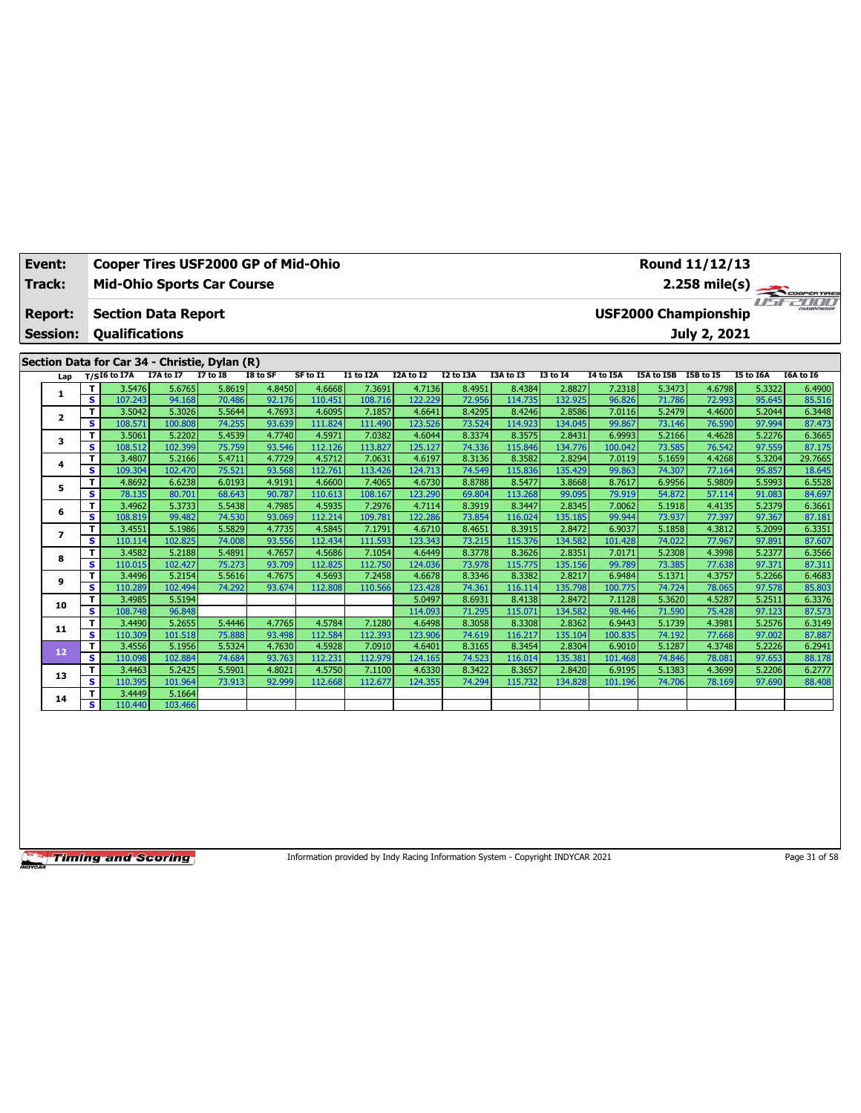| Event:         |                 |          | Cooper Tires USF2000 GP of Mid-Ohio           |                  |                  |                  |                   |                   |                   |                  |                   |                   |                  |                             | Round 11/12/13   |                  |                      |
|----------------|-----------------|----------|-----------------------------------------------|------------------|------------------|------------------|-------------------|-------------------|-------------------|------------------|-------------------|-------------------|------------------|-----------------------------|------------------|------------------|----------------------|
| <b>Track:</b>  |                 |          | <b>Mid-Ohio Sports Car Course</b>             |                  |                  |                  |                   |                   |                   |                  |                   |                   |                  |                             | $2.258$ mile(s)  |                  | COOPERTIRES          |
| <b>Report:</b> |                 |          | <b>Section Data Report</b>                    |                  |                  |                  |                   |                   |                   |                  |                   |                   |                  | <b>USF2000 Championship</b> |                  |                  | <b>IF AF PERFECT</b> |
|                | <b>Session:</b> |          | <b>Qualifications</b>                         |                  |                  |                  |                   |                   |                   |                  |                   |                   |                  |                             | July 2, 2021     |                  |                      |
|                |                 |          |                                               |                  |                  |                  |                   |                   |                   |                  |                   |                   |                  |                             |                  |                  |                      |
|                |                 |          | Section Data for Car 34 - Christie, Dylan (R) |                  |                  |                  |                   |                   |                   |                  |                   |                   |                  |                             |                  |                  |                      |
|                | Lap             |          | $T/SI6$ to I7A                                | I7A to I7        | $I7$ to $I8$     | I8 to SF         | SF to I1          | I1 to I2A         | I2A to I2         | <b>I2 to I3A</b> | I3A to I3         | <b>I3 to I4</b>   | I4 to I5A        | I5A to I5B                  | <b>I5B</b> to I5 | <b>I5 to I6A</b> | I6A to I6            |
|                | 1               | T.       | 3.5476                                        | 5.6765           | 5.8619           | 4.8450           | 4.6668            | 7.3691            | 4.7136            | 8.4951           | 8.4384            | 2.8827            | 7.2318           | 5.3473                      | 4.6798           | 5.3322           | 6.4900               |
|                |                 | s.       | 107.243                                       | 94.168           | 70.486           | 92.176           | 110.451           | 108.716           | 122.229           | 72.956           | 114,735           | 132.925           | 96.826           | 71.786                      | 72.993           | 95.645           | 85.516               |
|                | 2               | T.       | 3.5042                                        | 5.3026           | 5.5644           | 4.7693           | 4.6095            | 7.1857            | 4.6641            | 8.4295           | 8.4246            | 2.8586            | 7.0116           | 5.2479                      | 4.4600           | 5.2044           | 6.3448               |
|                |                 | s        | 108.571                                       | 100.808          | 74.255           | 93.639           | 111.824           | 111.490           | 123.526           | 73.524           | 114.923           | 134.045           | 99.867           | 73.146                      | 76.590           | 97.994           | 87.473               |
|                | 3               | T.       | 3.5061                                        | 5.2202           | 5.4539           | 4.7740           | 4.5971            | 7.0382            | 4.6044            | 8.3374           | 8.3575            | 2.8431            | 6.9993           | 5.2166                      | 4.4628           | 5.2276           | 6.3665               |
|                |                 | s.       | 108.512                                       | 102.399          | 75.759           | 93.546           | 112.126           | 113.827           | 125.127           | 74.336           | 115.846           | 134.776           | 100.042          | 73.585                      | 76.542           | 97.559           | 87.175               |
|                | 4               | T.       | 3.4807                                        | 5.2166           | 5.4711           | 4.7729           | 4.5712            | 7.0631            | 4.6197            | 8.3136           | 8.3582            | 2.8294            | 7.0119           | 5.1659                      | 4.4268           | 5.3204           | 29.7665              |
|                |                 | s        | 109.304                                       | 102.470          | 75.521           | 93.568           | 112.761           | 113.426           | 124.713           | 74.549           | 115.836           | 135.429           | 99.863           | 74.307                      | 77.164           | 95.857           | 18.645               |
|                | 5               | T        | 4.8692                                        | 6.6238           | 6.0193           | 4.9191           | 4.6600            | 7.4065            | 4.6730            | 8.8788           | 8.5477            | 3.8668            | 8.7617           | 6.9956                      | 5.9809           | 5.5993           | 6.5528               |
|                |                 | s        | 78.135                                        | 80.701           | 68.643           | 90.787           | 110.613           | 108.167           | 123.290           | 69.804           | 113.268           | 99.095            | 79.919           | 54.872                      | 57.114           | 91.083           | 84.697               |
|                | 6               | T.<br>s. | 3.4962<br>108.819                             | 5.3733<br>99.482 | 5.5438<br>74.530 | 4.7985<br>93.069 | 4.5935<br>112.214 | 7.2976<br>109.781 | 4.7114<br>122.286 | 8.3919<br>73.854 | 8.3447            | 2.8345<br>135.185 | 7.0062<br>99.944 | 5.1918<br>73.937            | 4.4135<br>77.397 | 5.2379<br>97.367 | 6.3661<br>87.181     |
|                |                 |          |                                               | 5.1986           | 5.5829           |                  |                   |                   | 4.6710            | 8.4651           | 116.024           | 2.8472            | 6.9037           | 5.1858                      |                  |                  |                      |
|                | $\overline{ }$  | T.<br>s. | 3.4551<br>110.114                             | 102.825          | 74.008           | 4.7735<br>93.556 | 4.5845<br>112.434 | 7.1791<br>111.593 | 123.343           | 73.215           | 8.3915<br>115.376 | 134.582           | 101.428          | 74.022                      | 4.3812<br>77.967 | 5.2099<br>97.891 | 6.3351<br>87.607     |
|                |                 | T.       | 3.4582                                        | 5.2188           | 5.4891           | 4.7657           | 4.5686            | 7.1054            | 4.6449            | 8.3778           | 8.3626            | 2.8351            | 7.0171           | 5.2308                      | 4.3998           | 5.2377           | 6.3566               |
|                | 8               | s.       | 110.015                                       | 102.427          | 75.273           | 93.709           | 112.825           | 112.750           | 124.036           | 73.978           | 115.775           | 135.156           | 99.789           | 73.385                      | 77.638           | 97.371           | 87.311               |
|                |                 | T        | 3.4496                                        | 5.2154           | 5.5616           | 4.7675           | 4.5693            | 7.2458            | 4.6678            | 8.3346           | 8.3382            | 2.8217            | 6.9484           | 5.1371                      | 4.3757           | 5.2266           | 6.4683               |
|                | 9               | s        | 110.289                                       | 102.494          | 74.292           | 93.674           | 112.808           | 110.566           | 123.428           | 74.361           | 116.114           | 135.798           | 100.775          | 74.724                      | 78.065           | 97.578           | 85.803               |
|                |                 | T.       | 3.4985                                        | 5.5194           |                  |                  |                   |                   | 5.0497            | 8.6931           | 8.4138            | 2.8472            | 7.1128           | 5.3620                      | 4.5287           | 5.2511           | 6.3376               |
|                | 10              | s.       | 108.748                                       | 96.848           |                  |                  |                   |                   | 114.093           | 71.295           | 115.071           | 134.582           | 98.446           | 71.590                      | 75.428           | 97.123           | 87.573               |
|                |                 | T.       | 3.4490                                        | 5.2655           | 5.4446           | 4.7765           | 4.5784            | 7.1280            | 4.6498            | 8.3058           | 8.3308            | 2.8362            | 6.9443           | 5.1739                      | 4.3981           | 5.2576           | 6.3149               |
|                | 11              | s.       | 110.309                                       | 101.518          | 75.888           | 93.498           | 112.584           | 112.393           | 123.906           | 74.619           | 116.217           | 135.104           | 100.835          | 74.192                      | 77.668           | 97.002           | 87.887               |
|                |                 | T.       | 3.4556                                        | 5.1956           | 5.5324           | 4.7630           | 4.5928            | 7.0910            | 4.6401            | 8.3165           | 8.3454            | 2.8304            | 6.9010           | 5.1287                      | 4.3748           | 5.2226           | 6.2941               |
|                | 12              | s.       | 110.098                                       | 102.884          | 74.684           | 93.763           | 112.231           | 112.979           | 124.165           | 74.523           | 116.014           | 135.381           | 101.468          | 74.846                      | 78.081           | 97.653           | 88.178               |
|                |                 | T.       | 3.4463                                        | 5.2425           | 5.5901           | 4.8021           | 4.5750            | 7.1100            | 4.6330            | 8.3422           | 8.3657            | 2.8420            | 6.9195           | 5.1383                      | 4.3699           | 5.2206           | 6.2777               |
|                | 13              | s        | 110.395                                       | 101.964          | 73.913           | 92.999           | 112.668           | 112.677           | 124.355           | 74.294           | 115.732           | 134.828           | 101.196          | 74.706                      | 78.169           | 97.690           | 88.408               |
|                |                 | T.       | 3.4449                                        | 5.1664           |                  |                  |                   |                   |                   |                  |                   |                   |                  |                             |                  |                  |                      |
|                | 14              | s.       | 110.440                                       | 103.466          |                  |                  |                   |                   |                   |                  |                   |                   |                  |                             |                  |                  |                      |
|                |                 |          |                                               |                  |                  |                  |                   |                   |                   |                  |                   |                   |                  |                             |                  |                  |                      |

Information provided by Indy Racing Information System - Copyright INDYCAR 2021 Page 31 of 58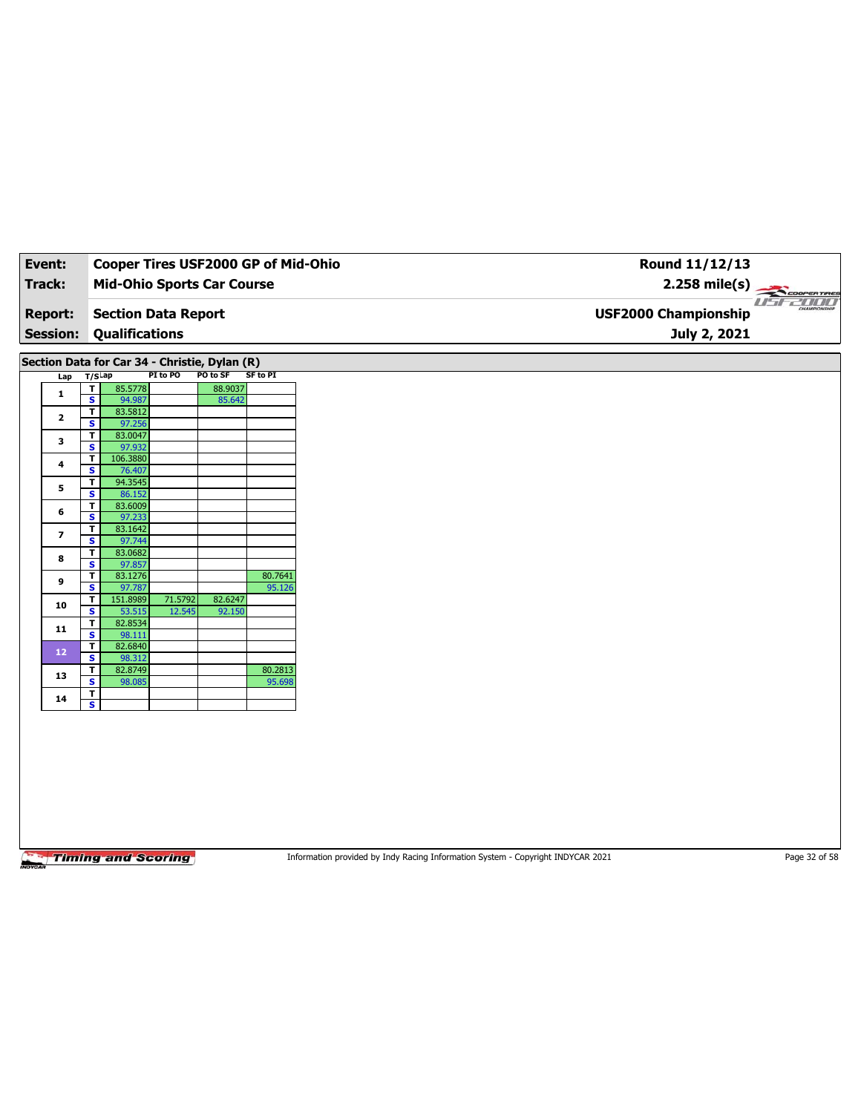| Event:                   |                              |                       |                            |                                                           | Cooper Tires USF2000 GP of Mid-Ohio |
|--------------------------|------------------------------|-----------------------|----------------------------|-----------------------------------------------------------|-------------------------------------|
| <b>Track:</b>            |                              |                       |                            | <b>Mid-Ohio Sports Car Course</b>                         |                                     |
|                          |                              |                       |                            |                                                           |                                     |
| <b>Report:</b>           |                              |                       | <b>Section Data Report</b> |                                                           |                                     |
| <b>Session:</b>          |                              | <b>Qualifications</b> |                            |                                                           |                                     |
|                          |                              |                       |                            |                                                           |                                     |
|                          |                              |                       | PI to PO                   | Section Data for Car 34 - Christie, Dylan (R)<br>PO to SF | <b>SF to PI</b>                     |
| Lap                      | $T/S$ Lap<br>T               | 85.5778               |                            | 88.9037                                                   |                                     |
| $\mathbf{1}$             | $\overline{\mathbf{s}}$      | 94.987                |                            | 85.642                                                    |                                     |
|                          | $\mathbf{T}$                 | 83.5812               |                            |                                                           |                                     |
| $\mathbf{2}$             | $\mathbf{s}$                 | 97.256                |                            |                                                           |                                     |
| 3                        | $\mathbf{T}$                 | 83.0047               |                            |                                                           |                                     |
|                          | $\overline{\mathbf{s}}$      | 97.932                |                            |                                                           |                                     |
| 4                        | $\overline{\mathsf{r}}$<br>S | 106.3880<br>76.407    |                            |                                                           |                                     |
|                          | T                            | 94.3545               |                            |                                                           |                                     |
| 5                        | $\overline{\mathbf{s}}$      | 86.152                |                            |                                                           |                                     |
| 6                        | T                            | 83.6009               |                            |                                                           |                                     |
|                          | $\overline{\mathbf{s}}$      | 97.233                |                            |                                                           |                                     |
| $\overline{\phantom{a}}$ | $\mathbf T$                  | 83.1642               |                            |                                                           |                                     |
|                          | $\overline{\mathbf{s}}$      | 97.744                |                            |                                                           |                                     |
| 8                        | T<br>S                       | 83.0682<br>97.857     |                            |                                                           |                                     |
|                          | $\overline{\mathbf{r}}$      | 83.1276               |                            |                                                           | 80.7641                             |
| $\boldsymbol{9}$         | $\overline{\mathbf{s}}$      | 97.787                |                            |                                                           | 95.126                              |
| 10                       | T                            | 151.8989              | 71.5792                    | 82.6247                                                   |                                     |
|                          | S                            | 53.515                | 12.545                     | 92.150                                                    |                                     |
| 11                       | $\mathbf T$                  | 82.8534               |                            |                                                           |                                     |
|                          | $\overline{\mathbf{s}}$<br>T | 98.111<br>82.6840     |                            |                                                           |                                     |
| 12 <sub>2</sub>          | $\mathbf{s}$                 | 98.312                |                            |                                                           |                                     |
|                          | T                            | 82.8749               |                            |                                                           | 80.2813                             |
| 13                       | $\overline{\mathbf{s}}$      | 98.085                |                            |                                                           | 95.698                              |
| 14                       | $\mathbf{T}$                 |                       |                            |                                                           |                                     |
|                          | S                            |                       |                            |                                                           |                                     |

Information provided by Indy Racing Information System - Copyright INDYCAR 2021 Page 32 of 58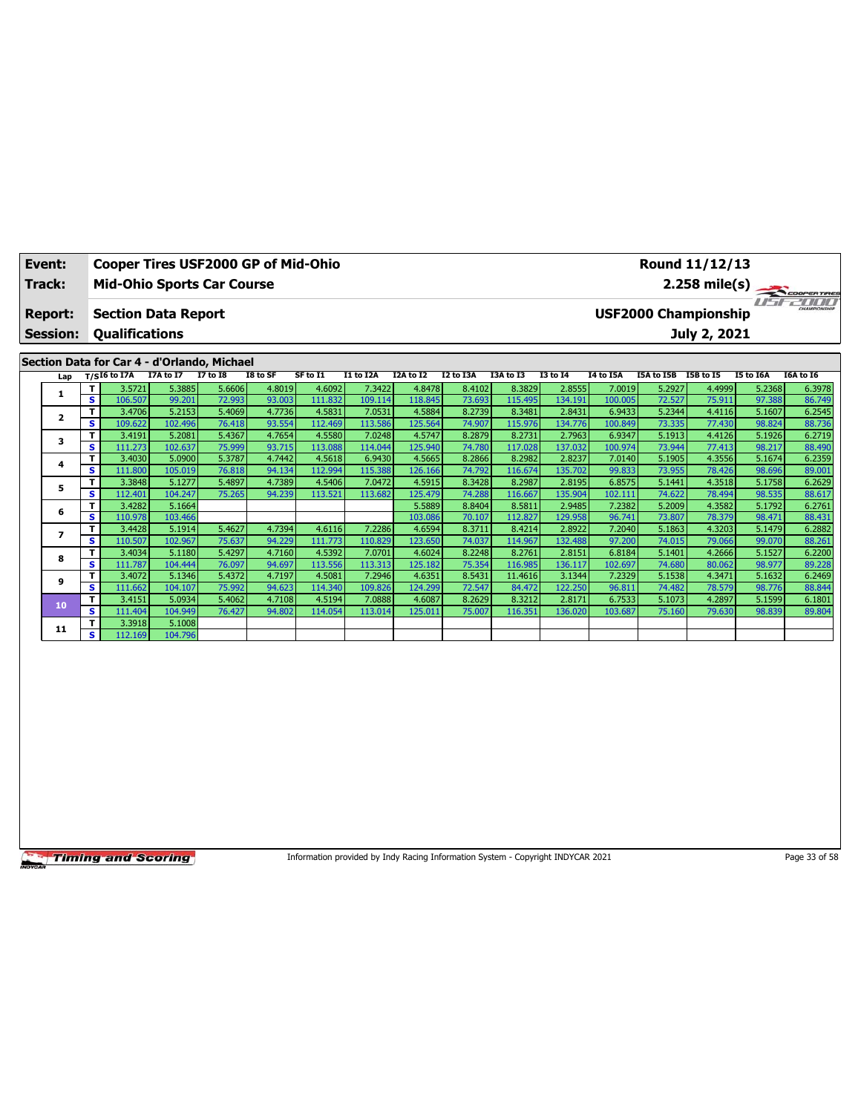| Event:                            |                   |                            |                                             |                  | Cooper Tires USF2000 GP of Mid-Ohio |          |           |           |                  |           |                 |                   |            | Round 11/12/13                              |           |                         |
|-----------------------------------|-------------------|----------------------------|---------------------------------------------|------------------|-------------------------------------|----------|-----------|-----------|------------------|-----------|-----------------|-------------------|------------|---------------------------------------------|-----------|-------------------------|
| Track:                            |                   |                            | <b>Mid-Ohio Sports Car Course</b>           |                  |                                     |          |           |           |                  |           |                 |                   |            |                                             |           | $2.258 \text{ mile(s)}$ |
| <b>Report:</b><br><b>Session:</b> |                   | <b>Qualifications</b>      | <b>Section Data Report</b>                  |                  |                                     |          |           |           |                  |           |                 |                   |            | <b>USF2000 Championship</b><br>July 2, 2021 |           | CHAMPSONSHIP            |
|                                   |                   |                            | Section Data for Car 4 - d'Orlando, Michael |                  |                                     |          |           |           |                  |           |                 |                   |            |                                             |           |                         |
| Lap                               |                   | $T/S$ <sup>I6</sup> to I7A | I7A to I7                                   | $I7$ to $I8$     | I8 to SF                            | SF to I1 | I1 to I2A | I2A to I2 | I2 to I3A        | I3A to I3 | <b>I3 to 14</b> | I4 to I5A         | I5A to I5B | <b>I5B</b> to I5                            | I5 to I6A | I6A to I6               |
|                                   | T                 | 3.5721                     | 5.3885                                      | 5.6606           | 4.8019                              | 4.6092   | 7.3422    | 4.8478    | 8.4102           | 8.3829    | 2.8555          | 7.0019            | 5.2927     | 4.4999                                      | 5.2368    | 6.3978                  |
| 1                                 | s                 | 106.507                    | 99.201                                      | 72.993           | 93.003                              | 111.832  | 109.114   | 118.845   | 73.693           | 115.495   | 134.191         | 100.005           | 72.527     | 75.911                                      | 97.388    | 86.749                  |
| $\overline{2}$                    | т                 | 3.4706                     | 5.2153                                      | 5.4069           | 4.7736                              | 4.5831   | 7.0531    | 4.5884    | 8.2739           | 8.3481    | 2.8431          | 6.9433            | 5.2344     | 4.4116                                      | 5.1607    | 6.2545                  |
|                                   | s                 | 109.622                    | 102.496                                     | 76.418           | 93.554                              | 112.469  | 113.586   | 125.564   | 74.907           | 115.976   | 134.776         | 100.849           | 73.335     | 77,430                                      | 98.824    | 88.736                  |
| 3                                 | т                 | 3.4191                     | 5.2081                                      | 5.4367           | 4.7654                              | 4.5580   | 7.0248    | 4.5747    | 8.2879           | 8.2731    | 2.7963          | 6.9347            | 5.1913     | 4.4126                                      | 5.1926    | 6.2719                  |
|                                   | s                 | 111.273                    | 102.637                                     | 75.999           | 93.715                              | 113.088  | 114.044   | 125.940   | 74.780           | 117.028   | 137.032         | 100.974           | 73.944     | 77.413                                      | 98.217    | 88.490                  |
| 4                                 | T                 | 3.4030                     | 5.0900                                      | 5.3787           | 4.7442                              | 4.5618   | 6.9430    | 4.5665    | 8.2866           | 8.2982    | 2.8237          | 7.0140            | 5.1905     | 4.3556                                      | 5.1674    | 6.2359                  |
|                                   | s.                | 111.800                    | 105.019                                     | 76.818           | 94.134                              | 112.994  | 115.388   | 126.166   | 74.792           | 116.674   | 135.702         | 99.833            | 73.955     | 78.426                                      | 98.696    | 89.001                  |
| 5                                 | т                 | 3.3848                     | 5.1277                                      | 5.4897           | 4.7389                              | 4.5406   | 7.0472    | 4.5915    | 8.3428           | 8.2987    | 2.8195          | 6.8575            | 5.1441     | 4.3518                                      | 5.1758    | 6.2629                  |
|                                   | s                 | 112.401                    | 104.247                                     | 75.265           | 94.239                              | 113.521  | 113.682   | 125.479   | 74.288           | 116.667   | 135.904         | 102.111           | 74.622     | 78.494                                      | 98.535    | 88.617                  |
| 6                                 | T                 | 3.4282                     | 5.1664                                      |                  |                                     |          |           | 5.5889    | 8.8404           | 8.5811    | 2.9485          | 7.2382            | 5.2009     | 4.3582                                      | 5.1792    | 6.2761                  |
|                                   | s                 | 110.978                    | 103.466                                     |                  |                                     |          |           | 103.086   | 70.107           | 112.827   | 129.958         | 96.741            | 73.807     | 78.379                                      | 98.471    | 88.431                  |
| 7                                 | т                 | 3.4428                     | 5.1914                                      | 5.4627           | 4.7394                              | 4.6116   | 7.2286    | 4.6594    | 8.3711           | 8.4214    | 2.8922          | 7.2040            | 5.1863     | 4.3203                                      | 5.1479    | 6.2882                  |
|                                   | s                 | 110.507                    | 102.967                                     | 75.637           | 94.229                              | 111.773  | 110.829   | 123.650   | 74.037           | 114.967   | 132.488         | 97.200            | 74.015     | 79.066                                      | 99.070    | 88.261                  |
| 8                                 | T                 | 3.4034                     | 5.1180                                      | 5.4297           | 4.7160                              | 4.5392   | 7.0701    | 4.6024    | 8.2248           | 8.2761    | 2.8151          | 6.8184            | 5.1401     | 4.2666                                      | 5.1527    | 6.2200                  |
|                                   | s                 | 111.787                    | 104.444                                     | 76.097           | 94.697                              | 113.556  | 113.313   | 125.182   | 75.354           | 116.985   | 136.117         | 102.697           | 74.680     | 80.062                                      | 98.977    | 89.228                  |
| 9                                 | T                 | 3.4072                     | 5.1346                                      | 5.4372           | 4.7197                              | 4.5081   | 7.2946    | 4.6351    | 8.5431           | 11.4616   | 3.1344          | 7.2329            | 5.1538     | 4.3471                                      | 5.1632    | 6.2469                  |
|                                   | s                 | 111.662                    | 104.107                                     | 75.992           | 94.623                              | 114.340  | 109.826   | 124.299   | 72.547           | 84.472    | 122.250         | 96.811            | 74.482     | 78.579                                      | 98.776    | 88.844                  |
| 10                                | т                 | 3.4151                     | 5.0934<br>104.949                           | 5.4062<br>76.427 | 4.7108<br>94.802                    | 4.5194   | 7.0888    | 4.6087    | 8.2629<br>75.007 | 8.3212    | 2.8171          | 6.7533<br>103.687 | 5.1073     | 4.2897                                      | 5.1599    | 6.1801<br>89.804        |
|                                   | s<br>$\mathbf{r}$ | 111.404                    |                                             |                  |                                     | 114.054  | 113.014   | 125.011   |                  | 116.351   | 136.020         |                   | 75.160     | 79.630                                      | 98.839    |                         |
| 11                                |                   | 3.3918                     | 5.1008                                      |                  |                                     |          |           |           |                  |           |                 |                   |            |                                             |           |                         |
|                                   | s                 | 112.169                    | 104.796                                     |                  |                                     |          |           |           |                  |           |                 |                   |            |                                             |           |                         |

Information provided by Indy Racing Information System - Copyright INDYCAR 2021 Page 33 of 58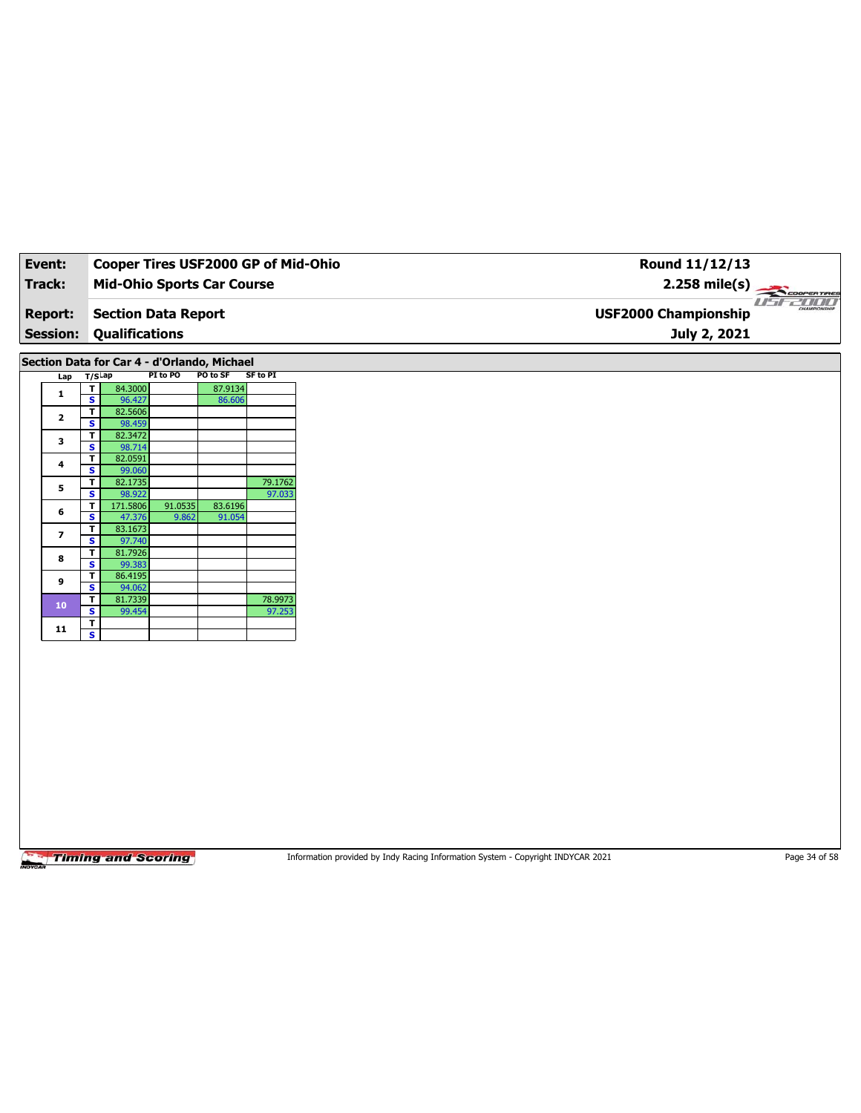| Event:          |                    | Cooper Tires USF2000 GP of Mid-Ohio         |          |                   |                   |
|-----------------|--------------------|---------------------------------------------|----------|-------------------|-------------------|
| Track:          |                    | <b>Mid-Ohio Sports Car Course</b>           |          |                   |                   |
|                 |                    |                                             |          |                   |                   |
| <b>Report:</b>  |                    | <b>Section Data Report</b>                  |          |                   |                   |
| <b>Session:</b> |                    | <b>Qualifications</b>                       |          |                   |                   |
|                 |                    |                                             |          |                   |                   |
|                 |                    | Section Data for Car 4 - d'Orlando, Michael |          |                   |                   |
| Lap             | T/S <sup>⊥ap</sup> |                                             | PI to PO | PO to SF          | SF to PI          |
| 1               | s                  | 84.3000<br>96.427                           |          | 87.9134<br>86.606 |                   |
|                 |                    | 82.5606                                     |          |                   |                   |
| 2               | s.                 | 98.459                                      |          |                   |                   |
| 3               |                    | 82.3472                                     |          |                   |                   |
|                 | s.                 | 98.714                                      |          |                   |                   |
| 4               |                    | 82.0591                                     |          |                   |                   |
|                 | s.                 | 99.060                                      |          |                   |                   |
| 5               | s                  | 82.1735<br>98.922                           |          |                   | 79.1762<br>97.033 |
|                 |                    | 171.5806                                    | 91.0535  | 83.6196           |                   |
| 6               | s.                 | 47.376                                      | 9.862    | 91.054            |                   |
| 7               |                    | 83.1673                                     |          |                   |                   |
|                 | s.                 | 97.740                                      |          |                   |                   |

**8 T** 81.7926<br>**S** 99.383 **S** 99.383 **<sup>9</sup> <sup>T</sup>** 86.4195 **S** 94.062

 $\mathbf{s}$   $\mathbf{s}$   $\mathbf{s}$   $\mathbf{s}$   $\mathbf{s}$   $\mathbf{s}$ 

 $11$ 

10 **T** 81.7339 78.9973

**SP**<br>81.7339<br>99.454 97.253

Information provided by Indy Racing Information System - Copyright INDYCAR 2021 Page 34 of 58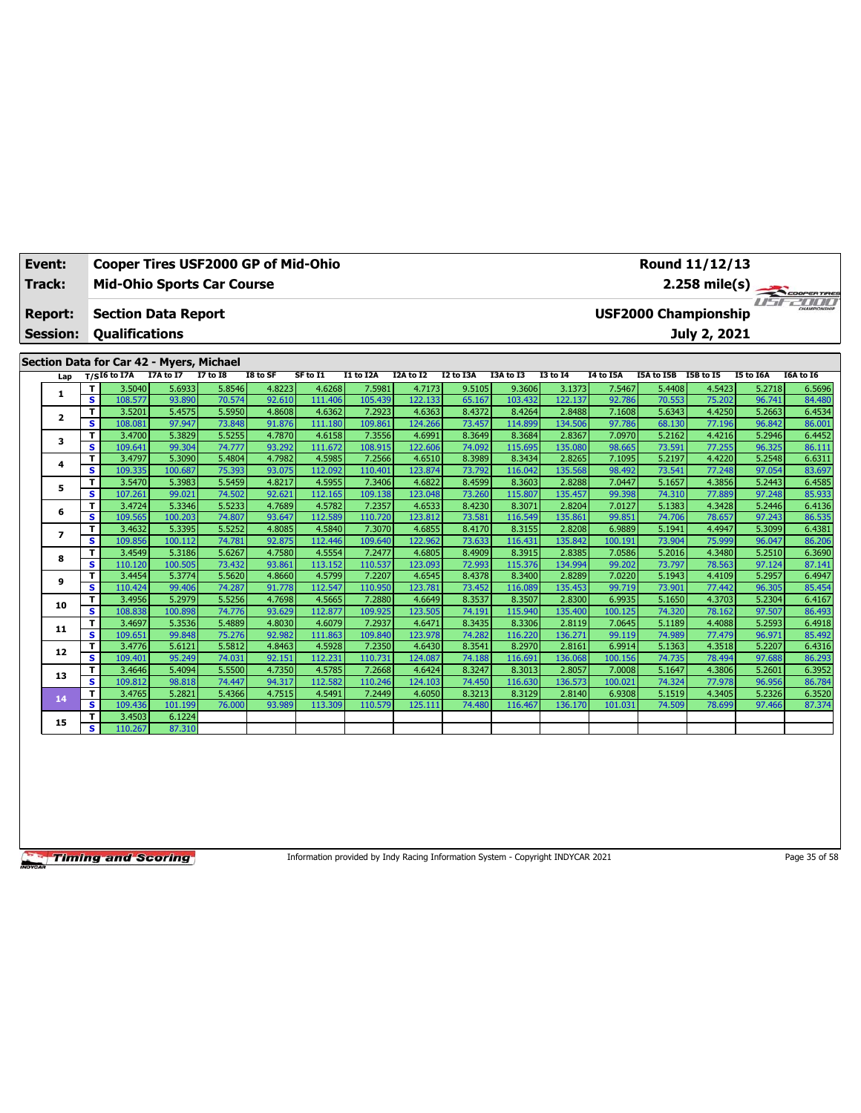| Event:                            |                         | Cooper Tires USF2000 GP of Mid-Ohio                 |                   |                  |                  |                   |                   |                   |                  |                   |                   |                   |                   | Round 11/12/13                              |                  |                                    |
|-----------------------------------|-------------------------|-----------------------------------------------------|-------------------|------------------|------------------|-------------------|-------------------|-------------------|------------------|-------------------|-------------------|-------------------|-------------------|---------------------------------------------|------------------|------------------------------------|
| <b>Track:</b>                     |                         | <b>Mid-Ohio Sports Car Course</b>                   |                   |                  |                  |                   |                   |                   |                  |                   |                   |                   |                   | $2.258$ mile(s)                             |                  | COOPERTIRES                        |
| <b>Report:</b><br><b>Session:</b> |                         | <b>Section Data Report</b><br><b>Qualifications</b> |                   |                  |                  |                   |                   |                   |                  |                   |                   |                   |                   | <b>USF2000 Championship</b><br>July 2, 2021 |                  | u <del>srzow</del><br>CHAMPIONSHIP |
|                                   |                         | Section Data for Car 42 - Myers, Michael            |                   |                  |                  |                   |                   |                   |                  |                   |                   |                   |                   |                                             |                  |                                    |
| Lap                               |                         | $T/SI6$ to I7A                                      | I7A to I7         | $I7$ to $I8$     | I8 to SF         | SF to I1          | <b>I1 to I2A</b>  | I2A to I2         | <b>I2 to I3A</b> | I3A to I3         | <b>I3 to 14</b>   | <b>I4 to I5A</b>  | <b>ISA to ISB</b> | <b>I5B</b> to 15                            | I5 to I6A        | I6A to I6                          |
|                                   | T                       | 3.5040                                              | 5.6933            | 5.8546           | 4.8223           | 4.6268            | 7.5981            | 4.7173            | 9.5105           | 9.3606            | 3.1373            | 7.5467            | 5.4408            | 4.5423                                      | 5.2718           | 6.5696                             |
| 1                                 | s.                      | 108.577                                             | 93.890            | 70.574           | 92.610           | 111.406           | 105.439           | 122.133           | 65.167           | 103.432           | 122.137           | 92.786            | 70.553            | 75.202                                      | 96.741           | 84.480                             |
| $\overline{2}$                    | T                       | 3.5201                                              | 5.4575            | 5.5950           | 4.8608           | 4.6362            | 7.2923            | 4.6363            | 8.4372           | 8.4264            | 2.8488            | 7.1608            | 5.6343            | 4.4250                                      | 5.2663           | 6.4534                             |
|                                   | $\mathbf{s}$            | 108.081                                             | 97.947            | 73.848           | 91.876           | 111.180           | 109.861           | 124.266           | 73.457           | 114.899           | 134.506           | 97.786            | 68.130            | 77.196                                      | 96.842           | 86.001                             |
| 3                                 | T                       | 3.4700                                              | 5.3829            | 5.5255           | 4.7870           | 4.6158            | 7.3556            | 4.6991            | 8.3649           | 8.3684            | 2.8367            | 7.0970            | 5.2162            | 4.4216                                      | 5.2946           | 6.4452                             |
|                                   | $\mathbf{s}$            | 109.641                                             | 99.304            | 74.777           | 93.292           | 111.672           | 108.915           | 122.606           | 74.092           | 115.695           | 135.080           | 98.665            | 73.591            | 77.255                                      | 96.325           | 86.111                             |
| 4                                 | T                       | 3.4797                                              | 5.3090            | 5.4804           | 4.7982           | 4.5985            | 7.2566            | 4.6510            | 8.3989           | 8.3434            | 2.8265            | 7.1095            | 5.2197            | 4.4220                                      | 5.2548           | 6.6311                             |
|                                   | s                       | 109.335                                             | 100.687           | 75.393           | 93.075           | 112.092           | 110.401           | 123.874           | 73.792           | 116.042           | 135.568           | 98.492            | 73.541            | 77.248                                      | 97.054           | 83.697                             |
| 5                                 | T<br>s                  | 3.5470<br>107.261                                   | 5.3983<br>99.021  | 5.5459<br>74.502 | 4.8217<br>92.621 | 4.5955<br>112.165 | 7.3406<br>109.138 | 4.6822<br>123.048 | 8.4599<br>73.260 | 8.3603<br>115.807 | 2.8288<br>135.457 | 7.0447<br>99.398  | 5.1657<br>74.310  | 4.3856<br>77.889                            | 5.2443<br>97.248 | 6.4585<br>85.933                   |
|                                   | T                       | 3.4724                                              | 5.3346            | 5.5233           | 4.7689           | 4.5782            | 7.2357            | 4.6533            | 8.4230           | 8.3071            | 2.8204            | 7.0127            | 5.1383            | 4.3428                                      | 5.2446           | 6.4136                             |
| 6                                 | s                       | 109.565                                             | 100.203           | 74.807           | 93.647           | 112.589           | 110.720           | 123.812           | 73.581           | 116.549           | 135.861           | 99.851            | 74.706            | 78.657                                      | 97.243           | 86.535                             |
|                                   | T                       | 3.4632                                              | 5.3395            | 5.5252           | 4.8085           | 4.5840            | 7.3070            | 4.6855            | 8.4170           | 8.3155            | 2.8208            | 6.9889            | 5.1941            | 4.4947                                      | 5.3099           | 6.4381                             |
| 7                                 | $\mathbf{s}$            | 109.856                                             | 100.112           | 74.781           | 92.875           | 112.446           | 109.640           | 122.962           | 73.633           | 116.431           | 135.842           | 100.191           | 73.904            | 75,999                                      | 96.047           | 86.206                             |
|                                   | T                       | 3.4549                                              | 5.3186            | 5.6267           | 4.7580           | 4.5554            | 7.2477            | 4.6805            | 8.4909           | 8.3915            | 2.8385            | 7.0586            | 5.2016            | 4.3480                                      | 5.2510           | 6.3690                             |
| 8                                 | s                       | 110.120                                             | 100.505           | 73.432           | 93.861           | 113.152           | 110.537           | 123.093           | 72.993           | 115.376           | 134.994           | 99.202            | 73.797            | 78.563                                      | 97.124           | 87.141                             |
|                                   | T                       | 3.4454                                              | 5.3774            | 5.5620           | 4.8660           | 4.5799            | 7.2207            | 4.6545            | 8.4378           | 8.3400            | 2.8289            | 7.0220            | 5.1943            | 4.4109                                      | 5.2957           | 6.4947                             |
| 9                                 | $\overline{\mathbf{s}}$ | 110.424                                             | 99.406            | 74.287           | 91.778           | 112.547           | 110.950           | 123.781           | 73.452           | 116.089           | 135.453           | 99.719            | 73.901            | 77.442                                      | 96.305           | 85.454                             |
| 10                                | T                       | 3.4956                                              | 5.2979            | 5.5256           | 4.7698           | 4.5665            | 7.2880            | 4.6649            | 8.3537           | 8.3507            | 2.8300            | 6.9935            | 5.1650            | 4.3703                                      | 5.2304           | 6.4167                             |
|                                   | $\mathbf{s}$            | 108.838                                             | 100.898           | 74.776           | 93.629           | 112.877           | 109.925           | 123.505           | 74.191           | 115.940           | 135.400           | 100.125           | 74.320            | 78.162                                      | 97.507           | 86.493                             |
| 11                                | T                       | 3.4697                                              | 5.3536            | 5.4889           | 4.8030           | 4.6079            | 7.2937            | 4.6471            | 8.3435           | 8.3306            | 2.8119            | 7.0645            | 5.1189            | 4.4088                                      | 5.2593           | 6.4918                             |
|                                   | s                       | 109.651                                             | 99.848            | 75.276           | 92.982           | 111.863           | 109.840           | 123.978           | 74.282           | 116.220           | 136.271           | 99.119            | 74.989            | 77.479                                      | 96.971           | 85.492                             |
| 12                                | T                       | 3.4776                                              | 5.6121            | 5.5812           | 4.8463           | 4.5928            | 7.2350            | 4.6430            | 8.3541           | 8.2970            | 2.8161            | 6.9914            | 5.1363            | 4.3518                                      | 5.2207           | 6.4316                             |
|                                   | $\mathbf{s}$            | 109.401                                             | 95.249            | 74.031           | 92.151           | 112.231           | 110.731           | 124.087           | 74.188           | 116.691           | 136.068           | 100.156           | 74.735            | 78.494                                      | 97.688           | 86.293                             |
| 13                                | T                       | 3.4646                                              | 5.4094            | 5.5500           | 4.7350           | 4.5785            | 7.2668            | 4.6424            | 8.3247           | 8.3013            | 2.8057            | 7.0008            | 5.1647            | 4.3806                                      | 5.2601           | 6.3952                             |
|                                   | $\mathbf{s}$            | 109.812                                             | 98.818            | 74.447           | 94.317           | 112.582           | 110.246           | 124.103           | 74.450           | 116.630           | 136.573           | 100.021           | 74.324            | 77.978                                      | 96.956           | 86.784                             |
| 14                                | T<br>s                  | 3.4765<br>109.436                                   | 5.2821<br>101.199 | 5.4366<br>76.000 | 4.7515<br>93.989 | 4.5491<br>113.309 | 7.2449<br>110.579 | 4.6050<br>125.111 | 8.3213<br>74,480 | 8.3129<br>116.467 | 2.8140<br>136.170 | 6.9308<br>101.031 | 5.1519<br>74.509  | 4.3405<br>78.699                            | 5.2326<br>97.466 | 6.3520<br>87.374                   |
|                                   | T                       | 3.4503                                              | 6.1224            |                  |                  |                   |                   |                   |                  |                   |                   |                   |                   |                                             |                  |                                    |
| 15                                | s                       | 110.267                                             | 87.310            |                  |                  |                   |                   |                   |                  |                   |                   |                   |                   |                                             |                  |                                    |
|                                   |                         |                                                     |                   |                  |                  |                   |                   |                   |                  |                   |                   |                   |                   |                                             |                  |                                    |

Information provided by Indy Racing Information System - Copyright INDYCAR 2021 Page 35 of 58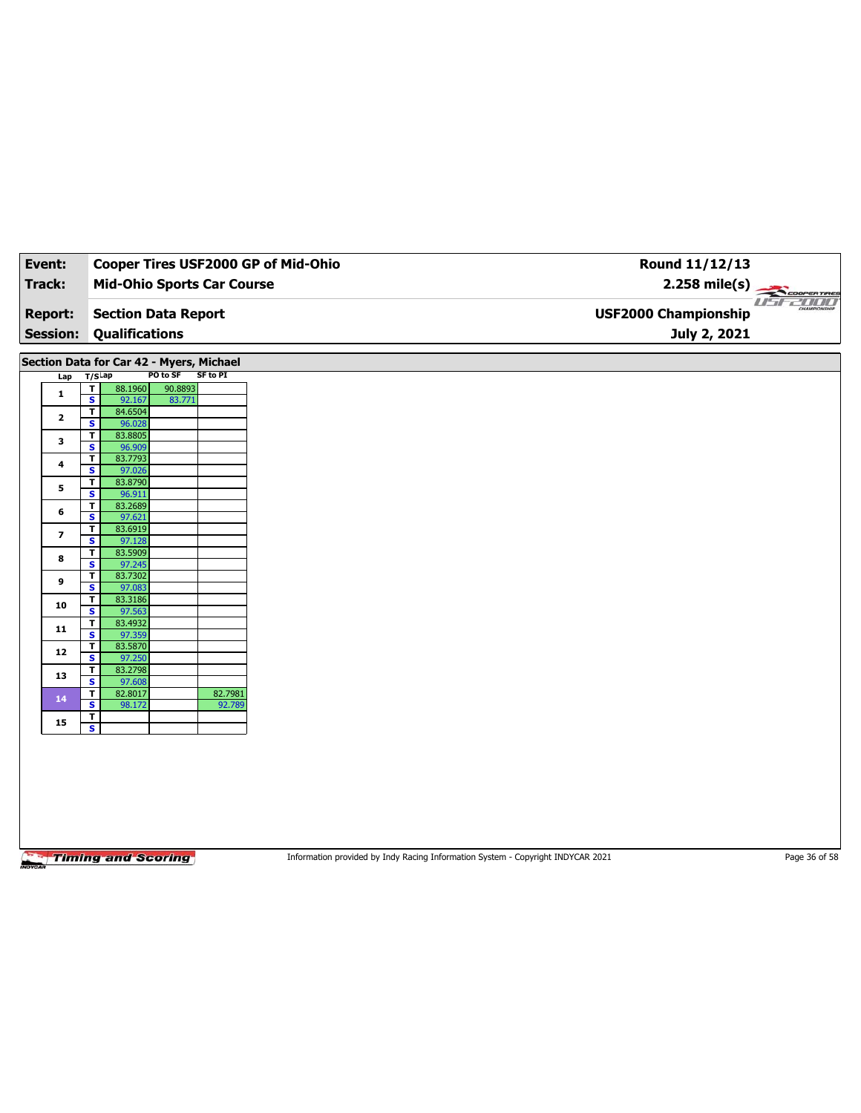| Event:                   |                                                   |                                          |                                   | Round 11/12/13<br>Cooper Tires USF2000 GP of Mid-Ohio |
|--------------------------|---------------------------------------------------|------------------------------------------|-----------------------------------|-------------------------------------------------------|
| <b>Track:</b>            |                                                   |                                          | <b>Mid-Ohio Sports Car Course</b> | $2.258 \text{ mile(s)}$                               |
|                          |                                                   |                                          |                                   | <b>USF2000</b>                                        |
| <b>Report:</b>           |                                                   | <b>Section Data Report</b>               |                                   | <b>USF2000 Championship</b>                           |
| <b>Session:</b>          | <b>Qualifications</b>                             |                                          |                                   | July 2, 2021                                          |
|                          |                                                   |                                          |                                   |                                                       |
|                          |                                                   | Section Data for Car 42 - Myers, Michael |                                   |                                                       |
| Lap                      | $T/S$ Lap                                         | PO to SF                                 | <b>SF to PI</b>                   |                                                       |
| $\mathbf{1}$             | $\overline{\mathbf{r}}$<br>88.1960                | 90.8893                                  |                                   |                                                       |
|                          | $\overline{\mathbf{s}}$<br>92.167                 | 83.771                                   |                                   |                                                       |
| $\mathbf{2}$             | 84.6504<br>T.<br>$\overline{\mathbf{s}}$          |                                          |                                   |                                                       |
|                          | 96.028<br>T<br>83.8805                            |                                          |                                   |                                                       |
| 3                        | S<br>96.909                                       |                                          |                                   |                                                       |
|                          | 83.7793<br>$\overline{\mathsf{r}}$                |                                          |                                   |                                                       |
| 4                        | $\mathbf{s}$<br>97.026                            |                                          |                                   |                                                       |
|                          | 83.8790<br>T                                      |                                          |                                   |                                                       |
| 5                        | $\overline{\mathbf{s}}$<br>96.911                 |                                          |                                   |                                                       |
|                          | 83.2689<br>$\mathbf T$                            |                                          |                                   |                                                       |
| 6                        | $\overline{\mathbf{s}}$<br>97.621                 |                                          |                                   |                                                       |
| $\overline{\phantom{a}}$ | 83.6919<br>T                                      |                                          |                                   |                                                       |
|                          | $\overline{\mathbf{s}}$<br>97.128                 |                                          |                                   |                                                       |
| 8                        | 83.5909<br>T                                      |                                          |                                   |                                                       |
|                          | $\mathbf{s}$<br>97.245                            |                                          |                                   |                                                       |
| 9                        | 83.7302<br>T                                      |                                          |                                   |                                                       |
|                          | $\overline{\mathbf{s}}$<br>97.083                 |                                          |                                   |                                                       |
| 10                       | 83.3186<br>T<br>$\overline{\mathbf{s}}$<br>97.563 |                                          |                                   |                                                       |
|                          | 83.4932<br>T                                      |                                          |                                   |                                                       |
| 11                       | $\overline{\mathbf{s}}$<br>97.359                 |                                          |                                   |                                                       |
|                          | 83.5870<br>T                                      |                                          |                                   |                                                       |
| ${\bf 12}$               | S<br>97.250                                       |                                          |                                   |                                                       |
|                          | 83.2798<br>$\mathbf{T}$                           |                                          |                                   |                                                       |
| 13                       | $\overline{\mathbf{s}}$<br>97.608                 |                                          |                                   |                                                       |
| 14                       | 82.8017<br>$\mathbf{T}$                           |                                          | 82.7981                           |                                                       |
|                          | S<br>98.172                                       |                                          | 92.789                            |                                                       |
| 15                       | $\mathbf T$                                       |                                          |                                   |                                                       |
|                          | $\overline{\mathbf{s}}$                           |                                          |                                   |                                                       |

Information provided by Indy Racing Information System - Copyright INDYCAR 2021 Page 36 of 58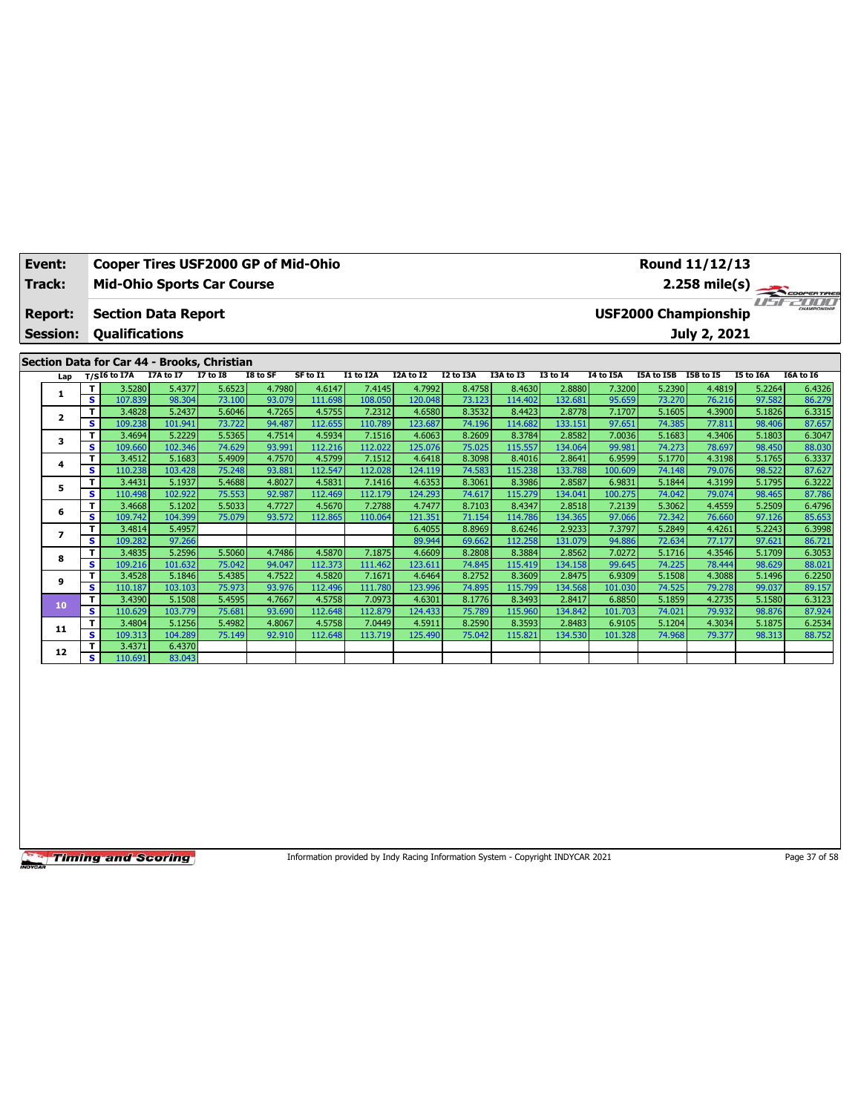| Event:                            |    | Cooper Tires USF2000 GP of Mid-Ohio                 |           |                 |          |          |           |           |           |           |          |           |            | Round 11/12/13                              |           |                         |
|-----------------------------------|----|-----------------------------------------------------|-----------|-----------------|----------|----------|-----------|-----------|-----------|-----------|----------|-----------|------------|---------------------------------------------|-----------|-------------------------|
| Track:                            |    | <b>Mid-Ohio Sports Car Course</b>                   |           |                 |          |          |           |           |           |           |          |           |            |                                             |           | $2.258 \text{ mile(s)}$ |
| <b>Report:</b><br><b>Session:</b> |    | <b>Section Data Report</b><br><b>Qualifications</b> |           |                 |          |          |           |           |           |           |          |           |            | <b>USF2000 Championship</b><br>July 2, 2021 | $II - I$  | CHAMPIONSHIP            |
|                                   |    | Section Data for Car 44 - Brooks, Christian         |           |                 |          |          |           |           |           |           |          |           |            |                                             |           |                         |
| Lap                               |    | $T/SI6$ to I7A                                      | I7A to I7 | <b>I7 to I8</b> | I8 to SF | SF to I1 | I1 to I2A | I2A to I2 | I2 to I3A | I3A to I3 | 13 to 14 | I4 to I5A | I5A to I5B | <b>I5B to I5</b>                            | I5 to I6A | <b>I6A to 16</b>        |
|                                   | т  | 3.5280                                              | 5.4377    | 5.6523          | 4.7980   | 4.6147   | 7.4145    | 4.7992    | 8.4758    | 8.4630    | 2.8880   | 7.3200    | 5.2390     | 4.4819                                      | 5.2264    | 6.4326                  |
| 1                                 | s. | 107.839                                             | 98.304    | 73.100          | 93.079   | 111.698  | 108.050   | 120.048   | 73.123    | 114.402   | 132.681  | 95.659    | 73.270     | 76.216                                      | 97.582    | 86.279                  |
| $\overline{2}$                    | т  | 3.4828                                              | 5.2437    | 5.6046          | 4.7265   | 4.5755   | 7.2312    | 4.6580    | 8.3532    | 8.4423    | 2.8778   | 7.1707    | 5.1605     | 4.3900                                      | 5.1826    | 6.3315                  |
|                                   | s  | 109.238                                             | 101.941   | 73.722          | 94.487   | 112.655  | 110.789   | 123.687   | 74.196    | 114.682   | 133.151  | 97.651    | 74.385     | 77.811                                      | 98.406    | 87.657                  |
| 3                                 | T. | 3.4694                                              | 5.2229    | 5.5365          | 4.7514   | 4.5934   | 7.1516    | 4.6063    | 8.2609    | 8.3784    | 2.8582   | 7.0036    | 5.1683     | 4.3406                                      | 5.1803    | 6.3047                  |
|                                   | s  | 109.660                                             | 102.346   | 74.629          | 93.991   | 112.216  | 112.022   | 125.076   | 75.025    | 115.557   | 134.064  | 99.981    | 74.273     | 78.697                                      | 98.450    | 88.030                  |
| 4                                 | T. | 3.4512                                              | 5.1683    | 5.4909          | 4.7570   | 4.5799   | 7.1512    | 4.6418    | 8.3098    | 8.4016    | 2.8641   | 6.9599    | 5.1770     | 4.3198                                      | 5.1765    | 6.3337                  |
|                                   | s. | 110.238                                             | 103.428   | 75.248          | 93.881   | 112.547  | 112.028   | 124.119   | 74.583    | 115.238   | 133.788  | 100.609   | 74.148     | 79.076                                      | 98.522    | 87.627                  |
| 5                                 | T  | 3.4431                                              | 5.1937    | 5.4688          | 4.8027   | 4.5831   | 7.1416    | 4.6353    | 8.3061    | 8.3986    | 2.8587   | 6.9831    | 5.1844     | 4.3199                                      | 5.1795    | 6.3222                  |
|                                   | s  | 110.498                                             | 102.922   | 75.553          | 92.987   | 112.469  | 112.179   | 124.293   | 74.617    | 115.279   | 134.041  | 100.275   | 74.042     | 79.074                                      | 98.465    | 87.786                  |
| 6                                 | T. | 3.4668                                              | 5.1202    | 5.5033          | 4.7727   | 4.5670   | 7.2788    | 4.7477    | 8.7103    | 8.4347    | 2.8518   | 7.2139    | 5.3062     | 4.4559                                      | 5.2509    | 6.4796                  |
|                                   | s  | 109.742                                             | 104.399   | 75.079          | 93.572   | 112.865  | 110.064   | 121.351   | 71.154    | 114.786   | 134.365  | 97.066    | 72.342     | 76.660                                      | 97.126    | 85.653                  |
| 7                                 | т  | 3.4814                                              | 5.4957    |                 |          |          |           | 6.4055    | 8.8969    | 8.6246    | 2.9233   | 7.3797    | 5.2849     | 4.4261                                      | 5.2243    | 6.3998                  |
|                                   | s  | 109.282                                             | 97.266    |                 |          |          |           | 89.944    | 69.662    | 112.258   | 131.079  | 94.886    | 72.634     | 77.177                                      | 97.621    | 86.721                  |
| 8                                 | T. | 3.4835                                              | 5.2596    | 5.5060          | 4.7486   | 4.5870   | 7.1875    | 4.6609    | 8.2808    | 8.3884    | 2.8562   | 7.0272    | 5.1716     | 4.3546                                      | 5.1709    | 6.3053                  |
|                                   | s. | 109.216                                             | 101.632   | 75.042          | 94.047   | 112.373  | 111.462   | 123.611   | 74.845    | 115.419   | 134.158  | 99.645    | 74.225     | 78,444                                      | 98.629    | 88.021                  |
| 9                                 | T. | 3.4528                                              | 5.1846    | 5.4385          | 4.7522   | 4.5820   | 7.1671    | 4.6464    | 8.2752    | 8.3609    | 2.8475   | 6.9309    | 5.1508     | 4.3088                                      | 5.1496    | 6.2250                  |
|                                   | s. | 110.187                                             | 103.103   | 75.973          | 93.976   | 112.496  | 111.780   | 123.996   | 74.895    | 115.799   | 134.568  | 101.030   | 74.525     | 79.278                                      | 99.037    | 89.157                  |
| 10                                | T. | 3.4390                                              | 5.1508    | 5.4595          | 4.7667   | 4.5758   | 7.0973    | 4.6301    | 8.1776    | 8.3493    | 2.8417   | 6.8850    | 5.1859     | 4.2735                                      | 5.1580    | 6.3123                  |
|                                   | s. | 110.629                                             | 103.779   | 75.681          | 93.690   | 112.648  | 112.879   | 124.433   | 75.789    | 115.960   | 134.842  | 101.703   | 74.021     | 79.932                                      | 98.876    | 87.924                  |
| 11                                | T. | 3.4804                                              | 5.1256    | 5.4982          | 4.8067   | 4.5758   | 7.0449    | 4.5911    | 8.2590    | 8.3593    | 2.8483   | 6.9105    | 5.1204     | 4.3034                                      | 5.1875    | 6.2534                  |
|                                   | s. | 109.313                                             | 104.289   | 75.149          | 92.910   | 112.648  | 113.719   | 125.490   | 75.042    | 115.821   | 134.530  | 101.328   | 74.968     | 79.377                                      | 98.313    | 88.752                  |
| 12                                | т  | 3.4371                                              | 6.4370    |                 |          |          |           |           |           |           |          |           |            |                                             |           |                         |
|                                   | s. | 110.691                                             | 83.043    |                 |          |          |           |           |           |           |          |           |            |                                             |           |                         |

Information provided by Indy Racing Information System - Copyright INDYCAR 2021 Page 37 of 58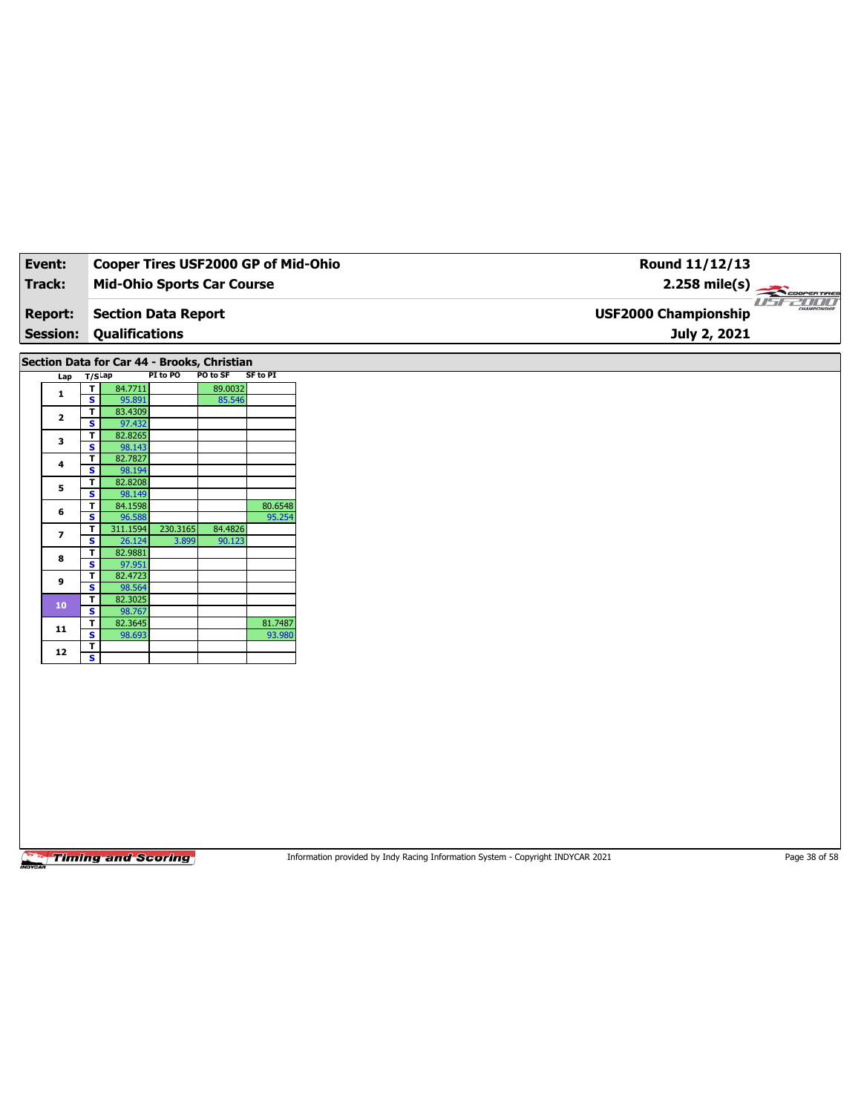| Event:                                      |                              | Cooper Tires USF2000 GP of Mid-Ohio |                   |                   |                 |
|---------------------------------------------|------------------------------|-------------------------------------|-------------------|-------------------|-----------------|
| Track:                                      |                              | <b>Mid-Ohio Sports Car Course</b>   |                   |                   |                 |
|                                             |                              |                                     |                   |                   |                 |
| <b>Report:</b>                              |                              | <b>Section Data Report</b>          |                   |                   |                 |
| <b>Session:</b>                             |                              | Qualifications                      |                   |                   |                 |
|                                             |                              |                                     |                   |                   |                 |
| Section Data for Car 44 - Brooks, Christian |                              |                                     |                   |                   |                 |
| Lap T/SLap                                  |                              |                                     | PI to PO          | PO to SF          | <b>SF to PI</b> |
| $\mathbf{1}$                                | T<br>S                       | 84.7711<br>95.891                   |                   | 89.0032<br>85.546 |                 |
|                                             | T                            | 83.4309                             |                   |                   |                 |
| $\overline{\mathbf{2}}$                     | $\overline{\mathbf{s}}$      | 97.432                              |                   |                   |                 |
| 3                                           | T                            | 82.8265                             |                   |                   |                 |
|                                             | S                            | 98.143                              |                   |                   |                 |
| 4                                           | T.<br>s                      | 82.7827<br>98.194                   |                   |                   |                 |
|                                             | $\mathbf{T}$                 | 82.8208                             |                   |                   |                 |
| 5                                           | $\overline{\mathbf{s}}$      | 98.149                              |                   |                   |                 |
| 6                                           | T.                           | 84.1598                             |                   |                   | 80.6548         |
|                                             | $\overline{\mathbf{s}}$      | 96.588                              |                   |                   | 95.254          |
| $\overline{\phantom{a}}$                    | T<br>$\overline{\mathbf{s}}$ | 311.1594<br>26.124                  | 230.3165<br>3.899 | 84.4826<br>90.123 |                 |
|                                             | T.                           | 82.9881                             |                   |                   |                 |
| 8                                           | $\overline{\mathbf{s}}$      | 97.951                              |                   |                   |                 |
| 9                                           | T                            | 82.4723                             |                   |                   |                 |
|                                             | $\overline{\mathbf{s}}$<br>T | 98.564<br>82.3025                   |                   |                   |                 |
| 10                                          | <b>S</b>                     | 98.767                              |                   |                   |                 |
| 11                                          | T                            | 82.3645                             |                   |                   | 81.7487         |
|                                             | <b>S</b>                     | 98.693                              |                   |                   | 93.980          |
|                                             |                              |                                     |                   |                   |                 |
| 12                                          | T<br>$\overline{\mathbf{s}}$ |                                     |                   |                   |                 |

Information provided by Indy Racing Information System - Copyright INDYCAR 2021 Page 38 of 58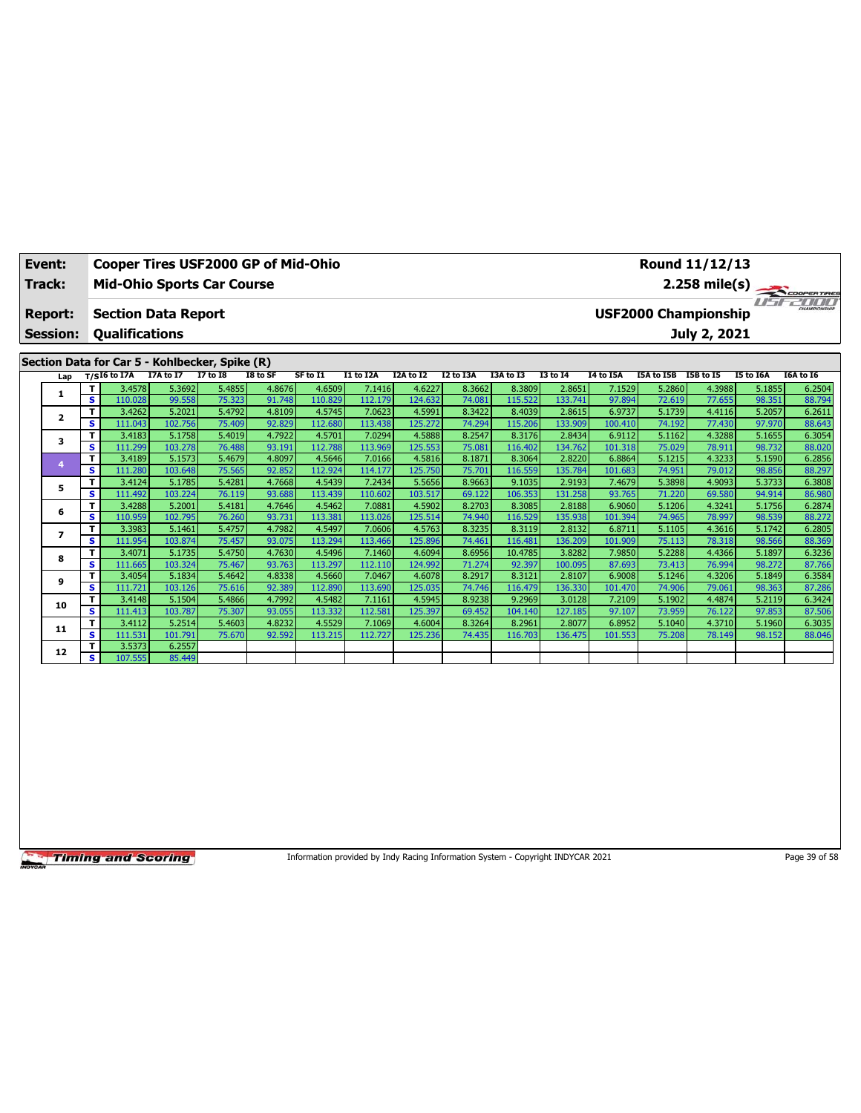| Event:<br>Track:                  |          | Cooper Tires USF2000 GP of Mid-Ohio<br><b>Mid-Ohio Sports Car Course</b>                              |                   |                  |                  |                   |                   |                   |                  |                   |                   |                   |                  | Round 11/12/13                              |                  | 2.258 mile(s)    |
|-----------------------------------|----------|-------------------------------------------------------------------------------------------------------|-------------------|------------------|------------------|-------------------|-------------------|-------------------|------------------|-------------------|-------------------|-------------------|------------------|---------------------------------------------|------------------|------------------|
| <b>Report:</b><br><b>Session:</b> |          | <b>Section Data Report</b><br><b>Qualifications</b><br>Section Data for Car 5 - Kohlbecker, Spike (R) |                   |                  |                  |                   |                   |                   |                  |                   |                   |                   |                  | <b>USF2000 Championship</b><br>July 2, 2021 |                  |                  |
|                                   |          | $T/S$ <sup>I6</sup> to I7A                                                                            | I7A to I7         | <b>I7 to I8</b>  | I8 to SF         | SF to I1          | I1 to I2A         | I2A to I2         | I2 to I3A        | I3A to I3         | <b>I3 to I4</b>   | I4 to I5A         | I5A to I5B       | <b>I5B</b> to I5                            | I5 to I6A        | I6A to I6        |
| Lap                               | T.       | 3.4578                                                                                                | 5.3692            | 5.4855           | 4.8676           | 4.6509            | 7.1416            | 4.6227            | 8.3662           | 8.3809            | 2.8651            | 7.1529            | 5.2860           | 4.3988                                      | 5.1855           | 6.2504           |
| 1                                 | s.       | 110.028                                                                                               | 99.558            | 75.323           | 91.748           | 110.829           | 112.179           | 124.632           | 74.081           | 115.522           | 133.741           | 97.894            | 72.619           | 77.655                                      | 98.351           | 88.794           |
|                                   | T.       | 3.4262                                                                                                | 5.2021            | 5.4792           | 4.8109           | 4.5745            | 7.0623            | 4.5991            | 8.3422           | 8.4039            | 2.8615            | 6.9737            | 5.1739           | 4.4116                                      | 5.2057           | 6.2611           |
| 2                                 | s.       | 111.043                                                                                               | 102.756           | 75.409           | 92.829           | 112.680           | 113.438           | 125.272           | 74.294           | 115.206           | 133.909           | 100.410           | 74.192           | 77.430                                      | 97.970           | 88.643           |
|                                   | T        | 3.4183                                                                                                | 5.1758            | 5.4019           | 4.7922           | 4.5701            | 7.0294            | 4.5888            | 8.2547           | 8.3176            | 2.8434            | 6.9112            | 5.1162           | 4.3288                                      | 5.1655           | 6.3054           |
| 3                                 | s        | 111.299                                                                                               | 103.278           | 76.488           | 93.191           | 112.788           | 113.969           | 125.553           | 75.081           | 116,402           | 134.762           | 101.318           | 75.029           | 78.911                                      | 98.732           | 88.020           |
|                                   | T.       | 3.4189                                                                                                | 5.1573            | 5.4679           | 4.8097           | 4.5646            | 7.0166            | 4.5816            | 8.1871           | 8.3064            | 2.8220            | 6.8864            | 5.1215           | 4.3233                                      | 5.1590           | 6.2856           |
| 4                                 | s.       | 111.280                                                                                               | 103.648           | 75.565           | 92.852           | 112.924           | 114.177           | 125.750           | 75.701           | 116.559           | 135.784           | 101.683           | 74.951           | 79.012                                      | 98.856           | 88.297           |
| 5                                 | T.       | 3.4124                                                                                                | 5.1785            | 5.4281           | 4.7668           | 4.5439            | 7.2434            | 5.5656            | 8.9663           | 9.1035            | 2.9193            | 7.4679            | 5.3898           | 4.9093                                      | 5.3733           | 6.3808           |
|                                   | s.       | 111.492                                                                                               | 103.224           | 76.119           | 93.688           | 113.439           | 110.602           | 103.517           | 69.122           | 106.353           | 131.258           | 93.765            | 71.220           | 69.580                                      | 94.914           | 86.980           |
| 6                                 | т        | 3.4288                                                                                                | 5.2001            | 5.4181           | 4.7646           | 4.5462            | 7.0881            | 4.5902            | 8.2703           | 8.3085            | 2.8188            | 6.9060            | 5.1206           | 4.3241                                      | 5.1756           | 6.2874           |
|                                   | s        | 110.959                                                                                               | 102.795           | 76.260           | 93.731           | 113.381           | 113.026           | 125.514           | 74.940           | 116.529           | 135.938           | 101.394           | 74.965           | 78.997                                      | 98.539           | 88.272           |
| 7                                 | T.       | 3.3983                                                                                                | 5.1461            | 5.4757           | 4.7982           | 4.5497            | 7.0606            | 4.5763            | 8.3235           | 8.3119            | 2.8132            | 6.8711            | 5.1105           | 4.3616                                      | 5.1742           | 6.2805           |
|                                   | s        | 111.954                                                                                               | 103.874           | 75.457           | 93.075           | 113.294           | 113.466           | 125.896           | 74.461           | 116,481           | 136.209           | 101.909           | 75.113           | 78.318                                      | 98.566           | 88.369           |
| 8                                 | T.       | 3.4071                                                                                                | 5.1735            | 5.4750           | 4.7630           | 4.5496            | 7.1460            | 4.6094            | 8.6956           | 10.4785           | 3.8282            | 7.9850            | 5.2288           | 4.4366                                      | 5.1897           | 6.3236           |
|                                   | s        | 111.665                                                                                               | 103.324           | 75.467           | 93.763           | 113.297           | 112.110           | 124.992           | 71.274           | 92.397            | 100.095           | 87.693            | 73.413           | 76.994                                      | 98.272           | 87.766           |
| 9                                 | T.       | 3.4054                                                                                                | 5.1834            | 5.4642           | 4.8338           | 4.5660            | 7.0467            | 4.6078            | 8.2917           | 8.3121            | 2.8107            | 6.9008            | 5.1246           | 4.3206                                      | 5.1849           | 6.3584           |
|                                   | s        | 111.721                                                                                               | 103.126           | 75.616           | 92.389           | 112.890           | 113.690           | 125.035           | 74.746           | 116,479           | 136.330           | 101.470           | 74.906           | 79.061                                      | 98.363           | 87.286           |
| 10                                | T.       | 3.4148                                                                                                | 5.1504            | 5.4866           | 4.7992           | 4.5482            | 7.1161            | 4.5945            | 8.9238           | 9.2969            | 3.0128            | 7.2109            | 5.1902           | 4.4874                                      | 5.2119           | 6.3424           |
|                                   | s.       | 111.413                                                                                               | 103.787           | 75.307           | 93.055           | 113.332           | 112.581           | 125.397           | 69.452           | 104.140           | 127.185           | 97.107            | 73.959           | 76.122                                      | 97.853           | 87.506           |
| 11                                | T.<br>s. | 3.4112<br>111.531                                                                                     | 5.2514<br>101.791 | 5.4603<br>75.670 | 4.8232<br>92.592 | 4.5529<br>113.215 | 7.1069<br>112.727 | 4.6004<br>125.236 | 8.3264<br>74.435 | 8.2961<br>116,703 | 2.8077<br>136.475 | 6.8952<br>101.553 | 5.1040<br>75.208 | 4.3710<br>78.149                            | 5.1960<br>98.152 | 6.3035<br>88.046 |
|                                   | T.       | 3.5373                                                                                                | 6.2557            |                  |                  |                   |                   |                   |                  |                   |                   |                   |                  |                                             |                  |                  |
| 12                                | s        | 107.555                                                                                               | 85,449            |                  |                  |                   |                   |                   |                  |                   |                   |                   |                  |                                             |                  |                  |
|                                   |          |                                                                                                       |                   |                  |                  |                   |                   |                   |                  |                   |                   |                   |                  |                                             |                  |                  |

Information provided by Indy Racing Information System - Copyright INDYCAR 2021 Page 39 of 58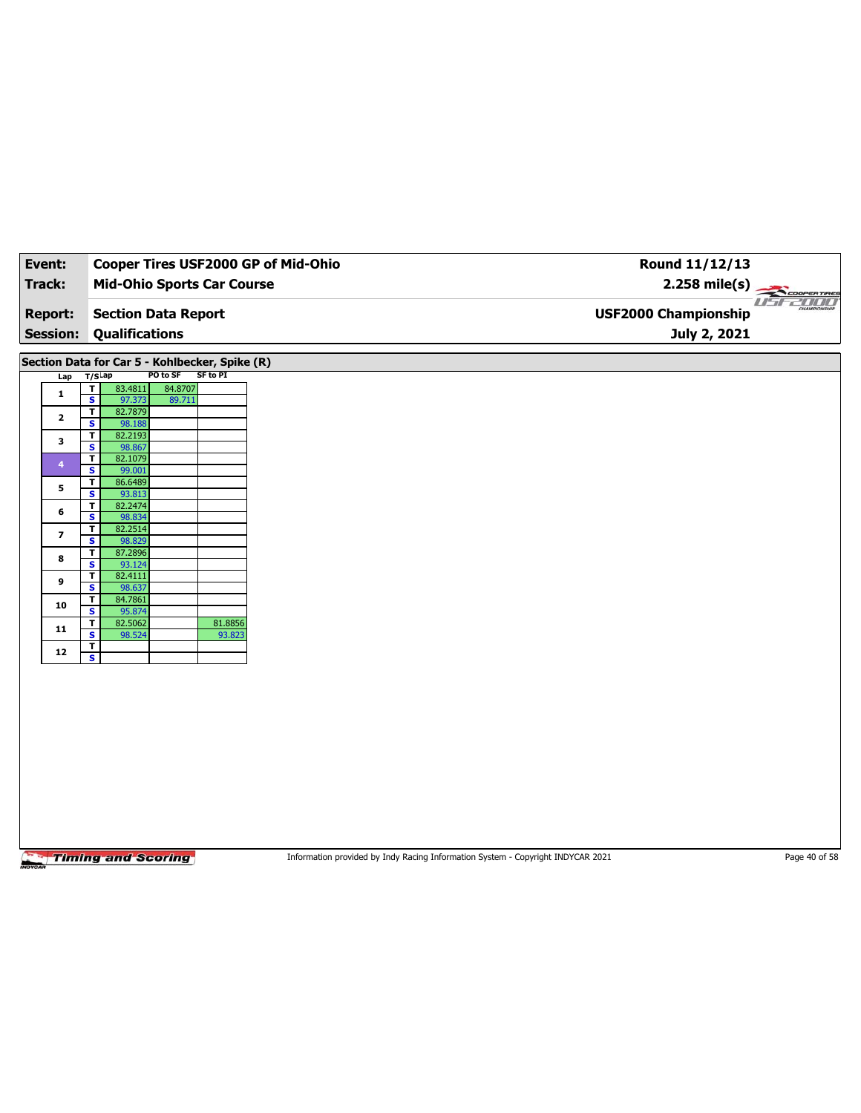| Event:                   |                                                              |                                                | Cooper Tires USF2000 GP of Mid-Ohio | Round 11/12/13              |
|--------------------------|--------------------------------------------------------------|------------------------------------------------|-------------------------------------|-----------------------------|
| Track:                   |                                                              | <b>Mid-Ohio Sports Car Course</b>              |                                     | $2.258$ mile(s)             |
|                          |                                                              |                                                |                                     |                             |
| <b>Report:</b>           |                                                              | <b>Section Data Report</b>                     |                                     | <b>USF2000 Championship</b> |
| <b>Session:</b>          | <b>Qualifications</b>                                        |                                                |                                     | July 2, 2021                |
|                          |                                                              |                                                |                                     |                             |
|                          |                                                              | Section Data for Car 5 - Kohlbecker, Spike (R) |                                     |                             |
| Lap                      | $T/S$ Lap                                                    | SF to PI<br>PO to SF                           |                                     |                             |
| $\mathbf 1$              | 83.4811<br>$\mathbf{T}$<br>$\overline{\mathbf{s}}$<br>97.373 | 84.8707<br>89.711                              |                                     |                             |
|                          | 82.7879<br>T.                                                |                                                |                                     |                             |
| $\overline{\mathbf{2}}$  | $\overline{\mathbf{s}}$<br>98.188                            |                                                |                                     |                             |
| $\mathbf 3$              | 82.2193<br>$\mathbf T$                                       |                                                |                                     |                             |
|                          | $\overline{\mathbf{s}}$<br>98.867                            |                                                |                                     |                             |
| $\overline{\mathbf{4}}$  | $\overline{\mathbf{r}}$<br>82.1079                           |                                                |                                     |                             |
|                          | $\mathbf{s}$<br>99.001<br>86.6489<br>$\mathbf T$             |                                                |                                     |                             |
| 5                        | $\overline{\mathbf{s}}$<br>93.813                            |                                                |                                     |                             |
|                          | 82.2474<br>$\overline{\mathbf{r}}$                           |                                                |                                     |                             |
| 6                        | $\mathbf{s}$<br>98.834                                       |                                                |                                     |                             |
| $\overline{\phantom{a}}$ | $\overline{\mathbf{r}}$<br>82.2514                           |                                                |                                     |                             |
|                          | $\overline{\mathbf{s}}$<br>98.829                            |                                                |                                     |                             |
| 8                        | 87.2896<br>$\overline{\mathbf{r}}$<br>$\mathbf{s}$<br>93.124 |                                                |                                     |                             |
|                          | 82.4111<br>$\mathbf{T}$                                      |                                                |                                     |                             |
| $\boldsymbol{9}$         | $\overline{\mathbf{s}}$<br>98.637                            |                                                |                                     |                             |
|                          | 84.7861<br>$\overline{\mathbf{r}}$                           |                                                |                                     |                             |
| 10                       | $\mathbf{s}$<br>95.874                                       |                                                |                                     |                             |
| $11$                     | 82.5062<br>$\mathbf{T}$                                      |                                                | 81.8856                             |                             |
|                          | $\overline{\mathbf{s}}$<br>98.524                            |                                                | 93.823                              |                             |
|                          | $\mathbf{I}$<br>$\overline{\mathbf{s}}$                      |                                                |                                     |                             |
| 12                       |                                                              |                                                |                                     |                             |

Information provided by Indy Racing Information System - Copyright INDYCAR 2021 Page 40 of 58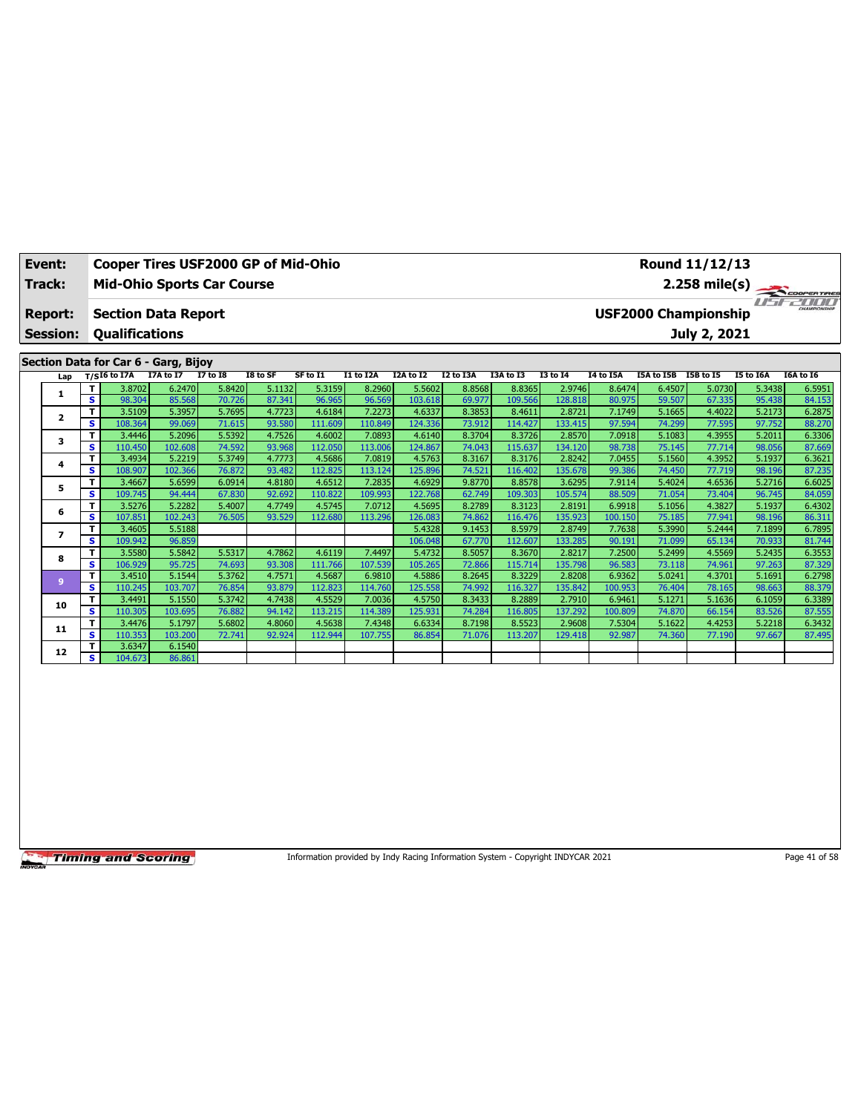| Event:                            |          | Cooper Tires USF2000 GP of Mid-Ohio                 |                   |                  |                  |                   |                   |                   |                  |                   |                   |                   | Round 11/12/13              |                  |                  |                  |
|-----------------------------------|----------|-----------------------------------------------------|-------------------|------------------|------------------|-------------------|-------------------|-------------------|------------------|-------------------|-------------------|-------------------|-----------------------------|------------------|------------------|------------------|
| Track:                            |          | <b>Mid-Ohio Sports Car Course</b>                   |                   |                  |                  |                   |                   |                   |                  |                   |                   |                   |                             | $2.258$ mile(s)  |                  | COOPERTIRES      |
| <b>Report:</b><br><b>Session:</b> |          | <b>Section Data Report</b><br><b>Qualifications</b> |                   |                  |                  |                   |                   |                   |                  |                   |                   |                   | <b>USF2000 Championship</b> | July 2, 2021     | $H^*$            | CHAMPIONSHIP     |
|                                   |          | Section Data for Car 6 - Garg, Bijoy                |                   |                  |                  |                   |                   |                   |                  |                   |                   |                   |                             |                  |                  |                  |
| Lap                               |          | $T/SI6$ to I7A                                      | I7A to I7         | <b>I7 to I8</b>  | I8 to SF         | SF to I1          | I1 to I2A         | I2A to I2         | I2 to I3A        | I3A to I3         | <b>I3 to 14</b>   | I4 to I5A         | I5A to I5B                  | <b>I5B</b> to I5 | I5 to I6A        | I6A to I6        |
|                                   | т        | 3.8702                                              | 6.2470            | 5.8420           | 5.1132           | 5.3159            | 8.2960            | 5.5602            | 8.8568           | 8.8365            | 2.9746            | 8.6474            | 6.4507                      | 5.0730           | 5.3438           | 6.5951           |
| 1                                 | s        | 98.304                                              | 85.568            | 70.726           | 87.341           | 96.965            | 96.569            | 103.618           | 69.977           | 109.566           | 128.818           | 80.975            | 59.507                      | 67.335           | 95.438           | 84.153           |
|                                   | T        | 3.5109                                              | 5.3957            | 5.7695           | 4.7723           | 4.6184            | 7.2273            | 4.6337            | 8.3853           | 8.4611            | 2.8721            | 7.1749            | 5.1665                      | 4.4022           | 5.2173           | 6.2875           |
| 2                                 | s.       | 108.364                                             | 99.069            | 71.615           | 93.580           | 111.609           | 110.849           | 124.336           | 73.912           | 114.427           | 133.415           | 97.594            | 74.299                      | 77.595           | 97.752           | 88.270           |
| 3                                 | T.       | 3.4446                                              | 5.2096            | 5.5392           | 4.7526           | 4.6002            | 7.0893            | 4.6140            | 8.3704           | 8.3726            | 2.8570            | 7.0918            | 5.1083                      | 4.3955           | 5.2011           | 6.3306           |
|                                   | s.       | 110.450                                             | 102.608           | 74.592           | 93.968           | 112.050           | 113.006           | 124.867           | 74.043           | 115.637           | 134.120           | 98.738            | 75.145                      | 77.714           | 98.056           | 87.669           |
| 4                                 | T.       | 3.4934                                              | 5.2219            | 5.3749           | 4.7773           | 4.5686            | 7.0819            | 4.5763            | 8.3167           | 8.3176            | 2.8242            | 7.0455            | 5.1560                      | 4.3952           | 5.1937           | 6.3621           |
|                                   | s        | 108.907                                             | 102.366           | 76.872           | 93.482           | 112.825           | 113.124           | 125.896           | 74.521           | 116.402           | 135.678           | 99.386            | 74.450                      | 77.719           | 98.196           | 87.235           |
| 5                                 | T        | 3.4667                                              | 5.6599            | 6.0914           | 4.8180           | 4.6512            | 7.2835            | 4.6929            | 9.8770           | 8.8578            | 3.6295            | 7.9114            | 5.4024                      | 4.6536           | 5.2716           | 6.6025           |
|                                   | s.       | 109.745                                             | 94.444            | 67.830           | 92.692           | 110.822           | 109.993           | 122.768           | 62.749           | 109.303           | 105.574           | 88.509            | 71.054                      | 73.404           | 96.745           | 84.059           |
| 6                                 | T.       | 3.5276                                              | 5.2282            | 5.4007           | 4.7749           | 4.5745            | 7.0712            | 4.5695            | 8.2789           | 8.3123            | 2.8191            | 6.9918            | 5.1056                      | 4.3827           | 5.1937           | 6.4302           |
|                                   | s.       | 107.851                                             | 102.243           | 76.505           | 93.529           | 112.680           | 113.296           | 126.083           | 74.862           | 116.476           | 135.923           | 100.150           | 75.185                      | 77.941           | 98.196           | 86.311           |
| 7                                 | т        | 3.4605                                              | 5.5188            |                  |                  |                   |                   | 5.4328            | 9.1453           | 8.5979            | 2.8749            | 7.7638            | 5.3990                      | 5.2444           | 7.1899           | 6.7895           |
|                                   | s.       | 109.942                                             | 96.859            |                  |                  |                   |                   | 106.048           | 67.770           | 112.607           | 133.285           | 90.191            | 71.099                      | 65.134           | 70.933           | 81.744           |
| 8                                 | т        | 3.5580                                              | 5.5842            | 5.5317           | 4.7862           | 4.6119            | 7.4497            | 5.4732            | 8.5057           | 8.3670            | 2.8217            | 7.2500            | 5.2499                      | 4.5569           | 5.2435           | 6.3553           |
|                                   | s        | 106.929                                             | 95.725            | 74.693           | 93.308           | 111.766           | 107.539           | 105.265           | 72.866           | 115.714           | 135.798           | 96.583            | 73.118                      | 74.961           | 97.263           | 87.329           |
| 9                                 | T.       | 3.4510                                              | 5.1544            | 5.3762           | 4.7571<br>93.879 | 4.5687<br>112.823 | 6.9810            | 4.5886            | 8.2645           | 8.3229<br>116.327 | 2.8208            | 6.9362            | 5.0241                      | 4.3701           | 5.1691           | 6.2798           |
|                                   | s.<br>T. | 110.245<br>3.4491                                   | 103.707<br>5.1550 | 76.854<br>5.3742 | 4.7438           | 4.5529            | 114.760<br>7.0036 | 125.558<br>4.5750 | 74.992<br>8.3433 | 8.2889            | 135.842<br>2.7910 | 100.953<br>6.9461 | 76.404<br>5.1271            | 78.165<br>5.1636 | 98.663<br>6.1059 | 88.379<br>6.3389 |
| 10                                | s        | 110.305                                             | 103.695           | 76.882           | 94.142           | 113.215           | 114.389           | 125.931           | 74.284           | 116.805           | 137.292           | 100.809           | 74.870                      | 66.154           | 83.526           | 87.555           |
|                                   | т        | 3.4476                                              | 5.1797            | 5.6802           | 4.8060           | 4.5638            | 7.4348            | 6.6334            | 8.7198           | 8.5523            | 2.9608            | 7.5304            | 5.1622                      | 4.4253           | 5.2218           | 6.3432           |
| 11                                | s.       | 110.353                                             | 103.200           | 72.741           | 92.924           | 112.944           | 107.755           | 86.854            | 71.076           | 113.207           | 129.418           | 92.987            | 74.360                      | 77.190           | 97.667           | 87.495           |
|                                   | T.       | 3.6347                                              | 6.1540            |                  |                  |                   |                   |                   |                  |                   |                   |                   |                             |                  |                  |                  |
| 12                                | s.       | 104.673                                             | 86.861            |                  |                  |                   |                   |                   |                  |                   |                   |                   |                             |                  |                  |                  |

Information provided by Indy Racing Information System - Copyright INDYCAR 2021 Page 41 of 58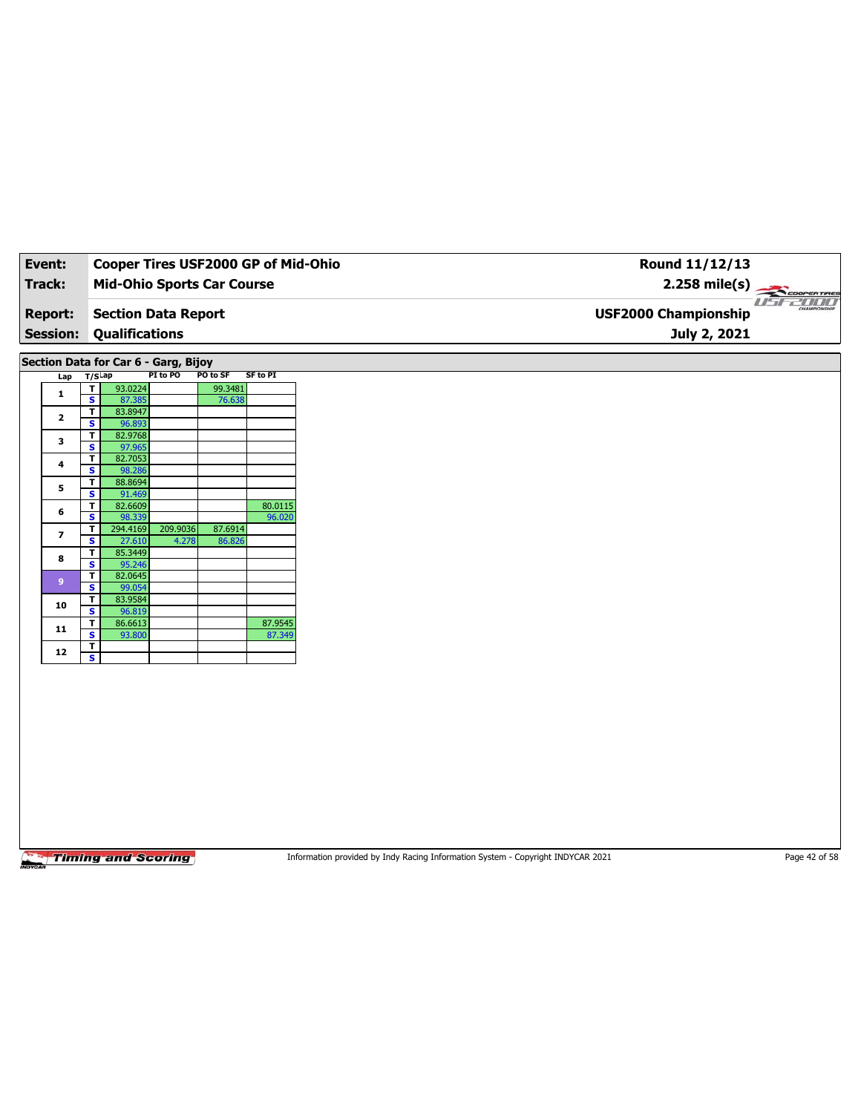| Event:                                      |                                                    | Cooper Tires USF2000 GP of Mid-Ohio |          |          |                   |
|---------------------------------------------|----------------------------------------------------|-------------------------------------|----------|----------|-------------------|
| <b>Track:</b>                               |                                                    | <b>Mid-Ohio Sports Car Course</b>   |          |          |                   |
|                                             |                                                    |                                     |          |          |                   |
| <b>Report:</b>                              |                                                    | <b>Section Data Report</b>          |          |          |                   |
| <b>Session:</b>                             |                                                    | <b>Qualifications</b>               |          |          |                   |
|                                             |                                                    |                                     |          |          |                   |
| Section Data for Car 6 - Garg, Bijoy<br>Lap | $T/S$ Lap                                          |                                     | PI to PO | PO to SF | <b>SF to PI</b>   |
|                                             | T                                                  | 93.0224                             |          | 99.3481  |                   |
| $\mathbf{1}$                                | $\overline{\mathbf{s}}$                            | 87.385                              |          | 76.638   |                   |
| $\mathbf{2}$                                | $\overline{\mathbf{r}}$<br>S                       | 83.8947<br>96.893                   |          |          |                   |
|                                             | т                                                  | 82.9768                             |          |          |                   |
| 3                                           | $\overline{\mathbf{s}}$                            | 97.965                              |          |          |                   |
| 4                                           | $\overline{\mathbf{r}}$<br>$\overline{\mathbf{s}}$ | 82.7053<br>98.286                   |          |          |                   |
|                                             | T                                                  | 88.8694                             |          |          |                   |
| 5                                           | $\overline{\mathbf{s}}$                            | 91.469                              |          |          |                   |
| 6                                           | Τ                                                  | 82.6609                             |          |          | 80.0115           |
|                                             | $\overline{\mathbf{s}}$<br>T                       | 98.339<br>294.4169                  | 209.9036 | 87.6914  | 96.020            |
| $\overline{\mathbf{z}}$                     | s                                                  | 27.610                              | 4.278    | 86.826   |                   |
| 8                                           | $\overline{\mathsf{r}}$                            | 85.3449                             |          |          |                   |
|                                             | $\mathbf{s}$                                       | 95.246<br>82.0645                   |          |          |                   |
| $9\,$                                       | T<br>$\overline{\mathbf{s}}$                       | 99.054                              |          |          |                   |
| 10                                          | T                                                  | 83.9584                             |          |          |                   |
|                                             | s                                                  | 96.819                              |          |          |                   |
| 11                                          | т<br>$\overline{\mathbf{s}}$                       | 86.6613<br>93.800                   |          |          | 87.9545<br>87.349 |
| $12$                                        | T                                                  |                                     |          |          |                   |
|                                             | s                                                  |                                     |          |          |                   |

Information provided by Indy Racing Information System - Copyright INDYCAR 2021 Page 42 of 58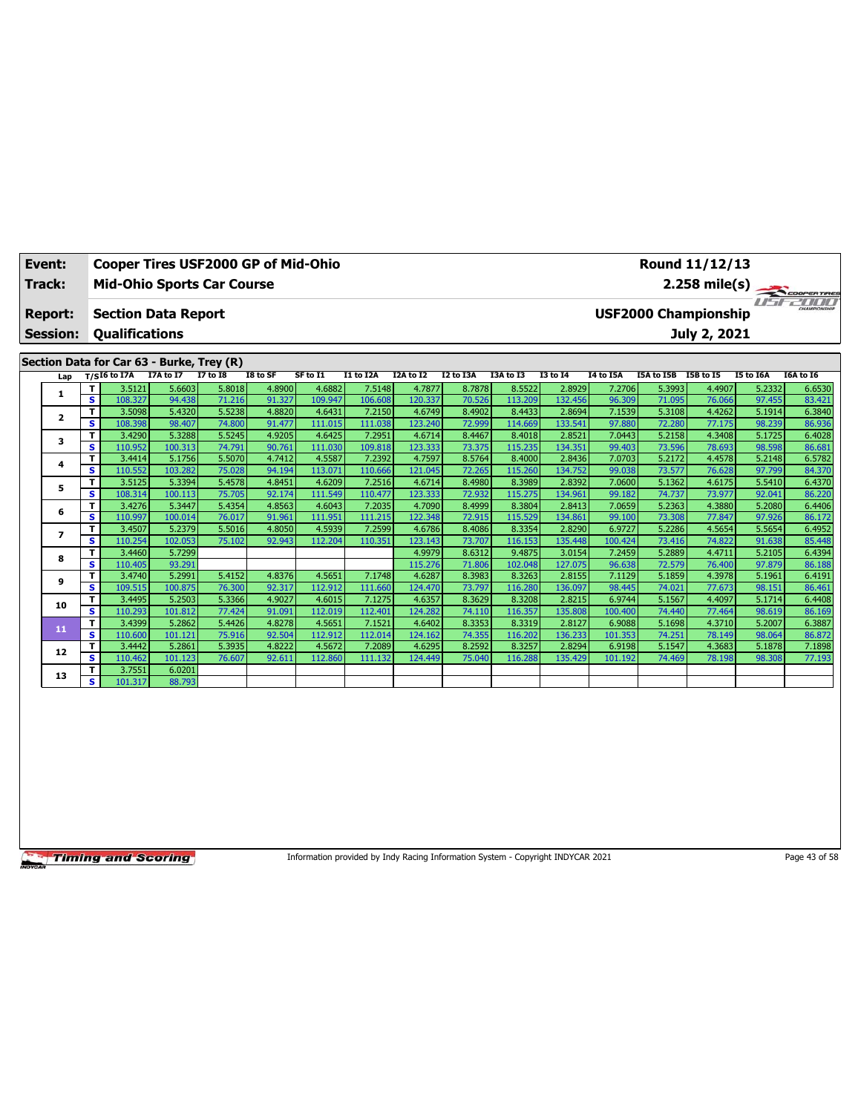| Track:<br><b>Mid-Ohio Sports Car Course</b><br>$2.258 \text{ mile(s)}$<br>CHAMPIONSHIP<br><b>USF2000 Championship</b><br><b>Section Data Report</b><br><b>Report:</b><br><b>Qualifications</b><br><b>Session:</b><br>July 2, 2021<br>Section Data for Car 63 - Burke, Trey (R)<br>I7A to I7<br>I2A to I2<br>I2 to I3A<br>$T/SI6$ to I7A<br><b>I7 to I8</b><br>I8 to SF<br>SF to I1<br>I1 to I2A<br>I3A to I3<br><b>I3 to 14</b><br>I4 to I5A<br>I5A to I5B I5B to I5<br>I5 to I6A<br>I6A to I6<br>Lap<br>T.<br>5.6603<br>5.8018<br>4.8900<br>4.6882<br>4.7877<br>8.7878<br>8.5522<br>7.2706<br>5.3993<br>3.5121<br>7.5148<br>2.8929<br>4.4907<br>5.2332<br>6.6530<br>1.<br>91.327<br>s.<br>108.327<br>71.216<br>109.947<br>120.337<br>113.209<br>96.309<br>71.095<br>76.066<br>106.608<br>70.526<br>132.456<br>97.455<br>94.438<br>83.421<br>7.1539<br>5.3108<br>3.5098<br>5.5238<br>7.2150<br>4.6749<br>T.<br>5.4320<br>4.8820<br>4.6431<br>8.4902<br>8.4433<br>2.8694<br>4.4262<br>5.1914<br>6.3840<br>$\mathbf{2}$<br>74.800<br>123.240<br>s<br>108.398<br>98.407<br>91.477<br>111.015<br>111.038<br>72.999<br>133.541<br>97.880<br>72.280<br>77.175<br>98.239<br>114.669<br>86.936<br>3.4290<br>5.3288<br>5.5245<br>4.9205<br>4.6425<br>4.6714<br>8.4467<br>7.0443<br>5.2158<br>4.3408<br>Τ<br>7.2951<br>8.4018<br>2.8521<br>5.1725<br>6.4028<br>з<br>123.333<br>s<br>74.791<br>90.761<br>73.375<br>78.693<br>100.313<br>111.030<br>109.818<br>115.235<br>134.351<br>99.403<br>73.596<br>98.598<br>110.952<br>86.681<br>5.5070<br>7.0703<br>5.2172<br>T.<br>3.4414<br>5.1756<br>4.7412<br>4.5587<br>7.2392<br>4.7597<br>8.5764<br>2.8436<br>8.4000<br>4.4578<br>5.2148<br>6.5782<br>4<br>75.028<br>94.194<br>103.282<br>121.045<br>72.265<br>73.577<br>76.628<br>84.370<br>113.071<br>110.666<br>115.260<br>134.752<br>99.038<br>97.799<br>s<br>110.552<br>4.6714<br>7.0600<br>T.<br>3.5125<br>5.3394<br>5.4578<br>4.8451<br>4.6209<br>7.2516<br>8.4980<br>8.3989<br>2.8392<br>5.1362<br>4.6175<br>5.5410<br>6.4370<br>5<br>123.333<br>72.932<br>75.705<br>92.174<br>110.477<br>99.182<br>74.737<br>73.977<br>86.220<br>s<br>108.314<br>100.113<br>111.549<br>115.275<br>134.961<br>92.041<br>3.4276<br>5.4354<br>4.8563<br>4.7090<br>7.0659<br>5.2363<br>T.<br>5.3447<br>4.6043<br>7.2035<br>8.4999<br>8.3804<br>2.8413<br>4.3880<br>5.2080<br>6.4406<br>6<br>s.<br>122.348<br>72.915<br>73.308<br>86.172<br>110.997<br>100.014<br>76.017<br>91.961<br>111.951<br>111.215<br>115.529<br>134.861<br>99.100<br>77.847<br>97.926<br>5.5016<br>6.9727<br>T.<br>3.4507<br>5.2379<br>4.8050<br>4.5939<br>7.2599<br>4.6786<br>8.4086<br>8.3354<br>2.8290<br>5.2286<br>4.5654<br>5.5654<br>6.4952<br>7<br>s.<br>110.254<br>102.053<br>75.102<br>92.943<br>112.204<br>110.351<br>123.143<br>73.707<br>135.448<br>100.424<br>73.416<br>74.822<br>85.448<br>116.153<br>91.638<br>4.9979<br>8.6312<br>5.2889<br>T.<br>3.4460<br>5.7299<br>9.4875<br>3.0154<br>7.2459<br>4.4711<br>5.2105<br>6.4394<br>8<br>s.<br>115.276<br>72.579<br>86.188<br>110.405<br>93.291<br>71.806<br>102.048<br>127.075<br>96.638<br>76,400<br>97.879<br>5.4152<br>4.5651<br>7.1748<br>4.6287<br>5.1859<br>T.<br>3.4740<br>5.2991<br>4.8376<br>8.3983<br>8.3263<br>2.8155<br>7.1129<br>4.3978<br>5.1961<br>6.4191<br>9<br>76.300<br>92.317<br>73.797<br>74.021<br>s<br>109.515<br>100.875<br>112.912<br>124.470<br>136.097<br>98.445<br>77.673<br>98.151<br>111.660<br>116.280<br>86.461<br>5.3366<br>4.6015<br>4.6357<br>8.3629<br>6.9744<br>T.<br>3.4495<br>5.2503<br>4.9027<br>7.1275<br>8.3208<br>2.8215<br>5.1567<br>4.4097<br>5.1714<br>6.4408<br>10<br>s.<br>110.293<br>101.812<br>77.424<br>91.091<br>112.019<br>112.401<br>124.282<br>74.110<br>135.808<br>74.440<br>98.619<br>116.357<br>100.400<br>77.464<br>86.169<br>$\mathbf{T}$<br>5.2862<br>5.4426<br>4.8278<br>4.5651<br>7.1521<br>4.6402<br>8.3353<br>2.8127<br>6.9088<br>5.1698<br>3.4399<br>8.3319<br>4.3710<br>5.2007<br>6.3887<br>11<br>$\overline{\mathbf{s}}$<br>110.600<br>101.121<br>75.916<br>92.504<br>112.912<br>112.014<br>124.162<br>74.355<br>116.202<br>136.233<br>74.251<br>78.149<br>101.353<br>98.064<br>86.872<br>5.3935<br>5.2861<br>4.8222<br>4.5672<br>7.2089<br>4.6295<br>8.2592<br>2.8294<br>6.9198<br>5.1547<br>4.3683<br>7.1898<br>3.4442<br>8.3257<br>5.1878<br>т<br>12<br>s<br>110.462<br>101.123<br>76.607<br>92.611<br>112.860<br>111.132<br>124,449<br>75.040<br>135.429<br>74.469<br>78.198<br>98.308<br>77.193<br>116,288<br>101.192<br>3.7551<br>т<br>6.0201<br>13<br>s.<br>88.793 | Event: | <b>Cooper Tires USF2000 GP of Mid-Ohio</b> |  |  |  |  |  | Round 11/12/13 |  |
|-----------------------------------------------------------------------------------------------------------------------------------------------------------------------------------------------------------------------------------------------------------------------------------------------------------------------------------------------------------------------------------------------------------------------------------------------------------------------------------------------------------------------------------------------------------------------------------------------------------------------------------------------------------------------------------------------------------------------------------------------------------------------------------------------------------------------------------------------------------------------------------------------------------------------------------------------------------------------------------------------------------------------------------------------------------------------------------------------------------------------------------------------------------------------------------------------------------------------------------------------------------------------------------------------------------------------------------------------------------------------------------------------------------------------------------------------------------------------------------------------------------------------------------------------------------------------------------------------------------------------------------------------------------------------------------------------------------------------------------------------------------------------------------------------------------------------------------------------------------------------------------------------------------------------------------------------------------------------------------------------------------------------------------------------------------------------------------------------------------------------------------------------------------------------------------------------------------------------------------------------------------------------------------------------------------------------------------------------------------------------------------------------------------------------------------------------------------------------------------------------------------------------------------------------------------------------------------------------------------------------------------------------------------------------------------------------------------------------------------------------------------------------------------------------------------------------------------------------------------------------------------------------------------------------------------------------------------------------------------------------------------------------------------------------------------------------------------------------------------------------------------------------------------------------------------------------------------------------------------------------------------------------------------------------------------------------------------------------------------------------------------------------------------------------------------------------------------------------------------------------------------------------------------------------------------------------------------------------------------------------------------------------------------------------------------------------------------------------------------------------------------------------------------------------------------------------------------------------------------------------------------------------------------------------------------------------------------------------------------------------------------------------------------------------------------------------------------------------------------------------------------------------------------------------------------------------------------------------------------------------------------------------------------------------------------------------------------------------------------------------------------------------------------------------------------------------------------------------------------------------------------------------------------------------------------|--------|--------------------------------------------|--|--|--|--|--|----------------|--|
|                                                                                                                                                                                                                                                                                                                                                                                                                                                                                                                                                                                                                                                                                                                                                                                                                                                                                                                                                                                                                                                                                                                                                                                                                                                                                                                                                                                                                                                                                                                                                                                                                                                                                                                                                                                                                                                                                                                                                                                                                                                                                                                                                                                                                                                                                                                                                                                                                                                                                                                                                                                                                                                                                                                                                                                                                                                                                                                                                                                                                                                                                                                                                                                                                                                                                                                                                                                                                                                                                                                                                                                                                                                                                                                                                                                                                                                                                                                                                                                                                                                                                                                                                                                                                                                                                                                                                                                                                                                                                                                                                           |        |                                            |  |  |  |  |  |                |  |
|                                                                                                                                                                                                                                                                                                                                                                                                                                                                                                                                                                                                                                                                                                                                                                                                                                                                                                                                                                                                                                                                                                                                                                                                                                                                                                                                                                                                                                                                                                                                                                                                                                                                                                                                                                                                                                                                                                                                                                                                                                                                                                                                                                                                                                                                                                                                                                                                                                                                                                                                                                                                                                                                                                                                                                                                                                                                                                                                                                                                                                                                                                                                                                                                                                                                                                                                                                                                                                                                                                                                                                                                                                                                                                                                                                                                                                                                                                                                                                                                                                                                                                                                                                                                                                                                                                                                                                                                                                                                                                                                                           |        |                                            |  |  |  |  |  |                |  |
|                                                                                                                                                                                                                                                                                                                                                                                                                                                                                                                                                                                                                                                                                                                                                                                                                                                                                                                                                                                                                                                                                                                                                                                                                                                                                                                                                                                                                                                                                                                                                                                                                                                                                                                                                                                                                                                                                                                                                                                                                                                                                                                                                                                                                                                                                                                                                                                                                                                                                                                                                                                                                                                                                                                                                                                                                                                                                                                                                                                                                                                                                                                                                                                                                                                                                                                                                                                                                                                                                                                                                                                                                                                                                                                                                                                                                                                                                                                                                                                                                                                                                                                                                                                                                                                                                                                                                                                                                                                                                                                                                           |        |                                            |  |  |  |  |  |                |  |
|                                                                                                                                                                                                                                                                                                                                                                                                                                                                                                                                                                                                                                                                                                                                                                                                                                                                                                                                                                                                                                                                                                                                                                                                                                                                                                                                                                                                                                                                                                                                                                                                                                                                                                                                                                                                                                                                                                                                                                                                                                                                                                                                                                                                                                                                                                                                                                                                                                                                                                                                                                                                                                                                                                                                                                                                                                                                                                                                                                                                                                                                                                                                                                                                                                                                                                                                                                                                                                                                                                                                                                                                                                                                                                                                                                                                                                                                                                                                                                                                                                                                                                                                                                                                                                                                                                                                                                                                                                                                                                                                                           |        |                                            |  |  |  |  |  |                |  |
|                                                                                                                                                                                                                                                                                                                                                                                                                                                                                                                                                                                                                                                                                                                                                                                                                                                                                                                                                                                                                                                                                                                                                                                                                                                                                                                                                                                                                                                                                                                                                                                                                                                                                                                                                                                                                                                                                                                                                                                                                                                                                                                                                                                                                                                                                                                                                                                                                                                                                                                                                                                                                                                                                                                                                                                                                                                                                                                                                                                                                                                                                                                                                                                                                                                                                                                                                                                                                                                                                                                                                                                                                                                                                                                                                                                                                                                                                                                                                                                                                                                                                                                                                                                                                                                                                                                                                                                                                                                                                                                                                           |        |                                            |  |  |  |  |  |                |  |
|                                                                                                                                                                                                                                                                                                                                                                                                                                                                                                                                                                                                                                                                                                                                                                                                                                                                                                                                                                                                                                                                                                                                                                                                                                                                                                                                                                                                                                                                                                                                                                                                                                                                                                                                                                                                                                                                                                                                                                                                                                                                                                                                                                                                                                                                                                                                                                                                                                                                                                                                                                                                                                                                                                                                                                                                                                                                                                                                                                                                                                                                                                                                                                                                                                                                                                                                                                                                                                                                                                                                                                                                                                                                                                                                                                                                                                                                                                                                                                                                                                                                                                                                                                                                                                                                                                                                                                                                                                                                                                                                                           |        |                                            |  |  |  |  |  |                |  |
|                                                                                                                                                                                                                                                                                                                                                                                                                                                                                                                                                                                                                                                                                                                                                                                                                                                                                                                                                                                                                                                                                                                                                                                                                                                                                                                                                                                                                                                                                                                                                                                                                                                                                                                                                                                                                                                                                                                                                                                                                                                                                                                                                                                                                                                                                                                                                                                                                                                                                                                                                                                                                                                                                                                                                                                                                                                                                                                                                                                                                                                                                                                                                                                                                                                                                                                                                                                                                                                                                                                                                                                                                                                                                                                                                                                                                                                                                                                                                                                                                                                                                                                                                                                                                                                                                                                                                                                                                                                                                                                                                           |        |                                            |  |  |  |  |  |                |  |
|                                                                                                                                                                                                                                                                                                                                                                                                                                                                                                                                                                                                                                                                                                                                                                                                                                                                                                                                                                                                                                                                                                                                                                                                                                                                                                                                                                                                                                                                                                                                                                                                                                                                                                                                                                                                                                                                                                                                                                                                                                                                                                                                                                                                                                                                                                                                                                                                                                                                                                                                                                                                                                                                                                                                                                                                                                                                                                                                                                                                                                                                                                                                                                                                                                                                                                                                                                                                                                                                                                                                                                                                                                                                                                                                                                                                                                                                                                                                                                                                                                                                                                                                                                                                                                                                                                                                                                                                                                                                                                                                                           |        |                                            |  |  |  |  |  |                |  |
|                                                                                                                                                                                                                                                                                                                                                                                                                                                                                                                                                                                                                                                                                                                                                                                                                                                                                                                                                                                                                                                                                                                                                                                                                                                                                                                                                                                                                                                                                                                                                                                                                                                                                                                                                                                                                                                                                                                                                                                                                                                                                                                                                                                                                                                                                                                                                                                                                                                                                                                                                                                                                                                                                                                                                                                                                                                                                                                                                                                                                                                                                                                                                                                                                                                                                                                                                                                                                                                                                                                                                                                                                                                                                                                                                                                                                                                                                                                                                                                                                                                                                                                                                                                                                                                                                                                                                                                                                                                                                                                                                           |        |                                            |  |  |  |  |  |                |  |
|                                                                                                                                                                                                                                                                                                                                                                                                                                                                                                                                                                                                                                                                                                                                                                                                                                                                                                                                                                                                                                                                                                                                                                                                                                                                                                                                                                                                                                                                                                                                                                                                                                                                                                                                                                                                                                                                                                                                                                                                                                                                                                                                                                                                                                                                                                                                                                                                                                                                                                                                                                                                                                                                                                                                                                                                                                                                                                                                                                                                                                                                                                                                                                                                                                                                                                                                                                                                                                                                                                                                                                                                                                                                                                                                                                                                                                                                                                                                                                                                                                                                                                                                                                                                                                                                                                                                                                                                                                                                                                                                                           |        |                                            |  |  |  |  |  |                |  |
|                                                                                                                                                                                                                                                                                                                                                                                                                                                                                                                                                                                                                                                                                                                                                                                                                                                                                                                                                                                                                                                                                                                                                                                                                                                                                                                                                                                                                                                                                                                                                                                                                                                                                                                                                                                                                                                                                                                                                                                                                                                                                                                                                                                                                                                                                                                                                                                                                                                                                                                                                                                                                                                                                                                                                                                                                                                                                                                                                                                                                                                                                                                                                                                                                                                                                                                                                                                                                                                                                                                                                                                                                                                                                                                                                                                                                                                                                                                                                                                                                                                                                                                                                                                                                                                                                                                                                                                                                                                                                                                                                           |        |                                            |  |  |  |  |  |                |  |
|                                                                                                                                                                                                                                                                                                                                                                                                                                                                                                                                                                                                                                                                                                                                                                                                                                                                                                                                                                                                                                                                                                                                                                                                                                                                                                                                                                                                                                                                                                                                                                                                                                                                                                                                                                                                                                                                                                                                                                                                                                                                                                                                                                                                                                                                                                                                                                                                                                                                                                                                                                                                                                                                                                                                                                                                                                                                                                                                                                                                                                                                                                                                                                                                                                                                                                                                                                                                                                                                                                                                                                                                                                                                                                                                                                                                                                                                                                                                                                                                                                                                                                                                                                                                                                                                                                                                                                                                                                                                                                                                                           |        |                                            |  |  |  |  |  |                |  |
|                                                                                                                                                                                                                                                                                                                                                                                                                                                                                                                                                                                                                                                                                                                                                                                                                                                                                                                                                                                                                                                                                                                                                                                                                                                                                                                                                                                                                                                                                                                                                                                                                                                                                                                                                                                                                                                                                                                                                                                                                                                                                                                                                                                                                                                                                                                                                                                                                                                                                                                                                                                                                                                                                                                                                                                                                                                                                                                                                                                                                                                                                                                                                                                                                                                                                                                                                                                                                                                                                                                                                                                                                                                                                                                                                                                                                                                                                                                                                                                                                                                                                                                                                                                                                                                                                                                                                                                                                                                                                                                                                           |        |                                            |  |  |  |  |  |                |  |
|                                                                                                                                                                                                                                                                                                                                                                                                                                                                                                                                                                                                                                                                                                                                                                                                                                                                                                                                                                                                                                                                                                                                                                                                                                                                                                                                                                                                                                                                                                                                                                                                                                                                                                                                                                                                                                                                                                                                                                                                                                                                                                                                                                                                                                                                                                                                                                                                                                                                                                                                                                                                                                                                                                                                                                                                                                                                                                                                                                                                                                                                                                                                                                                                                                                                                                                                                                                                                                                                                                                                                                                                                                                                                                                                                                                                                                                                                                                                                                                                                                                                                                                                                                                                                                                                                                                                                                                                                                                                                                                                                           |        |                                            |  |  |  |  |  |                |  |
|                                                                                                                                                                                                                                                                                                                                                                                                                                                                                                                                                                                                                                                                                                                                                                                                                                                                                                                                                                                                                                                                                                                                                                                                                                                                                                                                                                                                                                                                                                                                                                                                                                                                                                                                                                                                                                                                                                                                                                                                                                                                                                                                                                                                                                                                                                                                                                                                                                                                                                                                                                                                                                                                                                                                                                                                                                                                                                                                                                                                                                                                                                                                                                                                                                                                                                                                                                                                                                                                                                                                                                                                                                                                                                                                                                                                                                                                                                                                                                                                                                                                                                                                                                                                                                                                                                                                                                                                                                                                                                                                                           |        |                                            |  |  |  |  |  |                |  |
|                                                                                                                                                                                                                                                                                                                                                                                                                                                                                                                                                                                                                                                                                                                                                                                                                                                                                                                                                                                                                                                                                                                                                                                                                                                                                                                                                                                                                                                                                                                                                                                                                                                                                                                                                                                                                                                                                                                                                                                                                                                                                                                                                                                                                                                                                                                                                                                                                                                                                                                                                                                                                                                                                                                                                                                                                                                                                                                                                                                                                                                                                                                                                                                                                                                                                                                                                                                                                                                                                                                                                                                                                                                                                                                                                                                                                                                                                                                                                                                                                                                                                                                                                                                                                                                                                                                                                                                                                                                                                                                                                           |        |                                            |  |  |  |  |  |                |  |
|                                                                                                                                                                                                                                                                                                                                                                                                                                                                                                                                                                                                                                                                                                                                                                                                                                                                                                                                                                                                                                                                                                                                                                                                                                                                                                                                                                                                                                                                                                                                                                                                                                                                                                                                                                                                                                                                                                                                                                                                                                                                                                                                                                                                                                                                                                                                                                                                                                                                                                                                                                                                                                                                                                                                                                                                                                                                                                                                                                                                                                                                                                                                                                                                                                                                                                                                                                                                                                                                                                                                                                                                                                                                                                                                                                                                                                                                                                                                                                                                                                                                                                                                                                                                                                                                                                                                                                                                                                                                                                                                                           |        |                                            |  |  |  |  |  |                |  |
|                                                                                                                                                                                                                                                                                                                                                                                                                                                                                                                                                                                                                                                                                                                                                                                                                                                                                                                                                                                                                                                                                                                                                                                                                                                                                                                                                                                                                                                                                                                                                                                                                                                                                                                                                                                                                                                                                                                                                                                                                                                                                                                                                                                                                                                                                                                                                                                                                                                                                                                                                                                                                                                                                                                                                                                                                                                                                                                                                                                                                                                                                                                                                                                                                                                                                                                                                                                                                                                                                                                                                                                                                                                                                                                                                                                                                                                                                                                                                                                                                                                                                                                                                                                                                                                                                                                                                                                                                                                                                                                                                           |        |                                            |  |  |  |  |  |                |  |
|                                                                                                                                                                                                                                                                                                                                                                                                                                                                                                                                                                                                                                                                                                                                                                                                                                                                                                                                                                                                                                                                                                                                                                                                                                                                                                                                                                                                                                                                                                                                                                                                                                                                                                                                                                                                                                                                                                                                                                                                                                                                                                                                                                                                                                                                                                                                                                                                                                                                                                                                                                                                                                                                                                                                                                                                                                                                                                                                                                                                                                                                                                                                                                                                                                                                                                                                                                                                                                                                                                                                                                                                                                                                                                                                                                                                                                                                                                                                                                                                                                                                                                                                                                                                                                                                                                                                                                                                                                                                                                                                                           |        |                                            |  |  |  |  |  |                |  |
|                                                                                                                                                                                                                                                                                                                                                                                                                                                                                                                                                                                                                                                                                                                                                                                                                                                                                                                                                                                                                                                                                                                                                                                                                                                                                                                                                                                                                                                                                                                                                                                                                                                                                                                                                                                                                                                                                                                                                                                                                                                                                                                                                                                                                                                                                                                                                                                                                                                                                                                                                                                                                                                                                                                                                                                                                                                                                                                                                                                                                                                                                                                                                                                                                                                                                                                                                                                                                                                                                                                                                                                                                                                                                                                                                                                                                                                                                                                                                                                                                                                                                                                                                                                                                                                                                                                                                                                                                                                                                                                                                           |        |                                            |  |  |  |  |  |                |  |
|                                                                                                                                                                                                                                                                                                                                                                                                                                                                                                                                                                                                                                                                                                                                                                                                                                                                                                                                                                                                                                                                                                                                                                                                                                                                                                                                                                                                                                                                                                                                                                                                                                                                                                                                                                                                                                                                                                                                                                                                                                                                                                                                                                                                                                                                                                                                                                                                                                                                                                                                                                                                                                                                                                                                                                                                                                                                                                                                                                                                                                                                                                                                                                                                                                                                                                                                                                                                                                                                                                                                                                                                                                                                                                                                                                                                                                                                                                                                                                                                                                                                                                                                                                                                                                                                                                                                                                                                                                                                                                                                                           |        |                                            |  |  |  |  |  |                |  |
|                                                                                                                                                                                                                                                                                                                                                                                                                                                                                                                                                                                                                                                                                                                                                                                                                                                                                                                                                                                                                                                                                                                                                                                                                                                                                                                                                                                                                                                                                                                                                                                                                                                                                                                                                                                                                                                                                                                                                                                                                                                                                                                                                                                                                                                                                                                                                                                                                                                                                                                                                                                                                                                                                                                                                                                                                                                                                                                                                                                                                                                                                                                                                                                                                                                                                                                                                                                                                                                                                                                                                                                                                                                                                                                                                                                                                                                                                                                                                                                                                                                                                                                                                                                                                                                                                                                                                                                                                                                                                                                                                           |        |                                            |  |  |  |  |  |                |  |
|                                                                                                                                                                                                                                                                                                                                                                                                                                                                                                                                                                                                                                                                                                                                                                                                                                                                                                                                                                                                                                                                                                                                                                                                                                                                                                                                                                                                                                                                                                                                                                                                                                                                                                                                                                                                                                                                                                                                                                                                                                                                                                                                                                                                                                                                                                                                                                                                                                                                                                                                                                                                                                                                                                                                                                                                                                                                                                                                                                                                                                                                                                                                                                                                                                                                                                                                                                                                                                                                                                                                                                                                                                                                                                                                                                                                                                                                                                                                                                                                                                                                                                                                                                                                                                                                                                                                                                                                                                                                                                                                                           |        |                                            |  |  |  |  |  |                |  |
|                                                                                                                                                                                                                                                                                                                                                                                                                                                                                                                                                                                                                                                                                                                                                                                                                                                                                                                                                                                                                                                                                                                                                                                                                                                                                                                                                                                                                                                                                                                                                                                                                                                                                                                                                                                                                                                                                                                                                                                                                                                                                                                                                                                                                                                                                                                                                                                                                                                                                                                                                                                                                                                                                                                                                                                                                                                                                                                                                                                                                                                                                                                                                                                                                                                                                                                                                                                                                                                                                                                                                                                                                                                                                                                                                                                                                                                                                                                                                                                                                                                                                                                                                                                                                                                                                                                                                                                                                                                                                                                                                           |        |                                            |  |  |  |  |  |                |  |
|                                                                                                                                                                                                                                                                                                                                                                                                                                                                                                                                                                                                                                                                                                                                                                                                                                                                                                                                                                                                                                                                                                                                                                                                                                                                                                                                                                                                                                                                                                                                                                                                                                                                                                                                                                                                                                                                                                                                                                                                                                                                                                                                                                                                                                                                                                                                                                                                                                                                                                                                                                                                                                                                                                                                                                                                                                                                                                                                                                                                                                                                                                                                                                                                                                                                                                                                                                                                                                                                                                                                                                                                                                                                                                                                                                                                                                                                                                                                                                                                                                                                                                                                                                                                                                                                                                                                                                                                                                                                                                                                                           |        |                                            |  |  |  |  |  |                |  |
|                                                                                                                                                                                                                                                                                                                                                                                                                                                                                                                                                                                                                                                                                                                                                                                                                                                                                                                                                                                                                                                                                                                                                                                                                                                                                                                                                                                                                                                                                                                                                                                                                                                                                                                                                                                                                                                                                                                                                                                                                                                                                                                                                                                                                                                                                                                                                                                                                                                                                                                                                                                                                                                                                                                                                                                                                                                                                                                                                                                                                                                                                                                                                                                                                                                                                                                                                                                                                                                                                                                                                                                                                                                                                                                                                                                                                                                                                                                                                                                                                                                                                                                                                                                                                                                                                                                                                                                                                                                                                                                                                           |        |                                            |  |  |  |  |  |                |  |
|                                                                                                                                                                                                                                                                                                                                                                                                                                                                                                                                                                                                                                                                                                                                                                                                                                                                                                                                                                                                                                                                                                                                                                                                                                                                                                                                                                                                                                                                                                                                                                                                                                                                                                                                                                                                                                                                                                                                                                                                                                                                                                                                                                                                                                                                                                                                                                                                                                                                                                                                                                                                                                                                                                                                                                                                                                                                                                                                                                                                                                                                                                                                                                                                                                                                                                                                                                                                                                                                                                                                                                                                                                                                                                                                                                                                                                                                                                                                                                                                                                                                                                                                                                                                                                                                                                                                                                                                                                                                                                                                                           |        |                                            |  |  |  |  |  |                |  |
|                                                                                                                                                                                                                                                                                                                                                                                                                                                                                                                                                                                                                                                                                                                                                                                                                                                                                                                                                                                                                                                                                                                                                                                                                                                                                                                                                                                                                                                                                                                                                                                                                                                                                                                                                                                                                                                                                                                                                                                                                                                                                                                                                                                                                                                                                                                                                                                                                                                                                                                                                                                                                                                                                                                                                                                                                                                                                                                                                                                                                                                                                                                                                                                                                                                                                                                                                                                                                                                                                                                                                                                                                                                                                                                                                                                                                                                                                                                                                                                                                                                                                                                                                                                                                                                                                                                                                                                                                                                                                                                                                           |        |                                            |  |  |  |  |  |                |  |
|                                                                                                                                                                                                                                                                                                                                                                                                                                                                                                                                                                                                                                                                                                                                                                                                                                                                                                                                                                                                                                                                                                                                                                                                                                                                                                                                                                                                                                                                                                                                                                                                                                                                                                                                                                                                                                                                                                                                                                                                                                                                                                                                                                                                                                                                                                                                                                                                                                                                                                                                                                                                                                                                                                                                                                                                                                                                                                                                                                                                                                                                                                                                                                                                                                                                                                                                                                                                                                                                                                                                                                                                                                                                                                                                                                                                                                                                                                                                                                                                                                                                                                                                                                                                                                                                                                                                                                                                                                                                                                                                                           |        |                                            |  |  |  |  |  |                |  |
|                                                                                                                                                                                                                                                                                                                                                                                                                                                                                                                                                                                                                                                                                                                                                                                                                                                                                                                                                                                                                                                                                                                                                                                                                                                                                                                                                                                                                                                                                                                                                                                                                                                                                                                                                                                                                                                                                                                                                                                                                                                                                                                                                                                                                                                                                                                                                                                                                                                                                                                                                                                                                                                                                                                                                                                                                                                                                                                                                                                                                                                                                                                                                                                                                                                                                                                                                                                                                                                                                                                                                                                                                                                                                                                                                                                                                                                                                                                                                                                                                                                                                                                                                                                                                                                                                                                                                                                                                                                                                                                                                           |        | 101.317                                    |  |  |  |  |  |                |  |

Information provided by Indy Racing Information System - Copyright INDYCAR 2021 Page 43 of 58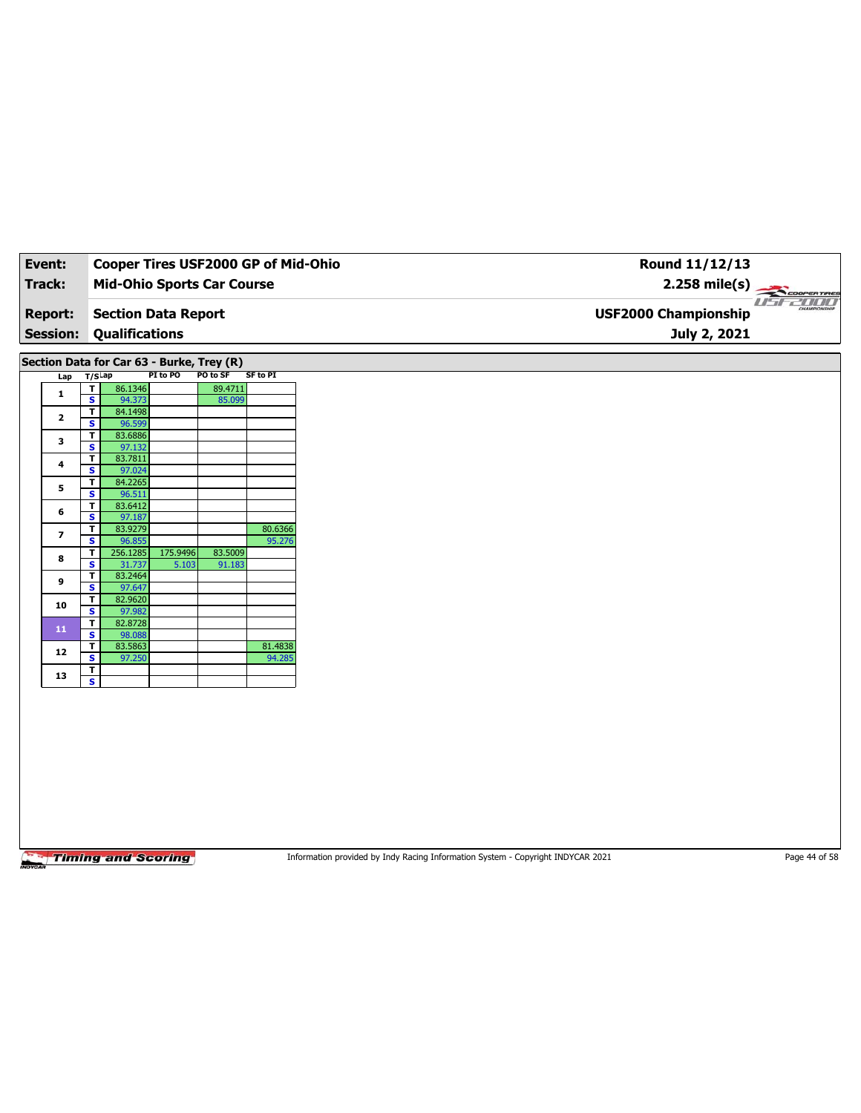Information provided by Indy Racing Information System - Copyright INDYCAR 2021 Page 44 of 58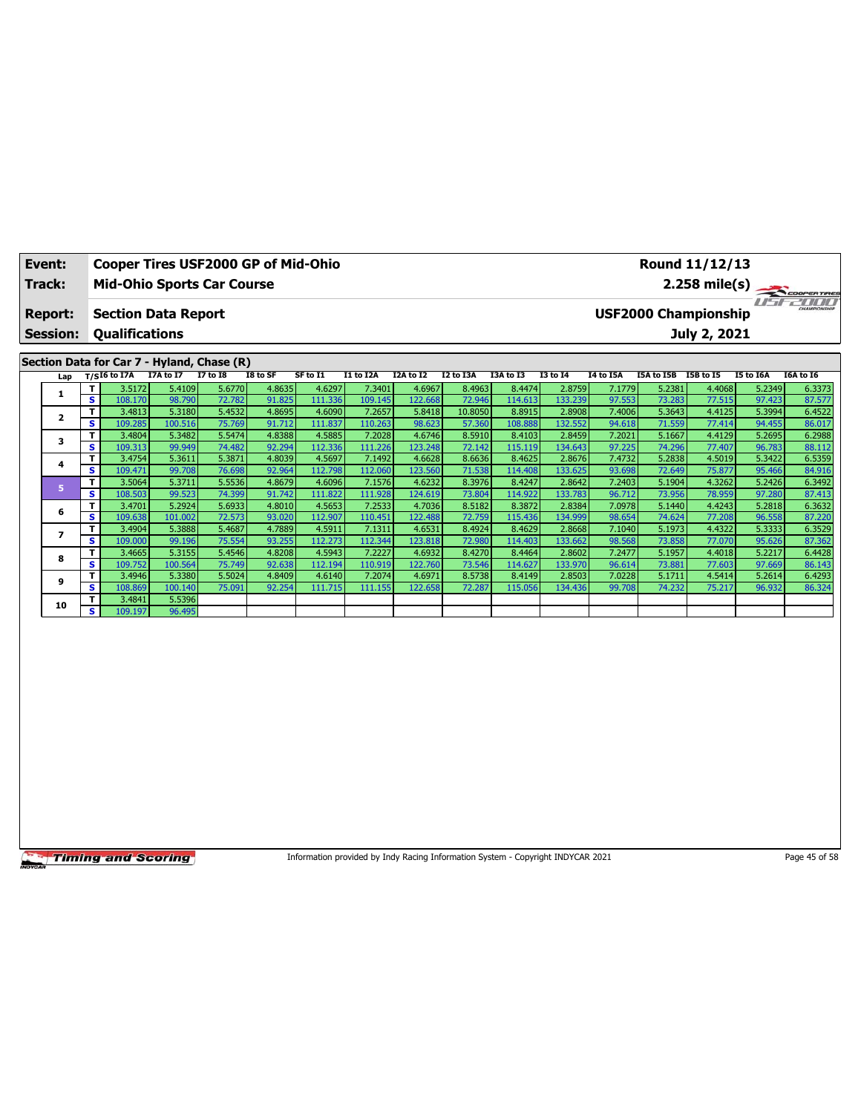| Event:                            |              | <b>Cooper Tires USF2000 GP of Mid-Ohio</b>          |           |                 |          |          |                  |           |           |           |                 |           |            | Round 11/12/13                              |           |                         |
|-----------------------------------|--------------|-----------------------------------------------------|-----------|-----------------|----------|----------|------------------|-----------|-----------|-----------|-----------------|-----------|------------|---------------------------------------------|-----------|-------------------------|
| Track:                            |              | <b>Mid-Ohio Sports Car Course</b>                   |           |                 |          |          |                  |           |           |           |                 |           |            |                                             |           | $2.258 \text{ mile(s)}$ |
| <b>Report:</b><br><b>Session:</b> |              | <b>Section Data Report</b><br><b>Qualifications</b> |           |                 |          |          |                  |           |           |           |                 |           |            | <b>USF2000 Championship</b><br>July 2, 2021 |           | CHAMPIONSHIP            |
|                                   |              | Section Data for Car 7 - Hyland, Chase (R)          |           |                 |          |          |                  |           |           |           |                 |           |            |                                             |           |                         |
| Lap                               |              | $T/SI6$ to I7A                                      | I7A to I7 | <b>I7 to I8</b> | I8 to SF | SF to I1 | <b>I1 to I2A</b> | I2A to I2 | I2 to I3A | I3A to I3 | <b>I3 to 14</b> | I4 to I5A | I5A to I5B | I5B to I5                                   | I5 to I6A | <b>I6A</b> to 16        |
| 1                                 | T.           | 3.5172                                              | 5.4109    | 5.6770          | 4.8635   | 4.6297   | 7.3401           | 4.6967    | 8.4963    | 8.4474    | 2.8759          | 7.1779    | 5.2381     | 4.4068                                      | 5.2349    | 6.3373                  |
|                                   | s            | 108.170                                             | 98.790    | 72.782          | 91.825   | 111.336  | 109.145          | 122.668   | 72.946    | 114.613   | 133.239         | 97.553    | 73.283     | 77.515                                      | 97.423    | 87.577                  |
| 2                                 | T            | 3.4813                                              | 5.3180    | 5.4532          | 4.8695   | 4.6090   | 7.2657           | 5.8418    | 10.8050   | 8.8915    | 2.8908          | 7.4006    | 5.3643     | 4.4125                                      | 5.3994    | 6.4522                  |
|                                   | s            | 109.285                                             | 100.516   | 75.769          | 91.712   | 111.837  | 110.263          | 98.623    | 57.360    | 108.888   | 132.552         | 94.618    | 71.559     | 77.414                                      | 94.455    | 86.017                  |
| 3                                 | т            | 3.4804                                              | 5.3482    | 5.5474          | 4.8388   | 4.5885   | 7.2028           | 4.6746    | 8.5910    | 8.4103    | 2.8459          | 7.2021    | 5.1667     | 4.4129                                      | 5.2695    | 6.2988                  |
|                                   | s            | 109.313                                             | 99.949    | 74.482          | 92.294   | 112.336  | 111.226          | 123.248   | 72.142    | 115.119   | 134.643         | 97.225    | 74.296     | 77,407                                      | 96.783    | 88.112                  |
| 4                                 | т            | 3.4754                                              | 5.3611    | 5.3871          | 4.8039   | 4.5697   | 7.1492           | 4.6628    | 8.6636    | 8.4625    | 2.8676          | 7.4732    | 5.2838     | 4.5019                                      | 5.3422    | 6.5359                  |
|                                   | s.           | 109.471                                             | 99.708    | 76.698          | 92.964   | 112.798  | 112.060          | 123.560   | 71.538    | 114.408   | 133.625         | 93.698    | 72.649     | 75.877                                      | 95.466    | 84.916                  |
| 5                                 | $\mathbf{T}$ | 3.5064                                              | 5.3711    | 5.5536          | 4.8679   | 4.6096   | 7.1576           | 4.6232    | 8.3976    | 8.4247    | 2.8642          | 7.2403    | 5.1904     | 4.3262                                      | 5.2426    | 6.3492                  |
|                                   | <b>S</b>     | 108.503                                             | 99.523    | 74.399          | 91.742   | 111.822  | 111.928          | 124.619   | 73.804    | 114.922   | 133.783         | 96.712    | 73.956     | 78.959                                      | 97.280    | 87.413                  |
| 6                                 | т            | 3.4701                                              | 5.2924    | 5.6933          | 4.8010   | 4.5653   | 7.2533           | 4.7036    | 8.5182    | 8.3872    | 2.8384          | 7.0978    | 5.1440     | 4.4243                                      | 5.2818    | 6.3632                  |
|                                   | s            | 109.638                                             | 101.002   | 72.573          | 93.020   | 112.907  | 110.451          | 122.488   | 72.759    | 115.436   | 134.999         | 98.654    | 74.624     | 77.208                                      | 96.558    | 87.220                  |
| 7                                 | T            | 3.4904                                              | 5.3888    | 5.4687          | 4.7889   | 4.5911   | 7.1311           | 4.6531    | 8.4924    | 8.4629    | 2.8668          | 7.1040    | 5.1973     | 4.4322                                      | 5.3333    | 6.3529                  |
|                                   | s            | 109.000                                             | 99.196    | 75.554          | 93.255   | 112.273  | 112.344          | 123.818   | 72.980    | 114.403   | 133.662         | 98.568    | 73.858     | 77,070                                      | 95.626    | 87.362                  |
| 8                                 | $\mathbf{T}$ | 3.4665                                              | 5.3155    | 5.4546          | 4.8208   | 4.5943   | 7.2227           | 4.6932    | 8.4270    | 8.4464    | 2.8602          | 7.2477    | 5.1957     | 4.4018                                      | 5.2217    | 6.4428                  |
|                                   | s            | 109.752                                             | 100.564   | 75.749          | 92.638   | 112.194  | 110.919          | 122.760   | 73.546    | 114.627   | 133.970         | 96.614    | 73.881     | 77.603                                      | 97.669    | 86.143                  |
| 9                                 | T.           | 3.4946                                              | 5.3380    | 5.5024          | 4.8409   | 4.6140   | 7.2074           | 4.6971    | 8.5738    | 8.4149    | 2.8503          | 7.0228    | 5.1711     | 4.5414                                      | 5.2614    | 6.4293                  |
|                                   | s.           | 108.869                                             | 100.140   | 75.091          | 92.254   | 111.715  | 111.155          | 122.658   | 72.287    | 115.056   | 134.436         | 99.708    | 74.232     | 75.217                                      | 96.932    | 86.324                  |
| 10                                |              | 3.4841                                              | 5.5396    |                 |          |          |                  |           |           |           |                 |           |            |                                             |           |                         |
|                                   | s.           | 109.197                                             | 96.495    |                 |          |          |                  |           |           |           |                 |           |            |                                             |           |                         |

Information provided by Indy Racing Information System - Copyright INDYCAR 2021 Page 45 of 58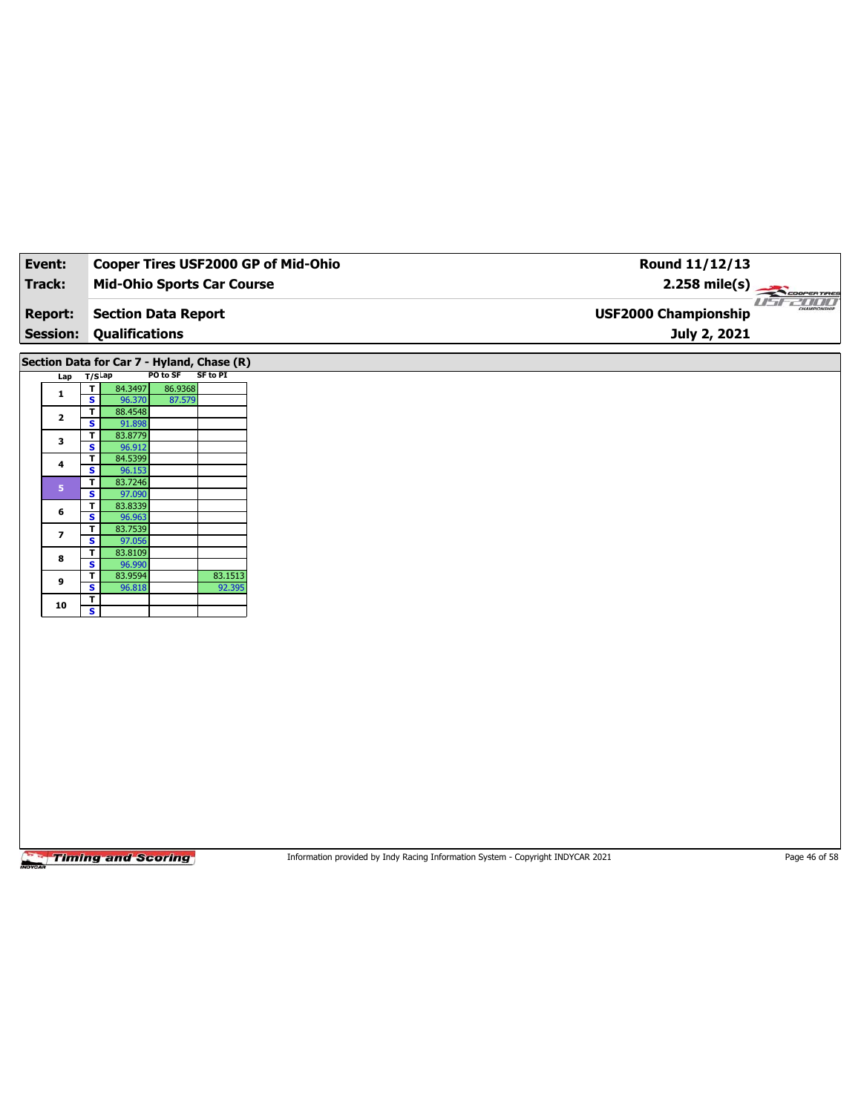| <b>Mid-Ohio Sports Car Course</b><br><b>Track:</b><br><b>Section Data Report</b><br><b>Report:</b><br><b>Qualifications</b><br><b>Session:</b><br>Section Data for Car 7 - Hyland, Chase (R)<br>PO to SF<br><b>SF to PI</b><br>T/SLap<br>Lap<br>86.9368<br>$\overline{\mathbf{r}}$<br>84.3497<br>$\mathbf{1}$<br>$\overline{\mathbf{s}}$<br>96.370<br>87.579<br>88.4548<br>$\overline{\mathbf{r}}$<br>$\mathbf{2}$<br>S<br>91.898<br>83.8779<br>$\mathbf{T}$<br>3<br>$\overline{\mathbf{s}}$<br>96.912<br>84.5399<br>$\overline{\mathbf{r}}$<br>4<br>S<br>96.153<br>83.7246<br>$\mathbf{T}$<br>$\sqrt{5}$<br>$\overline{\mathbf{s}}$<br>97.090<br>83.8339<br>$\mathbf T$<br>6<br>$\overline{\mathbf{s}}$<br>96.963<br>83.7539<br>$\mathbf T$<br>$\overline{\mathbf{z}}$<br>97.056<br>$\overline{\mathbf{s}}$<br>83.8109<br>$\overline{\mathbf{r}}$<br>8<br>S<br>96.990<br>83.1513<br>83.9594<br>$\mathbf{T}$<br>9 | $2.258$ mile(s)<br>COOPERTIRES<br>use anno<br><b>USF2000 Championship</b><br>July 2, 2021<br>92.395 | $\overline{\mathbf{s}}$<br>96.818<br>$\overline{\mathbf{r}}$<br>$\overline{\mathbf{s}}$ | Event: |  | Cooper Tires USF2000 GP of Mid-Ohio | Round 11/12/13 |  |
|-------------------------------------------------------------------------------------------------------------------------------------------------------------------------------------------------------------------------------------------------------------------------------------------------------------------------------------------------------------------------------------------------------------------------------------------------------------------------------------------------------------------------------------------------------------------------------------------------------------------------------------------------------------------------------------------------------------------------------------------------------------------------------------------------------------------------------------------------------------------------------------------------------------------|-----------------------------------------------------------------------------------------------------|-----------------------------------------------------------------------------------------|--------|--|-------------------------------------|----------------|--|
|                                                                                                                                                                                                                                                                                                                                                                                                                                                                                                                                                                                                                                                                                                                                                                                                                                                                                                                   |                                                                                                     |                                                                                         |        |  |                                     |                |  |
|                                                                                                                                                                                                                                                                                                                                                                                                                                                                                                                                                                                                                                                                                                                                                                                                                                                                                                                   |                                                                                                     |                                                                                         |        |  |                                     |                |  |
|                                                                                                                                                                                                                                                                                                                                                                                                                                                                                                                                                                                                                                                                                                                                                                                                                                                                                                                   |                                                                                                     |                                                                                         |        |  |                                     |                |  |
|                                                                                                                                                                                                                                                                                                                                                                                                                                                                                                                                                                                                                                                                                                                                                                                                                                                                                                                   |                                                                                                     |                                                                                         |        |  |                                     |                |  |
|                                                                                                                                                                                                                                                                                                                                                                                                                                                                                                                                                                                                                                                                                                                                                                                                                                                                                                                   |                                                                                                     |                                                                                         |        |  |                                     |                |  |
|                                                                                                                                                                                                                                                                                                                                                                                                                                                                                                                                                                                                                                                                                                                                                                                                                                                                                                                   |                                                                                                     |                                                                                         |        |  |                                     |                |  |
|                                                                                                                                                                                                                                                                                                                                                                                                                                                                                                                                                                                                                                                                                                                                                                                                                                                                                                                   |                                                                                                     |                                                                                         |        |  |                                     |                |  |
|                                                                                                                                                                                                                                                                                                                                                                                                                                                                                                                                                                                                                                                                                                                                                                                                                                                                                                                   |                                                                                                     |                                                                                         |        |  |                                     |                |  |
|                                                                                                                                                                                                                                                                                                                                                                                                                                                                                                                                                                                                                                                                                                                                                                                                                                                                                                                   |                                                                                                     |                                                                                         |        |  |                                     |                |  |
|                                                                                                                                                                                                                                                                                                                                                                                                                                                                                                                                                                                                                                                                                                                                                                                                                                                                                                                   |                                                                                                     |                                                                                         |        |  |                                     |                |  |
|                                                                                                                                                                                                                                                                                                                                                                                                                                                                                                                                                                                                                                                                                                                                                                                                                                                                                                                   |                                                                                                     |                                                                                         |        |  |                                     |                |  |
|                                                                                                                                                                                                                                                                                                                                                                                                                                                                                                                                                                                                                                                                                                                                                                                                                                                                                                                   |                                                                                                     |                                                                                         |        |  |                                     |                |  |
|                                                                                                                                                                                                                                                                                                                                                                                                                                                                                                                                                                                                                                                                                                                                                                                                                                                                                                                   |                                                                                                     |                                                                                         |        |  |                                     |                |  |
|                                                                                                                                                                                                                                                                                                                                                                                                                                                                                                                                                                                                                                                                                                                                                                                                                                                                                                                   |                                                                                                     |                                                                                         |        |  |                                     |                |  |
|                                                                                                                                                                                                                                                                                                                                                                                                                                                                                                                                                                                                                                                                                                                                                                                                                                                                                                                   |                                                                                                     |                                                                                         |        |  |                                     |                |  |
|                                                                                                                                                                                                                                                                                                                                                                                                                                                                                                                                                                                                                                                                                                                                                                                                                                                                                                                   |                                                                                                     |                                                                                         |        |  |                                     |                |  |
|                                                                                                                                                                                                                                                                                                                                                                                                                                                                                                                                                                                                                                                                                                                                                                                                                                                                                                                   |                                                                                                     |                                                                                         |        |  |                                     |                |  |
|                                                                                                                                                                                                                                                                                                                                                                                                                                                                                                                                                                                                                                                                                                                                                                                                                                                                                                                   |                                                                                                     |                                                                                         |        |  |                                     |                |  |
|                                                                                                                                                                                                                                                                                                                                                                                                                                                                                                                                                                                                                                                                                                                                                                                                                                                                                                                   |                                                                                                     |                                                                                         |        |  |                                     |                |  |
|                                                                                                                                                                                                                                                                                                                                                                                                                                                                                                                                                                                                                                                                                                                                                                                                                                                                                                                   |                                                                                                     |                                                                                         |        |  |                                     |                |  |
|                                                                                                                                                                                                                                                                                                                                                                                                                                                                                                                                                                                                                                                                                                                                                                                                                                                                                                                   |                                                                                                     |                                                                                         |        |  |                                     |                |  |
| 10                                                                                                                                                                                                                                                                                                                                                                                                                                                                                                                                                                                                                                                                                                                                                                                                                                                                                                                |                                                                                                     |                                                                                         |        |  |                                     |                |  |
|                                                                                                                                                                                                                                                                                                                                                                                                                                                                                                                                                                                                                                                                                                                                                                                                                                                                                                                   |                                                                                                     |                                                                                         |        |  |                                     |                |  |
|                                                                                                                                                                                                                                                                                                                                                                                                                                                                                                                                                                                                                                                                                                                                                                                                                                                                                                                   |                                                                                                     |                                                                                         |        |  |                                     |                |  |
|                                                                                                                                                                                                                                                                                                                                                                                                                                                                                                                                                                                                                                                                                                                                                                                                                                                                                                                   |                                                                                                     |                                                                                         |        |  |                                     |                |  |
|                                                                                                                                                                                                                                                                                                                                                                                                                                                                                                                                                                                                                                                                                                                                                                                                                                                                                                                   |                                                                                                     |                                                                                         |        |  |                                     |                |  |
|                                                                                                                                                                                                                                                                                                                                                                                                                                                                                                                                                                                                                                                                                                                                                                                                                                                                                                                   |                                                                                                     |                                                                                         |        |  |                                     |                |  |
|                                                                                                                                                                                                                                                                                                                                                                                                                                                                                                                                                                                                                                                                                                                                                                                                                                                                                                                   |                                                                                                     |                                                                                         |        |  |                                     |                |  |
|                                                                                                                                                                                                                                                                                                                                                                                                                                                                                                                                                                                                                                                                                                                                                                                                                                                                                                                   |                                                                                                     |                                                                                         |        |  |                                     |                |  |
|                                                                                                                                                                                                                                                                                                                                                                                                                                                                                                                                                                                                                                                                                                                                                                                                                                                                                                                   |                                                                                                     |                                                                                         |        |  |                                     |                |  |

Information provided by Indy Racing Information System - Copyright INDYCAR 2021 Page 46 of 58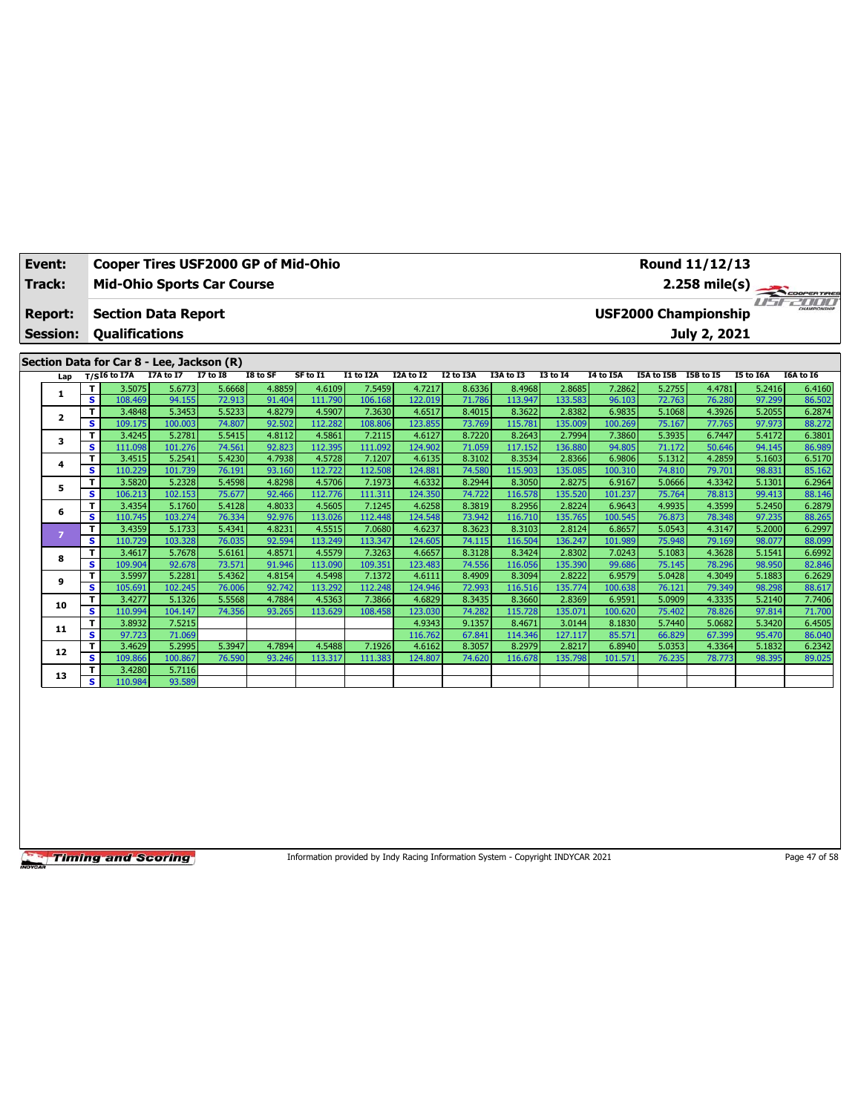| <b>Mid-Ohio Sports Car Course</b><br>$2.258 \text{ mile(s)}$<br>Track:<br>$H^*H^-$<br>CHAMPIONSHIP<br><b>USF2000 Championship</b><br><b>Section Data Report</b><br><b>Report:</b><br><b>Qualifications</b><br>July 2, 2021<br><b>Session:</b><br>Section Data for Car 8 - Lee, Jackson (R)<br>$T/S$ <sup>16</sup> to 17A<br><b>I7A to I7</b><br><b>I7 to I8</b><br>I8 to SF<br>SF to I1<br>I1 to I2A<br>I2A to I2<br>I2 to I3A<br>I3A to I3<br><b>I3 to 14</b><br>I4 to I5A<br>I5A to I5B<br><b>I5B</b> to I5<br>I5 to I6A<br>I6A to I6<br>Lap<br>T<br>3.5075<br>5.2755<br>5.6773<br>5.6668<br>4.8859<br>4.6109<br>7.5459<br>4.7217<br>8.6336<br>8.4968<br>2.8685<br>7.2862<br>4.4781<br>5.2416<br>6.4160<br>1<br>$\overline{\mathbf{s}}$<br>122.019<br>96.103<br>76.280<br>108.469<br>94.155<br>72.913<br>91.404<br>111.790<br>106.168<br>71.786<br>113.947<br>133.583<br>72.763<br>97.299<br>86.502<br>5.5233<br>4.6517<br>5.1068<br>3.4848<br>5.3453<br>4.8279<br>4.5907<br>7.3630<br>8.4015<br>8.3622<br>2.8382<br>6.9835<br>4.3926<br>5.2055<br>6.2874<br>т<br>$\mathbf{2}$<br>123.855<br>s<br>109.175<br>100.003<br>74.807<br>92.502<br>112.282<br>108.806<br>73.769<br>115.781<br>75.167<br>77.765<br>88.272<br>135.009<br>100.269<br>97.973<br>5.5415<br>T.<br>3.4245<br>5.2781<br>7.2115<br>4.6127<br>8.7220<br>2.7994<br>5.3935<br>6.7447<br>4.8112<br>4.5861<br>8.2643<br>7.3860<br>5.4172<br>6.3801<br>з<br>74.561<br>124.902<br>101.276<br>92.823<br>112.395<br>111.092<br>71.059<br>117.152<br>136.880<br>71.172<br>50.646<br>s<br>94.805<br>94.145<br>86.989<br>111.098<br>3.4515<br>5.2541<br>5.4230<br>4.7938<br>4.5728<br>7.1207<br>4.6135<br>8.3102<br>2.8366<br>6.9806<br>5.1312<br>4.2859<br>6.5170<br>T.<br>8.3534<br>5.1603<br>4<br>101.739<br>76.191<br>93.160<br>124.881<br>74.580<br>79.701<br>85.162<br>s<br>110.229<br>112.722<br>112.508<br>115.903<br>135.085<br>100.310<br>74.810<br>98.831<br>3.5820<br>4.8298<br>4.6332<br>8.2944<br>6.9167<br>4.3342<br>T.<br>5.2328<br>5.4598<br>4.5706<br>7.1973<br>8.3050<br>2.8275<br>5.0666<br>5.1301<br>6.2964<br>5<br>102.153<br>74.722<br>s.<br>106.213<br>75.677<br>92.466<br>112.776<br>111.311<br>124.350<br>135.520<br>101.237<br>75.764<br>78.813<br>99.413<br>88.146<br>116.578<br>4.6258<br>8.3819<br>2.8224<br>6.9643<br>4.9935<br>T.<br>3.4354<br>5.1760<br>5.4128<br>4.8033<br>4.5605<br>7.1245<br>8.2956<br>4.3599<br>5.2450<br>6.2879<br>6<br>s.<br>103.274<br>92.976<br>73.942<br>88.265<br>110.745<br>76.334<br>113.026<br>112.448<br>124.548<br>135.765<br>100.545<br>76.873<br>78.348<br>97.235<br>116.710<br>T.<br>3.4359<br>5.1733<br>5.4341<br>4.8231<br>4.5515<br>7.0680<br>4.6237<br>8.3623<br>2.8124<br>6.8657<br>6.2997<br>8.3103<br>5.0543<br>4.3147<br>5.2000<br>$\overline{7}$<br>s.<br>76.035<br>92.594<br>113.249<br>113.347<br>124.605<br>74.115<br>136.247<br>75.948<br>110.729<br>103.328<br>116.504<br>101.989<br>79.169<br>98.077<br>88.099<br>T.<br>5.7678<br>5.6161<br>4.8571<br>4.5579<br>7.3263<br>4.6657<br>8.3128<br>8.3424<br>2.8302<br>7.0243<br>5.1083<br>4.3628<br>5.1541<br>6.6992<br>3.4617<br>8<br>s.<br>73.571<br>74.556<br>82.846<br>109.904<br>92.678<br>91.946<br>113.090<br>109.351<br>123.483<br>135.390<br>99.686<br>75.145<br>78.296<br>98.950<br>116.056<br>5.4362<br>6.9579<br>T.<br>3.5997<br>5.2281<br>4.8154<br>4.5498<br>7.1372<br>4.6111<br>8.4909<br>8.3094<br>2.8222<br>5.0428<br>4.3049<br>5.1883<br>6.2629<br>9<br>76.006<br>72.993<br>s<br>92.742<br>124.946<br>76.121<br>79.349<br>98.298<br>88.617<br>105.691<br>102.245<br>113.292<br>112.248<br>116.516<br>135.774<br>100.638<br>5.5568<br>4.6829<br>6.9591<br>T.<br>3.4277<br>5.1326<br>4.7884<br>4.5363<br>7.3866<br>8.3435<br>8.3660<br>2.8369<br>5.0909<br>4.3335<br>5.2140<br>7.7406<br>10<br>74.356<br>74.282<br>71.700<br>s.<br>110.994<br>104.147<br>93.265<br>123.030<br>135.071<br>75.402<br>97.814<br>113.629<br>108.458<br>115.728<br>100.620<br>78.826<br>7.5215<br>4.9343<br>8.4671<br>8.1830<br>5.7440<br>T.<br>3.8932<br>9.1357<br>3.0144<br>5.0682<br>5.3420<br>6.4505<br>11<br>$\overline{\mathbf{s}}$<br>97.723<br>71.069<br>127.117<br>85.571<br>66.829<br>116,762<br>67.841<br>114.346<br>67.399<br>95.470<br>86.040<br>3.4629<br>5.2995<br>5.3947<br>4.7894<br>4.5488<br>7.1926<br>4.6162<br>8.3057<br>8.2979<br>2.8217<br>6.8940<br>5.0353<br>4.3364<br>6.2342<br>T.<br>5.1832<br>12<br>s<br>109.866<br>76.590<br>93.246<br>113.317<br>100.867<br>111.383<br>124.807<br>135.798<br>76.235<br>98.395<br>89.025<br>74.620<br>116.678<br>101.571<br>78.773<br>3.4280<br>5.7116<br>т<br>13<br>93.589 | Event: |   | Cooper Tires USF2000 GP of Mid-Ohio |  |  |  |  |  | Round 11/12/13 |  |
|-------------------------------------------------------------------------------------------------------------------------------------------------------------------------------------------------------------------------------------------------------------------------------------------------------------------------------------------------------------------------------------------------------------------------------------------------------------------------------------------------------------------------------------------------------------------------------------------------------------------------------------------------------------------------------------------------------------------------------------------------------------------------------------------------------------------------------------------------------------------------------------------------------------------------------------------------------------------------------------------------------------------------------------------------------------------------------------------------------------------------------------------------------------------------------------------------------------------------------------------------------------------------------------------------------------------------------------------------------------------------------------------------------------------------------------------------------------------------------------------------------------------------------------------------------------------------------------------------------------------------------------------------------------------------------------------------------------------------------------------------------------------------------------------------------------------------------------------------------------------------------------------------------------------------------------------------------------------------------------------------------------------------------------------------------------------------------------------------------------------------------------------------------------------------------------------------------------------------------------------------------------------------------------------------------------------------------------------------------------------------------------------------------------------------------------------------------------------------------------------------------------------------------------------------------------------------------------------------------------------------------------------------------------------------------------------------------------------------------------------------------------------------------------------------------------------------------------------------------------------------------------------------------------------------------------------------------------------------------------------------------------------------------------------------------------------------------------------------------------------------------------------------------------------------------------------------------------------------------------------------------------------------------------------------------------------------------------------------------------------------------------------------------------------------------------------------------------------------------------------------------------------------------------------------------------------------------------------------------------------------------------------------------------------------------------------------------------------------------------------------------------------------------------------------------------------------------------------------------------------------------------------------------------------------------------------------------------------------------------------------------------------------------------------------------------------------------------------------------------------------------------------------------------------------------------------------------------------------------------------------------------------------------------------------------------------------------------------------------------------------------------------------------------------------------------------------------------------------------------------------------------------------------------------------------------------------------------------------------------------------|--------|---|-------------------------------------|--|--|--|--|--|----------------|--|
|                                                                                                                                                                                                                                                                                                                                                                                                                                                                                                                                                                                                                                                                                                                                                                                                                                                                                                                                                                                                                                                                                                                                                                                                                                                                                                                                                                                                                                                                                                                                                                                                                                                                                                                                                                                                                                                                                                                                                                                                                                                                                                                                                                                                                                                                                                                                                                                                                                                                                                                                                                                                                                                                                                                                                                                                                                                                                                                                                                                                                                                                                                                                                                                                                                                                                                                                                                                                                                                                                                                                                                                                                                                                                                                                                                                                                                                                                                                                                                                                                                                                                                                                                                                                                                                                                                                                                                                                                                                                                                                                                                                                                         |        |   |                                     |  |  |  |  |  |                |  |
|                                                                                                                                                                                                                                                                                                                                                                                                                                                                                                                                                                                                                                                                                                                                                                                                                                                                                                                                                                                                                                                                                                                                                                                                                                                                                                                                                                                                                                                                                                                                                                                                                                                                                                                                                                                                                                                                                                                                                                                                                                                                                                                                                                                                                                                                                                                                                                                                                                                                                                                                                                                                                                                                                                                                                                                                                                                                                                                                                                                                                                                                                                                                                                                                                                                                                                                                                                                                                                                                                                                                                                                                                                                                                                                                                                                                                                                                                                                                                                                                                                                                                                                                                                                                                                                                                                                                                                                                                                                                                                                                                                                                                         |        |   |                                     |  |  |  |  |  |                |  |
|                                                                                                                                                                                                                                                                                                                                                                                                                                                                                                                                                                                                                                                                                                                                                                                                                                                                                                                                                                                                                                                                                                                                                                                                                                                                                                                                                                                                                                                                                                                                                                                                                                                                                                                                                                                                                                                                                                                                                                                                                                                                                                                                                                                                                                                                                                                                                                                                                                                                                                                                                                                                                                                                                                                                                                                                                                                                                                                                                                                                                                                                                                                                                                                                                                                                                                                                                                                                                                                                                                                                                                                                                                                                                                                                                                                                                                                                                                                                                                                                                                                                                                                                                                                                                                                                                                                                                                                                                                                                                                                                                                                                                         |        |   |                                     |  |  |  |  |  |                |  |
|                                                                                                                                                                                                                                                                                                                                                                                                                                                                                                                                                                                                                                                                                                                                                                                                                                                                                                                                                                                                                                                                                                                                                                                                                                                                                                                                                                                                                                                                                                                                                                                                                                                                                                                                                                                                                                                                                                                                                                                                                                                                                                                                                                                                                                                                                                                                                                                                                                                                                                                                                                                                                                                                                                                                                                                                                                                                                                                                                                                                                                                                                                                                                                                                                                                                                                                                                                                                                                                                                                                                                                                                                                                                                                                                                                                                                                                                                                                                                                                                                                                                                                                                                                                                                                                                                                                                                                                                                                                                                                                                                                                                                         |        |   |                                     |  |  |  |  |  |                |  |
|                                                                                                                                                                                                                                                                                                                                                                                                                                                                                                                                                                                                                                                                                                                                                                                                                                                                                                                                                                                                                                                                                                                                                                                                                                                                                                                                                                                                                                                                                                                                                                                                                                                                                                                                                                                                                                                                                                                                                                                                                                                                                                                                                                                                                                                                                                                                                                                                                                                                                                                                                                                                                                                                                                                                                                                                                                                                                                                                                                                                                                                                                                                                                                                                                                                                                                                                                                                                                                                                                                                                                                                                                                                                                                                                                                                                                                                                                                                                                                                                                                                                                                                                                                                                                                                                                                                                                                                                                                                                                                                                                                                                                         |        |   |                                     |  |  |  |  |  |                |  |
|                                                                                                                                                                                                                                                                                                                                                                                                                                                                                                                                                                                                                                                                                                                                                                                                                                                                                                                                                                                                                                                                                                                                                                                                                                                                                                                                                                                                                                                                                                                                                                                                                                                                                                                                                                                                                                                                                                                                                                                                                                                                                                                                                                                                                                                                                                                                                                                                                                                                                                                                                                                                                                                                                                                                                                                                                                                                                                                                                                                                                                                                                                                                                                                                                                                                                                                                                                                                                                                                                                                                                                                                                                                                                                                                                                                                                                                                                                                                                                                                                                                                                                                                                                                                                                                                                                                                                                                                                                                                                                                                                                                                                         |        |   |                                     |  |  |  |  |  |                |  |
|                                                                                                                                                                                                                                                                                                                                                                                                                                                                                                                                                                                                                                                                                                                                                                                                                                                                                                                                                                                                                                                                                                                                                                                                                                                                                                                                                                                                                                                                                                                                                                                                                                                                                                                                                                                                                                                                                                                                                                                                                                                                                                                                                                                                                                                                                                                                                                                                                                                                                                                                                                                                                                                                                                                                                                                                                                                                                                                                                                                                                                                                                                                                                                                                                                                                                                                                                                                                                                                                                                                                                                                                                                                                                                                                                                                                                                                                                                                                                                                                                                                                                                                                                                                                                                                                                                                                                                                                                                                                                                                                                                                                                         |        |   |                                     |  |  |  |  |  |                |  |
|                                                                                                                                                                                                                                                                                                                                                                                                                                                                                                                                                                                                                                                                                                                                                                                                                                                                                                                                                                                                                                                                                                                                                                                                                                                                                                                                                                                                                                                                                                                                                                                                                                                                                                                                                                                                                                                                                                                                                                                                                                                                                                                                                                                                                                                                                                                                                                                                                                                                                                                                                                                                                                                                                                                                                                                                                                                                                                                                                                                                                                                                                                                                                                                                                                                                                                                                                                                                                                                                                                                                                                                                                                                                                                                                                                                                                                                                                                                                                                                                                                                                                                                                                                                                                                                                                                                                                                                                                                                                                                                                                                                                                         |        |   |                                     |  |  |  |  |  |                |  |
|                                                                                                                                                                                                                                                                                                                                                                                                                                                                                                                                                                                                                                                                                                                                                                                                                                                                                                                                                                                                                                                                                                                                                                                                                                                                                                                                                                                                                                                                                                                                                                                                                                                                                                                                                                                                                                                                                                                                                                                                                                                                                                                                                                                                                                                                                                                                                                                                                                                                                                                                                                                                                                                                                                                                                                                                                                                                                                                                                                                                                                                                                                                                                                                                                                                                                                                                                                                                                                                                                                                                                                                                                                                                                                                                                                                                                                                                                                                                                                                                                                                                                                                                                                                                                                                                                                                                                                                                                                                                                                                                                                                                                         |        |   |                                     |  |  |  |  |  |                |  |
|                                                                                                                                                                                                                                                                                                                                                                                                                                                                                                                                                                                                                                                                                                                                                                                                                                                                                                                                                                                                                                                                                                                                                                                                                                                                                                                                                                                                                                                                                                                                                                                                                                                                                                                                                                                                                                                                                                                                                                                                                                                                                                                                                                                                                                                                                                                                                                                                                                                                                                                                                                                                                                                                                                                                                                                                                                                                                                                                                                                                                                                                                                                                                                                                                                                                                                                                                                                                                                                                                                                                                                                                                                                                                                                                                                                                                                                                                                                                                                                                                                                                                                                                                                                                                                                                                                                                                                                                                                                                                                                                                                                                                         |        |   |                                     |  |  |  |  |  |                |  |
|                                                                                                                                                                                                                                                                                                                                                                                                                                                                                                                                                                                                                                                                                                                                                                                                                                                                                                                                                                                                                                                                                                                                                                                                                                                                                                                                                                                                                                                                                                                                                                                                                                                                                                                                                                                                                                                                                                                                                                                                                                                                                                                                                                                                                                                                                                                                                                                                                                                                                                                                                                                                                                                                                                                                                                                                                                                                                                                                                                                                                                                                                                                                                                                                                                                                                                                                                                                                                                                                                                                                                                                                                                                                                                                                                                                                                                                                                                                                                                                                                                                                                                                                                                                                                                                                                                                                                                                                                                                                                                                                                                                                                         |        |   |                                     |  |  |  |  |  |                |  |
|                                                                                                                                                                                                                                                                                                                                                                                                                                                                                                                                                                                                                                                                                                                                                                                                                                                                                                                                                                                                                                                                                                                                                                                                                                                                                                                                                                                                                                                                                                                                                                                                                                                                                                                                                                                                                                                                                                                                                                                                                                                                                                                                                                                                                                                                                                                                                                                                                                                                                                                                                                                                                                                                                                                                                                                                                                                                                                                                                                                                                                                                                                                                                                                                                                                                                                                                                                                                                                                                                                                                                                                                                                                                                                                                                                                                                                                                                                                                                                                                                                                                                                                                                                                                                                                                                                                                                                                                                                                                                                                                                                                                                         |        |   |                                     |  |  |  |  |  |                |  |
|                                                                                                                                                                                                                                                                                                                                                                                                                                                                                                                                                                                                                                                                                                                                                                                                                                                                                                                                                                                                                                                                                                                                                                                                                                                                                                                                                                                                                                                                                                                                                                                                                                                                                                                                                                                                                                                                                                                                                                                                                                                                                                                                                                                                                                                                                                                                                                                                                                                                                                                                                                                                                                                                                                                                                                                                                                                                                                                                                                                                                                                                                                                                                                                                                                                                                                                                                                                                                                                                                                                                                                                                                                                                                                                                                                                                                                                                                                                                                                                                                                                                                                                                                                                                                                                                                                                                                                                                                                                                                                                                                                                                                         |        |   |                                     |  |  |  |  |  |                |  |
|                                                                                                                                                                                                                                                                                                                                                                                                                                                                                                                                                                                                                                                                                                                                                                                                                                                                                                                                                                                                                                                                                                                                                                                                                                                                                                                                                                                                                                                                                                                                                                                                                                                                                                                                                                                                                                                                                                                                                                                                                                                                                                                                                                                                                                                                                                                                                                                                                                                                                                                                                                                                                                                                                                                                                                                                                                                                                                                                                                                                                                                                                                                                                                                                                                                                                                                                                                                                                                                                                                                                                                                                                                                                                                                                                                                                                                                                                                                                                                                                                                                                                                                                                                                                                                                                                                                                                                                                                                                                                                                                                                                                                         |        |   |                                     |  |  |  |  |  |                |  |
|                                                                                                                                                                                                                                                                                                                                                                                                                                                                                                                                                                                                                                                                                                                                                                                                                                                                                                                                                                                                                                                                                                                                                                                                                                                                                                                                                                                                                                                                                                                                                                                                                                                                                                                                                                                                                                                                                                                                                                                                                                                                                                                                                                                                                                                                                                                                                                                                                                                                                                                                                                                                                                                                                                                                                                                                                                                                                                                                                                                                                                                                                                                                                                                                                                                                                                                                                                                                                                                                                                                                                                                                                                                                                                                                                                                                                                                                                                                                                                                                                                                                                                                                                                                                                                                                                                                                                                                                                                                                                                                                                                                                                         |        |   |                                     |  |  |  |  |  |                |  |
|                                                                                                                                                                                                                                                                                                                                                                                                                                                                                                                                                                                                                                                                                                                                                                                                                                                                                                                                                                                                                                                                                                                                                                                                                                                                                                                                                                                                                                                                                                                                                                                                                                                                                                                                                                                                                                                                                                                                                                                                                                                                                                                                                                                                                                                                                                                                                                                                                                                                                                                                                                                                                                                                                                                                                                                                                                                                                                                                                                                                                                                                                                                                                                                                                                                                                                                                                                                                                                                                                                                                                                                                                                                                                                                                                                                                                                                                                                                                                                                                                                                                                                                                                                                                                                                                                                                                                                                                                                                                                                                                                                                                                         |        |   |                                     |  |  |  |  |  |                |  |
|                                                                                                                                                                                                                                                                                                                                                                                                                                                                                                                                                                                                                                                                                                                                                                                                                                                                                                                                                                                                                                                                                                                                                                                                                                                                                                                                                                                                                                                                                                                                                                                                                                                                                                                                                                                                                                                                                                                                                                                                                                                                                                                                                                                                                                                                                                                                                                                                                                                                                                                                                                                                                                                                                                                                                                                                                                                                                                                                                                                                                                                                                                                                                                                                                                                                                                                                                                                                                                                                                                                                                                                                                                                                                                                                                                                                                                                                                                                                                                                                                                                                                                                                                                                                                                                                                                                                                                                                                                                                                                                                                                                                                         |        |   |                                     |  |  |  |  |  |                |  |
|                                                                                                                                                                                                                                                                                                                                                                                                                                                                                                                                                                                                                                                                                                                                                                                                                                                                                                                                                                                                                                                                                                                                                                                                                                                                                                                                                                                                                                                                                                                                                                                                                                                                                                                                                                                                                                                                                                                                                                                                                                                                                                                                                                                                                                                                                                                                                                                                                                                                                                                                                                                                                                                                                                                                                                                                                                                                                                                                                                                                                                                                                                                                                                                                                                                                                                                                                                                                                                                                                                                                                                                                                                                                                                                                                                                                                                                                                                                                                                                                                                                                                                                                                                                                                                                                                                                                                                                                                                                                                                                                                                                                                         |        |   |                                     |  |  |  |  |  |                |  |
|                                                                                                                                                                                                                                                                                                                                                                                                                                                                                                                                                                                                                                                                                                                                                                                                                                                                                                                                                                                                                                                                                                                                                                                                                                                                                                                                                                                                                                                                                                                                                                                                                                                                                                                                                                                                                                                                                                                                                                                                                                                                                                                                                                                                                                                                                                                                                                                                                                                                                                                                                                                                                                                                                                                                                                                                                                                                                                                                                                                                                                                                                                                                                                                                                                                                                                                                                                                                                                                                                                                                                                                                                                                                                                                                                                                                                                                                                                                                                                                                                                                                                                                                                                                                                                                                                                                                                                                                                                                                                                                                                                                                                         |        |   |                                     |  |  |  |  |  |                |  |
|                                                                                                                                                                                                                                                                                                                                                                                                                                                                                                                                                                                                                                                                                                                                                                                                                                                                                                                                                                                                                                                                                                                                                                                                                                                                                                                                                                                                                                                                                                                                                                                                                                                                                                                                                                                                                                                                                                                                                                                                                                                                                                                                                                                                                                                                                                                                                                                                                                                                                                                                                                                                                                                                                                                                                                                                                                                                                                                                                                                                                                                                                                                                                                                                                                                                                                                                                                                                                                                                                                                                                                                                                                                                                                                                                                                                                                                                                                                                                                                                                                                                                                                                                                                                                                                                                                                                                                                                                                                                                                                                                                                                                         |        |   |                                     |  |  |  |  |  |                |  |
|                                                                                                                                                                                                                                                                                                                                                                                                                                                                                                                                                                                                                                                                                                                                                                                                                                                                                                                                                                                                                                                                                                                                                                                                                                                                                                                                                                                                                                                                                                                                                                                                                                                                                                                                                                                                                                                                                                                                                                                                                                                                                                                                                                                                                                                                                                                                                                                                                                                                                                                                                                                                                                                                                                                                                                                                                                                                                                                                                                                                                                                                                                                                                                                                                                                                                                                                                                                                                                                                                                                                                                                                                                                                                                                                                                                                                                                                                                                                                                                                                                                                                                                                                                                                                                                                                                                                                                                                                                                                                                                                                                                                                         |        |   |                                     |  |  |  |  |  |                |  |
|                                                                                                                                                                                                                                                                                                                                                                                                                                                                                                                                                                                                                                                                                                                                                                                                                                                                                                                                                                                                                                                                                                                                                                                                                                                                                                                                                                                                                                                                                                                                                                                                                                                                                                                                                                                                                                                                                                                                                                                                                                                                                                                                                                                                                                                                                                                                                                                                                                                                                                                                                                                                                                                                                                                                                                                                                                                                                                                                                                                                                                                                                                                                                                                                                                                                                                                                                                                                                                                                                                                                                                                                                                                                                                                                                                                                                                                                                                                                                                                                                                                                                                                                                                                                                                                                                                                                                                                                                                                                                                                                                                                                                         |        |   |                                     |  |  |  |  |  |                |  |
|                                                                                                                                                                                                                                                                                                                                                                                                                                                                                                                                                                                                                                                                                                                                                                                                                                                                                                                                                                                                                                                                                                                                                                                                                                                                                                                                                                                                                                                                                                                                                                                                                                                                                                                                                                                                                                                                                                                                                                                                                                                                                                                                                                                                                                                                                                                                                                                                                                                                                                                                                                                                                                                                                                                                                                                                                                                                                                                                                                                                                                                                                                                                                                                                                                                                                                                                                                                                                                                                                                                                                                                                                                                                                                                                                                                                                                                                                                                                                                                                                                                                                                                                                                                                                                                                                                                                                                                                                                                                                                                                                                                                                         |        |   |                                     |  |  |  |  |  |                |  |
|                                                                                                                                                                                                                                                                                                                                                                                                                                                                                                                                                                                                                                                                                                                                                                                                                                                                                                                                                                                                                                                                                                                                                                                                                                                                                                                                                                                                                                                                                                                                                                                                                                                                                                                                                                                                                                                                                                                                                                                                                                                                                                                                                                                                                                                                                                                                                                                                                                                                                                                                                                                                                                                                                                                                                                                                                                                                                                                                                                                                                                                                                                                                                                                                                                                                                                                                                                                                                                                                                                                                                                                                                                                                                                                                                                                                                                                                                                                                                                                                                                                                                                                                                                                                                                                                                                                                                                                                                                                                                                                                                                                                                         |        |   |                                     |  |  |  |  |  |                |  |
|                                                                                                                                                                                                                                                                                                                                                                                                                                                                                                                                                                                                                                                                                                                                                                                                                                                                                                                                                                                                                                                                                                                                                                                                                                                                                                                                                                                                                                                                                                                                                                                                                                                                                                                                                                                                                                                                                                                                                                                                                                                                                                                                                                                                                                                                                                                                                                                                                                                                                                                                                                                                                                                                                                                                                                                                                                                                                                                                                                                                                                                                                                                                                                                                                                                                                                                                                                                                                                                                                                                                                                                                                                                                                                                                                                                                                                                                                                                                                                                                                                                                                                                                                                                                                                                                                                                                                                                                                                                                                                                                                                                                                         |        |   |                                     |  |  |  |  |  |                |  |
|                                                                                                                                                                                                                                                                                                                                                                                                                                                                                                                                                                                                                                                                                                                                                                                                                                                                                                                                                                                                                                                                                                                                                                                                                                                                                                                                                                                                                                                                                                                                                                                                                                                                                                                                                                                                                                                                                                                                                                                                                                                                                                                                                                                                                                                                                                                                                                                                                                                                                                                                                                                                                                                                                                                                                                                                                                                                                                                                                                                                                                                                                                                                                                                                                                                                                                                                                                                                                                                                                                                                                                                                                                                                                                                                                                                                                                                                                                                                                                                                                                                                                                                                                                                                                                                                                                                                                                                                                                                                                                                                                                                                                         |        |   |                                     |  |  |  |  |  |                |  |
|                                                                                                                                                                                                                                                                                                                                                                                                                                                                                                                                                                                                                                                                                                                                                                                                                                                                                                                                                                                                                                                                                                                                                                                                                                                                                                                                                                                                                                                                                                                                                                                                                                                                                                                                                                                                                                                                                                                                                                                                                                                                                                                                                                                                                                                                                                                                                                                                                                                                                                                                                                                                                                                                                                                                                                                                                                                                                                                                                                                                                                                                                                                                                                                                                                                                                                                                                                                                                                                                                                                                                                                                                                                                                                                                                                                                                                                                                                                                                                                                                                                                                                                                                                                                                                                                                                                                                                                                                                                                                                                                                                                                                         |        |   |                                     |  |  |  |  |  |                |  |
|                                                                                                                                                                                                                                                                                                                                                                                                                                                                                                                                                                                                                                                                                                                                                                                                                                                                                                                                                                                                                                                                                                                                                                                                                                                                                                                                                                                                                                                                                                                                                                                                                                                                                                                                                                                                                                                                                                                                                                                                                                                                                                                                                                                                                                                                                                                                                                                                                                                                                                                                                                                                                                                                                                                                                                                                                                                                                                                                                                                                                                                                                                                                                                                                                                                                                                                                                                                                                                                                                                                                                                                                                                                                                                                                                                                                                                                                                                                                                                                                                                                                                                                                                                                                                                                                                                                                                                                                                                                                                                                                                                                                                         |        |   |                                     |  |  |  |  |  |                |  |
|                                                                                                                                                                                                                                                                                                                                                                                                                                                                                                                                                                                                                                                                                                                                                                                                                                                                                                                                                                                                                                                                                                                                                                                                                                                                                                                                                                                                                                                                                                                                                                                                                                                                                                                                                                                                                                                                                                                                                                                                                                                                                                                                                                                                                                                                                                                                                                                                                                                                                                                                                                                                                                                                                                                                                                                                                                                                                                                                                                                                                                                                                                                                                                                                                                                                                                                                                                                                                                                                                                                                                                                                                                                                                                                                                                                                                                                                                                                                                                                                                                                                                                                                                                                                                                                                                                                                                                                                                                                                                                                                                                                                                         |        |   |                                     |  |  |  |  |  |                |  |
|                                                                                                                                                                                                                                                                                                                                                                                                                                                                                                                                                                                                                                                                                                                                                                                                                                                                                                                                                                                                                                                                                                                                                                                                                                                                                                                                                                                                                                                                                                                                                                                                                                                                                                                                                                                                                                                                                                                                                                                                                                                                                                                                                                                                                                                                                                                                                                                                                                                                                                                                                                                                                                                                                                                                                                                                                                                                                                                                                                                                                                                                                                                                                                                                                                                                                                                                                                                                                                                                                                                                                                                                                                                                                                                                                                                                                                                                                                                                                                                                                                                                                                                                                                                                                                                                                                                                                                                                                                                                                                                                                                                                                         |        | s | 110.984                             |  |  |  |  |  |                |  |

Information provided by Indy Racing Information System - Copyright INDYCAR 2021 Page 47 of 58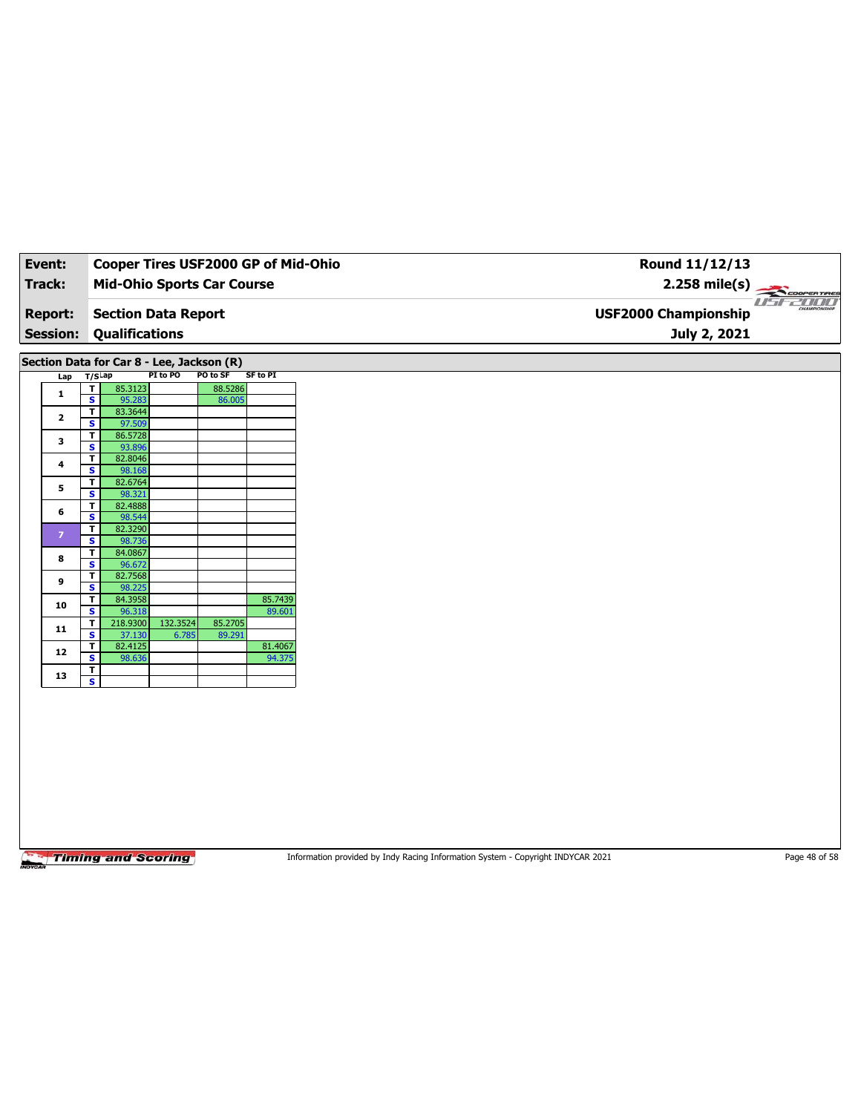| Event:          |                         |                                           |          | Cooper Tires USF2000 GP of Mid-Ohio |                   |
|-----------------|-------------------------|-------------------------------------------|----------|-------------------------------------|-------------------|
| <b>Track:</b>   |                         |                                           |          | <b>Mid-Ohio Sports Car Course</b>   |                   |
| <b>Report:</b>  |                         | <b>Section Data Report</b>                |          |                                     |                   |
| <b>Session:</b> |                         | Qualifications                            |          |                                     |                   |
|                 |                         |                                           |          |                                     |                   |
|                 |                         | Section Data for Car 8 - Lee, Jackson (R) |          |                                     |                   |
| Lap T/SLap      |                         |                                           | PI to PO | PO to SF                            | <b>SF to PI</b>   |
| $\mathbf{1}$    | $\overline{\mathbf{r}}$ | 85.3123                                   |          | 88.5286                             |                   |
|                 | $\overline{\mathbf{s}}$ | 95.283                                    |          | 86.005                              |                   |
| $\mathbf{2}$    | T                       | 83.3644                                   |          |                                     |                   |
|                 | S                       | 97.509                                    |          |                                     |                   |
| 3               | T                       | 86.5728                                   |          |                                     |                   |
|                 | $\overline{\mathbf{s}}$ | 93.896                                    |          |                                     |                   |
| 4               | T<br>S                  | 82.8046<br>98.168                         |          |                                     |                   |
|                 | T                       | 82.6764                                   |          |                                     |                   |
| 5               | $\overline{\mathbf{s}}$ | 98.321                                    |          |                                     |                   |
|                 | $\overline{\mathsf{r}}$ | 82.4888                                   |          |                                     |                   |
| 6               | S                       | 98.544                                    |          |                                     |                   |
|                 | $\overline{\mathbf{r}}$ | 82.3290                                   |          |                                     |                   |
| $\mathbf{7}$    | $\overline{\mathbf{s}}$ | 98.736                                    |          |                                     |                   |
|                 | T                       | 84.0867                                   |          |                                     |                   |
| 8               | S                       | 96.672                                    |          |                                     |                   |
| 9               | T                       | 82.7568                                   |          |                                     |                   |
|                 | $\overline{\mathbf{s}}$ | 98.225                                    |          |                                     |                   |
| 10              | T                       | 84.3958                                   |          |                                     | 85.7439           |
|                 | S                       | 96.318                                    |          |                                     | 89.601            |
| 11              | T                       | 218.9300                                  | 132.3524 | 85.2705                             |                   |
|                 | $\overline{\mathbf{s}}$ | 37.130                                    | 6.785    | 89.291                              |                   |
| $12\,$          | T<br>S                  | 82.4125<br>98.636                         |          |                                     | 81.4067<br>94.375 |
|                 | T                       |                                           |          |                                     |                   |
|                 |                         |                                           |          |                                     |                   |

Information provided by Indy Racing Information System - Copyright INDYCAR 2021 Page 48 of 58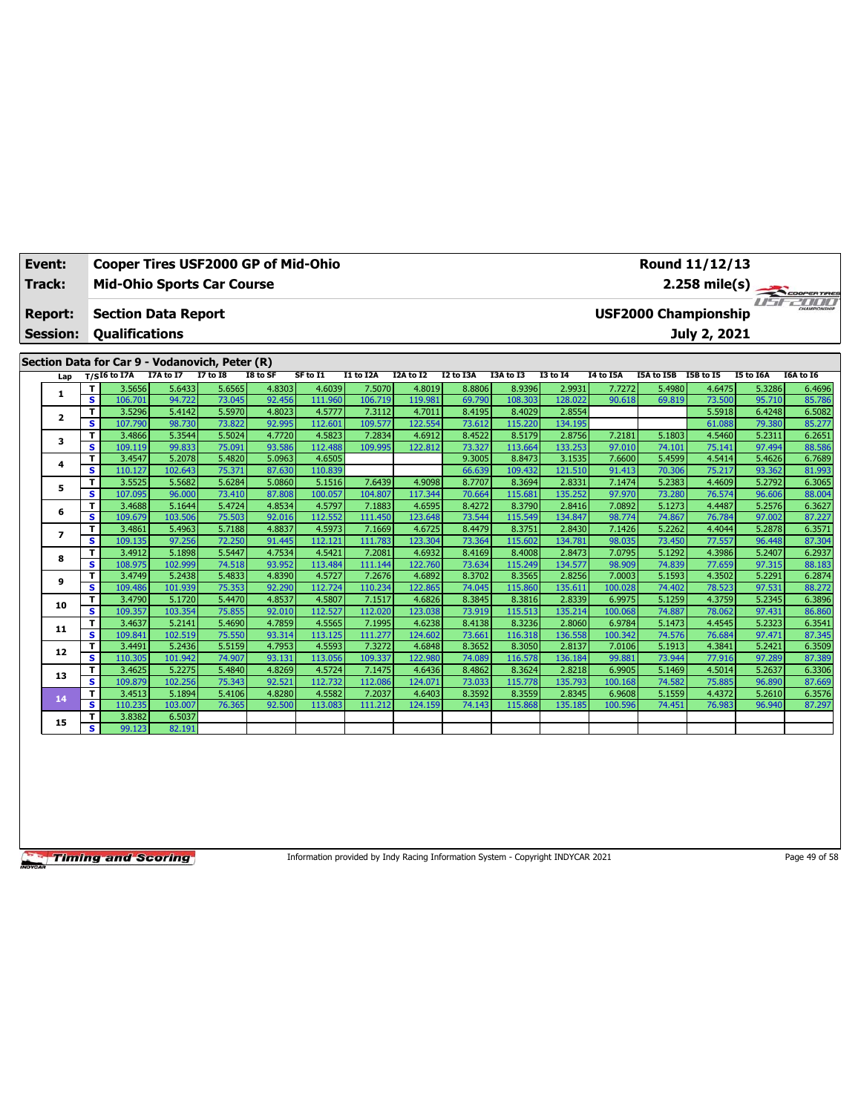| Event:                            |          | <b>Cooper Tires USF2000 GP of Mid-Ohio</b>          |                   |                  |                  |                   |                   |                   |                  |                   |                   |                   |                  | Round 11/12/13                              |                  |                  |
|-----------------------------------|----------|-----------------------------------------------------|-------------------|------------------|------------------|-------------------|-------------------|-------------------|------------------|-------------------|-------------------|-------------------|------------------|---------------------------------------------|------------------|------------------|
| <b>Track:</b>                     |          | <b>Mid-Ohio Sports Car Course</b>                   |                   |                  |                  |                   |                   |                   |                  |                   |                   |                   |                  | $2.258$ mile(s)                             |                  | The Coorenting   |
| <b>Report:</b><br><b>Session:</b> |          | <b>Section Data Report</b><br><b>Qualifications</b> |                   |                  |                  |                   |                   |                   |                  |                   |                   |                   |                  | <b>USF2000 Championship</b><br>July 2, 2021 |                  | CHARGEDONICH     |
|                                   |          |                                                     |                   |                  |                  |                   |                   |                   |                  |                   |                   |                   |                  |                                             |                  |                  |
|                                   |          | Section Data for Car 9 - Vodanovich, Peter (R)      |                   |                  |                  |                   |                   |                   |                  |                   |                   |                   |                  |                                             |                  |                  |
| Lap                               |          | $T/SI6$ to I7A                                      | I7A to I7         | $I7$ to $I8$     | I8 to SF         | SF to I1          | <b>I1 to I2A</b>  | I2A to I2         | I2 to I3A        | I3A to I3         | 13 to 14          | <b>I4 to I5A</b>  | I5A to I5B       | I5B to I5                                   | <b>I5 to I6A</b> | I6A to I6        |
| 1                                 | T        | 3.5656                                              | 5.6433            | 5.6565           | 4.8303           | 4.6039            | 7.5070            | 4.8019            | 8.8806           | 8.9396            | 2.9931            | 7.7272            | 5.4980           | 4.6475                                      | 5.3286           | 6.4696           |
|                                   | s.       | 106.701                                             | 94.722            | 73.045           | 92.456           | 111.960           | 106.719           | 119.981           | 69.790           | 108.303           | 128.022           | 90.618            | 69.819           | 73.500                                      | 95.710           | 85.786           |
| $\mathbf{2}$                      | T.       | 3.5296                                              | 5.4142            | 5.5970           | 4.8023           | 4.5777            | 7.3112            | 4.7011            | 8.4195           | 8.4029            | 2.8554            |                   |                  | 5.5918                                      | 6.4248           | 6.5082           |
|                                   | s        | 107.790                                             | 98.730            | 73.822           | 92.995           | 112.601           | 109.577           | 122.554           | 73.612           | 115.220           | 134.195           |                   |                  | 61.088                                      | 79.380           | 85.277           |
| 3                                 | T.       | 3.4866                                              | 5.3544            | 5.5024           | 4.7720           | 4.5823            | 7.2834            | 4.6912            | 8.4522           | 8.5179            | 2.8756            | 7.2181            | 5.1803           | 4.5460                                      | 5.2311           | 6.2651           |
|                                   | s        | 109.119                                             | 99.833            | 75.091           | 93.586           | 112.488           | 109.995           | 122.812           | 73.327           | 113.664           | 133.253           | 97.010            | 74.101           | 75.141                                      | 97.494           | 88.586           |
| 4                                 | T.<br>s. | 3.4547<br>110.127                                   | 5.2078<br>102.643 | 5.4820           | 5.0963<br>87.630 | 4.6505<br>110.839 |                   |                   | 9.3005           | 8.8473<br>109.432 | 3.1535            | 7.6600            | 5.4599<br>70.306 | 4.5414<br>75.217                            | 5.4626           | 6.7689<br>81.993 |
|                                   | T.       | 3.5525                                              | 5.5682            | 75.371<br>5.6284 | 5.0860           | 5.1516            | 7.6439            | 4.9098            | 66.639<br>8.7707 | 8.3694            | 121.510<br>2.8331 | 91.413<br>7.1474  | 5.2383           | 4.4609                                      | 93.362<br>5.2792 | 6.3065           |
| 5                                 | s.       | 107.095                                             | 96.000            | 73.410           | 87.808           | 100.057           | 104.807           | 117.344           | 70.664           | 115.681           | 135.252           | 97.970            | 73.280           | 76.574                                      | 96.606           | 88.004           |
|                                   | T.       | 3.4688                                              | 5.1644            | 5.4724           | 4.8534           | 4.5797            | 7.1883            | 4.6595            | 8.4272           | 8.3790            | 2.8416            | 7.0892            | 5.1273           | 4.4487                                      | 5.2576           | 6.3627           |
| 6                                 | s.       | 109.679                                             | 103.506           | 75.503           | 92.016           | 112.552           | 111.450           | 123.648           | 73.544           | 115.549           | 134.847           | 98.774            | 74.867           | 76.784                                      | 97.002           | 87.227           |
|                                   | T.       | 3.4861                                              | 5.4963            | 5.7188           | 4.8837           | 4.5973            | 7.1669            | 4.6725            | 8.4479           | 8.3751            | 2.8430            | 7.1426            | 5.2262           | 4.4044                                      | 5.2878           | 6.3571           |
| $\overline{ }$                    | s.       | 109.135                                             | 97.256            | 72.250           | 91.445           | 112.121           | 111.783           | 123.304           | 73.364           | 115,602           | 134.781           | 98.035            | 73.450           | 77.557                                      | 96.448           | 87.304           |
|                                   | T.       | 3.4912                                              | 5.1898            | 5.5447           | 4.7534           | 4.5421            | 7.2081            | 4.6932            | 8.4169           | 8.4008            | 2.8473            | 7.0795            | 5.1292           | 4.3986                                      | 5.2407           | 6.2937           |
| 8                                 | s.       | 108.975                                             | 102.999           | 74.518           | 93.952           | 113.484           | 111.144           | 122.760           | 73.634           | 115.249           | 134.577           | 98.909            | 74.839           | 77.659                                      | 97.315           | 88.183           |
|                                   | T        | 3.4749                                              | 5.2438            | 5.4833           | 4.8390           | 4.5727            | 7.2676            | 4.6892            | 8.3702           | 8.3565            | 2.8256            | 7.0003            | 5.1593           | 4.3502                                      | 5.2291           | 6.2874           |
| 9                                 | s        | 109.486                                             | 101.939           | 75.353           | 92.290           | 112.724           | 110.234           | 122.865           | 74.045           | 115,860           | 135.611           | 100.028           | 74.402           | 78.523                                      | 97.531           | 88.272           |
| 10                                | T.       | 3.4790                                              | 5.1720            | 5.4470           | 4.8537           | 4.5807            | 7.1517            | 4.6826            | 8.3845           | 8.3816            | 2.8339            | 6.9975            | 5.1259           | 4.3759                                      | 5.2345           | 6.3896           |
|                                   | s.       | 109.357                                             | 103.354           | 75.855           | 92.010           | 112.527           | 112.020           | 123.038           | 73.919           | 115.513           | 135.214           | 100.068           | 74.887           | 78.062                                      | 97.431           | 86.860           |
| 11                                | T.       | 3.4637                                              | 5.2141            | 5.4690           | 4.7859           | 4.5565            | 7.1995            | 4.6238            | 8.4138           | 8.3236            | 2.8060            | 6.9784            | 5.1473           | 4.4545                                      | 5.2323           | 6.3541           |
|                                   | s.       | 109.841                                             | 102.519           | 75.550           | 93.314           | 113.125           | 111.277           | 124.602           | 73.661           | 116.318           | 136.558           | 100.342           | 74.576           | 76.684                                      | 97.471           | 87.345           |
| 12                                | T.       | 3.4491                                              | 5.2436            | 5.5159           | 4.7953           | 4.5593            | 7.3272            | 4.6848            | 8.3652           | 8.3050            | 2.8137            | 7.0106            | 5.1913           | 4.3841                                      | 5.2421           | 6.3509           |
|                                   | s        | 110.305                                             | 101.942           | 74.907           | 93.131           | 113.056           | 109.337           | 122.980           | 74.089           | 116.578           | 136.184           | 99.881            | 73.944           | 77.916                                      | 97.289           | 87.389           |
| 13                                | T.       | 3.4625                                              | 5.2275            | 5.4840           | 4.8269           | 4.5724            | 7.1475            | 4.6436            | 8.4862           | 8.3624            | 2.8218            | 6.9905            | 5.1469           | 4.5014                                      | 5.2637           | 6.3306           |
|                                   | s.<br>T. | 109.879<br>3.4513                                   | 102.256<br>5.1894 | 75.343<br>5.4106 | 92.521<br>4.8280 | 112.732<br>4.5582 | 112.086<br>7.2037 | 124.071<br>4.6403 | 73.033<br>8.3592 | 115.778<br>8.3559 | 135.793<br>2.8345 | 100.168<br>6.9608 | 74.582<br>5.1559 | 75.885<br>4.4372                            | 96.890<br>5.2610 | 87.669<br>6.3576 |
| 14                                | s.       | 110.235                                             | 103.007           | 76.365           | 92.500           | 113.083           | 111.212           | 124.159           | 74.143           | 115.868           | 135.185           | 100.596           | 74.451           | 76.983                                      | 96.940           | 87.297           |
|                                   | T.       | 3.8382                                              | 6.5037            |                  |                  |                   |                   |                   |                  |                   |                   |                   |                  |                                             |                  |                  |
| 15                                | s.       | 99.123                                              | 82.191            |                  |                  |                   |                   |                   |                  |                   |                   |                   |                  |                                             |                  |                  |
|                                   |          |                                                     |                   |                  |                  |                   |                   |                   |                  |                   |                   |                   |                  |                                             |                  |                  |

Information provided by Indy Racing Information System - Copyright INDYCAR 2021 Page 49 of 58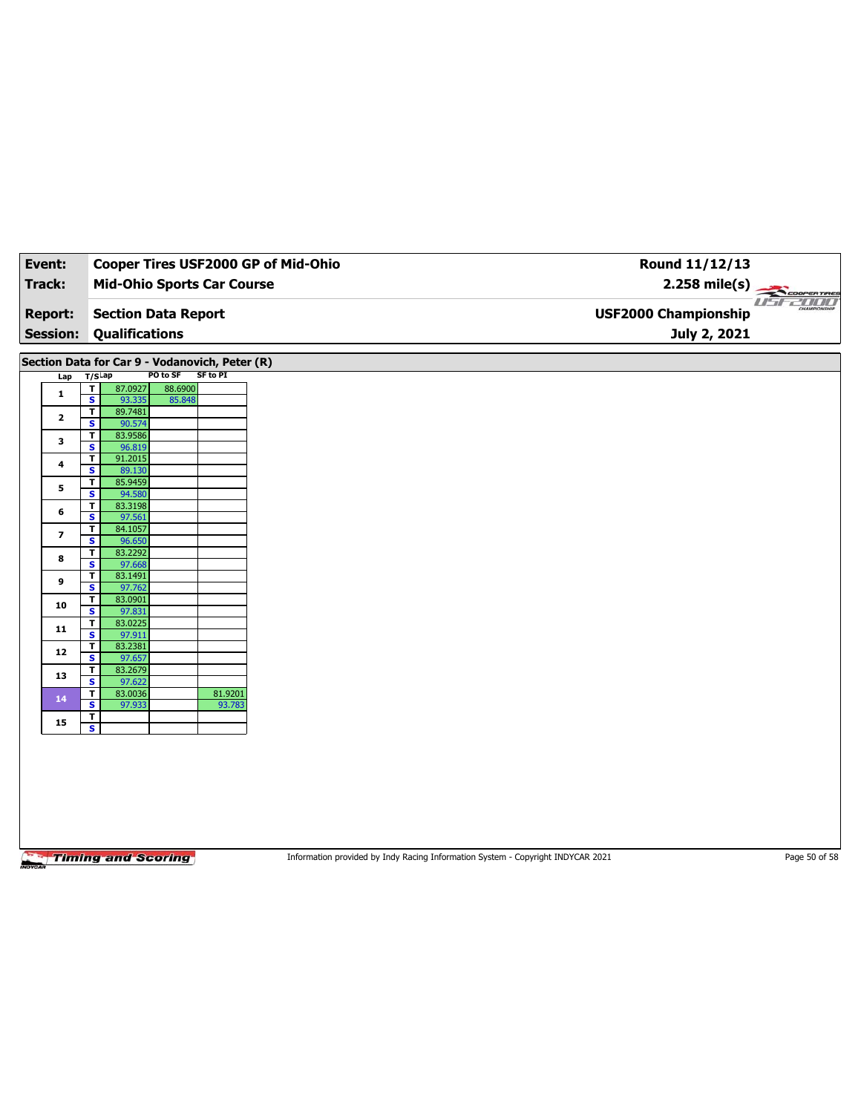| Event:                   |                                         |                       |                                                                               | Cooper Tires USF2000 GP of Mid-Ohio | Round 11/12/13              |
|--------------------------|-----------------------------------------|-----------------------|-------------------------------------------------------------------------------|-------------------------------------|-----------------------------|
| <b>Track:</b>            |                                         |                       | <b>Mid-Ohio Sports Car Course</b>                                             |                                     | $2.258$ mile(s)             |
| <b>Report:</b>           |                                         |                       | <b>Section Data Report</b>                                                    |                                     | <b>USF2000 Championship</b> |
| <b>Session:</b>          |                                         | <b>Qualifications</b> |                                                                               |                                     | July 2, 2021                |
|                          |                                         |                       |                                                                               |                                     |                             |
| Lap                      | T/SLap                                  |                       | Section Data for Car 9 - Vodanovich, Peter (R)<br>PO to SF<br><b>SF to PI</b> |                                     |                             |
|                          | $\overline{I}$                          | 87.0927               | 88.6900                                                                       |                                     |                             |
| $\mathbf 1$              | $\overline{\mathbf{s}}$                 | 93.335                | 85.848                                                                        |                                     |                             |
| $\mathbf{2}$             | $\overline{1}$                          | 89.7481               |                                                                               |                                     |                             |
|                          | $\mathbf{s}$                            | 90.574                |                                                                               |                                     |                             |
| 3                        | $\overline{\mathbf{r}}$                 | 83.9586               |                                                                               |                                     |                             |
|                          | $\overline{\mathbf{s}}$                 | 96.819                |                                                                               |                                     |                             |
| $\pmb{4}$                | $\overline{\mathbf{r}}$<br>$\mathbf{s}$ | 91.2015<br>89.130     |                                                                               |                                     |                             |
|                          | $\overline{\mathbf{r}}$                 | 85.9459               |                                                                               |                                     |                             |
| 5                        | $\overline{\mathbf{s}}$                 | 94.580                |                                                                               |                                     |                             |
|                          | $\overline{\mathsf{r}}$                 | 83.3198               |                                                                               |                                     |                             |
| $\bf{6}$                 | S                                       | 97.561                |                                                                               |                                     |                             |
|                          | $\mathbf{T}$                            | 84.1057               |                                                                               |                                     |                             |
| $\overline{\phantom{a}}$ | $\overline{\mathbf{s}}$                 | 96.650                |                                                                               |                                     |                             |
| 8                        | T                                       | 83.2292               |                                                                               |                                     |                             |
|                          | S                                       | 97.668                |                                                                               |                                     |                             |
| 9                        | $\overline{\mathbf{r}}$                 | 83.1491               |                                                                               |                                     |                             |
|                          | $\overline{\mathbf{s}}$                 | 97.762                |                                                                               |                                     |                             |
| 10                       | $\overline{\mathbf{r}}$<br>$\mathbf{s}$ | 83.0901               |                                                                               |                                     |                             |
|                          | $\overline{\mathbf{r}}$                 | 97.831<br>83.0225     |                                                                               |                                     |                             |
| ${\bf 11}$               | $\overline{\mathbf{s}}$                 | 97.911                |                                                                               |                                     |                             |
|                          | T                                       | 83.2381               |                                                                               |                                     |                             |
| ${\bf 12}$               | $\mathbf{s}$                            | 97.657                |                                                                               |                                     |                             |
| 13                       | $\overline{\mathbf{r}}$                 | 83.2679               |                                                                               |                                     |                             |
|                          | $\overline{\mathbf{s}}$                 | 97.622                |                                                                               |                                     |                             |
| 14                       | $\overline{\mathbf{r}}$                 | 83.0036               |                                                                               | 81.9201                             |                             |
|                          | S                                       | 97.933                |                                                                               | 93.783                              |                             |
| 15                       | $\mathbf T$<br>$\overline{\mathbf{s}}$  |                       |                                                                               |                                     |                             |
|                          |                                         |                       |                                                                               |                                     |                             |

Information provided by Indy Racing Information System - Copyright INDYCAR 2021 Page 50 of 58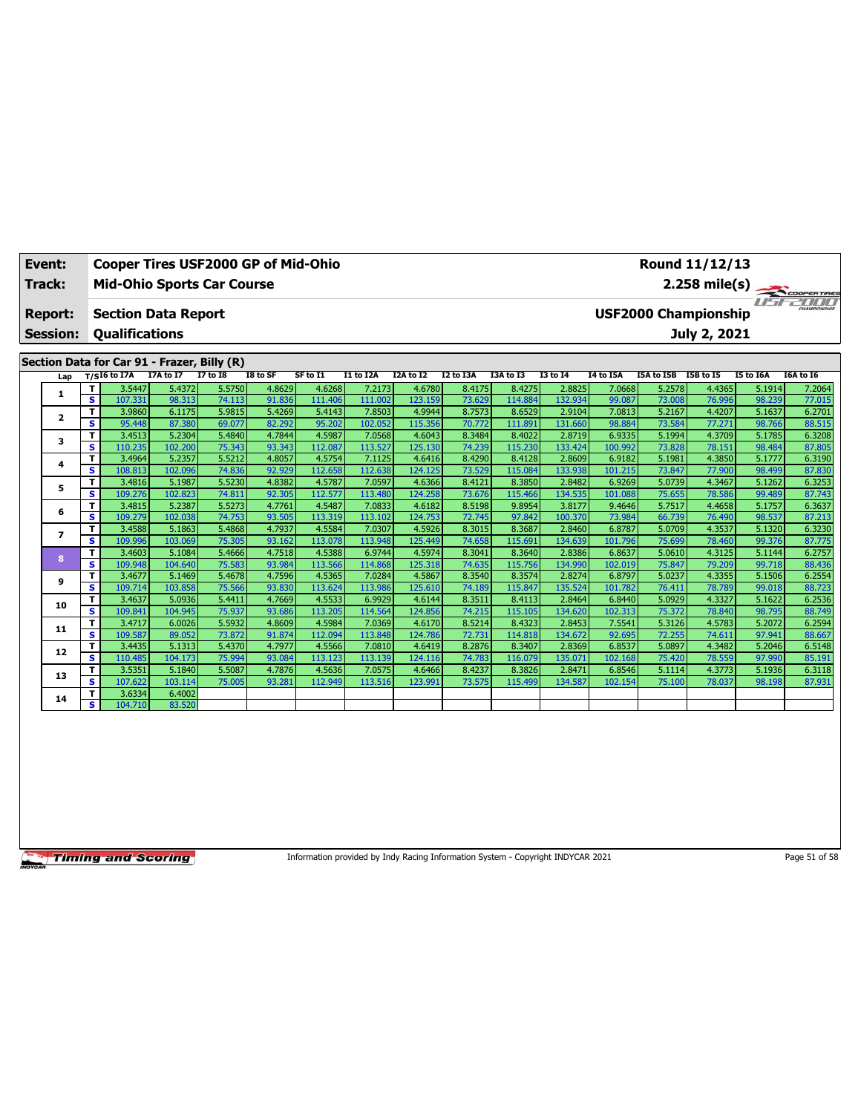| Event: |                 |                         | <b>Cooper Tires USF2000 GP of Mid-Ohio</b>  |                  |                                    |                  |                                                   |                   |                   |                  |                   |                   |                  |                   | Round 11/12/13   |                  |                  |
|--------|-----------------|-------------------------|---------------------------------------------|------------------|------------------------------------|------------------|---------------------------------------------------|-------------------|-------------------|------------------|-------------------|-------------------|------------------|-------------------|------------------|------------------|------------------|
| Track: |                 |                         | <b>Mid-Ohio Sports Car Course</b>           |                  |                                    |                  |                                                   |                   |                   |                  |                   |                   |                  |                   | $2.258$ mile(s)  |                  | COOPERTIRES      |
|        | <b>Report:</b>  |                         | <b>Section Data Report</b>                  |                  |                                    |                  | $H^a \overline{H}$<br><b>USF2000 Championship</b> |                   |                   |                  |                   |                   |                  |                   |                  |                  |                  |
|        | <b>Session:</b> |                         | <b>Qualifications</b>                       |                  |                                    |                  |                                                   | July 2, 2021      |                   |                  |                   |                   |                  |                   |                  |                  |                  |
|        |                 |                         |                                             |                  |                                    |                  |                                                   |                   |                   |                  |                   |                   |                  |                   |                  |                  |                  |
|        |                 |                         | Section Data for Car 91 - Frazer, Billy (R) |                  |                                    |                  |                                                   |                   |                   |                  |                   |                   |                  |                   |                  |                  |                  |
|        | Lap             |                         | $T/SI6$ to I7A                              | <b>I7A to I7</b> | $\overline{17}$ to $\overline{18}$ | I8 to SF         | SF to I1                                          | <b>I1 to I2A</b>  | I2A to I2         | I2 to I3A        | I3A to I3         | <b>I3 to 14</b>   | I4 to I5A        | <b>I5A to I5B</b> | I5B to I5        | <b>I5 to I6A</b> | I6A to I6        |
|        | 1               | T                       | 3.5447                                      | 5.4372           | 5.5750                             | 4.8629           | 4.6268                                            | 7.2173            | 4.6780            | 8.4175           | 8.4275            | 2.8825            | 7.0668           | 5.2578            | 4.4365           | 5.1914           | 7.2064           |
|        |                 | s                       | 107.331                                     | 98.313           | 74.113                             | 91.836           | 111.406                                           | 111.002           | 123.159           | 73.629           | 114.884           | 132.934           | 99.087           | 73.008            | 76.996           | 98.239           | 77.015           |
|        | 2               | T.<br>s.                | 3.9860<br>95.448                            | 6.1175<br>87.380 | 5.9815<br>69.077                   | 5.4269<br>82.292 | 5.4143<br>95.202                                  | 7.8503<br>102.052 | 4.9944<br>115.356 | 8.7573<br>70.772 | 8.6529<br>111.891 | 2.9104<br>131.660 | 7.0813<br>98.884 | 5.2167<br>73.584  | 4.4207<br>77.271 | 5.1637<br>98.766 | 6.2701<br>88.515 |
|        |                 | T.                      | 3.4513                                      | 5.2304           | 5.4840                             | 4.7844           | 4.5987                                            | 7.0568            | 4.6043            | 8.3484           | 8.4022            | 2.8719            | 6.9335           | 5.1994            | 4.3709           | 5.1785           | 6.3208           |
|        | з               | $\overline{\mathbf{s}}$ | 110.235                                     | 102.200          | 75.343                             | 93.343           | 112.087                                           | 113.527           | 125.130           | 74.239           | 115,230           | 133.424           | 100.992          | 73.828            | 78.151           | 98.484           | 87.805           |
|        |                 | T.                      | 3.4964                                      | 5.2357           | 5.5212                             | 4.8057           | 4.5754                                            | 7.1125            | 4.6416            | 8.4290           | 8.4128            | 2.8609            | 6.9182           | 5.1981            | 4.3850           | 5.1777           | 6.3190           |
|        | 4               | s.                      | 108.813                                     | 102.096          | 74.836                             | 92.929           | 112.658                                           | 112.638           | 124.125           | 73.529           | 115.084           | 133.938           | 101.215          | 73.847            | 77,900           | 98.499           | 87.830           |
|        |                 | T.                      | 3.4816                                      | 5.1987           | 5.5230                             | 4.8382           | 4.5787                                            | 7.0597            | 4.6366            | 8.4121           | 8.3850            | 2.8482            | 6.9269           | 5.0739            | 4.3467           | 5.1262           | 6.3253           |
|        | 5               | s                       | 109.276                                     | 102.823          | 74.811                             | 92.305           | 112.577                                           | 113.480           | 124.258           | 73.676           | 115.466           | 134.535           | 101.088          | 75.655            | 78.586           | 99.489           | 87.743           |
|        |                 | Τ                       | 3.4815                                      | 5.2387           | 5.5273                             | 4.7761           | 4.5487                                            | 7.0833            | 4.6182            | 8.5198           | 9.8954            | 3.8177            | 9.4646           | 5.7517            | 4.4658           | 5.1757           | 6.3637           |
|        | 6               | s                       | 109.279                                     | 102.038          | 74.753                             | 93.505           | 113.319                                           | 113.102           | 124.753           | 72.745           | 97.842            | 100.370           | 73.984           | 66.739            | 76.490           | 98.537           | 87.213           |
|        | $\overline{ }$  | T                       | 3.4588                                      | 5.1863           | 5.4868                             | 4.7937           | 4.5584                                            | 7.0307            | 4.5926            | 8.3015           | 8.3687            | 2.8460            | 6.8787           | 5.0709            | 4.3537           | 5.1320           | 6.3230           |
|        |                 | s.                      | 109.996                                     | 103.069          | 75.305                             | 93.162           | 113.078                                           | 113.948           | 125.449           | 74.658           | 115.691           | 134.639           | 101.796          | 75.699            | 78.460           | 99.376           | 87.775           |
|        | 8               | T.                      | 3.4603                                      | 5.1084           | 5.4666                             | 4.7518           | 4.5388                                            | 6.9744            | 4.5974            | 8.3041           | 8.3640            | 2.8386            | 6.8637           | 5.0610            | 4.3125           | 5.1144           | 6.2757           |
|        |                 | S                       | 109.948                                     | 104.640          | 75.583                             | 93.984           | 113.566                                           | 114.868           | 125.318           | 74.635           | 115.756           | 134.990           | 102.019          | 75.847            | 79.209           | 99.718           | 88.436           |
|        | 9               | T.                      | 3.4677                                      | 5.1469           | 5.4678                             | 4.7596           | 4.5365                                            | 7.0284            | 4.5867            | 8.3540           | 8.3574            | 2.8274            | 6.8797           | 5.0237            | 4.3355           | 5.1506           | 6.2554           |
|        |                 | s.                      | 109.714                                     | 103.858          | 75.566                             | 93.830           | 113.624                                           | 113.986           | 125.610           | 74.189           | 115.847           | 135.524           | 101.782          | 76.411            | 78.789           | 99.018           | 88.723           |
|        | 10              | T.                      | 3.4637                                      | 5.0936           | 5.4411                             | 4.7669           | 4.5533                                            | 6.9929            | 4.6144            | 8.3511           | 8.4113            | 2.8464            | 6.8440           | 5.0929            | 4.3327           | 5.1622           | 6.2536           |
|        |                 | s.                      | 109.841                                     | 104.945          | 75.937                             | 93.686           | 113.205                                           | 114.564           | 124.856           | 74.215           | 115.105           | 134.620           | 102.313          | 75.372            | 78.840           | 98.795           | 88.749           |
|        | 11              | т<br>s.                 | 3.4717                                      | 6.0026           | 5.5932                             | 4.8609           | 4.5984<br>112.094                                 | 7.0369            | 4.6170<br>124.786 | 8.5214           | 8.4323            | 2.8453            | 7.5541           | 5.3126<br>72.255  | 4.5783           | 5.2072           | 6.2594           |
|        |                 | T                       | 109.587<br>3.4435                           | 89.052<br>5.1313 | 73.872<br>5.4370                   | 91.874<br>4.7977 | 4.5566                                            | 113.848<br>7.0810 | 4.6419            | 72.731<br>8.2876 | 114.818<br>8.3407 | 134.672<br>2.8369 | 92.695<br>6.8537 | 5.0897            | 74.611<br>4.3482 | 97.941<br>5.2046 | 88.667<br>6.5148 |
|        | 12              | s.                      | 110.485                                     | 104.173          | 75.994                             | 93.084           | 113.123                                           | 113.139           | 124.116           | 74.783           | 116.079           | 135.071           | 102.168          | 75.420            | 78.559           | 97.990           | 85.191           |
|        |                 | T.                      | 3.5351                                      | 5.1840           | 5.5087                             | 4.7876           | 4.5636                                            | 7.0575            | 4.6466            | 8.4237           | 8.3826            | 2.8471            | 6.8546           | 5.1114            | 4.3773           | 5.1936           | 6.3118           |
|        | 13              | s.                      | 107.622                                     | 103.114          | 75.005                             | 93.281           | 112.949                                           | 113.516           | 123.991           | 73.575           | 115.499           | 134.587           | 102.154          | 75.100            | 78.037           | 98.198           | 87.931           |
|        |                 | Т.                      | 3.6334                                      | 6.4002           |                                    |                  |                                                   |                   |                   |                  |                   |                   |                  |                   |                  |                  |                  |
|        | 14              | s.                      | 104.710                                     | 83.520           |                                    |                  |                                                   |                   |                   |                  |                   |                   |                  |                   |                  |                  |                  |
|        |                 |                         |                                             |                  |                                    |                  |                                                   |                   |                   |                  |                   |                   |                  |                   |                  |                  |                  |

Information provided by Indy Racing Information System - Copyright INDYCAR 2021 Page 51 of 58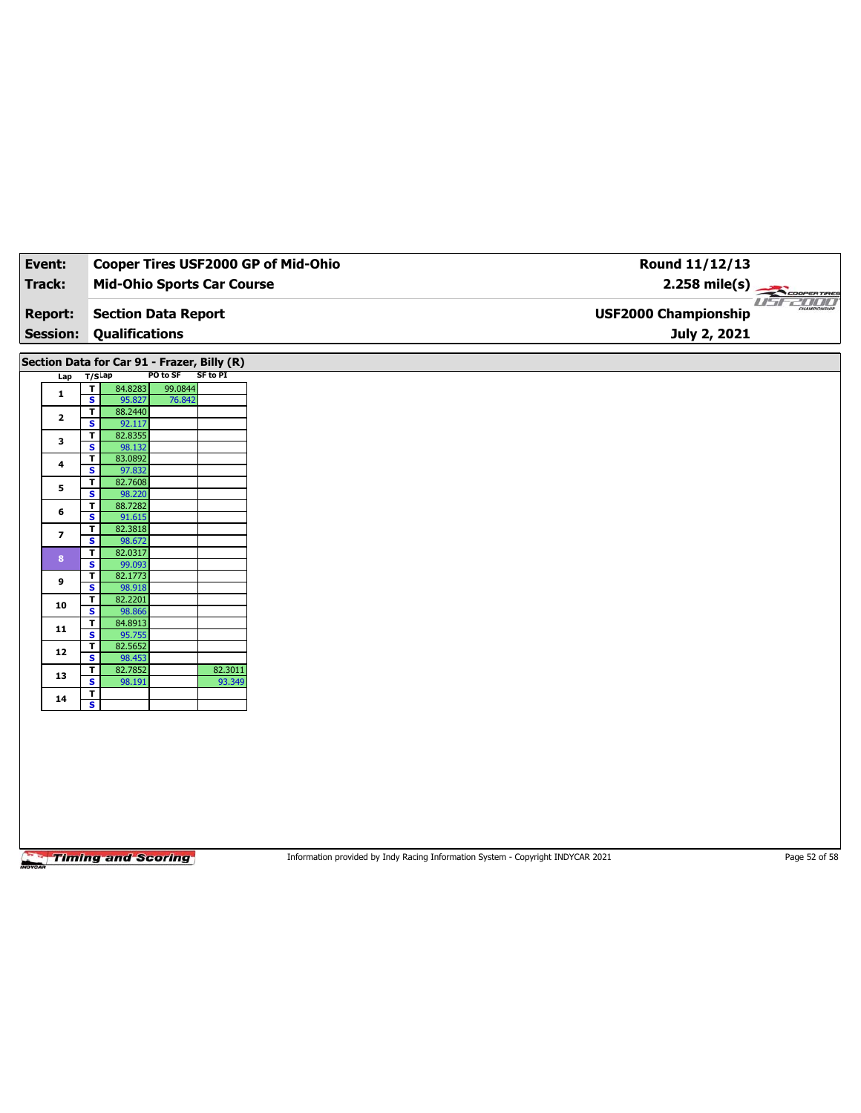| Event:                            |                                        |                       |                                                                            | Cooper Tires USF2000 GP of Mid-Ohio | Round 11/12/13                                         |
|-----------------------------------|----------------------------------------|-----------------------|----------------------------------------------------------------------------|-------------------------------------|--------------------------------------------------------|
| <b>Track:</b>                     |                                        |                       | <b>Mid-Ohio Sports Car Course</b>                                          |                                     | $2.258$ mile(s)<br>COOPERTIRES                         |
| <b>Report:</b><br><b>Session:</b> |                                        | <b>Qualifications</b> | <b>Section Data Report</b>                                                 |                                     | $H - F$<br><b>USF2000 Championship</b><br>July 2, 2021 |
|                                   |                                        |                       |                                                                            |                                     |                                                        |
| Lap                               | $T/S$ Lap                              |                       | Section Data for Car 91 - Frazer, Billy (R)<br>PO to SF<br><b>SF to PI</b> |                                     |                                                        |
|                                   | $\overline{\mathbf{r}}$                | 84.8283               | 99.0844                                                                    |                                     |                                                        |
| $\mathbf{1}$                      | $\overline{\mathbf{s}}$                | 95.827                | 76.842                                                                     |                                     |                                                        |
| $\mathbf{2}$                      | T                                      | 88.2440               |                                                                            |                                     |                                                        |
|                                   | $\overline{\mathbf{s}}$                | 92.117                |                                                                            |                                     |                                                        |
| 3                                 | $\mathbf{T}$                           | 82.8355               |                                                                            |                                     |                                                        |
|                                   | $\overline{\mathbf{s}}$                | 98.132                |                                                                            |                                     |                                                        |
| $\pmb{4}$                         | $\mathbf T$                            | 83.0892               |                                                                            |                                     |                                                        |
|                                   | $\mathbf{s}$                           | 97.832                |                                                                            |                                     |                                                        |
| 5                                 | $\mathbf T$<br>$\overline{\mathbf{s}}$ | 82.7608<br>98.220     |                                                                            |                                     |                                                        |
|                                   | $\overline{\mathsf{r}}$                | 88.7282               |                                                                            |                                     |                                                        |
| $\bf{6}$                          | S                                      | 91.615                |                                                                            |                                     |                                                        |
|                                   | T                                      | 82.3818               |                                                                            |                                     |                                                        |
| $\overline{\mathbf{z}}$           | $\overline{\mathbf{s}}$                | 98.672                |                                                                            |                                     |                                                        |
| $\bf8$                            | $\overline{\mathbf{r}}$                | 82.0317               |                                                                            |                                     |                                                        |
|                                   | $\mathbf{s}$                           | 99.093                |                                                                            |                                     |                                                        |
| 9                                 | $\mathbf T$                            | 82.1773               |                                                                            |                                     |                                                        |
|                                   | $\overline{\mathbf{s}}$                | 98.918                |                                                                            |                                     |                                                        |
| 10                                | T<br>$\mathbf{s}$                      | 82.2201<br>98.866     |                                                                            |                                     |                                                        |
|                                   | $\mathbf{T}$                           | 84.8913               |                                                                            |                                     |                                                        |
| 11                                | $\overline{\mathbf{s}}$                | 95.755                |                                                                            |                                     |                                                        |
|                                   | $\mathbf T$                            | 82.5652               |                                                                            |                                     |                                                        |
| 12                                | S                                      | 98.453                |                                                                            |                                     |                                                        |
| 13                                | $\mathbf{T}$                           | 82.7852               |                                                                            | 82.3011                             |                                                        |
|                                   | $\overline{\mathbf{s}}$                | 98.191                |                                                                            | 93.349                              |                                                        |
| 14                                | T                                      |                       |                                                                            |                                     |                                                        |
|                                   | $\overline{\mathbf{s}}$                |                       |                                                                            |                                     |                                                        |

Information provided by Indy Racing Information System - Copyright INDYCAR 2021 Page 52 of 58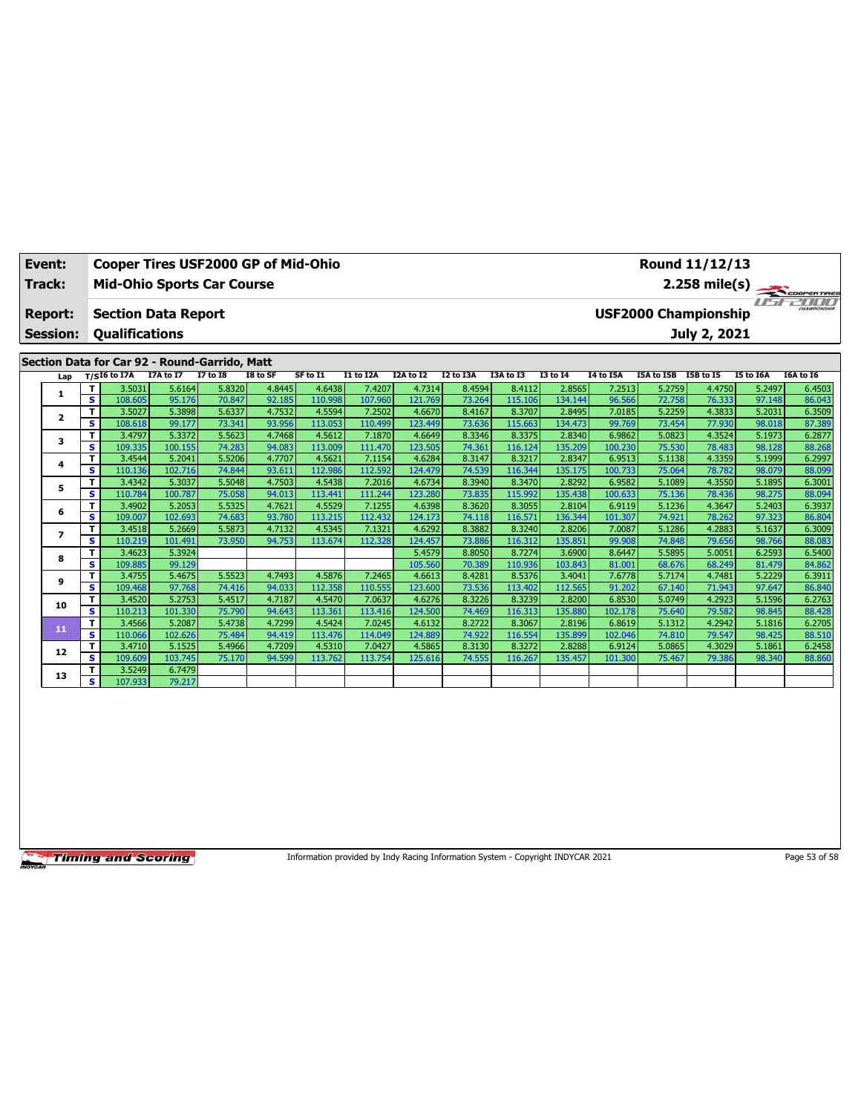| Event:                            |                         |                                                     |                   | Cooper Tires USF2000 GP of Mid-Ohio           |                  |                   |           |           |                  |                   |                   |                                                                                     |                  | Round 11/12/13   |                  |                         |  |
|-----------------------------------|-------------------------|-----------------------------------------------------|-------------------|-----------------------------------------------|------------------|-------------------|-----------|-----------|------------------|-------------------|-------------------|-------------------------------------------------------------------------------------|------------------|------------------|------------------|-------------------------|--|
| Track:                            |                         |                                                     |                   | <b>Mid-Ohio Sports Car Course</b>             |                  |                   |           |           |                  |                   |                   |                                                                                     |                  |                  |                  | $2.258 \text{ mile(s)}$ |  |
| <b>Report:</b><br><b>Session:</b> |                         | <b>Section Data Report</b><br><b>Qualifications</b> |                   |                                               |                  |                   |           |           |                  |                   |                   | $H^a \overline{H^a}$<br>CHAMPIONSHIP<br><b>USF2000 Championship</b><br>July 2, 2021 |                  |                  |                  |                         |  |
|                                   |                         |                                                     |                   |                                               |                  |                   |           |           |                  |                   |                   |                                                                                     |                  |                  |                  |                         |  |
|                                   |                         |                                                     |                   | Section Data for Car 92 - Round-Garrido, Matt |                  |                   |           |           |                  |                   |                   |                                                                                     |                  |                  |                  |                         |  |
| Lap                               |                         | $T/SI6$ to I7A                                      | I7A to I7         | $I7$ to $I8$                                  | I8 to SF         | SF to I1          | I1 to I2A | I2A to I2 | I2 to I3A        | I3A to I3         | <b>I3 to 14</b>   | I4 to I5A                                                                           | I5A to I5B       | <b>I5B</b> to I5 | I5 to I6A        | I6A to I6               |  |
| 1                                 | T                       | 3.5031                                              | 5.6164            | 5.8320                                        | 4.8445           | 4.6438            | 7.4207    | 4.7314    | 8.4594           | 8.4112            | 2.8565            | 7.2513                                                                              | 5.2759           | 4.4750           | 5.2497           | 6.4503                  |  |
|                                   | $\overline{\mathbf{s}}$ | 108.605                                             | 95.176            | 70.847                                        | 92.185           | 110.998           | 107.960   | 121.769   | 73.264           | 115.106           | 134.144           | 96.566                                                                              | 72.758           | 76.333           | 97.148           | 86.043                  |  |
| $\mathbf{2}$                      | Τ                       | 3.5027                                              | 5.3898            | 5.6337                                        | 4.7532           | 4.5594            | 7.2502    | 4.6670    | 8.4167           | 8.3707            | 2.8495            | 7.0185                                                                              | 5.2259           | 4.3833           | 5.2031           | 6.3509                  |  |
|                                   | s                       | 108.618                                             | 99.177            | 73.341                                        | 93.956           | 113.053           | 110.499   | 123.449   | 73.636           | 115.663           | 134.473           | 99.769                                                                              | 73.454           | 77.930           | 98.018           | 87.389                  |  |
| 3                                 | т                       | 3.4797                                              | 5.3372            | 5.5623                                        | 4.7468           | 4.5612            | 7.1870    | 4.6649    | 8.3346           | 8.3375            | 2.8340            | 6.9862                                                                              | 5.0823           | 4.3524           | 5.1973           | 6.2877                  |  |
|                                   | s                       | 109.335                                             | 100.155           | 74.283                                        | 94.083           | 113.009           | 111.470   | 123.505   | 74.361           | 116.124           | 135.209           | 100.230                                                                             | 75.530           | 78.483           | 98.128           | 88.268                  |  |
| 4                                 | T                       | 3.4544                                              | 5.2041            | 5.5206                                        | 4.7707           | 4.5621            | 7.1154    | 4.6284    | 8.3147           | 8.3217            | 2.8347            | 6.9513                                                                              | 5.1138           | 4.3359           | 5.1999           | 6.2997                  |  |
|                                   | s                       | 110.136                                             | 102.716           | 74.844                                        | 93.611           | 112.986           | 112.592   | 124.479   | 74.539           | 116.344           | 135.175           | 100.733                                                                             | 75.064           | 78.782           | 98.079           | 88.099                  |  |
| 5                                 | т                       | 3.4342                                              | 5.3037            | 5.5048                                        | 4.7503           | 4.5438            | 7.2016    | 4.6734    | 8.3940           | 8.3470            | 2.8292            | 6.9582                                                                              | 5.1089           | 4.3550           | 5.1895           | 6.3001                  |  |
|                                   | s                       | 110.784                                             | 100.787           | 75.058                                        | 94.013           | 113.441           | 111.244   | 123.280   | 73.835           | 115.992           | 135.438           | 100.633                                                                             | 75.136           | 78.436           | 98.275           | 88.094                  |  |
| 6                                 | T                       | 3.4902                                              | 5.2053            | 5.5325                                        | 4.7621           | 4.5529            | 7.1255    | 4.6398    | 8.3620           | 8.3055            | 2.8104            | 6.9119                                                                              | 5.1236           | 4.3647           | 5.2403           | 6.3937                  |  |
|                                   | s                       | 109.007                                             | 102.693           | 74.683                                        | 93.780           | 113.215           | 112.432   | 124.173   | 74.118           | 116.571           | 136.344           | 101.307                                                                             | 74.921           | 78.262           | 97.323           | 86.804                  |  |
| 7                                 | т                       | 3.4518                                              | 5.2669            | 5.5873                                        | 4.7132           | 4.5345            | 7.1321    | 4.6292    | 8.3882           | 8.3240            | 2.8206            | 7.0087                                                                              | 5.1286           | 4.2883           | 5.1637           | 6.3009                  |  |
|                                   | s                       | 110.219                                             | 101.491           | 73.950                                        | 94.753           | 113.674           | 112.328   | 124.457   | 73.886           | 116.312           | 135.851           | 99.908                                                                              | 74.848           | 79.656           | 98.766           | 88.083                  |  |
| 8                                 | T                       | 3.4623                                              | 5.3924            |                                               |                  |                   |           | 5.4579    | 8.8050           | 8.7274            | 3.6900            | 8.6447                                                                              | 5.5895           | 5.0051           | 6.2593           | 6.5400                  |  |
|                                   | s                       | 109.885                                             | 99.129            |                                               |                  |                   |           | 105.560   | 70.389           | 110.936           | 103.843           | 81.001                                                                              | 68.676           | 68.249           | 81.479           | 84.862                  |  |
| 9                                 | т                       | 3.4755                                              | 5.4675            | 5.5523                                        | 4.7493           | 4.5876            | 7.2465    | 4.6613    | 8.4281           | 8.5376            | 3.4041            | 7.6778                                                                              | 5.7174           | 4.7481           | 5.2229           | 6.3911                  |  |
|                                   | s                       | 109.468                                             | 97.768            | 74.416                                        | 94.033           | 112.358           | 110.555   | 123.600   | 73.536           | 113.402           | 112.565           | 91.202                                                                              | 67.140           | 71.943           | 97.647           | 86.840                  |  |
| 10                                | T                       | 3.4520                                              | 5.2753            | 5.4517                                        | 4.7187           | 4.5470            | 7.0637    | 4.6276    | 8.3226           | 8.3239            | 2.8200            | 6.8530                                                                              | 5.0749           | 4.2923           | 5.1596           | 6.2763                  |  |
|                                   | s                       | 110.213                                             | 101.330           | 75.790                                        | 94.643           | 113.361           | 113.416   | 124.500   | 74.469           | 116.313           | 135.880           | 102.178                                                                             | 75.640           | 79.582           | 98.845           | 88.428                  |  |
| 11                                | T                       | 3.4566                                              | 5.2087            | 5.4738                                        | 4.7299           | 4.5424            | 7.0245    | 4.6132    | 8.2722           | 8.3067            | 2.8196            | 6.8619                                                                              | 5.1312           | 4.2942           | 5.1816           | 6.2705                  |  |
|                                   | $\overline{\mathbf{s}}$ | 110.066                                             | 102.626           | 75.484                                        | 94.419           | 113.476           | 114.049   | 124.889   | 74.922           | 116.554           | 135.899           | 102.046                                                                             | 74.810           | 79.547           | 98.425           | 88.510                  |  |
| 12                                | т<br>s                  | 3.4710<br>109.609                                   | 5.1525<br>103.745 | 5.4966<br>75.170                              | 4.7209<br>94.599 | 4.5310<br>113.762 | 7.0427    | 4.5865    | 8.3130<br>74.555 | 8.3272<br>116.267 | 2.8288<br>135.457 | 6.9124<br>101.300                                                                   | 5.0865<br>75.467 | 4.3029<br>79.386 | 5.1861<br>98.340 | 6.2458<br>88.860        |  |
|                                   |                         |                                                     |                   |                                               |                  |                   | 113.754   | 125.616   |                  |                   |                   |                                                                                     |                  |                  |                  |                         |  |
| 13                                | т<br>s                  | 3.5249<br>107.933                                   | 6.7479<br>79.217  |                                               |                  |                   |           |           |                  |                   |                   |                                                                                     |                  |                  |                  |                         |  |
|                                   |                         |                                                     |                   |                                               |                  |                   |           |           |                  |                   |                   |                                                                                     |                  |                  |                  |                         |  |

Information provided by Indy Racing Information System - Copyright INDYCAR 2021 Page 53 of 58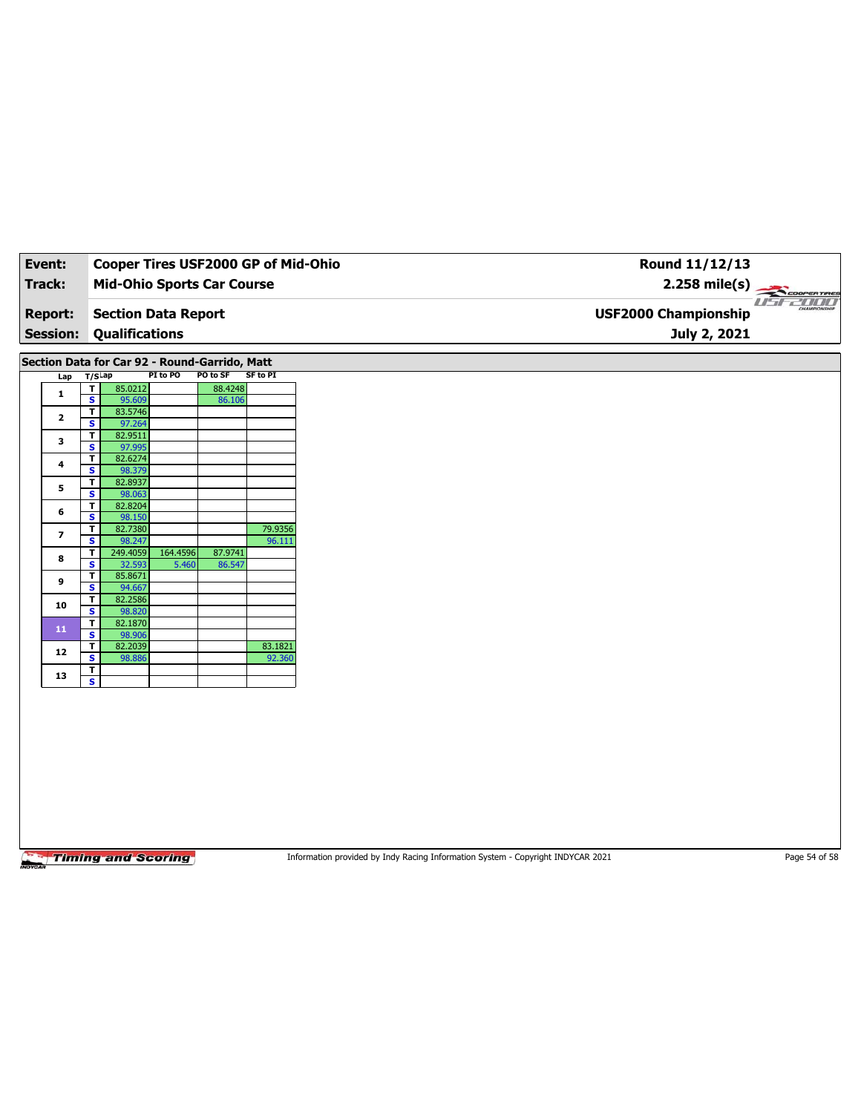| Event:                                        |                                                     |                   |          | Cooper Tires USF2000 GP of Mid-Ohio |                   |  |  |  |  |
|-----------------------------------------------|-----------------------------------------------------|-------------------|----------|-------------------------------------|-------------------|--|--|--|--|
| Track:                                        |                                                     |                   |          | <b>Mid-Ohio Sports Car Course</b>   |                   |  |  |  |  |
|                                               |                                                     |                   |          |                                     |                   |  |  |  |  |
| <b>Report:</b>                                | <b>Section Data Report</b><br><b>Qualifications</b> |                   |          |                                     |                   |  |  |  |  |
| <b>Session:</b>                               |                                                     |                   |          |                                     |                   |  |  |  |  |
|                                               |                                                     |                   |          |                                     |                   |  |  |  |  |
| Section Data for Car 92 - Round-Garrido, Matt |                                                     |                   | PI to PO | PO to SF                            | <b>SF to PI</b>   |  |  |  |  |
| Lap                                           | $T/S$ Lap<br>$\mathbf{T}$                           | 85.0212           |          | 88.4248                             |                   |  |  |  |  |
| $\mathbf{1}$                                  | $\overline{\mathbf{s}}$                             | 95.609            |          | 86.106                              |                   |  |  |  |  |
| $\mathbf{2}$                                  | $\mathbf T$                                         | 83.5746           |          |                                     |                   |  |  |  |  |
|                                               | $\overline{\mathbf{s}}$<br>$\mathbf{T}$             | 97.264<br>82.9511 |          |                                     |                   |  |  |  |  |
| 3                                             | $\overline{\mathbf{s}}$                             | 97.995            |          |                                     |                   |  |  |  |  |
| 4                                             | $\mathbf T$                                         | 82.6274           |          |                                     |                   |  |  |  |  |
|                                               | S<br>T                                              | 98.379<br>82.8937 |          |                                     |                   |  |  |  |  |
| 5                                             | $\overline{\mathbf{s}}$                             | 98.063            |          |                                     |                   |  |  |  |  |
| 6                                             | T                                                   | 82.8204           |          |                                     |                   |  |  |  |  |
|                                               | $\mathbf{s}$                                        | 98.150            |          |                                     |                   |  |  |  |  |
| $\overline{\mathbf{z}}$                       | T<br>$\overline{\mathbf{s}}$                        | 82.7380<br>98.247 |          |                                     | 79.9356<br>96.111 |  |  |  |  |
| 8                                             | T                                                   | 249.4059          | 164.4596 | 87.9741                             |                   |  |  |  |  |
|                                               | S                                                   | 32.593            | 5.460    | 86.547                              |                   |  |  |  |  |
| 9                                             | T.<br>$\overline{\mathbf{s}}$                       | 85.8671<br>94.667 |          |                                     |                   |  |  |  |  |
| 10                                            | T                                                   | 82.2586           |          |                                     |                   |  |  |  |  |
|                                               | S                                                   | 98.820            |          |                                     |                   |  |  |  |  |
| 11                                            | $\mathbf{T}$<br>$\overline{\mathbf{s}}$             | 82.1870<br>98.906 |          |                                     |                   |  |  |  |  |
|                                               | T.                                                  | 82.2039           |          |                                     | 83.1821           |  |  |  |  |
| 12                                            | S                                                   | 98.886            |          |                                     | 92.360            |  |  |  |  |
|                                               | $\mathbf T$<br>$\overline{\mathbf{s}}$              |                   |          |                                     |                   |  |  |  |  |
| 13                                            |                                                     |                   |          |                                     |                   |  |  |  |  |

Information provided by Indy Racing Information System - Copyright INDYCAR 2021 Page 54 of 58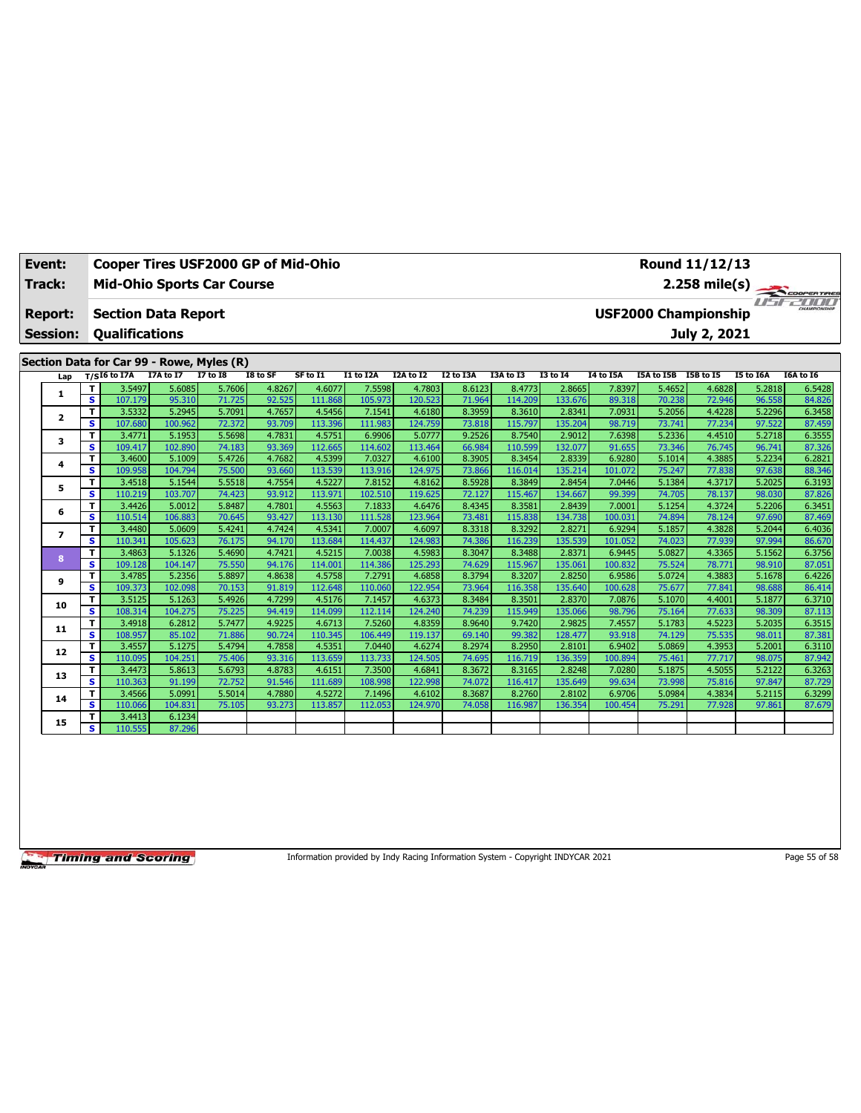| Event:                            |                          | Cooper Tires USF2000 GP of Mid-Ohio                 |                   |                  |                  |                   |                                                             |                   |                  |                   |                   |                   |                  | Round 11/12/13   |                  |                  |
|-----------------------------------|--------------------------|-----------------------------------------------------|-------------------|------------------|------------------|-------------------|-------------------------------------------------------------|-------------------|------------------|-------------------|-------------------|-------------------|------------------|------------------|------------------|------------------|
| <b>Track:</b>                     |                          | <b>Mid-Ohio Sports Car Course</b>                   |                   |                  |                  |                   |                                                             |                   |                  |                   |                   |                   |                  | $2.258$ mile(s)  |                  | COOPERTIRES      |
| <b>Report:</b><br><b>Session:</b> |                          | <b>Section Data Report</b><br><b>Qualifications</b> |                   |                  |                  |                   | CHAMPIONSHIP<br><b>USF2000 Championship</b><br>July 2, 2021 |                   |                  |                   |                   |                   |                  |                  |                  |                  |
|                                   |                          | Section Data for Car 99 - Rowe, Myles (R)           |                   |                  |                  |                   |                                                             |                   |                  |                   |                   |                   |                  |                  |                  |                  |
| Lap                               |                          | $T/SI6$ to I7A                                      | I7A to I7         | $I7$ to $I8$     | I8 to SF         | SF to I1          | <b>I1 to I2A</b>                                            | I2A to I2         | <b>I2 to I3A</b> | I3A to I3         | 13 to 14          | I4 to I5A         | I5A to I5B       | I5B to I5        | I5 to I6A        | I6A to I6        |
|                                   | T                        | 3.5497                                              | 5.6085            | 5.7606           | 4.8267           | 4.6077            | 7.5598                                                      | 4.7803            | 8.6123           | 8.4773            | 2.8665            | 7.8397            | 5.4652           | 4.6828           | 5.2818           | 6.5428           |
| 1                                 | S                        | 107.179                                             | 95.310            | 71.725           | 92.525           | 111.868           | 105.973                                                     | 120.523           | 71.964           | 114.209           | 133.676           | 89.318            | 70.238           | 72.946           | 96.558           | 84.826           |
| 2                                 | T                        | 3.5332                                              | 5.2945            | 5.7091           | 4.7657           | 4.5456            | 7.1541                                                      | 4.6180            | 8.3959           | 8.3610            | 2.8341            | 7.0931            | 5.2056           | 4.4228           | 5.2296           | 6.3458           |
|                                   | $\mathbf{s}$             | 107.680                                             | 100.962           | 72.372           | 93.709           | 113.396           | 111.983                                                     | 124.759           | 73.818           | 115.797           | 135.204           | 98.719            | 73.741           | 77.234           | 97.522           | 87.459           |
| 3                                 | T                        | 3.4771                                              | 5.1953            | 5.5698           | 4.7831           | 4.5751            | 6.9906                                                      | 5.0777            | 9.2526           | 8.7540            | 2.9012            | 7.6398            | 5.2336           | 4.4510           | 5.2718           | 6.3555           |
|                                   | $\mathbf{s}$             | 109.417                                             | 102.890           | 74.183           | 93.369           | 112.665           | 114.602                                                     | 113.464           | 66.984           | 110.599           | 132.077           | 91.655            | 73.346           | 76.745           | 96.741           | 87.326           |
| 4                                 | $\mathbf{T}$             | 3.4600<br>109.958                                   | 5.1009<br>104.794 | 5.4726<br>75.500 | 4.7682<br>93.660 | 4.5399<br>113.539 | 7.0327<br>113.916                                           | 4.6100<br>124.975 | 8.3905<br>73.866 | 8.3454<br>116.014 | 2.8339<br>135.214 | 6.9280<br>101.072 | 5.1014<br>75.247 | 4.3885<br>77.838 | 5.2234<br>97.638 | 6.2821<br>88.346 |
|                                   | S<br>$\mathbf{T}$        | 3.4518                                              | 5.1544            | 5.5518           | 4.7554           | 4.5227            | 7.8152                                                      | 4.8162            | 8.5928           | 8.3849            | 2.8454            | 7.0446            | 5.1384           | 4.3717           | 5.2025           | 6.3193           |
| 5                                 | $\mathbf{s}$             | 110.219                                             | 103.707           | 74.423           | 93.912           | 113.971           | 102.510                                                     | 119.625           | 72.127           | 115.467           | 134.667           | 99.399            | 74.705           | 78.137           | 98.030           | 87.826           |
|                                   | T                        | 3.4426                                              | 5.0012            | 5.8487           | 4.7801           | 4.5563            | 7.1833                                                      | 4.6476            | 8.4345           | 8.3581            | 2.8439            | 7.0001            | 5.1254           | 4.3724           | 5.2206           | 6.3451           |
| 6                                 | S                        | 110.514                                             | 106.883           | 70.645           | 93.427           | 113.130           | 111.528                                                     | 123.964           | 73.481           | 115,838           | 134.738           | 100.031           | 74.894           | 78.124           | 97.690           | 87.469           |
|                                   | T                        | 3.4480                                              | 5.0609            | 5.4241           | 4.7424           | 4.5341            | 7.0007                                                      | 4.6097            | 8.3318           | 8.3292            | 2.8271            | 6.9294            | 5.1857           | 4.3828           | 5.2044           | 6.4036           |
| 7                                 | $\mathbf{s}$             | 110.341                                             | 105.623           | 76.175           | 94.170           | 113.684           | 114.437                                                     | 124.983           | 74.386           | 116.239           | 135.539           | 101.052           | 74.023           | 77.939           | 97.994           | 86.670           |
| 8                                 | T.                       | 3.4863                                              | 5.1326            | 5.4690           | 4.7421           | 4.5215            | 7.0038                                                      | 4.5983            | 8.3047           | 8.3488            | 2.8371            | 6.9445            | 5.0827           | 4.3365           | 5.1562           | 6.3756           |
|                                   | <b>S</b>                 | 109.128                                             | 104.147           | 75.550           | 94.176           | 114.001           | 114.386                                                     | 125.293           | 74.629           | 115.967           | 135.061           | 100.832           | 75.524           | 78.771           | 98.910           | 87.051           |
| 9                                 | T                        | 3.4785                                              | 5.2356            | 5.8897           | 4.8638           | 4.5758            | 7.2791                                                      | 4.6858            | 8.3794           | 8.3207            | 2.8250            | 6.9586            | 5.0724           | 4.3883           | 5.1678           | 6.4226           |
|                                   | s                        | 109.373                                             | 102.098           | 70.153           | 91.819           | 112.648           | 110.060                                                     | 122.954           | 73.964           | 116.358           | 135.640           | 100.628           | 75.677           | 77.841           | 98.688           | 86.414           |
| 10                                | $\mathbf{T}$             | 3.5125                                              | 5.1263            | 5.4926           | 4.7299           | 4.5176            | 7.1457                                                      | 4.6373            | 8.3484           | 8.3501            | 2.8370            | 7.0876            | 5.1070           | 4.4001           | 5.1877           | 6.3710           |
|                                   | <b>S</b>                 | 108.314                                             | 104.275           | 75.225           | 94.419           | 114.099           | 112.114                                                     | 124.240           | 74.239           | 115.949           | 135.066           | 98.796            | 75.164           | 77.633           | 98.309           | 87.113           |
| 11                                | $\mathbf{T}$<br><b>S</b> | 3.4918<br>108.957                                   | 6.2812<br>85.102  | 5.7477<br>71.886 | 4.9225<br>90.724 | 4.6713<br>110.345 | 7.5260<br>106.449                                           | 4.8359<br>119.137 | 8.9640<br>69.140 | 9.7420<br>99.382  | 2.9825<br>128.477 | 7.4557<br>93.918  | 5.1783<br>74.129 | 4.5223<br>75.535 | 5.2035<br>98.011 | 6.3515<br>87.381 |
|                                   | T                        | 3.4557                                              | 5.1275            | 5.4794           | 4.7858           | 4.5351            | 7.0440                                                      | 4.6274            | 8.2974           | 8.2950            | 2.8101            | 6.9402            | 5.0869           | 4.3953           | 5.2001           | 6.3110           |
| 12                                | $\mathbf{s}$             | 110.095                                             | 104.251           | 75.406           | 93.316           | 113.659           | 113.733                                                     | 124.505           | 74.695           | 116.719           | 136.359           | 100.894           | 75.461           | 77.717           | 98.075           | 87.942           |
|                                   | Т                        | 3.4473                                              | 5.8613            | 5.6793           | 4.8783           | 4.6151            | 7.3500                                                      | 4.6841            | 8.3672           | 8.3165            | 2.8248            | 7.0280            | 5.1875           | 4.5055           | 5.2122           | 6.3263           |
| 13                                | $\mathbf{s}$             | 110.363                                             | 91.199            | 72.752           | 91.546           | 111.689           | 108.998                                                     | 122.998           | 74.072           | 116.417           | 135.649           | 99.634            | 73.998           | 75.816           | 97.847           | 87.729           |
|                                   | $\mathbf{T}$             | 3.4566                                              | 5.0991            | 5.5014           | 4.7880           | 4.5272            | 7.1496                                                      | 4.6102            | 8.3687           | 8.2760            | 2.8102            | 6.9706            | 5.0984           | 4.3834           | 5.2115           | 6.3299           |
| 14                                | $\mathbf{s}$             | 110.066                                             | 104.831           | 75.105           | 93.273           | 113.857           | 112.053                                                     | 124.970           | 74.058           | 116.987           | 136.354           | 100.454           | 75.291           | 77.928           | 97.861           | 87.679           |
|                                   | T.                       | 3.4413                                              | 6.1234            |                  |                  |                   |                                                             |                   |                  |                   |                   |                   |                  |                  |                  |                  |
| 15                                | s.                       | 110.555                                             | 87.296            |                  |                  |                   |                                                             |                   |                  |                   |                   |                   |                  |                  |                  |                  |

Information provided by Indy Racing Information System - Copyright INDYCAR 2021 Page 55 of 58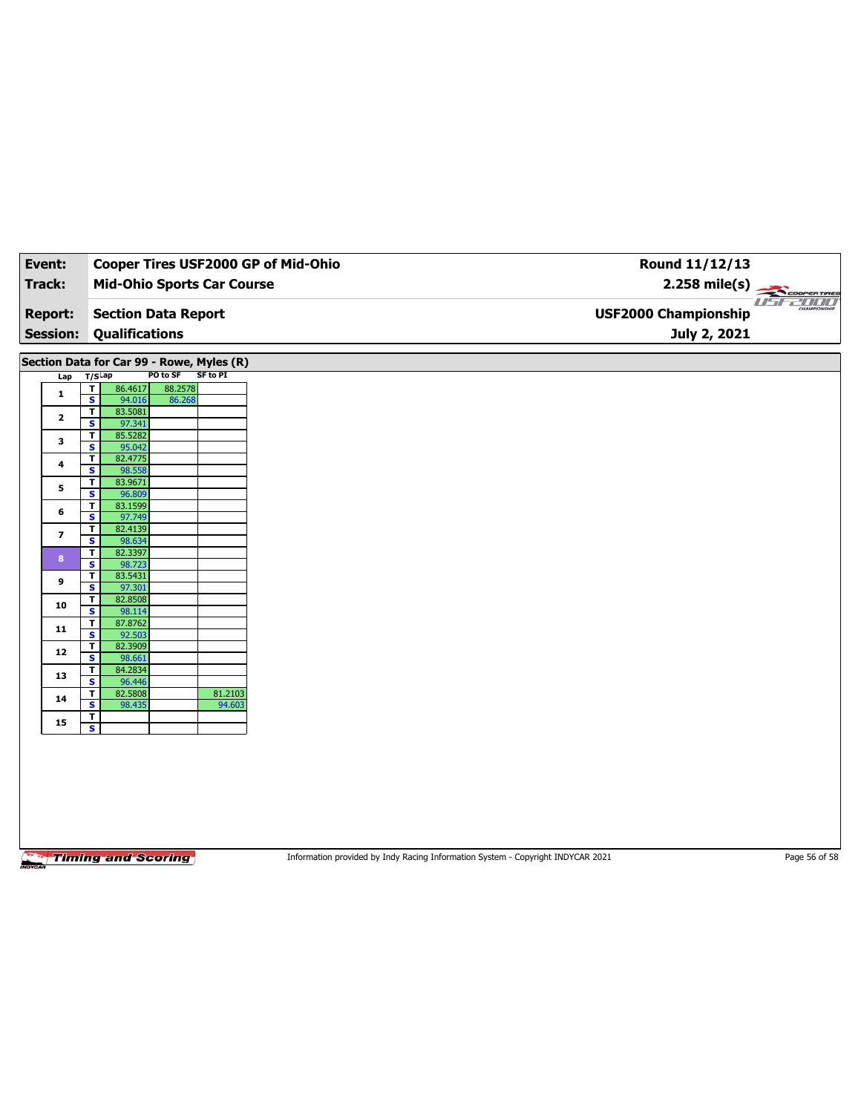| Event:                  |                                         |                       |                                                       | Cooper Tires USF2000 GP of Mid-Ohio | Round 11/12/13              |
|-------------------------|-----------------------------------------|-----------------------|-------------------------------------------------------|-------------------------------------|-----------------------------|
| <b>Track:</b>           |                                         |                       |                                                       | <b>Mid-Ohio Sports Car Course</b>   | $2.258$ mile(s)             |
| <b>Report:</b>          |                                         |                       | <b>Section Data Report</b>                            |                                     | <b>USF2000 Championship</b> |
| <b>Session:</b>         |                                         | <b>Qualifications</b> |                                                       |                                     | July 2, 2021                |
|                         |                                         |                       |                                                       |                                     |                             |
| Lap                     | T/SLap                                  |                       | Section Data for Car 99 - Rowe, Myles (R)<br>PO to SF | SF to PI                            |                             |
|                         | $\overline{\mathbf{r}}$                 | 86.4617               | 88.2578                                               |                                     |                             |
| $\mathbf{1}$            | $\overline{\mathbf{s}}$                 | 94.016                | 86.268                                                |                                     |                             |
| $\mathbf{2}$            | $\overline{\mathbf{r}}$                 | 83.5081               |                                                       |                                     |                             |
|                         | S                                       | 97.341                |                                                       |                                     |                             |
| 3                       | $\mathbf{T}$<br>$\overline{\mathbf{s}}$ | 85.5282               |                                                       |                                     |                             |
|                         | $\overline{\mathsf{r}}$                 | 95.042<br>82.4775     |                                                       |                                     |                             |
| 4                       | S                                       | 98.558                |                                                       |                                     |                             |
|                         | T                                       | 83.9671               |                                                       |                                     |                             |
| 5                       | $\overline{\mathbf{s}}$                 | 96.809                |                                                       |                                     |                             |
|                         | $\mathbf T$                             | 83.1599               |                                                       |                                     |                             |
| $\bf{6}$                | S                                       | 97.749                |                                                       |                                     |                             |
| $\overline{\mathbf{z}}$ | $\mathbf{T}$                            | 82.4139               |                                                       |                                     |                             |
|                         | $\overline{\mathbf{s}}$                 | 98.634                |                                                       |                                     |                             |
| $\bf8$                  | $\overline{\mathsf{r}}$                 | 82.3397               |                                                       |                                     |                             |
|                         | $\mathbf{s}$                            | 98.723                |                                                       |                                     |                             |
| 9                       | $\mathbf T$<br>$\overline{\mathbf{s}}$  | 83.5431<br>97.301     |                                                       |                                     |                             |
|                         | $\overline{\mathbf{r}}$                 | 82.8508               |                                                       |                                     |                             |
| 10                      | $\overline{\mathbf{s}}$                 | 98.114                |                                                       |                                     |                             |
|                         | $\mathbf T$                             | 87.8762               |                                                       |                                     |                             |
| 11                      | $\overline{\mathbf{s}}$                 | 92.503                |                                                       |                                     |                             |
| 12                      | T                                       | 82.3909               |                                                       |                                     |                             |
|                         | S                                       | 98.661                |                                                       |                                     |                             |
| 13                      | T                                       | 84.2834               |                                                       |                                     |                             |
|                         | $\overline{\mathbf{s}}$                 | 96.446                |                                                       |                                     |                             |
| 14                      | T<br>s                                  | 82.5808<br>98.435     |                                                       | 81.2103<br>94.603                   |                             |
|                         | $\overline{\mathbf{r}}$                 |                       |                                                       |                                     |                             |
| 15                      | $\overline{\mathbf{s}}$                 |                       |                                                       |                                     |                             |
|                         |                                         |                       |                                                       |                                     |                             |

Information provided by Indy Racing Information System - Copyright INDYCAR 2021 Page 56 of 58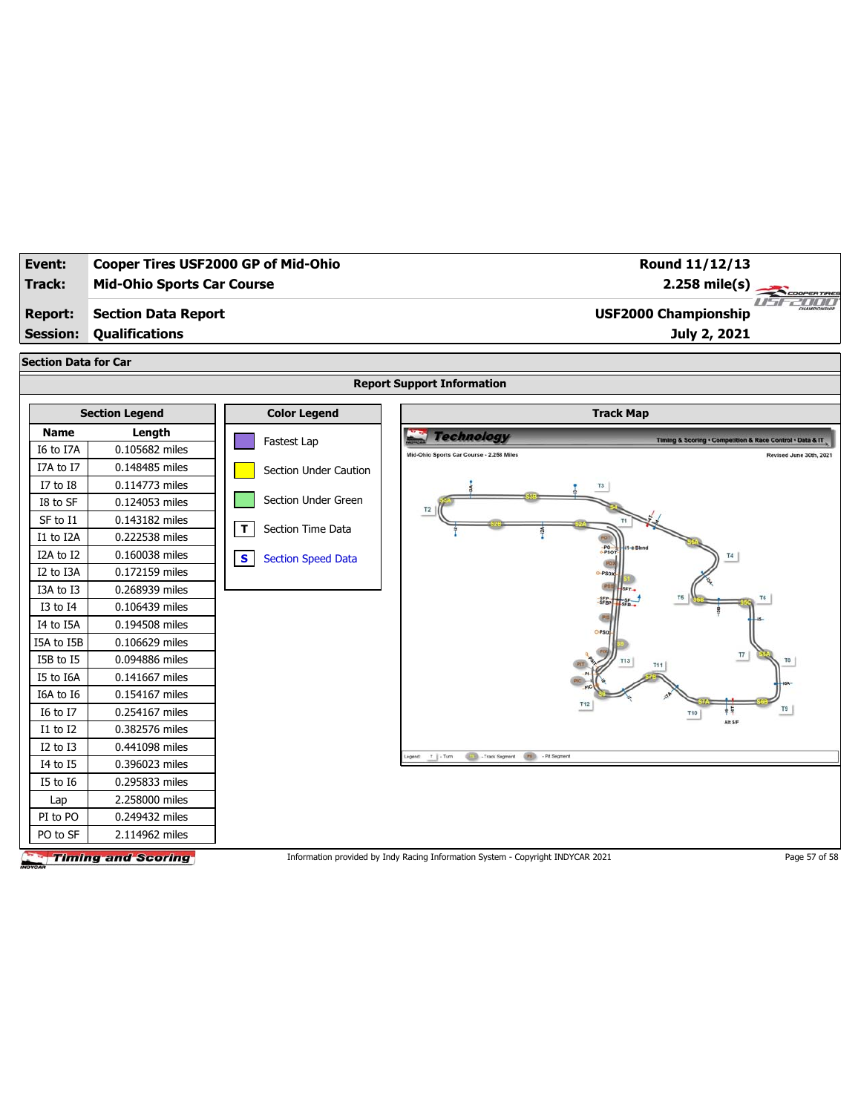